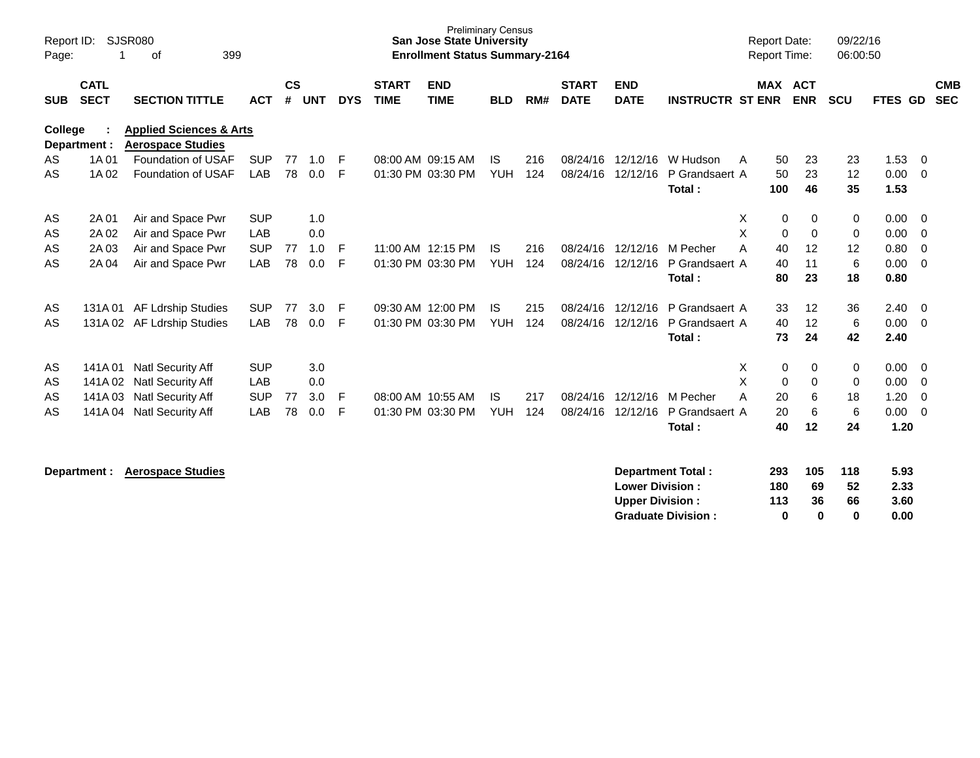| Report ID:<br>Page: |                            | <b>SJSR080</b><br>399<br>οf                                    |            |                    |            |            |                             | <b>Preliminary Census</b><br><b>San Jose State University</b><br><b>Enrollment Status Summary-2164</b> |            |     |                             |                           |                         | <b>Report Date:</b> | <b>Report Time:</b>        | 09/22/16<br>06:00:50 |                |                          |
|---------------------|----------------------------|----------------------------------------------------------------|------------|--------------------|------------|------------|-----------------------------|--------------------------------------------------------------------------------------------------------|------------|-----|-----------------------------|---------------------------|-------------------------|---------------------|----------------------------|----------------------|----------------|--------------------------|
| <b>SUB</b>          | <b>CATL</b><br><b>SECT</b> | <b>SECTION TITTLE</b>                                          | <b>ACT</b> | $\mathsf{cs}$<br># | <b>UNT</b> | <b>DYS</b> | <b>START</b><br><b>TIME</b> | <b>END</b><br><b>TIME</b>                                                                              | <b>BLD</b> | RM# | <b>START</b><br><b>DATE</b> | <b>END</b><br><b>DATE</b> | <b>INSTRUCTR ST ENR</b> |                     | MAX ACT<br><b>ENR</b>      | <b>SCU</b>           | <b>FTES GD</b> | <b>CMB</b><br><b>SEC</b> |
| <b>College</b>      | Department :               | <b>Applied Sciences &amp; Arts</b><br><b>Aerospace Studies</b> |            |                    |            |            |                             |                                                                                                        |            |     |                             |                           |                         |                     |                            |                      |                |                          |
| AS                  | 1A 01                      | Foundation of USAF                                             | <b>SUP</b> | 77                 | 1.0        | F          |                             | 08:00 AM 09:15 AM                                                                                      | IS.        | 216 | 08/24/16                    | 12/12/16                  | W Hudson                | A                   | 23<br>50                   | 23                   | 1.53           | - 0                      |
| AS                  | 1A 02                      | Foundation of USAF                                             | LAB        | 78                 | 0.0        | F          |                             | 01:30 PM 03:30 PM                                                                                      | <b>YUH</b> | 124 | 08/24/16                    | 12/12/16                  | P Grandsaert A          |                     | 50<br>23                   | 12                   | 0.00           | $\overline{0}$           |
|                     |                            |                                                                |            |                    |            |            |                             |                                                                                                        |            |     |                             |                           | Total:                  | 100                 | 46                         | 35                   | 1.53           |                          |
| AS                  | 2A 01                      | Air and Space Pwr                                              | <b>SUP</b> |                    | 1.0        |            |                             |                                                                                                        |            |     |                             |                           |                         | Χ                   | 0<br>0                     | 0                    | 0.00           | - 0                      |
| AS                  | 2A 02                      | Air and Space Pwr                                              | LAB        |                    | 0.0        |            |                             |                                                                                                        |            |     |                             |                           |                         | X                   | $\mathbf 0$<br>$\Omega$    | 0                    | 0.00           | - 0                      |
| AS                  | 2A03                       | Air and Space Pwr                                              | <b>SUP</b> | 77                 | 1.0        | F          |                             | 11:00 AM 12:15 PM                                                                                      | <b>IS</b>  | 216 | 08/24/16                    | 12/12/16                  | M Pecher                | A                   | 40<br>12                   | 12                   | 0.80           | - 0                      |
| AS                  | 2A 04                      | Air and Space Pwr                                              | LAB        | 78                 | 0.0        | F          |                             | 01:30 PM 03:30 PM                                                                                      | <b>YUH</b> | 124 | 08/24/16                    | 12/12/16                  | P Grandsaert A          |                     | 11<br>40                   | 6                    | 0.00           | - 0                      |
|                     |                            |                                                                |            |                    |            |            |                             |                                                                                                        |            |     |                             |                           | Total:                  |                     | 80<br>23                   | 18                   | 0.80           |                          |
| AS                  | 131A 01                    | <b>AF Ldrship Studies</b>                                      | <b>SUP</b> | 77                 | 3.0        | F          |                             | 09:30 AM 12:00 PM                                                                                      | IS.        | 215 | 08/24/16                    | 12/12/16                  | P Grandsaert A          |                     | 12<br>33                   | 36                   | 2.40           | - 0                      |
| AS                  | 131A02                     | AF Ldrship Studies                                             | LAB        | 78                 | 0.0        | F          |                             | 01:30 PM 03:30 PM                                                                                      | <b>YUH</b> | 124 | 08/24/16                    | 12/12/16                  | P Grandsaert A          |                     | 40<br>12                   | 6                    | 0.00           | $\overline{0}$           |
|                     |                            |                                                                |            |                    |            |            |                             |                                                                                                        |            |     |                             |                           | Total:                  |                     | 24<br>73                   | 42                   | 2.40           |                          |
| AS                  | 141A 01                    | <b>Natl Security Aff</b>                                       | <b>SUP</b> |                    | 3.0        |            |                             |                                                                                                        |            |     |                             |                           |                         | X                   | 0<br>0                     | 0                    | 0.00           | $\overline{\mathbf{0}}$  |
| AS                  | 141A 02                    | <b>Natl Security Aff</b>                                       | LAB        |                    | 0.0        |            |                             |                                                                                                        |            |     |                             |                           |                         | X                   | $\mathbf 0$<br>$\mathbf 0$ | 0                    | 0.00           | 0                        |
| AS                  | 141A03                     | <b>Natl Security Aff</b>                                       | <b>SUP</b> | 77                 | 3.0        | F          |                             | 08:00 AM 10:55 AM                                                                                      | <b>IS</b>  | 217 | 08/24/16                    | 12/12/16                  | M Pecher                | A                   | 20<br>6                    | 18                   | 1.20           | 0                        |
| AS                  |                            | 141A 04 Natl Security Aff                                      | <b>LAB</b> | 78                 | 0.0        | F          |                             | 01:30 PM 03:30 PM                                                                                      | <b>YUH</b> | 124 | 08/24/16                    | 12/12/16                  | P Grandsaert A          |                     | 20<br>6                    | 6                    | 0.00           | $\overline{0}$           |
|                     |                            |                                                                |            |                    |            |            |                             |                                                                                                        |            |     |                             |                           | Total:                  |                     | 40<br>12                   | 24                   | 1.20           |                          |
|                     |                            |                                                                |            |                    |            |            |                             |                                                                                                        |            |     |                             |                           |                         |                     |                            |                      |                |                          |

| Department Total:         | 293 | 105 | 118 | 5.93 |
|---------------------------|-----|-----|-----|------|
| <b>Lower Division:</b>    | 180 | 69  | 52  | 2.33 |
| <b>Upper Division:</b>    | 113 | 36  | 66  | 3.60 |
| <b>Graduate Division:</b> | n   | n   | o   | 0.00 |

**Department : Aerospace Studies**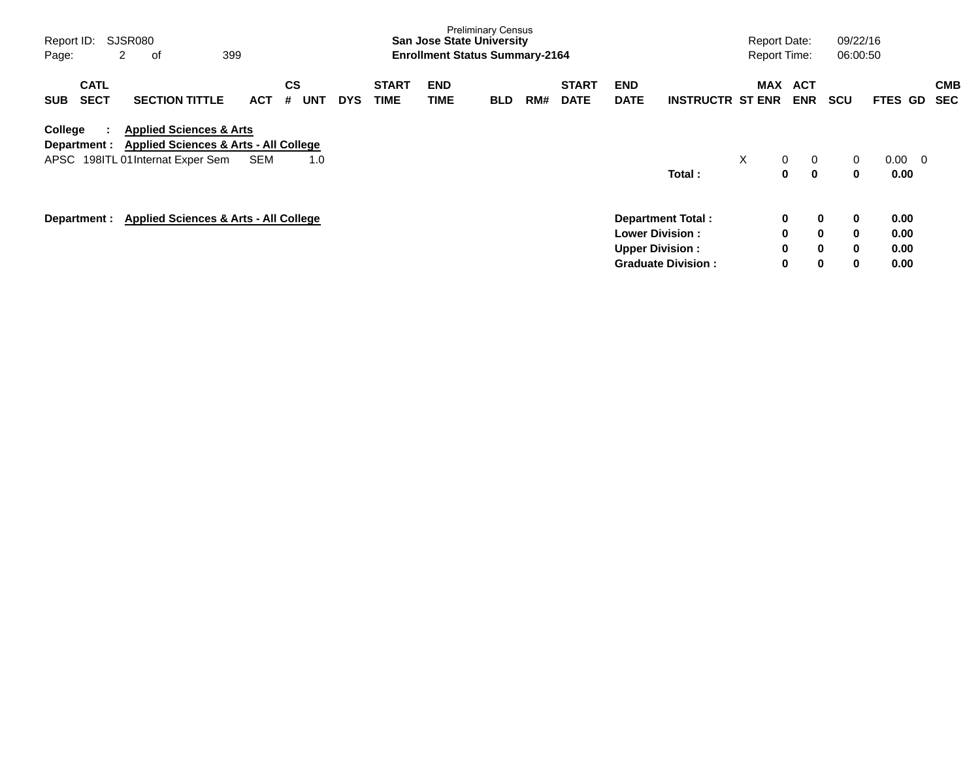| Page:      | SJSR080<br>Report ID:<br>2<br>399<br>οf<br><b>CATL</b> |  |                                                                                        |            |         |            |            |                             |                           | <b>Preliminary Census</b><br><b>San Jose State University</b><br><b>Enrollment Status Summary-2164</b> |     |                             |                           |                                                  |   | <b>Report Date:</b><br><b>Report Time:</b> |                          |            | 09/22/16<br>06:00:50        |                  |     |                          |
|------------|--------------------------------------------------------|--|----------------------------------------------------------------------------------------|------------|---------|------------|------------|-----------------------------|---------------------------|--------------------------------------------------------------------------------------------------------|-----|-----------------------------|---------------------------|--------------------------------------------------|---|--------------------------------------------|--------------------------|------------|-----------------------------|------------------|-----|--------------------------|
| <b>SUB</b> | <b>SECT</b>                                            |  | <b>SECTION TITTLE</b>                                                                  | <b>ACT</b> | CS<br># | <b>UNT</b> | <b>DYS</b> | <b>START</b><br><b>TIME</b> | <b>END</b><br><b>TIME</b> | <b>BLD</b>                                                                                             | RM# | <b>START</b><br><b>DATE</b> | <b>END</b><br><b>DATE</b> | <b>INSTRUCTR ST ENR</b>                          |   | <b>MAX</b>                                 | <b>ACT</b><br><b>ENR</b> | <b>SCU</b> |                             | <b>FTES GD</b>   |     | <b>CMB</b><br><b>SEC</b> |
| College    | Department :                                           |  | <b>Applied Sciences &amp; Arts</b><br><b>Applied Sciences &amp; Arts - All College</b> |            |         |            |            |                             |                           |                                                                                                        |     |                             |                           |                                                  |   |                                            |                          |            |                             |                  |     |                          |
|            |                                                        |  | APSC 198ITL 01 Internat Exper Sem                                                      | <b>SEM</b> |         | 1.0        |            |                             |                           |                                                                                                        |     |                             |                           | Total:                                           | X | $\mathbf{0}$                               | 0<br>0<br>0              |            | $\mathbf{0}$<br>$\mathbf 0$ | $0.00\,$<br>0.00 | - 0 |                          |
|            |                                                        |  | Department : Applied Sciences & Arts - All College                                     |            |         |            |            |                             |                           |                                                                                                        |     |                             |                           | <b>Department Total:</b>                         |   | 0                                          |                          | 0          | $\mathbf 0$                 | 0.00             |     |                          |
|            |                                                        |  |                                                                                        |            |         |            |            |                             |                           |                                                                                                        |     |                             |                           | <b>Lower Division:</b><br><b>Upper Division:</b> |   | $\mathbf 0$<br>0                           |                          | 0<br>0     | $\mathbf 0$<br>$\mathbf 0$  | 0.00<br>0.00     |     |                          |
|            |                                                        |  |                                                                                        |            |         |            |            |                             |                           |                                                                                                        |     |                             |                           | <b>Graduate Division:</b>                        |   | 0                                          |                          | 0          | $\mathbf 0$                 | 0.00             |     |                          |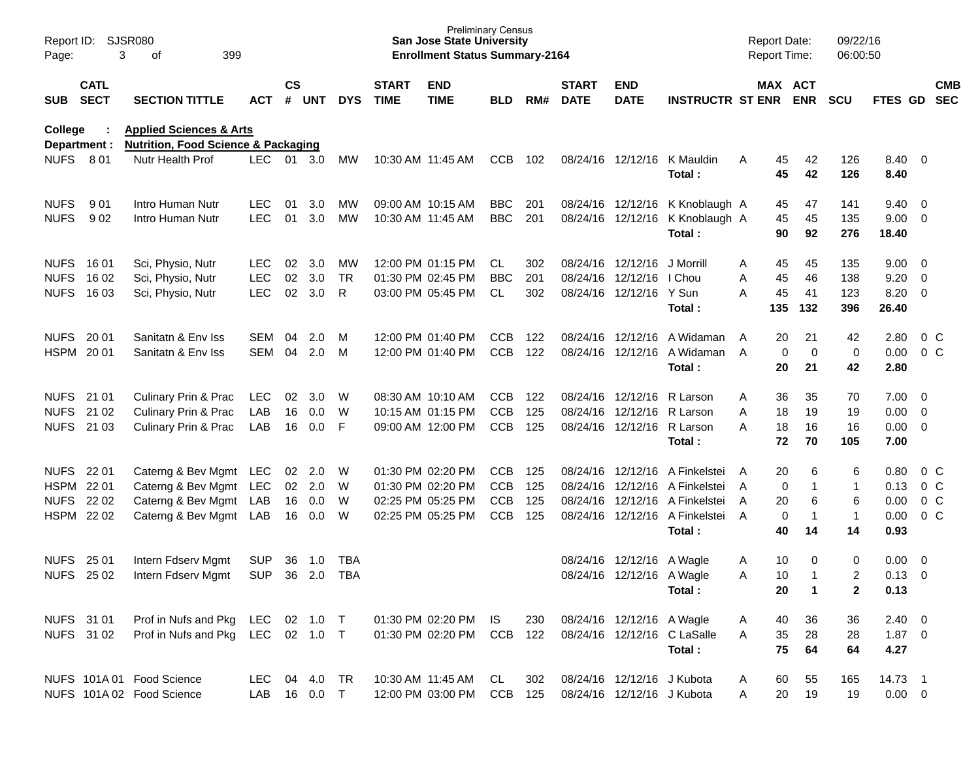| Page:          | Report ID: SJSR080<br>3<br>399<br>of<br><b>CATL</b> |                                                                                      |              |                    |                |            |                             | <b>San Jose State University</b><br><b>Enrollment Status Summary-2164</b> | <b>Preliminary Census</b> |     |                             |                             |                                 |   | <b>Report Date:</b><br><b>Report Time:</b> |                       | 09/22/16<br>06:00:50 |             |                          |            |
|----------------|-----------------------------------------------------|--------------------------------------------------------------------------------------|--------------|--------------------|----------------|------------|-----------------------------|---------------------------------------------------------------------------|---------------------------|-----|-----------------------------|-----------------------------|---------------------------------|---|--------------------------------------------|-----------------------|----------------------|-------------|--------------------------|------------|
| SUB            | <b>SECT</b>                                         | <b>SECTION TITTLE</b>                                                                | <b>ACT</b>   | $\mathsf{cs}$<br># | <b>UNT</b>     | <b>DYS</b> | <b>START</b><br><b>TIME</b> | <b>END</b><br><b>TIME</b>                                                 | <b>BLD</b>                | RM# | <b>START</b><br><b>DATE</b> | <b>END</b><br><b>DATE</b>   | <b>INSTRUCTR ST ENR</b>         |   |                                            | MAX ACT<br><b>ENR</b> | <b>SCU</b>           | FTES GD SEC |                          | <b>CMB</b> |
| <b>College</b> | Department :                                        | <b>Applied Sciences &amp; Arts</b><br><b>Nutrition, Food Science &amp; Packaging</b> |              |                    |                |            |                             |                                                                           |                           |     |                             |                             |                                 |   |                                            |                       |                      |             |                          |            |
| <b>NUFS</b>    | 801                                                 | Nutr Health Prof                                                                     | <b>LEC</b>   |                    | 01 3.0         | МW         |                             | 10:30 AM 11:45 AM                                                         | <b>CCB</b>                | 102 |                             | 08/24/16 12/12/16           | K Mauldin                       | A | 45                                         | 42                    | 126                  | 8.40        | $\overline{\phantom{0}}$ |            |
|                |                                                     |                                                                                      |              |                    |                |            |                             |                                                                           |                           |     |                             |                             | Total:                          |   | 45                                         | 42                    | 126                  | 8.40        |                          |            |
| <b>NUFS</b>    | 9 0 1                                               | Intro Human Nutr                                                                     | <b>LEC</b>   | 01                 | 3.0            | MW         |                             | 09:00 AM 10:15 AM                                                         | <b>BBC</b>                | 201 |                             |                             | 08/24/16 12/12/16 K Knoblaugh A |   | 45                                         | 47                    | 141                  | 9.40        | $\overline{\mathbf{0}}$  |            |
| <b>NUFS</b>    | 902                                                 | Intro Human Nutr                                                                     | <b>LEC</b>   | 01                 | 3.0            | <b>MW</b>  |                             | 10:30 AM 11:45 AM                                                         | <b>BBC</b>                | 201 |                             |                             | 08/24/16 12/12/16 K Knoblaugh A |   | 45                                         | 45                    | 135                  | 9.00        | $\overline{0}$           |            |
|                |                                                     |                                                                                      |              |                    |                |            |                             |                                                                           |                           |     |                             |                             | Total:                          |   | 90                                         | 92                    | 276                  | 18.40       |                          |            |
|                | NUFS 1601                                           | Sci, Physio, Nutr                                                                    | <b>LEC</b>   | 02                 | 3.0            | MW         |                             | 12:00 PM 01:15 PM                                                         | CL                        | 302 |                             | 08/24/16 12/12/16 J Morrill |                                 | A | 45                                         | 45                    | 135                  | 9.00        | $\overline{\mathbf{0}}$  |            |
| <b>NUFS</b>    | 16 02                                               | Sci, Physio, Nutr                                                                    | <b>LEC</b>   | 02                 | 3.0            | <b>TR</b>  |                             | 01:30 PM 02:45 PM                                                         | <b>BBC</b>                | 201 |                             | 08/24/16 12/12/16 I Chou    |                                 | A | 45                                         | 46                    | 138                  | 9.20        | $\overline{0}$           |            |
| <b>NUFS</b>    | 16 03                                               | Sci, Physio, Nutr                                                                    | <b>LEC</b>   | 02                 | 3.0            | R          |                             | 03:00 PM 05:45 PM                                                         | CL.                       | 302 |                             | 08/24/16 12/12/16 Y Sun     |                                 | A | 45                                         | 41                    | 123                  | 8.20        | $\overline{0}$           |            |
|                |                                                     |                                                                                      |              |                    |                |            |                             |                                                                           |                           |     |                             |                             | Total:                          |   | 135                                        | 132                   | 396                  | 26.40       |                          |            |
|                | NUFS 2001                                           | Sanitatn & Env Iss                                                                   | SEM          | 04                 | 2.0            | м          |                             | 12:00 PM 01:40 PM                                                         | <b>CCB</b>                | 122 |                             |                             | 08/24/16 12/12/16 A Widaman     | A | 20                                         | 21                    | 42                   | 2.80        | $0\,C$                   |            |
|                | HSPM 2001                                           | Sanitatn & Env Iss                                                                   | <b>SEM</b>   | 04                 | 2.0            | M          |                             | 12:00 PM 01:40 PM                                                         | <b>CCB</b>                | 122 |                             |                             | 08/24/16 12/12/16 A Widaman     | A | $\mathbf 0$                                | $\mathbf 0$           | $\mathbf 0$          | 0.00        | 0 <sup>o</sup>           |            |
|                |                                                     |                                                                                      |              |                    |                |            |                             |                                                                           |                           |     |                             |                             | Total:                          |   | 20                                         | 21                    | 42                   | 2.80        |                          |            |
|                | NUFS 21 01                                          | Culinary Prin & Prac                                                                 | LEC          | 02                 | 3.0            | W          |                             | 08:30 AM 10:10 AM                                                         | <b>CCB</b>                | 122 |                             | 08/24/16 12/12/16 R Larson  |                                 | A | 36                                         | 35                    | 70                   | 7.00        | - 0                      |            |
| <b>NUFS</b>    | 21 02                                               | Culinary Prin & Prac                                                                 | LAB          | 16                 | 0.0            | W          |                             | 10:15 AM 01:15 PM                                                         | <b>CCB</b>                | 125 |                             | 08/24/16 12/12/16 R Larson  |                                 | A | 18                                         | 19                    | 19                   | 0.00        | $\overline{0}$           |            |
|                | NUFS 21 03                                          | Culinary Prin & Prac                                                                 | LAB          | 16                 | 0.0            | F          |                             | 09:00 AM 12:00 PM                                                         | <b>CCB</b>                | 125 |                             | 08/24/16 12/12/16 R Larson  |                                 | A | 18                                         | 16                    | 16                   | 0.00        | $\overline{\mathbf{0}}$  |            |
|                |                                                     |                                                                                      |              |                    |                |            |                             |                                                                           |                           |     |                             |                             | Total:                          |   | 72                                         | 70                    | 105                  | 7.00        |                          |            |
|                | NUFS 22 01                                          | Caterng & Bev Mgmt LEC                                                               |              |                    | $02 \quad 2.0$ | W          |                             | 01:30 PM 02:20 PM                                                         | <b>CCB</b>                | 125 |                             |                             | 08/24/16 12/12/16 A Finkelstei  | A | 20                                         | 6                     | 6                    | 0.80        | $0\,$ C                  |            |
|                | HSPM 22 01                                          | Caterng & Bev Mgmt LEC                                                               |              |                    | 02 2.0         | W          |                             | 01:30 PM 02:20 PM                                                         | <b>CCB</b>                | 125 |                             |                             | 08/24/16 12/12/16 A Finkelstei  | A | 0                                          | 1                     | $\mathbf{1}$         | 0.13        | 0 <sup>o</sup>           |            |
|                | NUFS 22 02                                          | Caterng & Bev Mgmt LAB                                                               |              |                    | 16 0.0         | W          |                             | 02:25 PM 05:25 PM                                                         | <b>CCB</b>                | 125 |                             |                             | 08/24/16 12/12/16 A Finkelstei  | A | 20                                         | 6                     | 6                    | 0.00        | 0 <sup>o</sup>           |            |
|                | HSPM 22 02                                          | Caterng & Bev Mgmt LAB                                                               |              | 16                 | 0.0            | W          |                             | 02:25 PM 05:25 PM                                                         | <b>CCB</b>                | 125 |                             |                             | 08/24/16 12/12/16 A Finkelstei  | A | 0                                          | $\mathbf 1$           | $\mathbf{1}$         | 0.00        | 0 <sup>o</sup>           |            |
|                |                                                     |                                                                                      |              |                    |                |            |                             |                                                                           |                           |     |                             |                             | Total:                          |   | 40                                         | 14                    | 14                   | 0.93        |                          |            |
| <b>NUFS</b>    | 25 01                                               | Intern Fdserv Mgmt                                                                   | <b>SUP</b>   | 36                 | 1.0            | <b>TBA</b> |                             |                                                                           |                           |     |                             | 08/24/16 12/12/16 A Wagle   |                                 | A | 10                                         | 0                     | $\mathbf 0$          | 0.00        | $\overline{\mathbf{0}}$  |            |
|                | <b>NUFS 2502</b>                                    | Intern Fdserv Mgmt                                                                   | <b>SUP</b>   | 36                 | 2.0            | <b>TBA</b> |                             |                                                                           |                           |     |                             | 08/24/16 12/12/16 A Wagle   |                                 | A | 10                                         | -1                    | 2                    | 0.13        | - 0                      |            |
|                |                                                     |                                                                                      |              |                    |                |            |                             |                                                                           |                           |     |                             |                             | Total:                          |   | 20                                         | $\mathbf{1}$          | $\mathbf{2}$         | 0.13        |                          |            |
|                | NUFS 31 01                                          | Prof in Nufs and Pkg LEC 02 1.0 T                                                    |              |                    |                |            |                             | 01:30 PM 02:20 PM IS                                                      |                           | 230 |                             | 08/24/16 12/12/16 A Wagle   |                                 | A | 40                                         | 36                    | 36                   | $2.40 \ 0$  |                          |            |
|                | NUFS 31 02                                          | Prof in Nufs and Pkg LEC 02 1.0 T                                                    |              |                    |                |            |                             | 01:30 PM 02:20 PM CCB 122                                                 |                           |     |                             |                             | 08/24/16 12/12/16 C LaSalle     | A | 35                                         | 28                    | 28                   | $1.87 \ 0$  |                          |            |
|                |                                                     |                                                                                      |              |                    |                |            |                             |                                                                           |                           |     |                             |                             | Total:                          |   | 75                                         | 64                    | 64                   | 4.27        |                          |            |
|                |                                                     | NUFS 101A 01 Food Science                                                            | LEC 04 4.0   |                    |                | TR         |                             | 10:30 AM 11:45 AM                                                         | CL                        | 302 |                             | 08/24/16 12/12/16 J Kubota  |                                 | A | 60                                         | 55                    | 165                  | 14.73 1     |                          |            |
|                |                                                     | NUFS 101A 02 Food Science                                                            | LAB 16 0.0 T |                    |                |            |                             | 12:00 PM 03:00 PM CCB 125                                                 |                           |     |                             | 08/24/16 12/12/16 J Kubota  |                                 | A | 20                                         | 19                    | 19                   | $0.00 \t 0$ |                          |            |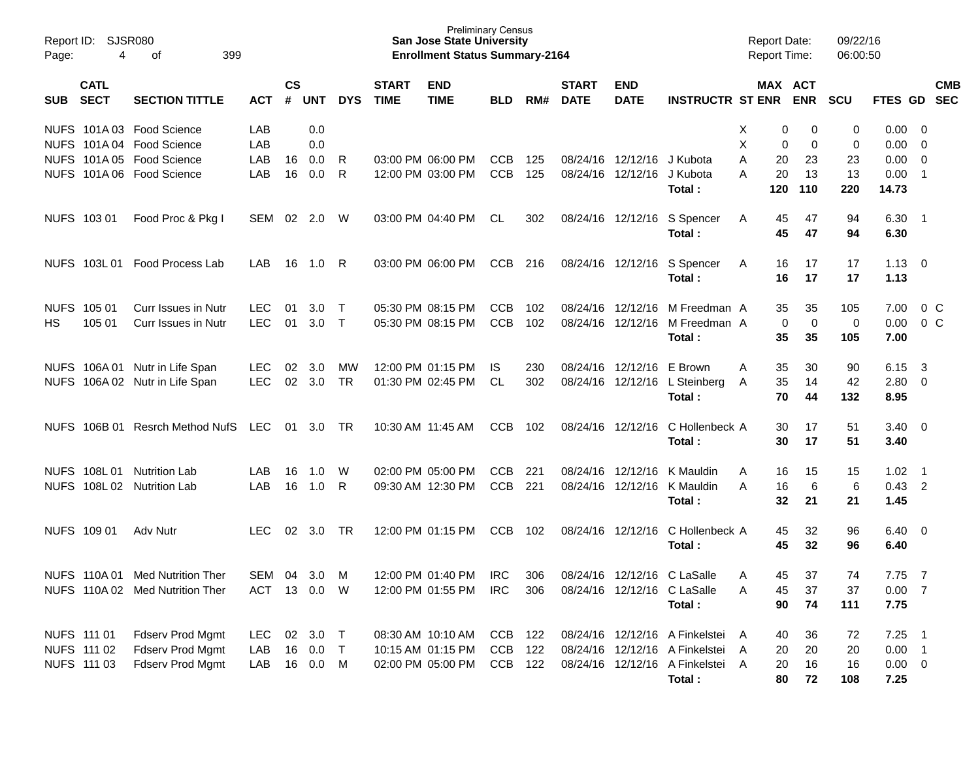| Report ID:<br>Page: | SJSR080<br>4               | 399<br>οf                                              |                          |                |            |                  |                             | <b>Preliminary Census</b><br><b>San Jose State University</b><br><b>Enrollment Status Summary-2164</b> |                          |            |                             |                                        |                                            | <b>Report Date:</b><br><b>Report Time:</b> |                   | 09/22/16<br>06:00:50 |                     |                                                    |            |
|---------------------|----------------------------|--------------------------------------------------------|--------------------------|----------------|------------|------------------|-----------------------------|--------------------------------------------------------------------------------------------------------|--------------------------|------------|-----------------------------|----------------------------------------|--------------------------------------------|--------------------------------------------|-------------------|----------------------|---------------------|----------------------------------------------------|------------|
| SUB.                | <b>CATL</b><br><b>SECT</b> | <b>SECTION TITTLE</b>                                  | <b>ACT</b>               | <b>CS</b><br># | <b>UNT</b> | <b>DYS</b>       | <b>START</b><br><b>TIME</b> | <b>END</b><br><b>TIME</b>                                                                              | <b>BLD</b>               | RM#        | <b>START</b><br><b>DATE</b> | <b>END</b><br><b>DATE</b>              | <b>INSTRUCTR ST ENR</b>                    | MAX ACT                                    | <b>ENR</b>        | <b>SCU</b>           | FTES GD SEC         |                                                    | <b>CMB</b> |
|                     |                            | NUFS 101A 03 Food Science<br>NUFS 101A 04 Food Science | LAB<br>LAB               |                | 0.0<br>0.0 |                  |                             |                                                                                                        |                          |            |                             |                                        |                                            | Х<br>0<br>X<br>0                           | 0<br>0            | 0<br>0               | 0.00<br>0.00        | $\overline{\mathbf{0}}$<br>$\overline{\mathbf{0}}$ |            |
|                     |                            | NUFS 101A 05 Food Science                              | LAB                      | 16             | 0.0        | R                |                             | 03:00 PM 06:00 PM                                                                                      | <b>CCB</b>               | 125        |                             | 08/24/16 12/12/16                      | J Kubota                                   | Α<br>20                                    | 23                | 23                   | 0.00                | $\mathbf 0$                                        |            |
|                     |                            | NUFS 101A 06 Food Science                              | LAB                      | 16             | 0.0        | R                |                             | 12:00 PM 03:00 PM                                                                                      | <b>CCB</b>               | 125        | 08/24/16 12/12/16           |                                        | J Kubota                                   | А<br>20                                    | 13                | 13                   | 0.00                | $\overline{1}$                                     |            |
|                     |                            |                                                        |                          |                |            |                  |                             |                                                                                                        |                          |            |                             |                                        | Total:                                     | 120                                        | 110               | 220                  | 14.73               |                                                    |            |
|                     | NUFS 103 01                | Food Proc & Pkg I                                      | <b>SEM</b>               | 02             | 2.0        | W                |                             | 03:00 PM 04:40 PM                                                                                      | CL.                      | 302        |                             | 08/24/16 12/12/16                      | S Spencer<br>Total:                        | 45<br>A<br>45                              | 47<br>47          | 94<br>94             | 6.30<br>6.30        | - 1                                                |            |
|                     | NUFS 103L01                | <b>Food Process Lab</b>                                | LAB                      | 16             | 1.0        | R                |                             | 03:00 PM 06:00 PM                                                                                      | CCB                      | 216        |                             | 08/24/16 12/12/16                      | S Spencer<br>Total:                        | 16<br>A<br>16                              | 17<br>17          | 17<br>17             | 1.13<br>1.13        | $\overline{\mathbf{0}}$                            |            |
| HS                  | NUFS 105 01<br>105 01      | <b>Curr Issues in Nutr</b><br>Curr Issues in Nutr      | <b>LEC</b><br><b>LEC</b> | 01<br>01       | 3.0<br>3.0 | $\top$<br>$\top$ |                             | 05:30 PM 08:15 PM<br>05:30 PM 08:15 PM                                                                 | <b>CCB</b><br><b>CCB</b> | 102<br>102 |                             | 08/24/16 12/12/16<br>08/24/16 12/12/16 | M Freedman A<br>M Freedman A               | 35<br>0                                    | 35<br>$\mathbf 0$ | 105<br>0             | 7.00<br>0.00        | $0\,$ C<br>0 <sup>o</sup>                          |            |
|                     |                            |                                                        |                          |                |            |                  |                             |                                                                                                        |                          |            |                             |                                        | Total:                                     | 35                                         | 35                | 105                  | 7.00                |                                                    |            |
|                     | NUFS 106A01                | Nutr in Life Span                                      | <b>LEC</b>               | 02             | 3.0        | MW               |                             | 12:00 PM 01:15 PM                                                                                      | IS.                      | 230        |                             | 08/24/16 12/12/16                      | E Brown                                    | 35<br>Α                                    | 30                | 90                   | 6.15                | $\overline{\mathbf{3}}$                            |            |
|                     |                            | NUFS 106A 02 Nutr in Life Span                         | <b>LEC</b>               |                | 02 3.0     | <b>TR</b>        |                             | 01:30 PM 02:45 PM                                                                                      | CL                       | 302        |                             |                                        | 08/24/16 12/12/16 L Steinberg<br>Total:    | 35<br>A<br>70                              | 14<br>44          | 42<br>132            | 2.80<br>8.95        | $\overline{\mathbf{0}}$                            |            |
|                     | NUFS 106B 01               | Resrch Method NufS                                     | LEC                      | 01             | 3.0        | TR               | 10:30 AM 11:45 AM           |                                                                                                        | <b>CCB</b>               | 102        |                             | 08/24/16 12/12/16                      | C Hollenbeck A<br>Total:                   | 30<br>30                                   | 17<br>17          | 51<br>51             | 3.40<br>3.40        | $\overline{\mathbf{0}}$                            |            |
|                     |                            |                                                        |                          |                |            |                  |                             |                                                                                                        |                          |            |                             |                                        |                                            |                                            |                   |                      |                     |                                                    |            |
|                     | NUFS 108L01                | <b>Nutrition Lab</b>                                   | LAB                      | 16             | 1.0        | W                |                             | 02:00 PM 05:00 PM                                                                                      | <b>CCB</b>               | 221        |                             | 08/24/16 12/12/16                      | K Mauldin                                  | 16<br>A                                    | 15                | 15                   | 1.02                | - 1                                                |            |
|                     | NUFS 108L02                | <b>Nutrition Lab</b>                                   | LAB                      | 16             | 1.0        | -R               |                             | 09:30 AM 12:30 PM                                                                                      | <b>CCB</b>               | 221        |                             | 08/24/16 12/12/16                      | K Mauldin<br>Total:                        | 16<br>A<br>32                              | 6<br>21           | 6<br>21              | $0.43$ 2<br>1.45    |                                                    |            |
|                     | NUFS 109 01                | Adv Nutr                                               | <b>LEC</b>               | 02             | 3.0        | TR               |                             | 12:00 PM 01:15 PM                                                                                      | <b>CCB</b>               | 102        | 08/24/16 12/12/16           |                                        | C Hollenbeck A                             | 45                                         | 32                | 96                   | 6.40                | $\overline{\mathbf{0}}$                            |            |
|                     |                            |                                                        |                          |                |            |                  |                             |                                                                                                        |                          |            |                             |                                        | Total:                                     | 45                                         | 32                | 96                   | 6.40                |                                                    |            |
|                     | <b>NUFS 110A01</b>         | <b>Med Nutrition Ther</b>                              | SEM                      |                | 04 3.0     | M                |                             | 12:00 PM 01:40 PM                                                                                      | <b>IRC</b>               | 306        |                             | 08/24/16 12/12/16 C LaSalle            |                                            | 45<br>A                                    | 37                | 74                   | 7.75                | $\overline{7}$                                     |            |
|                     |                            | NUFS 110A 02 Med Nutrition Ther                        | ACT                      |                | 13  0.0  W |                  |                             | 12:00 PM 01:55 PM                                                                                      | IRC                      | 306        |                             | 08/24/16 12/12/16 C LaSalle            |                                            | 45<br>Α                                    | 37                | 37                   | 0.007               |                                                    |            |
|                     |                            |                                                        |                          |                |            |                  |                             |                                                                                                        |                          |            |                             |                                        | Total:                                     | 90                                         | 74                | 111                  | 7.75                |                                                    |            |
| NUFS 111 01         |                            | <b>Fdserv Prod Mgmt</b>                                | <b>LEC</b>               |                | 02 3.0 T   |                  |                             | 08:30 AM 10:10 AM                                                                                      | CCB 122                  |            |                             |                                        | 08/24/16 12/12/16 A Finkelstei A           | 40                                         | 36                | 72                   | $7.25$ 1            |                                                    |            |
|                     | NUFS 111 02                | Fdserv Prod Mgmt                                       | LAB                      | 16             | 0.0        | $\top$           |                             | 10:15 AM 01:15 PM                                                                                      | CCB 122                  |            |                             |                                        | 08/24/16 12/12/16 A Finkelstei             | 20<br>A                                    | 20                | 20                   | $0.00$ 1            |                                                    |            |
|                     | NUFS 111 03                | Fdserv Prod Mgmt                                       | LAB                      |                | 16  0.0  M |                  |                             | 02:00 PM 05:00 PM                                                                                      | CCB 122                  |            |                             |                                        | 08/24/16 12/12/16 A Finkelstei A<br>Total: | 20<br>80                                   | 16<br>72          | 16<br>108            | $0.00 \t 0$<br>7.25 |                                                    |            |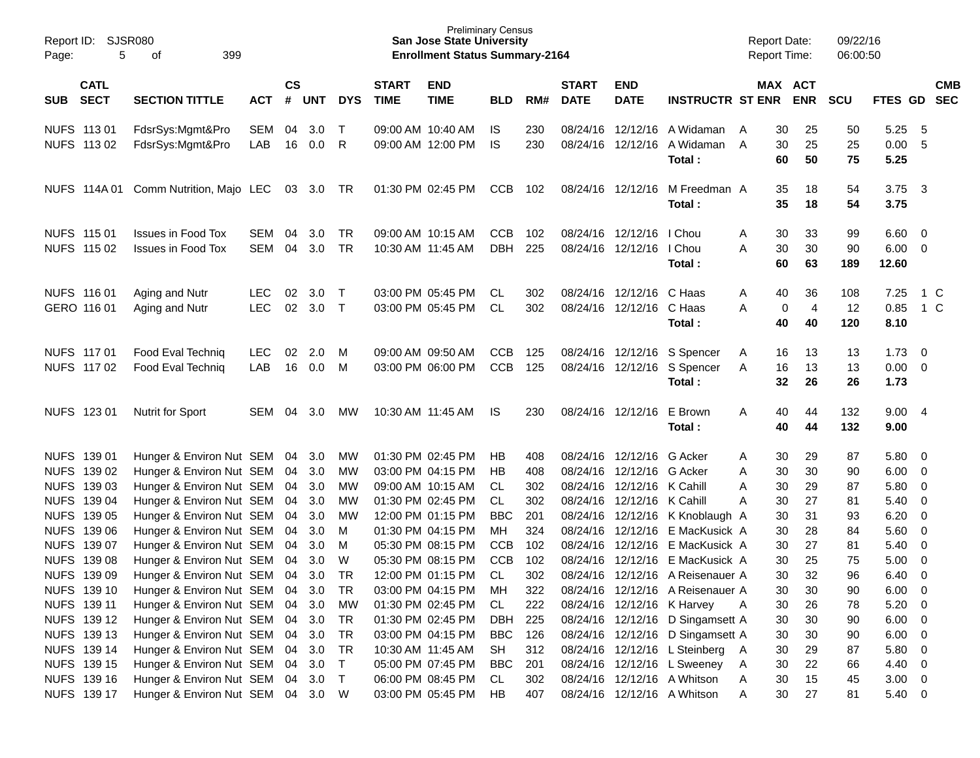| Page:      | Report ID: SJSR080<br>5    | 399<br>of                                               |                          |                |            |                  |                             | <b>Preliminary Census</b><br><b>San Jose State University</b><br><b>Enrollment Status Summary-2164</b> |                          |            |                             |                                                      |                                                                      | <b>Report Date:</b><br><b>Report Time:</b> |                                         | 09/22/16<br>06:00:50 |                                    |                                            |                          |
|------------|----------------------------|---------------------------------------------------------|--------------------------|----------------|------------|------------------|-----------------------------|--------------------------------------------------------------------------------------------------------|--------------------------|------------|-----------------------------|------------------------------------------------------|----------------------------------------------------------------------|--------------------------------------------|-----------------------------------------|----------------------|------------------------------------|--------------------------------------------|--------------------------|
| <b>SUB</b> | <b>CATL</b><br><b>SECT</b> | <b>SECTION TITTLE</b>                                   | <b>ACT</b>               | <b>CS</b><br># | <b>UNT</b> | <b>DYS</b>       | <b>START</b><br><b>TIME</b> | <b>END</b><br><b>TIME</b>                                                                              | <b>BLD</b>               | RM#        | <b>START</b><br><b>DATE</b> | <b>END</b><br><b>DATE</b>                            | <b>INSTRUCTR ST ENR</b>                                              |                                            | MAX ACT<br><b>ENR</b>                   | <b>SCU</b>           | FTES GD                            |                                            | <b>CMB</b><br><b>SEC</b> |
|            | NUFS 113 01<br>NUFS 113 02 | FdsrSys:Mgmt&Pro<br>FdsrSys:Mgmt&Pro                    | SEM<br>LAB               | 04<br>16       | 3.0<br>0.0 | $\top$<br>R      |                             | 09:00 AM 10:40 AM<br>09:00 AM 12:00 PM                                                                 | IS.<br>IS                | 230<br>230 | 08/24/16<br>08/24/16        | 12/12/16                                             | 12/12/16 A Widaman<br>A Widaman<br>Total:                            | 30<br>A<br>30<br>A<br>60                   | 25<br>25<br>50                          | 50<br>25<br>75       | 5.25<br>0.00<br>5.25               | - 5<br>- 5                                 |                          |
|            | NUFS 114A 01               | Comm Nutrition, Majo LEC                                |                          |                | 03 3.0     | TR               |                             | 01:30 PM 02:45 PM                                                                                      | <b>CCB</b>               | 102        |                             | 08/24/16 12/12/16                                    | M Freedman A<br>Total:                                               | 35<br>35                                   | 18<br>18                                | 54<br>54             | 3.75<br>3.75                       | $\overline{\mathbf{3}}$                    |                          |
|            | NUFS 115 01<br>NUFS 115 02 | <b>Issues in Food Tox</b><br><b>Issues in Food Tox</b>  | SEM<br>SEM               | 04<br>04       | 3.0<br>3.0 | TR<br><b>TR</b>  |                             | 09:00 AM 10:15 AM<br>10:30 AM 11:45 AM                                                                 | <b>CCB</b><br><b>DBH</b> | 102<br>225 |                             | 08/24/16 12/12/16<br>08/24/16 12/12/16               | I Chou<br>I Chou<br>Total:                                           | 30<br>A<br>30<br>A<br>60                   | 33<br>30<br>63                          | 99<br>90<br>189      | $6.60$ 0<br>$6.00 \t 0$<br>12.60   |                                            |                          |
|            | NUFS 116 01<br>GERO 116 01 | Aging and Nutr<br>Aging and Nutr                        | <b>LEC</b><br><b>LEC</b> | 02<br>02       | 3.0<br>3.0 | $\top$<br>$\top$ |                             | 03:00 PM 05:45 PM<br>03:00 PM 05:45 PM                                                                 | CL.<br>CL.               | 302<br>302 |                             | 08/24/16 12/12/16 C Haas<br>08/24/16 12/12/16 C Haas | Total:                                                               | 40<br>Α<br>A<br>40                         | 36<br>$\pmb{0}$<br>$\overline{4}$<br>40 | 108<br>12<br>120     | 7.25<br>0.85<br>8.10               | 1 C<br>1 C                                 |                          |
|            | NUFS 117 01<br>NUFS 117 02 | Food Eval Techniq<br>Food Eval Techniq                  | <b>LEC</b><br>LAB        | 02<br>16       | 2.0<br>0.0 | M<br>M           |                             | 09:00 AM 09:50 AM<br>03:00 PM 06:00 PM                                                                 | <b>CCB</b><br><b>CCB</b> | 125<br>125 |                             |                                                      | 08/24/16 12/12/16 S Spencer<br>08/24/16 12/12/16 S Spencer<br>Total: | Α<br>16<br>A<br>16<br>32                   | 13<br>13<br>26                          | 13<br>13<br>26       | $1.73 \t 0$<br>$0.00 \t 0$<br>1.73 |                                            |                          |
|            | NUFS 123 01                | <b>Nutrit for Sport</b>                                 | SEM                      | 04             | 3.0        | МW               |                             | 10:30 AM 11:45 AM                                                                                      | IS                       | 230        |                             | 08/24/16 12/12/16 E Brown                            | Total:                                                               | 40<br>Α<br>40                              | 44<br>44                                | 132<br>132           | 9.004<br>9.00                      |                                            |                          |
|            | NUFS 139 01                | Hunger & Environ Nut SEM                                |                          | 04             | 3.0        | МW               |                             | 01:30 PM 02:45 PM                                                                                      | HB                       | 408        |                             | 08/24/16 12/12/16 G Acker                            |                                                                      | 30<br>Α                                    | 29                                      | 87                   | 5.80 0                             |                                            |                          |
|            | NUFS 139 02                | Hunger & Environ Nut SEM                                |                          | 04             | 3.0        | МW               |                             | 03:00 PM 04:15 PM                                                                                      | HB                       | 408        | 08/24/16                    | 12/12/16 G Acker                                     |                                                                      | 30<br>Α                                    | 30                                      | 90                   | $6.00 \quad 0$                     |                                            |                          |
|            | NUFS 139 03                | Hunger & Environ Nut SEM                                |                          | 04             | 3.0        | МW               |                             | 09:00 AM 10:15 AM                                                                                      | CL.                      | 302        | 08/24/16                    | 12/12/16 K Cahill                                    |                                                                      | 30<br>Α                                    | 29                                      | 87                   | 5.80 0                             |                                            |                          |
|            | NUFS 139 04                | Hunger & Environ Nut SEM                                |                          | 04             | 3.0        | МW               |                             | 01:30 PM 02:45 PM                                                                                      | <b>CL</b>                | 302        | 08/24/16                    | 12/12/16 K Cahill                                    |                                                                      | 30<br>Α                                    | 27                                      | 81                   | 5.40                               | $\overline{\phantom{0}}$                   |                          |
|            | NUFS 139 05                | Hunger & Environ Nut SEM                                |                          | 04             | 3.0        | МW               |                             | 12:00 PM 01:15 PM                                                                                      | <b>BBC</b>               | 201        | 08/24/16                    |                                                      | 12/12/16 K Knoblaugh A                                               | 30                                         | 31                                      | 93                   | 6.20                               | $\overline{\phantom{0}}$                   |                          |
|            | NUFS 139 06                | Hunger & Environ Nut SEM                                |                          | 04             | 3.0        | M                |                             | 01:30 PM 04:15 PM                                                                                      | MН                       | 324        | 08/24/16                    |                                                      | 12/12/16 E MacKusick A                                               | 30                                         | 28                                      | 84                   | $5.60 \quad 0$                     |                                            |                          |
|            | NUFS 139 07                | Hunger & Environ Nut SEM                                |                          | 04             | 3.0        | M                |                             | 05:30 PM 08:15 PM                                                                                      | <b>CCB</b>               | 102        | 08/24/16<br>08/24/16        |                                                      | 12/12/16 E MacKusick A                                               | 30                                         | 27                                      | 81                   | 5.40                               | $\overline{\phantom{0}}$                   |                          |
|            | NUFS 139 08                | Hunger & Environ Nut SEM                                |                          | 04             | 3.0        | W<br><b>TR</b>   |                             | 05:30 PM 08:15 PM                                                                                      | <b>CCB</b><br><b>CL</b>  | 102        |                             | 12/12/16                                             | E MacKusick A                                                        | 30<br>30                                   | 25<br>32                                | 75<br>96             | 5.00                               | $\overline{\phantom{0}}$<br>$\overline{0}$ |                          |
|            | NUFS 139 09<br>NUFS 139 10 | Hunger & Environ Nut SEM<br>Hunger & Environ Nut SEM 04 |                          | 04             | 3.0<br>3.0 | TR               |                             | 12:00 PM 01:15 PM<br>03:00 PM 04:15 PM                                                                 | МH                       | 302<br>322 |                             |                                                      | 08/24/16 12/12/16 A Reisenauer A<br>08/24/16 12/12/16 A Reisenauer A | 30                                         | 30                                      | 90                   | 6.40<br>$6.00 \quad 0$             |                                            |                          |
|            | NUFS 139 11                | Hunger & Environ Nut SEM 04                             |                          |                | 3.0        | МW               |                             | 01:30 PM 02:45 PM                                                                                      | CL                       | 222        |                             |                                                      | 08/24/16 12/12/16 K Harvey                                           | 30<br>A                                    | 26                                      | 78                   | $5.20 \ 0$                         |                                            |                          |
|            | NUFS 139 12                | Hunger & Environ Nut SEM 04                             |                          |                | 3.0        | TR               |                             | 01:30 PM 02:45 PM                                                                                      | DBH                      | 225        |                             |                                                      | 08/24/16 12/12/16 D Singamsett A                                     | 30                                         | 30                                      | 90                   | $6.00 \t 0$                        |                                            |                          |
|            | NUFS 139 13                | Hunger & Environ Nut SEM 04                             |                          |                | 3.0        | TR               |                             | 03:00 PM 04:15 PM                                                                                      | <b>BBC</b>               | 126        |                             |                                                      | 08/24/16 12/12/16 D Singamsett A                                     | 30                                         | 30                                      | 90                   | $6.00 \t 0$                        |                                            |                          |
|            | NUFS 139 14                | Hunger & Environ Nut SEM 04                             |                          |                | 3.0        | TR               |                             | 10:30 AM 11:45 AM                                                                                      | <b>SH</b>                | 312        |                             |                                                      | 08/24/16 12/12/16 L Steinberg A                                      | 30                                         | 29                                      | 87                   | 5.80 0                             |                                            |                          |
|            | NUFS 139 15                | Hunger & Environ Nut SEM 04                             |                          |                | 3.0        | $\top$           |                             | 05:00 PM 07:45 PM                                                                                      | <b>BBC</b>               | 201        |                             |                                                      | 08/24/16 12/12/16 L Sweeney                                          | 30<br>A                                    | 22                                      | 66                   | 4.40 0                             |                                            |                          |
|            | NUFS 139 16                | Hunger & Environ Nut SEM 04                             |                          |                | 3.0        | $\top$           |                             | 06:00 PM 08:45 PM                                                                                      | CL                       | 302        |                             |                                                      | 08/24/16 12/12/16 A Whitson                                          | 30<br>A                                    | 15                                      | 45                   | $3.00 \t 0$                        |                                            |                          |
|            | NUFS 139 17                | Hunger & Environ Nut SEM 04 3.0 W                       |                          |                |            |                  |                             | 03:00 PM 05:45 PM                                                                                      | HB                       | 407        |                             |                                                      | 08/24/16 12/12/16 A Whitson                                          | 30<br>A                                    | 27                                      | 81                   | 5.40 0                             |                                            |                          |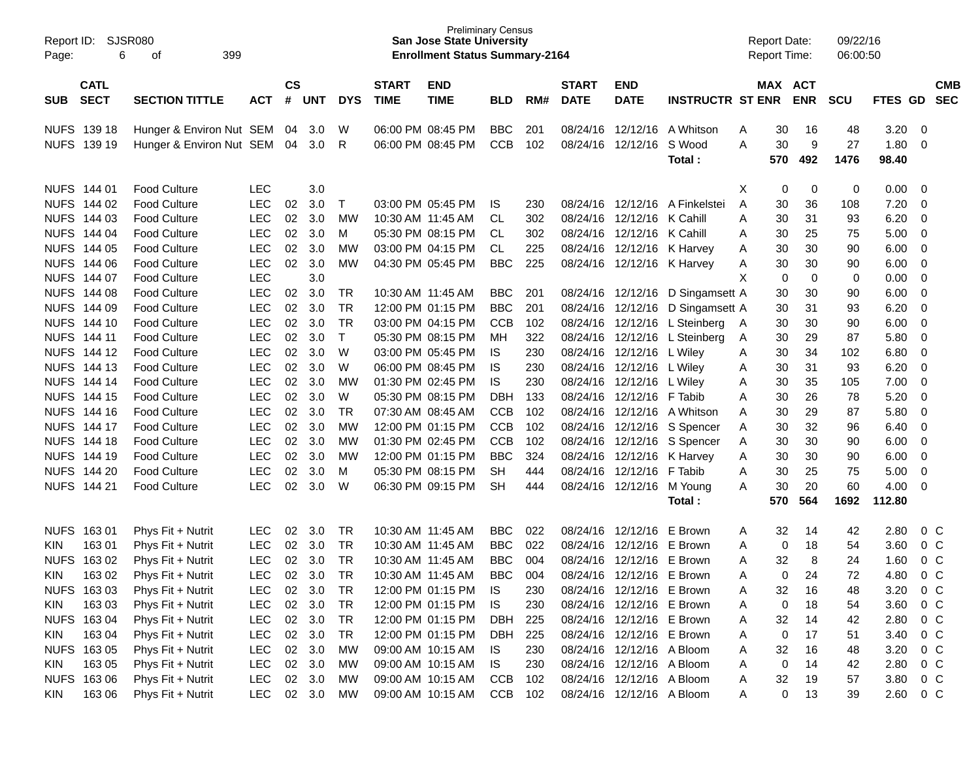| Report ID:<br>Page: | 6                  | SJSR080<br>399<br>οf     |            |               |            |            |                   | <b>Preliminary Census</b><br><b>San Jose State University</b><br><b>Enrollment Status Summary-2164</b> |            |     |              |                           |                         |   | <b>Report Date:</b><br><b>Report Time:</b> |            | 09/22/16<br>06:00:50 |             |                |            |
|---------------------|--------------------|--------------------------|------------|---------------|------------|------------|-------------------|--------------------------------------------------------------------------------------------------------|------------|-----|--------------|---------------------------|-------------------------|---|--------------------------------------------|------------|----------------------|-------------|----------------|------------|
|                     | <b>CATL</b>        |                          |            | $\mathsf{cs}$ |            |            | <b>START</b>      | <b>END</b>                                                                                             |            |     | <b>START</b> | <b>END</b>                |                         |   | MAX ACT                                    |            |                      |             |                | <b>CMB</b> |
| <b>SUB</b>          | <b>SECT</b>        | <b>SECTION TITTLE</b>    | <b>ACT</b> | #             | <b>UNT</b> | <b>DYS</b> | <b>TIME</b>       | <b>TIME</b>                                                                                            | <b>BLD</b> | RM# | <b>DATE</b>  | <b>DATE</b>               | <b>INSTRUCTR ST ENR</b> |   |                                            | <b>ENR</b> | <b>SCU</b>           | <b>FTES</b> | GD             | <b>SEC</b> |
|                     | NUFS 139 18        | Hunger & Environ Nut SEM |            | 04            | 3.0        | W          |                   | 06:00 PM 08:45 PM                                                                                      | <b>BBC</b> | 201 | 08/24/16     | 12/12/16                  | A Whitson               | A | 30                                         | 16         | 48                   | 3.20        | 0              |            |
|                     | NUFS 139 19        | Hunger & Environ Nut SEM |            | 04            | 3.0        | R          |                   | 06:00 PM 08:45 PM                                                                                      | <b>CCB</b> | 102 | 08/24/16     | 12/12/16                  | S Wood                  | A | 30                                         | 9          | 27                   | 1.80        | $\mathbf 0$    |            |
|                     |                    |                          |            |               |            |            |                   |                                                                                                        |            |     |              |                           | Total :                 |   | 570                                        | 492        | 1476                 | 98.40       |                |            |
|                     | NUFS 144 01        | <b>Food Culture</b>      | <b>LEC</b> |               | 3.0        |            |                   |                                                                                                        |            |     |              |                           |                         | X | 0                                          | 0          | 0                    | 0.00        | 0              |            |
|                     | NUFS 144 02        | <b>Food Culture</b>      | <b>LEC</b> | 02            | 3.0        | Τ          |                   | 03:00 PM 05:45 PM                                                                                      | IS.        | 230 | 08/24/16     | 12/12/16                  | A Finkelstei            | A | 30                                         | 36         | 108                  | 7.20        | 0              |            |
|                     | NUFS 144 03        | <b>Food Culture</b>      | LEC        | 02            | 3.0        | <b>MW</b>  | 10:30 AM 11:45 AM |                                                                                                        | CL         | 302 | 08/24/16     | 12/12/16                  | K Cahill                | Α | 30                                         | 31         | 93                   | 6.20        | 0              |            |
|                     | NUFS 144 04        | <b>Food Culture</b>      | <b>LEC</b> | 02            | 3.0        | M          |                   | 05:30 PM 08:15 PM                                                                                      | CL         | 302 | 08/24/16     | 12/12/16                  | K Cahill                | Α | 30                                         | 25         | 75                   | 5.00        | 0              |            |
|                     | NUFS 144 05        | <b>Food Culture</b>      | <b>LEC</b> | 02            | 3.0        | <b>MW</b>  |                   | 03:00 PM 04:15 PM                                                                                      | CL         | 225 | 08/24/16     | 12/12/16                  | K Harvey                | Α | 30                                         | 30         | 90                   | 6.00        | 0              |            |
|                     | NUFS 144 06        | <b>Food Culture</b>      | <b>LEC</b> | 02            | 3.0        | <b>MW</b>  |                   | 04:30 PM 05:45 PM                                                                                      | <b>BBC</b> | 225 | 08/24/16     | 12/12/16                  | K Harvey                | A | 30                                         | 30         | 90                   | 6.00        | 0              |            |
|                     | NUFS 144 07        | <b>Food Culture</b>      | <b>LEC</b> |               | 3.0        |            |                   |                                                                                                        |            |     |              |                           |                         | X | 0                                          | 0          | 0                    | 0.00        | 0              |            |
|                     | NUFS 144 08        | <b>Food Culture</b>      | LEC        | 02            | 3.0        | TR         | 10:30 AM 11:45 AM |                                                                                                        | <b>BBC</b> | 201 | 08/24/16     | 12/12/16                  | D Singamsett A          |   | 30                                         | 30         | 90                   | 6.00        | 0              |            |
|                     | NUFS 144 09        | <b>Food Culture</b>      | <b>LEC</b> | 02            | 3.0        | <b>TR</b>  |                   | 12:00 PM 01:15 PM                                                                                      | <b>BBC</b> | 201 | 08/24/16     | 12/12/16                  | D Singamsett A          |   | 30                                         | 31         | 93                   | 6.20        | 0              |            |
|                     | NUFS 144 10        | <b>Food Culture</b>      | <b>LEC</b> | 02            | 3.0        | <b>TR</b>  |                   | 03:00 PM 04:15 PM                                                                                      | <b>CCB</b> | 102 | 08/24/16     | 12/12/16                  | L Steinberg             | A | 30                                         | 30         | 90                   | 6.00        | 0              |            |
|                     | NUFS 144 11        | <b>Food Culture</b>      | <b>LEC</b> | 02            | 3.0        | Т          |                   | 05:30 PM 08:15 PM                                                                                      | MН         | 322 | 08/24/16     | 12/12/16                  | L Steinberg             | A | 30                                         | 29         | 87                   | 5.80        | 0              |            |
|                     | NUFS 144 12        | <b>Food Culture</b>      | <b>LEC</b> | 02            | 3.0        | W          |                   | 03:00 PM 05:45 PM                                                                                      | <b>IS</b>  | 230 | 08/24/16     | 12/12/16                  | L Wiley                 | A | 30                                         | 34         | 102                  | 6.80        | 0              |            |
|                     | NUFS 144 13        | <b>Food Culture</b>      | <b>LEC</b> | 02            | 3.0        | W          |                   | 06:00 PM 08:45 PM                                                                                      | <b>IS</b>  | 230 | 08/24/16     | 12/12/16                  | L Wiley                 | A | 30                                         | 31         | 93                   | 6.20        | 0              |            |
|                     | <b>NUFS 144 14</b> | <b>Food Culture</b>      | <b>LEC</b> | 02            | 3.0        | <b>MW</b>  |                   | 01:30 PM 02:45 PM                                                                                      | <b>IS</b>  | 230 | 08/24/16     | 12/12/16                  | L Wiley                 | Α | 30                                         | 35         | 105                  | 7.00        | 0              |            |
|                     | NUFS 144 15        | <b>Food Culture</b>      | <b>LEC</b> | 02            | 3.0        | W          |                   | 05:30 PM 08:15 PM                                                                                      | <b>DBH</b> | 133 | 08/24/16     | 12/12/16                  | F Tabib                 | Α | 30                                         | 26         | 78                   | 5.20        | 0              |            |
|                     | NUFS 144 16        | <b>Food Culture</b>      | <b>LEC</b> | 02            | 3.0        | <b>TR</b>  |                   | 07:30 AM 08:45 AM                                                                                      | <b>CCB</b> | 102 | 08/24/16     | 12/12/16                  | A Whitson               | Α | 30                                         | 29         | 87                   | 5.80        | 0              |            |
|                     | NUFS 144 17        | <b>Food Culture</b>      | <b>LEC</b> | 02            | 3.0        | <b>MW</b>  |                   | 12:00 PM 01:15 PM                                                                                      | <b>CCB</b> | 102 | 08/24/16     | 12/12/16                  | S Spencer               | Α | 30                                         | 32         | 96                   | 6.40        | 0              |            |
|                     | NUFS 144 18        | <b>Food Culture</b>      | <b>LEC</b> | 02            | 3.0        | <b>MW</b>  |                   | 01:30 PM 02:45 PM                                                                                      | <b>CCB</b> | 102 | 08/24/16     | 12/12/16                  | S Spencer               | Α | 30                                         | 30         | 90                   | 6.00        | 0              |            |
|                     | NUFS 144 19        | <b>Food Culture</b>      | <b>LEC</b> | 02            | 3.0        | <b>MW</b>  |                   | 12:00 PM 01:15 PM                                                                                      | <b>BBC</b> | 324 | 08/24/16     | 12/12/16                  | K Harvey                | Α | 30                                         | 30         | 90                   | 6.00        | 0              |            |
|                     | NUFS 144 20        | <b>Food Culture</b>      | <b>LEC</b> | 02            | 3.0        | M          |                   | 05:30 PM 08:15 PM                                                                                      | <b>SH</b>  | 444 | 08/24/16     | 12/12/16                  | F Tabib                 | Α | 30                                         | 25         | 75                   | 5.00        | 0              |            |
|                     | NUFS 144 21        | <b>Food Culture</b>      | <b>LEC</b> | 02            | 3.0        | W          |                   | 06:30 PM 09:15 PM                                                                                      | <b>SH</b>  | 444 | 08/24/16     | 12/12/16                  | M Young                 | A | 30                                         | 20         | 60                   | 4.00        | 0              |            |
|                     |                    |                          |            |               |            |            |                   |                                                                                                        |            |     |              |                           | Total :                 |   | 570                                        | 564        | 1692                 | 112.80      |                |            |
|                     | NUFS 163 01        | Phys Fit + Nutrit        | <b>LEC</b> | 02            | 3.0        | TR         | 10:30 AM 11:45 AM |                                                                                                        | <b>BBC</b> | 022 | 08/24/16     | 12/12/16                  | E Brown                 | A | 32                                         | 14         | 42                   | 2.80        | 0 <sup>C</sup> |            |
| KIN                 | 16301              | Phys Fit + Nutrit        | <b>LEC</b> | 02            | 3.0        | <b>TR</b>  | 10:30 AM 11:45 AM |                                                                                                        | <b>BBC</b> | 022 | 08/24/16     | 12/12/16                  | E Brown                 | A | 0                                          | 18         | 54                   | 3.60        | 0 <sup>C</sup> |            |
| <b>NUFS</b>         | 16302              | Phys Fit + Nutrit        | <b>LEC</b> | 02            | 3.0        | <b>TR</b>  | 10:30 AM 11:45 AM |                                                                                                        | <b>BBC</b> | 004 | 08/24/16     | 12/12/16                  | E Brown                 | Α | 32                                         | 8          | 24                   | 1.60        | 0 <sup>C</sup> |            |
| <b>KIN</b>          | 163 02             | Phys Fit + Nutrit        | LEC        | 02            | 3.0        | <b>TR</b>  |                   | 10:30 AM 11:45 AM                                                                                      | <b>BBC</b> | 004 | 08/24/16     | 12/12/16                  | E Brown                 | Α | 0                                          | 24         | 72                   | 4.80        | $0\,C$         |            |
|                     | NUFS 163 03        | Phys Fit + Nutrit        | <b>LEC</b> | 02            | 3.0        | <b>TR</b>  |                   | 12:00 PM 01:15 PM                                                                                      | IS         | 230 |              | 08/24/16 12/12/16 E Brown |                         | A | 32                                         | 16         | 48                   | 3.20        | $0\,C$         |            |
| KIN                 | 163 03             | Phys Fit + Nutrit        | <b>LEC</b> | $02\,$        | 3.0        | TR         |                   | 12:00 PM 01:15 PM                                                                                      | IS         | 230 |              | 08/24/16 12/12/16 E Brown |                         | A | 0                                          | 18         | 54                   | 3.60        | $0\,C$         |            |
|                     | NUFS 163 04        | Phys Fit + Nutrit        | <b>LEC</b> |               | 02 3.0     | TR         |                   | 12:00 PM 01:15 PM                                                                                      | <b>DBH</b> | 225 |              | 08/24/16 12/12/16 E Brown |                         | A | 32                                         | 14         | 42                   | 2.80        | $0\,C$         |            |
| KIN                 | 163 04             | Phys Fit + Nutrit        | <b>LEC</b> |               | 02 3.0     | <b>TR</b>  |                   | 12:00 PM 01:15 PM                                                                                      | DBH        | 225 |              | 08/24/16 12/12/16 E Brown |                         | A | 0                                          | 17         | 51                   | 3.40        | $0\,C$         |            |
|                     | NUFS 163 05        | Phys Fit + Nutrit        | <b>LEC</b> | $02\,$        | 3.0        | <b>MW</b>  |                   | 09:00 AM 10:15 AM                                                                                      | IS         | 230 |              | 08/24/16 12/12/16 A Bloom |                         | A | 32                                         | 16         | 48                   | 3.20        | $0\,C$         |            |
| KIN                 | 163 05             | Phys Fit + Nutrit        | <b>LEC</b> | $02\,$        | 3.0        | МW         |                   | 09:00 AM 10:15 AM                                                                                      | IS         | 230 |              | 08/24/16 12/12/16 A Bloom |                         | Α | 0                                          | 14         | 42                   | 2.80        | $0\,C$         |            |
|                     | NUFS 163 06        | Phys Fit + Nutrit        | <b>LEC</b> | 02            | 3.0        | МW         |                   | 09:00 AM 10:15 AM                                                                                      | <b>CCB</b> | 102 |              | 08/24/16 12/12/16 A Bloom |                         | Α | 32                                         | 19         | 57                   | 3.80        | $0\,C$         |            |
| <b>KIN</b>          | 16306              | Phys Fit + Nutrit        | LEC        |               | 02 3.0     | MW         |                   | 09:00 AM 10:15 AM                                                                                      | CCB        | 102 |              | 08/24/16 12/12/16 A Bloom |                         | A | 0                                          | 13         | 39                   | 2.60        | $0\,C$         |            |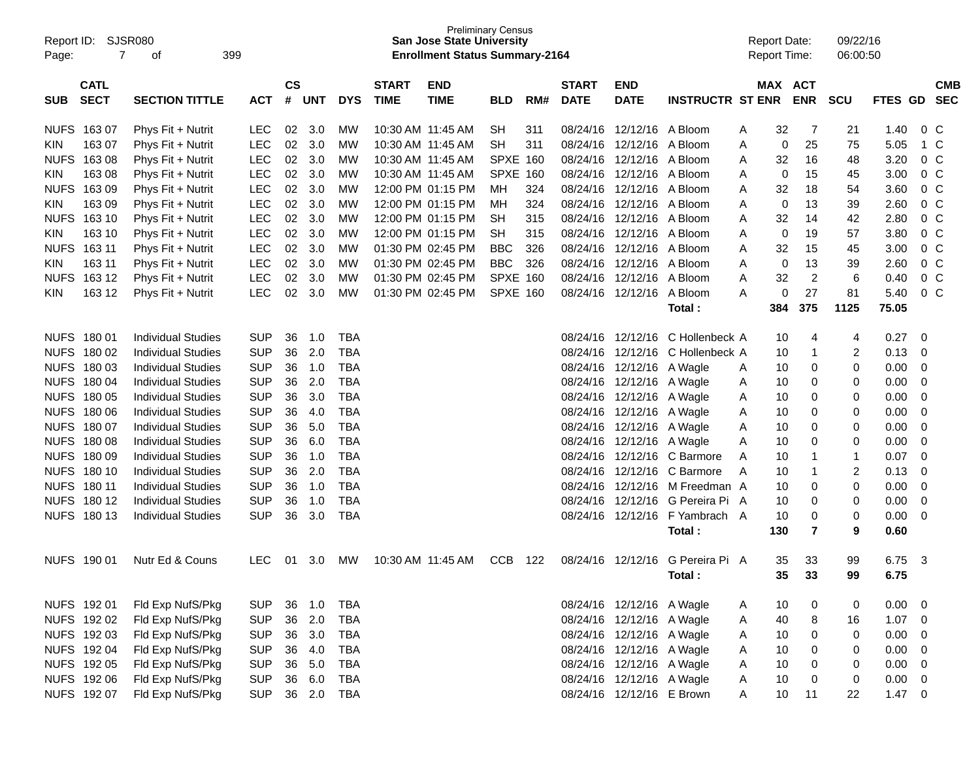| Report ID:<br>Page:                      | <b>SJSR080</b><br>399<br>7<br>οf |            |                    |            |            |                             | <b>San Jose State University</b><br><b>Enrollment Status Summary-2164</b> | <b>Preliminary Census</b> |     |                             |                           |                         | <b>Report Date:</b><br><b>Report Time:</b> |             |                       | 09/22/16<br>06:00:50 |             |                         |                          |
|------------------------------------------|----------------------------------|------------|--------------------|------------|------------|-----------------------------|---------------------------------------------------------------------------|---------------------------|-----|-----------------------------|---------------------------|-------------------------|--------------------------------------------|-------------|-----------------------|----------------------|-------------|-------------------------|--------------------------|
| <b>CATL</b><br><b>SECT</b><br><b>SUB</b> | <b>SECTION TITTLE</b>            | <b>ACT</b> | $\mathsf{cs}$<br># | <b>UNT</b> | <b>DYS</b> | <b>START</b><br><b>TIME</b> | <b>END</b><br><b>TIME</b>                                                 | <b>BLD</b>                | RM# | <b>START</b><br><b>DATE</b> | <b>END</b><br><b>DATE</b> | <b>INSTRUCTR ST ENR</b> |                                            |             | MAX ACT<br><b>ENR</b> | <b>SCU</b>           | FTES GD     |                         | <b>CMB</b><br><b>SEC</b> |
| <b>NUFS</b><br>16307                     | Phys Fit + Nutrit                | <b>LEC</b> | 02                 | 3.0        | MW         |                             | 10:30 AM 11:45 AM                                                         | <b>SH</b>                 | 311 | 08/24/16                    | 12/12/16                  | A Bloom                 | Α                                          | 32          | 7                     | 21                   | 1.40        |                         | 0 <sup>C</sup>           |
| 163 07<br><b>KIN</b>                     | Phys Fit + Nutrit                | <b>LEC</b> | 02                 | 3.0        | MW         |                             | 10:30 AM 11:45 AM                                                         | <b>SH</b>                 | 311 | 08/24/16                    | 12/12/16                  | A Bloom                 | A                                          | 0           | 25                    | 75                   | 5.05        |                         | 1 C                      |
| <b>NUFS</b><br>16308                     | Phys Fit + Nutrit                | <b>LEC</b> | 02                 | 3.0        | MW         |                             | 10:30 AM 11:45 AM                                                         | <b>SPXE 160</b>           |     | 08/24/16                    | 12/12/16                  | A Bloom                 | A                                          | 32          | 16                    | 48                   | 3.20        |                         | 0 <sup>C</sup>           |
| 163 08<br><b>KIN</b>                     | Phys Fit + Nutrit                | <b>LEC</b> | 02                 | 3.0        | MW         |                             | 10:30 AM 11:45 AM                                                         | <b>SPXE 160</b>           |     | 08/24/16                    | 12/12/16                  | A Bloom                 | A                                          | 0           | 15                    | 45                   | 3.00        |                         | 0 <sup>C</sup>           |
| <b>NUFS</b><br>16309                     | Phys Fit + Nutrit                | <b>LEC</b> | 02                 | 3.0        | <b>MW</b>  |                             | 12:00 PM 01:15 PM                                                         | MH                        | 324 | 08/24/16                    | 12/12/16                  | A Bloom                 | A                                          | 32          | 18                    | 54                   | 3.60        |                         | 0 <sup>C</sup>           |
| 163 09<br><b>KIN</b>                     | Phys Fit + Nutrit                | <b>LEC</b> | 02                 | 3.0        | <b>MW</b>  |                             | 12:00 PM 01:15 PM                                                         | MH                        | 324 | 08/24/16                    | 12/12/16                  | A Bloom                 | A                                          | 0           | 13                    | 39                   | 2.60        |                         | 0 <sup>C</sup>           |
| <b>NUFS</b><br>163 10                    | Phys Fit + Nutrit                | <b>LEC</b> | 02                 | 3.0        | <b>MW</b>  |                             | 12:00 PM 01:15 PM                                                         | <b>SH</b>                 | 315 | 08/24/16                    | 12/12/16                  | A Bloom                 | A                                          | 32          | 14                    | 42                   | 2.80        |                         | 0 <sup>C</sup>           |
| 163 10<br><b>KIN</b>                     | Phys Fit + Nutrit                | <b>LEC</b> | 02                 | 3.0        | <b>MW</b>  |                             | 12:00 PM 01:15 PM                                                         | <b>SH</b>                 | 315 | 08/24/16                    | 12/12/16                  | A Bloom                 | A                                          | $\mathbf 0$ | 19                    | 57                   | 3.80        |                         | 0 <sup>C</sup>           |
| <b>NUFS</b><br>163 11                    | Phys Fit + Nutrit                | <b>LEC</b> | 02                 | 3.0        | <b>MW</b>  |                             | 01:30 PM 02:45 PM                                                         | <b>BBC</b>                | 326 | 08/24/16                    | 12/12/16                  | A Bloom                 | A                                          | 32          | 15                    | 45                   | 3.00        |                         | 0 <sup>C</sup>           |
| 163 11<br><b>KIN</b>                     | Phys Fit + Nutrit                | <b>LEC</b> | 02                 | 3.0        | MW         |                             | 01:30 PM 02:45 PM                                                         | <b>BBC</b>                | 326 | 08/24/16                    | 12/12/16                  | A Bloom                 | A                                          | 0           | 13                    | 39                   | 2.60        |                         | 0 <sup>C</sup>           |
| <b>NUFS</b><br>163 12                    | Phys Fit + Nutrit                | <b>LEC</b> | 02                 | 3.0        | MW         |                             | 01:30 PM 02:45 PM                                                         | <b>SPXE 160</b>           |     | 08/24/16                    | 12/12/16                  | A Bloom                 | A                                          | 32          | $\overline{c}$        | 6                    | 0.40        |                         | 0 <sup>C</sup>           |
| 163 12<br><b>KIN</b>                     | Phys Fit + Nutrit                | <b>LEC</b> | 02                 | 3.0        | MW         |                             | 01:30 PM 02:45 PM                                                         | <b>SPXE 160</b>           |     | 08/24/16                    | 12/12/16                  | A Bloom                 | A                                          | 0           | 27                    | 81                   | 5.40        |                         | 0 <sup>C</sup>           |
|                                          |                                  |            |                    |            |            |                             |                                                                           |                           |     |                             |                           | Total:                  |                                            | 384         | 375                   | 1125                 | 75.05       |                         |                          |
|                                          |                                  |            |                    |            |            |                             |                                                                           |                           |     |                             |                           |                         |                                            |             |                       |                      |             |                         |                          |
| NUFS 180 01                              | <b>Individual Studies</b>        | <b>SUP</b> | 36                 | 1.0        | <b>TBA</b> |                             |                                                                           |                           |     | 08/24/16                    | 12/12/16                  | C Hollenbeck A          |                                            | 10          | 4                     | 4                    | 0.27        | $\overline{0}$          |                          |
| <b>NUFS</b><br>180 02                    | <b>Individual Studies</b>        | <b>SUP</b> | 36                 | 2.0        | <b>TBA</b> |                             |                                                                           |                           |     | 08/24/16                    | 12/12/16                  | C Hollenbeck A          |                                            | 10          | $\mathbf 1$           | $\overline{2}$       | 0.13        | 0                       |                          |
| <b>NUFS</b><br>180 03                    | <b>Individual Studies</b>        | <b>SUP</b> | 36                 | 1.0        | <b>TBA</b> |                             |                                                                           |                           |     |                             | 08/24/16 12/12/16         | A Wagle                 | A                                          | 10          | 0                     | 0                    | 0.00        | 0                       |                          |
| <b>NUFS</b><br>18004                     | <b>Individual Studies</b>        | <b>SUP</b> | 36                 | 2.0        | <b>TBA</b> |                             |                                                                           |                           |     |                             | 08/24/16 12/12/16         | A Wagle                 | A                                          | 10          | 0                     | 0                    | 0.00        | 0                       |                          |
| <b>NUFS</b><br>180 05                    | <b>Individual Studies</b>        | <b>SUP</b> | 36                 | 3.0        | <b>TBA</b> |                             |                                                                           |                           |     |                             | 08/24/16 12/12/16         | A Wagle                 | A                                          | 10          | 0                     | 0                    | 0.00        | 0                       |                          |
| <b>NUFS</b><br>180 06                    | <b>Individual Studies</b>        | <b>SUP</b> | 36                 | 4.0        | <b>TBA</b> |                             |                                                                           |                           |     |                             | 08/24/16 12/12/16         | A Wagle                 | A                                          | 10          | 0                     | 0                    | 0.00        | 0                       |                          |
| <b>NUFS</b><br>180 07                    | <b>Individual Studies</b>        | <b>SUP</b> | 36                 | 5.0        | <b>TBA</b> |                             |                                                                           |                           |     |                             | 08/24/16 12/12/16         | A Wagle                 | A                                          | 10          | 0                     | 0                    | 0.00        | 0                       |                          |
| <b>NUFS</b><br>18008                     | <b>Individual Studies</b>        | <b>SUP</b> | 36                 | 6.0        | <b>TBA</b> |                             |                                                                           |                           |     | 08/24/16                    | 12/12/16                  | A Wagle                 | A                                          | 10          | 0                     | 0                    | 0.00        | 0                       |                          |
| <b>NUFS</b><br>18009                     | <b>Individual Studies</b>        | <b>SUP</b> | 36                 | 1.0        | <b>TBA</b> |                             |                                                                           |                           |     | 08/24/16                    | 12/12/16                  | C Barmore               | A                                          | 10          | 1                     | $\mathbf{1}$         | 0.07        | $\mathbf 0$             |                          |
| <b>NUFS</b><br>180 10                    | <b>Individual Studies</b>        | <b>SUP</b> | 36                 | 2.0        | <b>TBA</b> |                             |                                                                           |                           |     |                             | 08/24/16 12/12/16         | C Barmore               | A                                          | 10          | 1                     | $\overline{2}$       | 0.13        | 0                       |                          |
| <b>NUFS</b><br>180 11                    | <b>Individual Studies</b>        | <b>SUP</b> | 36                 | 1.0        | <b>TBA</b> |                             |                                                                           |                           |     | 08/24/16                    | 12/12/16                  | M Freedman A            |                                            | 10          | 0                     | 0                    | 0.00        | 0                       |                          |
| <b>NUFS</b><br>180 12                    | <b>Individual Studies</b>        | <b>SUP</b> | 36                 | 1.0        | <b>TBA</b> |                             |                                                                           |                           |     | 08/24/16                    | 12/12/16                  | G Pereira Pi A          |                                            | 10          | 0                     | 0                    | 0.00        | 0                       |                          |
| NUFS 180 13                              | <b>Individual Studies</b>        | <b>SUP</b> | 36                 | 3.0        | <b>TBA</b> |                             |                                                                           |                           |     |                             | 08/24/16 12/12/16         | F Yambrach A            |                                            | 10          | 0                     | 0                    | 0.00        | $\overline{0}$          |                          |
|                                          |                                  |            |                    |            |            |                             |                                                                           |                           |     |                             |                           | Total:                  |                                            | 130         | $\overline{7}$        | 9                    | 0.60        |                         |                          |
|                                          |                                  |            |                    |            |            |                             |                                                                           |                           |     |                             |                           |                         |                                            |             |                       |                      |             |                         |                          |
| NUFS 190 01                              | Nutr Ed & Couns                  | <b>LEC</b> | 01                 | 3.0        | MW         |                             | 10:30 AM 11:45 AM                                                         | <b>CCB</b>                | 122 |                             | 08/24/16 12/12/16         | G Pereira Pi A          |                                            | 35          | 33                    | 99                   | 6.75        | $\overline{\mathbf{3}}$ |                          |
|                                          |                                  |            |                    |            |            |                             |                                                                           |                           |     |                             |                           | Total:                  |                                            | 35          | 33                    | 99                   | 6.75        |                         |                          |
|                                          |                                  |            |                    |            |            |                             |                                                                           |                           |     |                             |                           |                         |                                            |             |                       |                      |             |                         |                          |
| NUFS 192 01                              | Fld Exp NufS/Pkg                 | <b>SUP</b> | 36                 | 1.0        | <b>TBA</b> |                             |                                                                           |                           |     |                             | 08/24/16 12/12/16 A Wagle |                         | A                                          | 10          | 0                     | 0                    | $0.00 \t 0$ |                         |                          |
| NUFS 192 02                              | Fld Exp NufS/Pkg                 | <b>SUP</b> | 36                 | 2.0        | <b>TBA</b> |                             |                                                                           |                           |     |                             | 08/24/16 12/12/16 A Wagle |                         | A                                          | 40          | 8                     | 16                   | $1.07 \t 0$ |                         |                          |
| NUFS 192 03                              | Fld Exp NufS/Pkg                 | <b>SUP</b> | 36                 | 3.0        | <b>TBA</b> |                             |                                                                           |                           |     |                             | 08/24/16 12/12/16 A Wagle |                         | A                                          | 10          | 0                     | 0                    | $0.00 \t 0$ |                         |                          |
| NUFS 192 04                              | Fld Exp NufS/Pkg                 | <b>SUP</b> | 36                 | 4.0        | <b>TBA</b> |                             |                                                                           |                           |     |                             | 08/24/16 12/12/16 A Wagle |                         | A                                          | 10          | 0                     | 0                    | $0.00 \t 0$ |                         |                          |
| NUFS 192 05                              | Fld Exp NufS/Pkg                 | <b>SUP</b> | 36                 | 5.0        | <b>TBA</b> |                             |                                                                           |                           |     |                             | 08/24/16 12/12/16 A Wagle |                         | A                                          | 10          | 0                     | 0                    | $0.00 \t 0$ |                         |                          |
| NUFS 192 06                              | Fld Exp NufS/Pkg                 | <b>SUP</b> | 36                 | 6.0        | <b>TBA</b> |                             |                                                                           |                           |     |                             | 08/24/16 12/12/16 A Wagle |                         | A                                          | 10          | 0                     | 0                    | $0.00 \t 0$ |                         |                          |
| NUFS 192 07                              | Fld Exp NufS/Pkg                 | <b>SUP</b> |                    | 36 2.0     | TBA        |                             |                                                                           |                           |     |                             | 08/24/16 12/12/16 E Brown |                         | A                                          | 10          | 11                    | 22                   | $1.47 \t 0$ |                         |                          |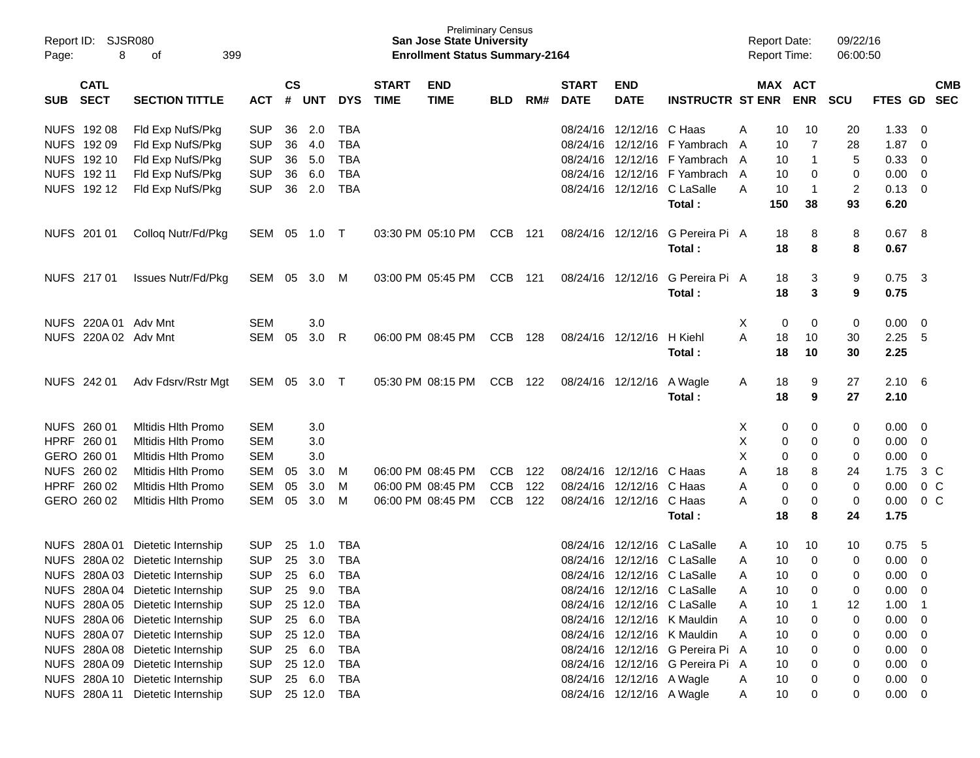|             | Report ID: SJSR080   |                                  |                 |               |            |            |              | <b>Preliminary Census</b><br><b>San Jose State University</b> |            |     |              |                             |                                  | <b>Report Date:</b> |         |                  | 09/22/16          |             |                |            |
|-------------|----------------------|----------------------------------|-----------------|---------------|------------|------------|--------------|---------------------------------------------------------------|------------|-----|--------------|-----------------------------|----------------------------------|---------------------|---------|------------------|-------------------|-------------|----------------|------------|
| Page:       | 8<br>399<br>of       |                                  |                 |               |            |            |              | <b>Enrollment Status Summary-2164</b>                         |            |     |              |                             |                                  | <b>Report Time:</b> |         |                  | 06:00:50          |             |                |            |
|             | <b>CATL</b>          |                                  |                 | $\mathsf{cs}$ |            |            | <b>START</b> | <b>END</b>                                                    |            |     | <b>START</b> | <b>END</b>                  |                                  |                     | MAX ACT |                  |                   |             |                | <b>CMB</b> |
| SUB         | <b>SECT</b>          | <b>SECTION TITTLE</b>            | <b>ACT</b>      | #             | <b>UNT</b> | <b>DYS</b> | <b>TIME</b>  | <b>TIME</b>                                                   | <b>BLD</b> | RM# | <b>DATE</b>  | <b>DATE</b>                 | <b>INSTRUCTR ST ENR</b>          |                     |         | <b>ENR</b>       | <b>SCU</b>        | FTES GD     |                | <b>SEC</b> |
|             | NUFS 192 08          | Fld Exp NufS/Pkg                 | <b>SUP</b>      | 36            | 2.0        | <b>TBA</b> |              |                                                               |            |     |              | 08/24/16 12/12/16 C Haas    |                                  | A                   | 10      | 10               | 20                | 1.33        | 0              |            |
|             | NUFS 192 09          | Fld Exp NufS/Pkg                 | <b>SUP</b>      | 36            | 4.0        | <b>TBA</b> |              |                                                               |            |     |              | 08/24/16 12/12/16           | F Yambrach                       | A                   | 10      | 7                | 28                | 1.87        | $\mathbf 0$    |            |
|             | NUFS 192 10          | Fld Exp NufS/Pkg                 | <b>SUP</b>      | 36            | 5.0        | <b>TBA</b> |              |                                                               |            |     |              | 08/24/16 12/12/16           | F Yambrach A                     |                     | 10      | $\mathbf{1}$     | 5                 | 0.33        | $\overline{0}$ |            |
|             | NUFS 192 11          | Fld Exp NufS/Pkg                 | <b>SUP</b>      | 36            | 6.0        | <b>TBA</b> |              |                                                               |            |     |              | 08/24/16 12/12/16           | F Yambrach A                     |                     | 10      | 0                | 0                 | 0.00        | $\overline{0}$ |            |
|             | NUFS 192 12          | Fld Exp NufS/Pkg                 | <b>SUP</b>      | 36            | 2.0        | <b>TBA</b> |              |                                                               |            |     |              | 08/24/16 12/12/16           | C LaSalle                        | A                   | 10      | $\overline{1}$   | $\overline{c}$    | 0.13        | $\overline{0}$ |            |
|             |                      |                                  |                 |               |            |            |              |                                                               |            |     |              |                             | Total:                           |                     | 150     | 38               | 93                | 6.20        |                |            |
|             | NUFS 201 01          | Collog Nutr/Fd/Pkg               | SEM 05          |               | 1.0        | $\top$     |              | 03:30 PM 05:10 PM                                             | CCB 121    |     |              | 08/24/16 12/12/16           | G Pereira Pi A                   |                     | 18      | 8                | 8                 | 0.67        | - 8            |            |
|             |                      |                                  |                 |               |            |            |              |                                                               |            |     |              |                             | Total:                           |                     | 18      | 8                | 8                 | 0.67        |                |            |
|             | NUFS 217 01          | <b>Issues Nutr/Fd/Pkg</b>        | SEM 05          |               | 3.0        | M          |              | 03:00 PM 05:45 PM                                             | CCB 121    |     |              | 08/24/16 12/12/16           | G Pereira Pi A                   |                     | 18      | 3                | 9                 | 0.75        | $\mathbf{3}$   |            |
|             |                      |                                  |                 |               |            |            |              |                                                               |            |     |              |                             | Total:                           |                     | 18      | 3                | 9                 | 0.75        |                |            |
|             |                      |                                  |                 |               |            |            |              |                                                               |            |     |              |                             |                                  |                     |         |                  |                   |             |                |            |
|             | NUFS 220A 01 Adv Mnt |                                  | <b>SEM</b>      |               | 3.0        |            |              |                                                               |            |     |              |                             |                                  | X                   | 0       | 0                | 0                 | 0.00        | 0              |            |
|             | NUFS 220A 02 Adv Mnt |                                  | <b>SEM</b>      | 05            | 3.0        | R          |              | 06:00 PM 08:45 PM                                             | CCB        | 128 |              | 08/24/16 12/12/16           | H Kiehl                          | A                   | 18      | 10               | 30                | 2.25        | -5             |            |
|             |                      |                                  |                 |               |            |            |              |                                                               |            |     |              |                             | Total:                           |                     | 18      | 10               | 30                | 2.25        |                |            |
|             | NUFS 242 01          | Adv Fdsrv/Rstr Mgt               | SEM 05          |               | 3.0        | $\top$     |              | 05:30 PM 08:15 PM                                             | CCB        | 122 |              | 08/24/16 12/12/16           | A Wagle                          | A                   | 18      | 9                | 27                | 2.10        | - 6            |            |
|             |                      |                                  |                 |               |            |            |              |                                                               |            |     |              |                             | Total:                           |                     | 18      | 9                | 27                | 2.10        |                |            |
|             | NUFS 260 01          | <b>Mitidis Hith Promo</b>        | <b>SEM</b>      |               | 3.0        |            |              |                                                               |            |     |              |                             |                                  | Х                   | 0       | 0                | 0                 | 0.00        | 0              |            |
|             | HPRF 260 01          | <b>Mitidis Hith Promo</b>        | <b>SEM</b>      |               | 3.0        |            |              |                                                               |            |     |              |                             |                                  | X                   | 0       | $\mathbf 0$      | 0                 | 0.00        | $\mathbf 0$    |            |
|             | GERO 260 01          | <b>Mitidis Hith Promo</b>        | <b>SEM</b>      |               | 3.0        |            |              |                                                               |            |     |              |                             |                                  | X                   | 0       | 0                | 0                 | 0.00        | $\mathbf 0$    |            |
|             | NUFS 260 02          | <b>Mitidis Hith Promo</b>        | <b>SEM</b>      | 05            | 3.0        | м          |              | 06:00 PM 08:45 PM                                             | <b>CCB</b> | 122 |              | 08/24/16 12/12/16           | C Haas                           | A                   | 18      | 8                | 24                | 1.75        | 3 C            |            |
|             | HPRF 260 02          | <b>Mitidis Hith Promo</b>        | <b>SEM</b>      | 05            | 3.0        | м          |              | 06:00 PM 08:45 PM                                             | <b>CCB</b> | 122 |              | 08/24/16 12/12/16           | C Haas                           | A                   | 0       | $\mathbf 0$      | 0                 | 0.00        | $0\,C$         |            |
|             | GERO 260 02          | <b>Mitidis Hith Promo</b>        | <b>SEM</b>      | 05            | 3.0        | M          |              | 06:00 PM 08:45 PM                                             | <b>CCB</b> | 122 |              | 08/24/16 12/12/16           | C Haas                           | Α                   | 0       | 0                | 0                 | 0.00        | 0 <sup>o</sup> |            |
|             |                      |                                  |                 |               |            |            |              |                                                               |            |     |              |                             | Total:                           |                     | 18      | 8                | 24                | 1.75        |                |            |
|             |                      | NUFS 280A 01 Dietetic Internship | <b>SUP</b>      | 25            | 1.0        | <b>TBA</b> |              |                                                               |            |     |              | 08/24/16 12/12/16           | C LaSalle                        | A                   | 10      | 10               | 10                | 0.75        | -5             |            |
| <b>NUFS</b> |                      | 280A 02 Dietetic Internship      | <b>SUP</b>      | 25            | 3.0        | <b>TBA</b> |              |                                                               |            |     |              | 08/24/16 12/12/16           | C LaSalle                        | A                   | 10      | 0                | 0                 | 0.00        | $\mathbf 0$    |            |
|             |                      | NUFS 280A 03 Dietetic Internship | <b>SUP</b>      | 25            | 6.0        | <b>TBA</b> |              |                                                               |            |     |              |                             | 08/24/16 12/12/16 C LaSalle      | A                   | 10      | $\mathbf 0$      | 0                 | 0.00        | $\mathbf 0$    |            |
|             |                      | NUFS 280A 04 Dietetic Internship | <b>SUP</b>      |               | 25 9.0     | <b>TBA</b> |              |                                                               |            |     |              | 08/24/16 12/12/16 C LaSalle |                                  | Α                   | 10      | 0                | 0                 | 0.00        | $\mathbf 0$    |            |
|             |                      | NUFS 280A 05 Dietetic Internship | <b>SUP</b>      |               | 25 12.0    | TBA        |              |                                                               |            |     |              |                             | 08/24/16 12/12/16 C LaSalle      | Α                   | 10      | $\mathbf{1}$     | $12 \overline{ }$ | 1.00        | $\overline{1}$ |            |
|             |                      | NUFS 280A 06 Dietetic Internship | <b>SUP</b>      |               | 25 6.0     | <b>TBA</b> |              |                                                               |            |     |              |                             | 08/24/16 12/12/16 K Mauldin      | Α                   | 10      | $\pmb{0}$        | 0                 | 0.00        | 0              |            |
|             |                      | NUFS 280A 07 Dietetic Internship | <b>SUP</b>      |               | 25 12.0    | <b>TBA</b> |              |                                                               |            |     |              |                             | 08/24/16 12/12/16 K Mauldin      | Α                   | 10      | $\boldsymbol{0}$ | 0                 | 0.00        | - 0            |            |
|             |                      | NUFS 280A 08 Dietetic Internship | <b>SUP</b>      |               | 25 6.0     | <b>TBA</b> |              |                                                               |            |     |              |                             | 08/24/16 12/12/16 G Pereira Pi A |                     | 10      | $\boldsymbol{0}$ | 0                 | 0.00        | 0              |            |
|             |                      | NUFS 280A 09 Dietetic Internship | <b>SUP</b>      |               | 25 12.0    | TBA        |              |                                                               |            |     |              |                             | 08/24/16 12/12/16 G Pereira Pi A |                     | 10      | $\boldsymbol{0}$ | 0                 | 0.00        | 0              |            |
|             |                      | NUFS 280A 10 Dietetic Internship | <b>SUP</b>      |               | 25 6.0     | <b>TBA</b> |              |                                                               |            |     |              | 08/24/16 12/12/16 A Wagle   |                                  | A                   | 10      | 0                | 0                 | 0.00        | 0              |            |
|             |                      | NUFS 280A 11 Dietetic Internship | SUP 25 12.0 TBA |               |            |            |              |                                                               |            |     |              | 08/24/16 12/12/16 A Wagle   |                                  | A                   | 10      | 0                | 0                 | $0.00 \t 0$ |                |            |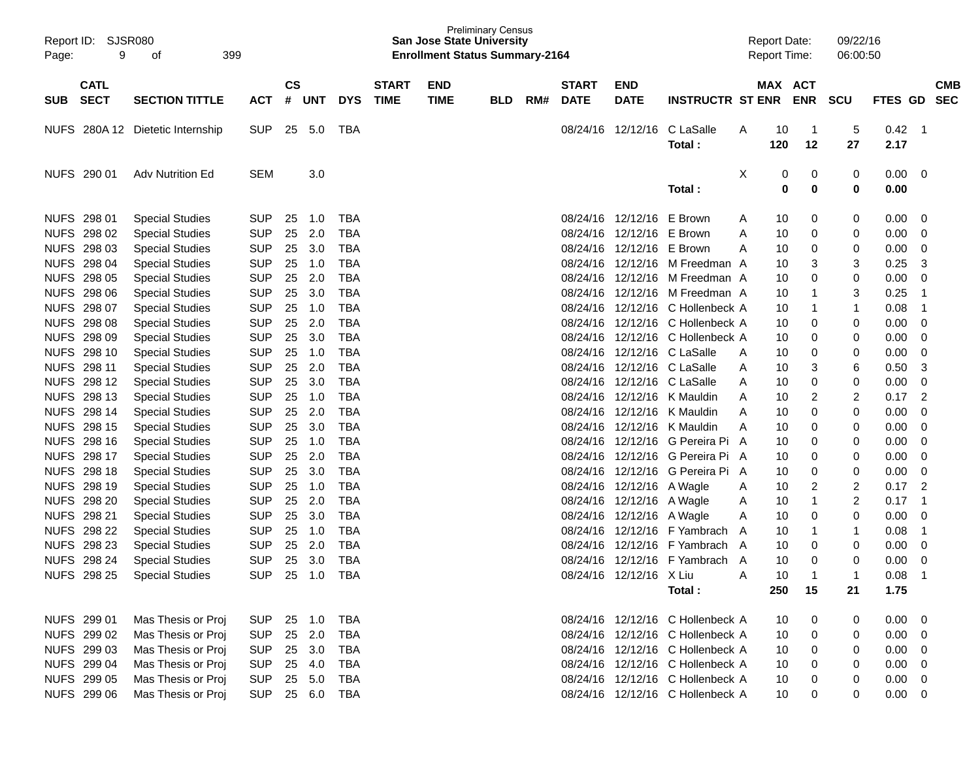| Page: | Report ID: SJSR080<br>9<br>399<br>οf |                                  |            |                    |        |            |                             | <b>San Jose State University</b><br><b>Enrollment Status Summary-2164</b> | <b>Preliminary Census</b> |     |                             |                           |                                  |   | <b>Report Date:</b><br><b>Report Time:</b> |                       | 09/22/16<br>06:00:50 |              |                          |                          |
|-------|--------------------------------------|----------------------------------|------------|--------------------|--------|------------|-----------------------------|---------------------------------------------------------------------------|---------------------------|-----|-----------------------------|---------------------------|----------------------------------|---|--------------------------------------------|-----------------------|----------------------|--------------|--------------------------|--------------------------|
|       |                                      |                                  |            |                    |        |            |                             |                                                                           |                           |     |                             |                           |                                  |   |                                            |                       |                      |              |                          |                          |
| SUB   | <b>CATL</b><br><b>SECT</b>           | <b>SECTION TITTLE</b>            | <b>ACT</b> | $\mathsf{cs}$<br># | UNT    | <b>DYS</b> | <b>START</b><br><b>TIME</b> | <b>END</b><br><b>TIME</b>                                                 | <b>BLD</b>                | RM# | <b>START</b><br><b>DATE</b> | <b>END</b><br><b>DATE</b> | <b>INSTRUCTR ST ENR</b>          |   | MAX ACT                                    | <b>ENR</b>            | <b>SCU</b>           | FTES GD      |                          | <b>CMB</b><br><b>SEC</b> |
|       |                                      | NUFS 280A 12 Dietetic Internship | <b>SUP</b> | 25                 | 5.0    | TBA        |                             |                                                                           |                           |     |                             | 08/24/16 12/12/16         | C LaSalle<br>Total:              | A | 10<br>120                                  | $\overline{1}$<br>12  | 5<br>27              | 0.42<br>2.17 | $\overline{\phantom{0}}$ |                          |
|       | NUFS 290 01                          | <b>Adv Nutrition Ed</b>          | <b>SEM</b> |                    | 3.0    |            |                             |                                                                           |                           |     |                             |                           | Total:                           | X | 0<br>0                                     | $\boldsymbol{0}$<br>0 | 0<br>0               | 0.00<br>0.00 | $\overline{\phantom{0}}$ |                          |
|       | NUFS 298 01                          | <b>Special Studies</b>           | <b>SUP</b> | 25                 | 1.0    | TBA        |                             |                                                                           |                           |     |                             | 08/24/16 12/12/16         | E Brown                          | Α | 10                                         | 0                     | 0                    | 0.00         | $\overline{\phantom{0}}$ |                          |
|       | NUFS 298 02                          | <b>Special Studies</b>           | <b>SUP</b> | 25                 | 2.0    | <b>TBA</b> |                             |                                                                           |                           |     |                             | 08/24/16 12/12/16         | E Brown                          | Α | 10                                         | 0                     | 0                    | 0.00         | - 0                      |                          |
|       | NUFS 298 03                          | <b>Special Studies</b>           | <b>SUP</b> | 25                 | 3.0    | <b>TBA</b> |                             |                                                                           |                           |     |                             | 08/24/16 12/12/16         | E Brown                          | A | 10                                         | 0                     | 0                    | 0.00         | $\overline{0}$           |                          |
|       | NUFS 298 04                          | <b>Special Studies</b>           | <b>SUP</b> | 25                 | 1.0    | <b>TBA</b> |                             |                                                                           |                           |     |                             | 08/24/16 12/12/16         | M Freedman A                     |   | 10                                         | 3                     | 3                    | 0.25         | 3                        |                          |
|       | NUFS 298 05                          | <b>Special Studies</b>           | <b>SUP</b> | 25                 | 2.0    | <b>TBA</b> |                             |                                                                           |                           |     |                             | 08/24/16 12/12/16         | M Freedman A                     |   | 10                                         | 0                     | 0                    | 0.00         | $\mathbf 0$              |                          |
|       | NUFS 298 06                          | <b>Special Studies</b>           | <b>SUP</b> | 25                 | 3.0    | <b>TBA</b> |                             |                                                                           |                           |     |                             | 08/24/16 12/12/16         | M Freedman A                     |   | 10                                         | 1                     | 3                    | 0.25         | -1                       |                          |
|       | NUFS 298 07                          | <b>Special Studies</b>           | <b>SUP</b> | 25                 | 1.0    | <b>TBA</b> |                             |                                                                           |                           |     |                             | 08/24/16 12/12/16         | C Hollenbeck A                   |   | 10                                         | -1                    | 1                    | 0.08         | $\overline{1}$           |                          |
|       | NUFS 298 08                          | <b>Special Studies</b>           | <b>SUP</b> | 25                 | 2.0    | <b>TBA</b> |                             |                                                                           |                           |     |                             | 08/24/16 12/12/16         | C Hollenbeck A                   |   | 10                                         | 0                     | 0                    | 0.00         | - 0                      |                          |
|       | NUFS 298 09                          | <b>Special Studies</b>           | <b>SUP</b> | 25                 | 3.0    | <b>TBA</b> |                             |                                                                           |                           |     |                             | 08/24/16 12/12/16         | C Hollenbeck A                   |   | 10                                         | 0                     | 0                    | 0.00         | - 0                      |                          |
|       | NUFS 298 10                          | <b>Special Studies</b>           | <b>SUP</b> | 25                 | 1.0    | <b>TBA</b> |                             |                                                                           |                           |     |                             |                           | 08/24/16 12/12/16 C LaSalle      | Α | 10                                         | 0                     | 0                    | 0.00         | $\overline{0}$           |                          |
|       | NUFS 298 11                          | <b>Special Studies</b>           | <b>SUP</b> | 25                 | 2.0    | <b>TBA</b> |                             |                                                                           |                           |     |                             |                           | 08/24/16 12/12/16 C LaSalle      | A | 10                                         | 3                     | 6                    | 0.50         | 3                        |                          |
|       | NUFS 298 12                          | <b>Special Studies</b>           | <b>SUP</b> | 25                 | 3.0    | <b>TBA</b> |                             |                                                                           |                           |     |                             | 08/24/16 12/12/16         | C LaSalle                        | A | 10                                         | 0                     | 0                    | 0.00         | - 0                      |                          |
|       | NUFS 298 13                          | <b>Special Studies</b>           | <b>SUP</b> | 25                 | 1.0    | <b>TBA</b> |                             |                                                                           |                           |     |                             | 08/24/16 12/12/16         | K Mauldin                        | A | 10                                         | 2                     | 2                    | 0.17         | $\overline{2}$           |                          |
|       | NUFS 298 14                          | <b>Special Studies</b>           | <b>SUP</b> | 25                 | 2.0    | <b>TBA</b> |                             |                                                                           |                           |     |                             | 08/24/16 12/12/16         | K Mauldin                        | A | 10                                         | 0                     | 0                    | 0.00         | $\overline{0}$           |                          |
|       | NUFS 298 15                          | <b>Special Studies</b>           | <b>SUP</b> | 25                 | 3.0    | <b>TBA</b> |                             |                                                                           |                           |     |                             | 08/24/16 12/12/16         | K Mauldin                        | A | 10                                         | 0                     | 0                    | 0.00         | $\overline{0}$           |                          |
|       | NUFS 298 16                          | <b>Special Studies</b>           | <b>SUP</b> | 25                 | 1.0    | <b>TBA</b> |                             |                                                                           |                           |     |                             | 08/24/16 12/12/16         | G Pereira Pi A                   |   | 10                                         | 0                     | 0                    | 0.00         | - 0                      |                          |
|       | NUFS 298 17                          | <b>Special Studies</b>           | <b>SUP</b> | 25                 | 2.0    | <b>TBA</b> |                             |                                                                           |                           |     |                             |                           | 08/24/16 12/12/16 G Pereira Pi A |   | 10                                         | 0                     | 0                    | 0.00         | - 0                      |                          |
|       | NUFS 298 18                          | <b>Special Studies</b>           | <b>SUP</b> | 25                 | 3.0    | <b>TBA</b> |                             |                                                                           |                           |     |                             |                           | 08/24/16 12/12/16 G Pereira Pi A |   | 10                                         | 0                     | 0                    | 0.00         | - 0                      |                          |
|       | NUFS 298 19                          | <b>Special Studies</b>           | <b>SUP</b> | 25                 | 1.0    | <b>TBA</b> |                             |                                                                           |                           |     |                             | 08/24/16 12/12/16 A Wagle |                                  | Α | 10                                         | 2                     | 2                    | 0.17         | $\overline{2}$           |                          |
|       | NUFS 298 20                          | <b>Special Studies</b>           | <b>SUP</b> | 25                 | 2.0    | <b>TBA</b> |                             |                                                                           |                           |     |                             | 08/24/16 12/12/16 A Wagle |                                  | Α | 10                                         | $\mathbf 1$           | 2                    | 0.17         | $\overline{1}$           |                          |
|       | NUFS 298 21                          | <b>Special Studies</b>           | <b>SUP</b> | 25                 | 3.0    | <b>TBA</b> |                             |                                                                           |                           |     |                             | 08/24/16 12/12/16 A Wagle |                                  | Α | 10                                         | 0                     | 0                    | 0.00         | - 0                      |                          |
|       | NUFS 298 22                          | <b>Special Studies</b>           | <b>SUP</b> | 25                 | 1.0    | <b>TBA</b> |                             |                                                                           |                           |     |                             |                           | 08/24/16 12/12/16 F Yambrach     | A | 10                                         | 1                     | 1                    | 0.08         | $\overline{\phantom{1}}$ |                          |
|       | NUFS 298 23                          | <b>Special Studies</b>           | <b>SUP</b> | 25                 | 2.0    | <b>TBA</b> |                             |                                                                           |                           |     | 08/24/16                    | 12/12/16                  | F Yambrach A                     |   | 10                                         | 0                     | 0                    | 0.00         | - 0                      |                          |
|       | NUFS 298 24                          | <b>Special Studies</b>           | <b>SUP</b> | 25                 | 3.0    | <b>TBA</b> |                             |                                                                           |                           |     |                             | 08/24/16 12/12/16         | F Yambrach                       | A | 10                                         | 0                     | 0                    | 0.00         | - 0                      |                          |
|       | <b>NUFS 298 25</b>                   | <b>Special Studies</b>           | <b>SUP</b> | 25                 | 1.0    | <b>TBA</b> |                             |                                                                           |                           |     |                             | 08/24/16 12/12/16         | X Liu                            | Α | 10                                         | 1                     | 1                    | 0.08         | $\overline{1}$           |                          |
|       |                                      |                                  |            |                    |        |            |                             |                                                                           |                           |     |                             |                           | Total:                           |   | 250                                        | 15                    | 21                   | 1.75         |                          |                          |
|       | NUFS 299 01                          | Mas Thesis or Proj               | <b>SUP</b> | 25                 | 1.0    | <b>TBA</b> |                             |                                                                           |                           |     |                             |                           | 08/24/16 12/12/16 C Hollenbeck A |   | 10                                         | $\boldsymbol{0}$      | 0                    | 0.00         | $\overline{\phantom{0}}$ |                          |
|       | NUFS 299 02                          | Mas Thesis or Proj               | <b>SUP</b> |                    | 25 2.0 | <b>TBA</b> |                             |                                                                           |                           |     |                             |                           | 08/24/16 12/12/16 C Hollenbeck A |   | 10                                         | 0                     | 0                    | $0.00 \t 0$  |                          |                          |
|       | NUFS 299 03                          | Mas Thesis or Proj               | <b>SUP</b> |                    | 25 3.0 | <b>TBA</b> |                             |                                                                           |                           |     |                             |                           | 08/24/16 12/12/16 C Hollenbeck A |   | 10                                         | $\pmb{0}$             | 0                    | $0.00 \t 0$  |                          |                          |
|       | NUFS 299 04                          | Mas Thesis or Proj               | <b>SUP</b> |                    | 25 4.0 | <b>TBA</b> |                             |                                                                           |                           |     |                             |                           | 08/24/16 12/12/16 C Hollenbeck A |   | 10                                         | $\mathbf 0$           | 0                    | 0.00         | $\overline{\phantom{0}}$ |                          |
|       | NUFS 299 05                          | Mas Thesis or Proj               | <b>SUP</b> |                    | 25 5.0 | <b>TBA</b> |                             |                                                                           |                           |     |                             |                           | 08/24/16 12/12/16 C Hollenbeck A |   | 10                                         | $\boldsymbol{0}$      | 0                    | 0.00         | $\overline{\phantom{0}}$ |                          |
|       | NUFS 299 06                          | Mas Thesis or Proj               | <b>SUP</b> |                    | 25 6.0 | <b>TBA</b> |                             |                                                                           |                           |     |                             |                           | 08/24/16 12/12/16 C Hollenbeck A |   | 10                                         | 0                     | 0                    | $0.00 \t 0$  |                          |                          |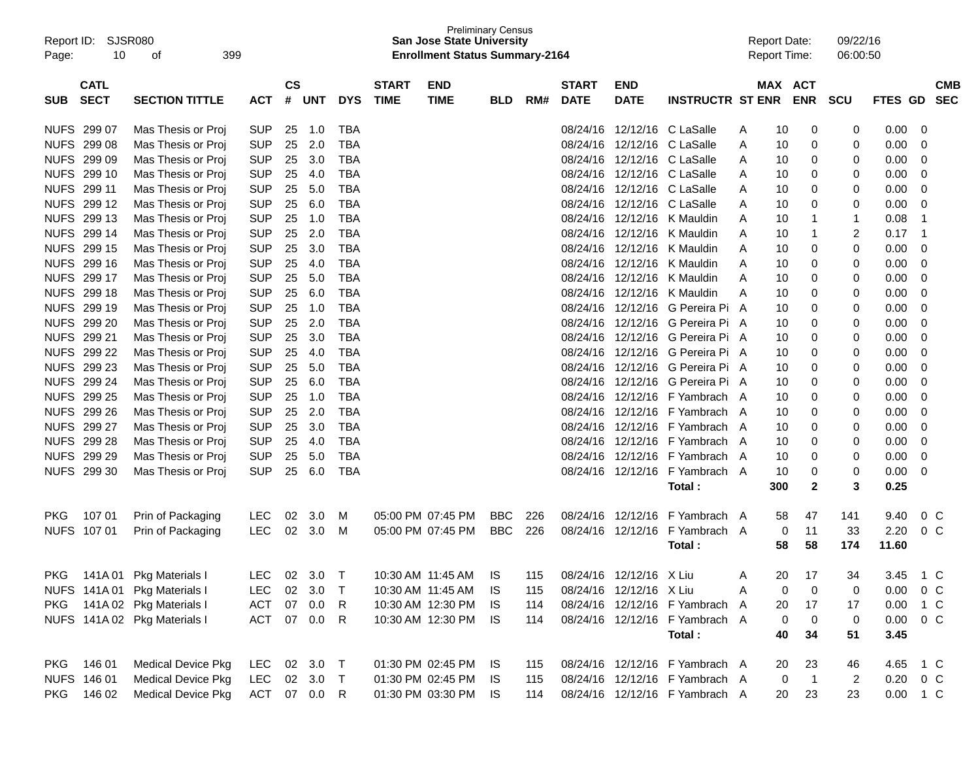| Report ID:<br>Page: | 10                         | <b>SJSR080</b><br>399<br>οf  |              |                |            |            |                             | <b>Preliminary Census</b><br><b>San Jose State University</b><br><b>Enrollment Status Summary-2164</b> |            |     |                             |                           |                                | <b>Report Date:</b> |     | Report Time:          | 09/22/16<br>06:00:50    |                |                |                          |
|---------------------|----------------------------|------------------------------|--------------|----------------|------------|------------|-----------------------------|--------------------------------------------------------------------------------------------------------|------------|-----|-----------------------------|---------------------------|--------------------------------|---------------------|-----|-----------------------|-------------------------|----------------|----------------|--------------------------|
| <b>SUB</b>          | <b>CATL</b><br><b>SECT</b> | <b>SECTION TITTLE</b>        | <b>ACT</b>   | <b>CS</b><br># | <b>UNT</b> | <b>DYS</b> | <b>START</b><br><b>TIME</b> | <b>END</b><br><b>TIME</b>                                                                              | <b>BLD</b> | RM# | <b>START</b><br><b>DATE</b> | <b>END</b><br><b>DATE</b> | <b>INSTRUCTR ST ENR</b>        |                     |     | MAX ACT<br><b>ENR</b> | <b>SCU</b>              | <b>FTES GD</b> |                | <b>CMB</b><br><b>SEC</b> |
|                     | NUFS 299 07                | Mas Thesis or Proj           | <b>SUP</b>   | 25             | 1.0        | <b>TBA</b> |                             |                                                                                                        |            |     | 08/24/16                    |                           | 12/12/16 C LaSalle             | Α                   | 10  | 0                     | 0                       | 0.00           | 0              |                          |
|                     | NUFS 299 08                | Mas Thesis or Proj           | <b>SUP</b>   | 25             | 2.0        | <b>TBA</b> |                             |                                                                                                        |            |     | 08/24/16                    | 12/12/16                  | C LaSalle                      | A                   | 10  | 0                     | 0                       | 0.00           | 0              |                          |
|                     | NUFS 299 09                | Mas Thesis or Proj           | <b>SUP</b>   | 25             | 3.0        | <b>TBA</b> |                             |                                                                                                        |            |     | 08/24/16                    |                           | 12/12/16 C LaSalle             | A                   | 10  | 0                     | 0                       | 0.00           | 0              |                          |
|                     | NUFS 299 10                | Mas Thesis or Proj           | <b>SUP</b>   | 25             | 4.0        | <b>TBA</b> |                             |                                                                                                        |            |     | 08/24/16                    |                           | 12/12/16 C LaSalle             | A                   | 10  | 0                     | 0                       | 0.00           | 0              |                          |
|                     | NUFS 299 11                | Mas Thesis or Proj           | <b>SUP</b>   | 25             | 5.0        | <b>TBA</b> |                             |                                                                                                        |            |     | 08/24/16                    |                           | 12/12/16 C LaSalle             | A                   | 10  | 0                     | 0                       | 0.00           | 0              |                          |
|                     | NUFS 299 12                | Mas Thesis or Proj           | <b>SUP</b>   | 25             | 6.0        | <b>TBA</b> |                             |                                                                                                        |            |     | 08/24/16                    | 12/12/16                  | C LaSalle                      | A                   | 10  | 0                     | 0                       | 0.00           | 0              |                          |
|                     | NUFS 299 13                | Mas Thesis or Proj           | <b>SUP</b>   | 25             | 1.0        | <b>TBA</b> |                             |                                                                                                        |            |     | 08/24/16                    | 12/12/16                  | K Mauldin                      | A                   | 10  | $\mathbf 1$           | 1                       | 0.08           | $\overline{1}$ |                          |
|                     | NUFS 299 14                | Mas Thesis or Proj           | <b>SUP</b>   | 25             | 2.0        | <b>TBA</b> |                             |                                                                                                        |            |     | 08/24/16                    | 12/12/16                  | K Mauldin                      | A                   | 10  | $\mathbf 1$           | $\overline{\mathbf{c}}$ | 0.17           | $\overline{1}$ |                          |
|                     | NUFS 299 15                | Mas Thesis or Proj           | <b>SUP</b>   | 25             | 3.0        | <b>TBA</b> |                             |                                                                                                        |            |     | 08/24/16                    | 12/12/16                  | K Mauldin                      | A                   | 10  | 0                     | 0                       | 0.00           | $\mathbf 0$    |                          |
|                     | NUFS 299 16                | Mas Thesis or Proj           | <b>SUP</b>   | 25             | 4.0        | <b>TBA</b> |                             |                                                                                                        |            |     | 08/24/16                    | 12/12/16                  | K Mauldin                      | A                   | 10  | 0                     | 0                       | 0.00           | 0              |                          |
|                     | NUFS 299 17                | Mas Thesis or Proj           | <b>SUP</b>   | 25             | 5.0        | <b>TBA</b> |                             |                                                                                                        |            |     | 08/24/16                    | 12/12/16                  | K Mauldin                      | A                   | 10  | 0                     | 0                       | 0.00           | 0              |                          |
|                     | NUFS 299 18                | Mas Thesis or Proj           | <b>SUP</b>   | 25             | 6.0        | <b>TBA</b> |                             |                                                                                                        |            |     | 08/24/16                    |                           | 12/12/16 K Mauldin             | A                   | 10  | 0                     | 0                       | 0.00           | 0              |                          |
|                     | NUFS 299 19                | Mas Thesis or Proj           | <b>SUP</b>   | 25             | 1.0        | <b>TBA</b> |                             |                                                                                                        |            |     | 08/24/16                    |                           | 12/12/16 G Pereira Pi          | A                   | 10  | 0                     | 0                       | 0.00           | 0              |                          |
|                     | NUFS 299 20                | Mas Thesis or Proj           | <b>SUP</b>   | 25             | 2.0        | <b>TBA</b> |                             |                                                                                                        |            |     | 08/24/16                    |                           | 12/12/16 G Pereira Pi A        |                     | 10  | 0                     | 0                       | 0.00           | 0              |                          |
|                     | NUFS 299 21                | Mas Thesis or Proj           | <b>SUP</b>   | 25             | 3.0        | <b>TBA</b> |                             |                                                                                                        |            |     | 08/24/16                    |                           | 12/12/16 G Pereira Pi A        |                     | 10  | 0                     | 0                       | 0.00           | 0              |                          |
|                     | NUFS 299 22                | Mas Thesis or Proj           | <b>SUP</b>   | 25             | 4.0        | <b>TBA</b> |                             |                                                                                                        |            |     | 08/24/16                    |                           | 12/12/16 G Pereira Pi A        |                     | 10  | 0                     | 0                       | 0.00           | 0              |                          |
|                     | NUFS 299 23                | Mas Thesis or Proj           | <b>SUP</b>   | 25             | 5.0        | <b>TBA</b> |                             |                                                                                                        |            |     | 08/24/16                    |                           | 12/12/16 G Pereira Pi A        |                     | 10  | 0                     | 0                       | 0.00           | 0              |                          |
|                     | NUFS 299 24                | Mas Thesis or Proj           | <b>SUP</b>   | 25             | 6.0        | <b>TBA</b> |                             |                                                                                                        |            |     | 08/24/16                    | 12/12/16                  | G Pereira Pi A                 |                     | 10  | 0                     | 0                       | 0.00           | 0              |                          |
|                     | NUFS 299 25                | Mas Thesis or Proj           | <b>SUP</b>   | 25             | 1.0        | <b>TBA</b> |                             |                                                                                                        |            |     | 08/24/16                    | 12/12/16                  | F Yambrach A                   |                     | 10  | 0                     | 0                       | 0.00           | 0              |                          |
|                     | NUFS 299 26                | Mas Thesis or Proj           | <b>SUP</b>   | 25             | 2.0        | <b>TBA</b> |                             |                                                                                                        |            |     | 08/24/16                    | 12/12/16                  | F Yambrach                     | A                   | 10  | 0                     | 0                       | 0.00           | 0              |                          |
|                     | NUFS 299 27                | Mas Thesis or Proj           | <b>SUP</b>   | 25             | 3.0        | <b>TBA</b> |                             |                                                                                                        |            |     | 08/24/16                    | 12/12/16                  | F Yambrach                     | A                   | 10  | 0                     | 0                       | 0.00           | 0              |                          |
|                     | NUFS 299 28                | Mas Thesis or Proj           | <b>SUP</b>   | 25             | 4.0        | <b>TBA</b> |                             |                                                                                                        |            |     | 08/24/16                    | 12/12/16                  | F Yambrach                     | A                   | 10  | 0                     | 0                       | 0.00           | 0              |                          |
|                     | NUFS 299 29                | Mas Thesis or Proj           | <b>SUP</b>   | 25             | 5.0        | <b>TBA</b> |                             |                                                                                                        |            |     | 08/24/16                    | 12/12/16                  | F Yambrach                     | A                   | 10  | 0                     | 0                       | 0.00           | 0              |                          |
|                     | NUFS 299 30                | Mas Thesis or Proj           | <b>SUP</b>   | 25             | 6.0        | <b>TBA</b> |                             |                                                                                                        |            |     |                             | 08/24/16 12/12/16         | F Yambrach                     | A                   | 10  | 0                     | 0                       | 0.00           | 0              |                          |
|                     |                            |                              |              |                |            |            |                             |                                                                                                        |            |     |                             |                           | Total:                         |                     | 300 | $\mathbf{2}$          | 3                       | 0.25           |                |                          |
|                     |                            |                              |              |                |            |            |                             |                                                                                                        |            |     |                             |                           |                                |                     |     |                       |                         |                |                |                          |
| <b>PKG</b>          | 107 01                     | Prin of Packaging            | <b>LEC</b>   | 02             | 3.0        | M          |                             | 05:00 PM 07:45 PM                                                                                      | <b>BBC</b> | 226 |                             | 08/24/16 12/12/16         | F Yambrach A                   |                     | 58  | 47                    | 141                     | 9.40           | $0\,C$         |                          |
|                     | NUFS 107 01                | Prin of Packaging            | <b>LEC</b>   | 02             | 3.0        | M          |                             | 05:00 PM 07:45 PM                                                                                      | <b>BBC</b> | 226 |                             | 08/24/16 12/12/16         | F Yambrach A                   |                     | 0   | 11                    | 33                      | 2.20           | 0 <sup>o</sup> |                          |
|                     |                            |                              |              |                |            |            |                             |                                                                                                        |            |     |                             |                           | Total:                         |                     | 58  | 58                    | 174                     | 11.60          |                |                          |
|                     |                            |                              |              |                |            |            |                             |                                                                                                        |            |     |                             |                           |                                |                     |     |                       |                         |                |                |                          |
|                     |                            | PKG 141A 01 Pkg Materials I  |              |                |            |            |                             | LEC 02 3.0 T  10:30 AM  11:45 AM  IS  115  08/24/16  12/12/16  X  Liu                                  |            |     |                             |                           |                                | A                   |     | 20 17                 | 34                      | 3.45 1 C       |                |                          |
|                     |                            | NUFS 141A 01 Pkg Materials I | <b>LEC</b>   |                | 02 3.0     | $\top$     |                             | 10:30 AM 11:45 AM                                                                                      | IS         | 115 |                             | 08/24/16 12/12/16 X Liu   |                                | A                   | 0   | 0                     | 0                       | 0.00           | 0 <sup>o</sup> |                          |
| <b>PKG</b>          |                            | 141A 02 Pkg Materials I      | <b>ACT</b>   |                | 07 0.0     | -R         |                             | 10:30 AM 12:30 PM IS                                                                                   |            | 114 |                             |                           | 08/24/16 12/12/16 F Yambrach A |                     | 20  | 17                    | 17                      | 0.00           | 1 C            |                          |
|                     |                            | NUFS 141A 02 Pkg Materials I | ACT          |                | 07 0.0     | R          |                             | 10:30 AM 12:30 PM IS                                                                                   |            | 114 |                             |                           | 08/24/16 12/12/16 F Yambrach A |                     | 0   | 0                     | $\pmb{0}$               | 0.00           | $0\,C$         |                          |
|                     |                            |                              |              |                |            |            |                             |                                                                                                        |            |     |                             |                           | Total:                         |                     | 40  | 34                    | 51                      | 3.45           |                |                          |
|                     |                            |                              |              |                |            |            |                             |                                                                                                        |            |     |                             |                           |                                |                     |     |                       |                         |                |                |                          |
|                     | PKG 146 01                 | <b>Medical Device Pkg</b>    | LEC          |                | 02 3.0 T   |            |                             | 01:30 PM 02:45 PM IS                                                                                   |            | 115 |                             |                           | 08/24/16 12/12/16 F Yambrach A |                     | 20  | 23                    | 46                      | 4.65           | 1 C            |                          |
|                     | NUFS 146 01                | <b>Medical Device Pkg</b>    | LEC 02 3.0 T |                |            |            |                             | 01:30 PM 02:45 PM IS                                                                                   |            | 115 |                             |                           | 08/24/16 12/12/16 F Yambrach A |                     | 0   | $\overline{1}$        | $\overline{c}$          | 0.20           | $0\,C$         |                          |
|                     | PKG 146 02                 | <b>Medical Device Pkg</b>    | ACT 07 0.0 R |                |            |            |                             | 01:30 PM 03:30 PM IS                                                                                   |            | 114 |                             |                           | 08/24/16 12/12/16 F Yambrach A |                     | 20  | 23                    | 23                      | 0.00 1 C       |                |                          |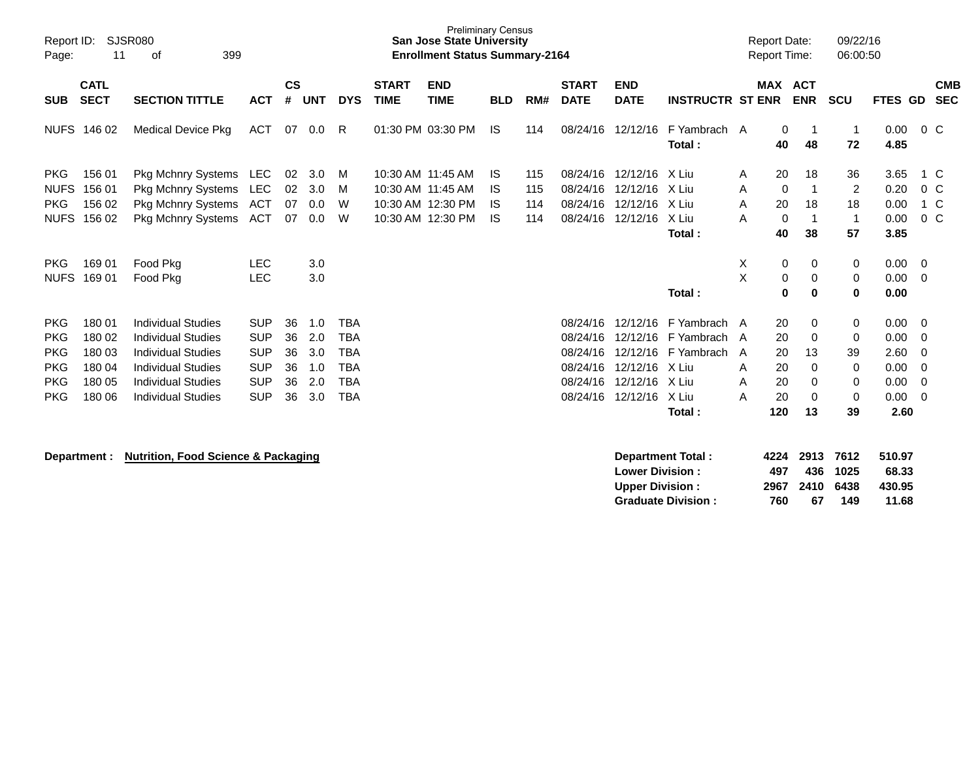| Report ID:<br>Page:                                                              | 11                                                       | <b>SJSR080</b><br>399<br>οf                                                                                                                                                |                                                                                  |                                  |                                        |                                                                                  |                             | <b>Preliminary Census</b><br><b>San Jose State University</b><br><b>Enrollment Status Summary-2164</b> |                              |                          |                                                                      |                                                                |                                                                                 |                  | <b>Report Date:</b><br>Report Time:     |                                                 | 09/22/16<br>06:00:50                               |                                                      |                                                                         |                          |
|----------------------------------------------------------------------------------|----------------------------------------------------------|----------------------------------------------------------------------------------------------------------------------------------------------------------------------------|----------------------------------------------------------------------------------|----------------------------------|----------------------------------------|----------------------------------------------------------------------------------|-----------------------------|--------------------------------------------------------------------------------------------------------|------------------------------|--------------------------|----------------------------------------------------------------------|----------------------------------------------------------------|---------------------------------------------------------------------------------|------------------|-----------------------------------------|-------------------------------------------------|----------------------------------------------------|------------------------------------------------------|-------------------------------------------------------------------------|--------------------------|
| <b>SUB</b>                                                                       | <b>CATL</b><br><b>SECT</b>                               | <b>SECTION TITTLE</b>                                                                                                                                                      | <b>ACT</b>                                                                       | <b>CS</b><br>#                   | <b>UNT</b>                             | <b>DYS</b>                                                                       | <b>START</b><br><b>TIME</b> | <b>END</b><br><b>TIME</b>                                                                              | <b>BLD</b>                   | RM#                      | <b>START</b><br><b>DATE</b>                                          | <b>END</b><br><b>DATE</b>                                      | <b>INSTRUCTR ST ENR</b>                                                         |                  | MAX ACT                                 | <b>ENR</b>                                      | <b>SCU</b>                                         | <b>FTES GD</b>                                       |                                                                         | <b>CMB</b><br><b>SEC</b> |
|                                                                                  | NUFS 146 02                                              | <b>Medical Device Pkg</b>                                                                                                                                                  | ACT                                                                              | 07                               | 0.0                                    | R                                                                                |                             | 01:30 PM 03:30 PM                                                                                      | IS                           | 114                      | 08/24/16                                                             | 12/12/16                                                       | F Yambrach A<br>Total:                                                          |                  | 0<br>40                                 | 48                                              | $\overline{1}$<br>72                               | 0.00<br>4.85                                         | 0 <sup>o</sup>                                                          |                          |
| <b>PKG</b><br><b>NUFS</b><br><b>PKG</b><br><b>NUFS</b>                           | 156 01<br>156 01<br>156 02<br>156 02                     | Pkg Mchnry Systems<br><b>Pkg Mchnry Systems</b><br>Pkg Mchnry Systems<br>Pkg Mchnry Systems                                                                                | <b>LEC</b><br>LEC<br>ACT<br>ACT                                                  | 02<br>02<br>07<br>07             | 3.0<br>3.0<br>0.0<br>0.0               | M<br>М<br>W<br>W                                                                 |                             | 10:30 AM 11:45 AM<br>10:30 AM 11:45 AM<br>10:30 AM 12:30 PM<br>10:30 AM 12:30 PM                       | IS.<br>IS<br>IS<br><b>IS</b> | 115<br>115<br>114<br>114 | 08/24/16<br>08/24/16<br>08/24/16                                     | 12/12/16<br>12/12/16<br>12/12/16<br>08/24/16 12/12/16 X Liu    | X Liu<br>X Liu<br>X Liu<br>Total:                                               | A<br>A<br>Α<br>A | 20<br>0<br>20<br>$\mathbf 0$<br>40      | 18<br>18<br>-1<br>38                            | 36<br>$\overline{2}$<br>18<br>$\overline{1}$<br>57 | 3.65<br>0.20<br>0.00<br>0.00<br>3.85                 | 1 C<br>0 <sup>o</sup><br>1 C<br>$0\,C$                                  |                          |
| <b>PKG</b><br><b>NUFS</b>                                                        | 169 01<br>169 01                                         | Food Pkg<br>Food Pkg                                                                                                                                                       | <b>LEC</b><br><b>LEC</b>                                                         |                                  | 3.0<br>3.0                             |                                                                                  |                             |                                                                                                        |                              |                          |                                                                      |                                                                | Total:                                                                          | Χ<br>X           | 0<br>0<br>$\bf{0}$                      | 0<br>0<br>0                                     | 0<br>0<br>$\mathbf 0$                              | 0.00<br>0.00<br>0.00                                 | $\overline{0}$<br>$\Omega$                                              |                          |
| <b>PKG</b><br><b>PKG</b><br><b>PKG</b><br><b>PKG</b><br><b>PKG</b><br><b>PKG</b> | 180 01<br>180 02<br>180 03<br>180 04<br>180 05<br>180 06 | <b>Individual Studies</b><br><b>Individual Studies</b><br><b>Individual Studies</b><br><b>Individual Studies</b><br><b>Individual Studies</b><br><b>Individual Studies</b> | <b>SUP</b><br><b>SUP</b><br><b>SUP</b><br><b>SUP</b><br><b>SUP</b><br><b>SUP</b> | 36<br>36<br>36<br>36<br>36<br>36 | 1.0<br>2.0<br>3.0<br>1.0<br>2.0<br>3.0 | <b>TBA</b><br><b>TBA</b><br><b>TBA</b><br><b>TBA</b><br><b>TBA</b><br><b>TBA</b> |                             |                                                                                                        |                              |                          | 08/24/16<br>08/24/16<br>08/24/16<br>08/24/16<br>08/24/16<br>08/24/16 | 12/12/16<br>12/12/16<br>12/12/16<br>12/12/16 X Liu<br>12/12/16 | F Yambrach A<br>F Yambrach A<br>12/12/16 F Yambrach<br>X Liu<br>X Liu<br>Total: | A<br>A<br>A<br>A | 20<br>20<br>20<br>20<br>20<br>20<br>120 | 0<br>0<br>13<br>$\Omega$<br>0<br>$\Omega$<br>13 | 0<br>0<br>39<br>0<br>0<br>$\mathbf 0$<br>39        | 0.00<br>0.00<br>2.60<br>0.00<br>0.00<br>0.00<br>2.60 | $\overline{\mathbf{0}}$<br>0<br>0<br>0<br>$\mathbf 0$<br>$\overline{0}$ |                          |
|                                                                                  | Department :                                             | <b>Nutrition, Food Science &amp; Packaging</b>                                                                                                                             |                                                                                  |                                  |                                        |                                                                                  |                             |                                                                                                        |                              |                          |                                                                      | <b>Lower Division:</b><br><b>Upper Division:</b>               | <b>Department Total:</b>                                                        |                  | 4224<br>497<br>2967                     | 2913<br>436<br>2410                             | 7612<br>1025<br>6438                               | 510.97<br>68.33<br>430.95                            |                                                                         |                          |

**Upper Division : 2967 2410 6438 430.95**

**Graduate Division : 760 67 149 11.68**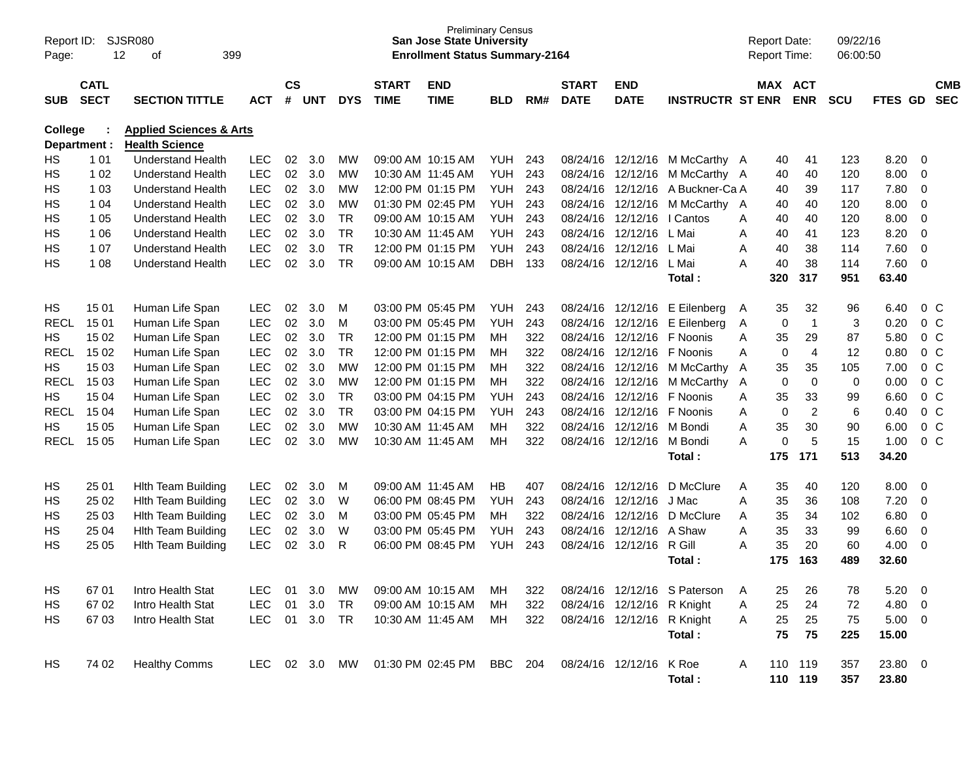| Page:       | <b>SJSR080</b><br>Report ID:<br>12<br>399<br>οf |                                    |               |                    |            |            |                             | <b>Preliminary Census</b><br><b>San Jose State University</b><br><b>Enrollment Status Summary-2164</b> |            |     |                             |                            |                              |   | <b>Report Date:</b><br><b>Report Time:</b> |                  | 09/22/16<br>06:00:50 |             |                          |                          |
|-------------|-------------------------------------------------|------------------------------------|---------------|--------------------|------------|------------|-----------------------------|--------------------------------------------------------------------------------------------------------|------------|-----|-----------------------------|----------------------------|------------------------------|---|--------------------------------------------|------------------|----------------------|-------------|--------------------------|--------------------------|
| <b>SUB</b>  | <b>CATL</b><br><b>SECT</b>                      | <b>SECTION TITTLE</b>              | <b>ACT</b>    | $\mathsf{cs}$<br># | <b>UNT</b> | <b>DYS</b> | <b>START</b><br><b>TIME</b> | <b>END</b><br><b>TIME</b>                                                                              | <b>BLD</b> | RM# | <b>START</b><br><b>DATE</b> | <b>END</b><br><b>DATE</b>  | <b>INSTRUCTR ST ENR</b>      |   | MAX ACT                                    | <b>ENR</b>       | <b>SCU</b>           | FTES GD     |                          | <b>CMB</b><br><b>SEC</b> |
| College     |                                                 | <b>Applied Sciences &amp; Arts</b> |               |                    |            |            |                             |                                                                                                        |            |     |                             |                            |                              |   |                                            |                  |                      |             |                          |                          |
|             | Department :                                    | <b>Health Science</b>              |               |                    |            |            |                             |                                                                                                        |            |     |                             |                            |                              |   |                                            |                  |                      |             |                          |                          |
| HS.         | 1 0 1                                           | <b>Understand Health</b>           | <b>LEC</b>    | 02                 | 3.0        | MW         |                             | 09:00 AM 10:15 AM                                                                                      | <b>YUH</b> | 243 | 08/24/16                    | 12/12/16                   | M McCarthy A                 |   | 40                                         | 41               | 123                  | 8.20        | - 0                      |                          |
| HS          | 1 0 2                                           | <b>Understand Health</b>           | <b>LEC</b>    | 02                 | 3.0        | MW         |                             | 10:30 AM 11:45 AM                                                                                      | <b>YUH</b> | 243 | 08/24/16                    | 12/12/16                   | M McCarthy A                 |   | 40                                         | 40               | 120                  | 8.00        | $\overline{0}$           |                          |
| HS          | 1 0 3                                           | <b>Understand Health</b>           | <b>LEC</b>    | 02                 | 3.0        | <b>MW</b>  |                             | 12:00 PM 01:15 PM                                                                                      | <b>YUH</b> | 243 | 08/24/16                    | 12/12/16                   | A Buckner-Ca A               |   | 40                                         | 39               | 117                  | 7.80        | $\overline{0}$           |                          |
| НS          | 1 0 4                                           | <b>Understand Health</b>           | <b>LEC</b>    | 02                 | 3.0        | MW         |                             | 01:30 PM 02:45 PM                                                                                      | <b>YUH</b> | 243 | 08/24/16                    | 12/12/16                   | M McCarthy A                 |   | 40                                         | 40               | 120                  | 8.00        | $\overline{0}$           |                          |
| HS          | 1 0 5                                           | <b>Understand Health</b>           | <b>LEC</b>    | 02                 | 3.0        | <b>TR</b>  |                             | 09:00 AM 10:15 AM                                                                                      | <b>YUH</b> | 243 | 08/24/16                    | 12/12/16                   | I Cantos                     | Α | 40                                         | 40               | 120                  | 8.00        | $\overline{0}$           |                          |
| HS          | 1 0 6                                           | <b>Understand Health</b>           | <b>LEC</b>    | 02                 | 3.0        | <b>TR</b>  | 10:30 AM 11:45 AM           |                                                                                                        | <b>YUH</b> | 243 | 08/24/16                    | 12/12/16                   | L Mai                        | A | 40                                         | 41               | 123                  | 8.20        | $\overline{0}$           |                          |
| НS          | 1 0 7                                           | <b>Understand Health</b>           | <b>LEC</b>    | 02                 | 3.0        | <b>TR</b>  |                             | 12:00 PM 01:15 PM                                                                                      | <b>YUH</b> | 243 | 08/24/16                    | 12/12/16                   | L Mai                        | A | 40                                         | 38               | 114                  | 7.60        | $\overline{0}$           |                          |
| HS          | 1 0 8                                           | <b>Understand Health</b>           | <b>LEC</b>    | 02                 | 3.0        | <b>TR</b>  |                             | 09:00 AM 10:15 AM                                                                                      | <b>DBH</b> | 133 | 08/24/16                    | 12/12/16                   | L Mai                        | A | 40                                         | 38               | 114                  | 7.60        | $\overline{0}$           |                          |
|             |                                                 |                                    |               |                    |            |            |                             |                                                                                                        |            |     |                             |                            | Total:                       |   | 320                                        | 317              | 951                  | 63.40       |                          |                          |
| HS          | 15 01                                           | Human Life Span                    | <b>LEC</b>    | 02                 | 3.0        | M          |                             | 03:00 PM 05:45 PM                                                                                      | <b>YUH</b> | 243 | 08/24/16                    | 12/12/16                   | E Eilenberg                  | A | 35                                         | 32               | 96                   | 6.40        | 0 <sup>o</sup>           |                          |
| <b>RECL</b> | 1501                                            | Human Life Span                    | <b>LEC</b>    | 02                 | 3.0        | M          |                             | 03:00 PM 05:45 PM                                                                                      | <b>YUH</b> | 243 | 08/24/16                    | 12/12/16                   | E Eilenberg                  | Α | 0                                          | $\overline{1}$   | 3                    | 0.20        | 0 <sup>o</sup>           |                          |
| HS.         | 15 02                                           | Human Life Span                    | <b>LEC</b>    | 02                 | 3.0        | <b>TR</b>  |                             | 12:00 PM 01:15 PM                                                                                      | MН         | 322 | 08/24/16                    | 12/12/16                   | F Noonis                     | Α | 35                                         | 29               | 87                   | 5.80        | 0 <sup>o</sup>           |                          |
| <b>RECL</b> | 15 02                                           | Human Life Span                    | <b>LEC</b>    | 02                 | 3.0        | <b>TR</b>  |                             | 12:00 PM 01:15 PM                                                                                      | MН         | 322 | 08/24/16                    | 12/12/16                   | F Noonis                     | Α | 0                                          | $\overline{4}$   | 12                   | 0.80        | 0 <sup>o</sup>           |                          |
| HS.         | 15 03                                           | Human Life Span                    | <b>LEC</b>    | 02                 | 3.0        | <b>MW</b>  |                             | 12:00 PM 01:15 PM                                                                                      | MН         | 322 | 08/24/16                    | 12/12/16                   | M McCarthy                   | A | 35                                         | 35               | 105                  | 7.00        | 0 <sup>o</sup>           |                          |
| <b>RECL</b> | 15 03                                           | Human Life Span                    | LEC           | 02                 | 3.0        | MW         |                             | 12:00 PM 01:15 PM                                                                                      | <b>MH</b>  | 322 | 08/24/16                    | 12/12/16                   | M McCarthy                   | A | 0                                          | $\boldsymbol{0}$ | 0                    | 0.00        | 0 <sup>o</sup>           |                          |
| HS.         | 15 04                                           | Human Life Span                    | <b>LEC</b>    | 02                 | 3.0        | <b>TR</b>  |                             | 03:00 PM 04:15 PM                                                                                      | <b>YUH</b> | 243 | 08/24/16                    | 12/12/16                   | F Noonis                     | Α | 35                                         | 33               | 99                   | 6.60        | 0 <sup>o</sup>           |                          |
| <b>RECL</b> | 15 04                                           | Human Life Span                    | <b>LEC</b>    | 02                 | 3.0        | <b>TR</b>  |                             | 03:00 PM 04:15 PM                                                                                      | <b>YUH</b> | 243 | 08/24/16                    | 12/12/16                   | F Noonis                     | Α | 0                                          | $\overline{c}$   | 6                    | 0.40        | 0 <sup>o</sup>           |                          |
| HS          | 15 05                                           | Human Life Span                    | <b>LEC</b>    | 02                 | 3.0        | MW         | 10:30 AM 11:45 AM           |                                                                                                        | <b>MH</b>  | 322 | 08/24/16                    | 12/12/16                   | M Bondi                      | A | 35                                         | 30               | 90                   | 6.00        | 0 <sup>o</sup>           |                          |
| <b>RECL</b> | 15 05                                           | Human Life Span                    | <b>LEC</b>    | 02                 | 3.0        | MW         |                             | 10:30 AM 11:45 AM                                                                                      | <b>MH</b>  | 322 | 08/24/16                    | 12/12/16                   | M Bondi                      | A | 0                                          | 5                | 15                   | 1.00        | $0\,C$                   |                          |
|             |                                                 |                                    |               |                    |            |            |                             |                                                                                                        |            |     |                             |                            | Total:                       |   | 175                                        | 171              | 513                  | 34.20       |                          |                          |
| HS          | 25 01                                           | <b>Hith Team Building</b>          | <b>LEC</b>    | 02                 | 3.0        | M          | 09:00 AM 11:45 AM           |                                                                                                        | <b>HB</b>  | 407 | 08/24/16                    | 12/12/16                   | D McClure                    | Α | 35                                         | 40               | 120                  | 8.00        | $\overline{0}$           |                          |
| HS          | 25 02                                           | <b>Hith Team Building</b>          | <b>LEC</b>    | 02                 | 3.0        | W          |                             | 06:00 PM 08:45 PM                                                                                      | <b>YUH</b> | 243 | 08/24/16                    | 12/12/16                   | J Mac                        | Α | 35                                         | 36               | 108                  | 7.20        | $\overline{0}$           |                          |
| HS          | 25 03                                           | Hith Team Building                 | <b>LEC</b>    | 02                 | 3.0        | M          |                             | 03:00 PM 05:45 PM                                                                                      | <b>MH</b>  | 322 | 08/24/16                    | 12/12/16                   | D McClure                    | Α | 35                                         | 34               | 102                  | 6.80        | $\overline{0}$           |                          |
| НS          | 25 04                                           | Hith Team Building                 | <b>LEC</b>    | 02                 | 3.0        | W          |                             | 03:00 PM 05:45 PM                                                                                      | YUH        | 243 | 08/24/16                    | 12/12/16                   | A Shaw                       | Α | 35                                         | 33               | 99                   | 6.60        | $\mathbf 0$              |                          |
| HS          | 25 05                                           | <b>Hith Team Building</b>          | <b>LEC</b>    | 02                 | 3.0        | R          |                             | 06:00 PM 08:45 PM                                                                                      | <b>YUH</b> | 243 | 08/24/16                    | 12/12/16                   | R Gill                       | A | 35                                         | 20               | 60                   | 4.00        | $\overline{0}$           |                          |
|             |                                                 |                                    |               |                    |            |            |                             |                                                                                                        |            |     |                             |                            | Total:                       |   | 175                                        | 163              | 489                  | 32.60       |                          |                          |
|             |                                                 |                                    |               |                    |            |            |                             |                                                                                                        |            |     |                             |                            |                              |   |                                            |                  |                      |             |                          |                          |
| HS          | 67 01                                           | Intro Health Stat                  | LEC           | 01                 | 3.0        | <b>MW</b>  |                             | 09:00 AM 10:15 AM                                                                                      | MН         | 322 |                             |                            | 08/24/16 12/12/16 S Paterson | Α | 25                                         | 26               | 78                   | 5.20        | $\overline{0}$           |                          |
| HS          | 67 02                                           | Intro Health Stat                  | <b>LEC</b>    | 01                 | 3.0        | <b>TR</b>  |                             | 09:00 AM 10:15 AM                                                                                      | MH.        | 322 |                             | 08/24/16 12/12/16 R Knight |                              | Α | 25                                         | 24               | 72                   | 4.80        | $\overline{\phantom{0}}$ |                          |
| HS.         | 67 03                                           | Intro Health Stat                  | <b>LEC</b>    |                    | 01 3.0     | <b>TR</b>  | 10:30 AM 11:45 AM           |                                                                                                        | МH         | 322 |                             | 08/24/16 12/12/16 R Knight |                              | Α | 25                                         | 25               | 75                   | $5.00 \t 0$ |                          |                          |
|             |                                                 |                                    |               |                    |            |            |                             |                                                                                                        |            |     |                             |                            | Total:                       |   | 75                                         | 75               | 225                  | 15.00       |                          |                          |
| HS          | 74 02                                           | <b>Healthy Comms</b>               | LEC 02 3.0 MW |                    |            |            |                             | 01:30 PM 02:45 PM BBC 204                                                                              |            |     |                             | 08/24/16 12/12/16          | K Roe                        | A |                                            | 110 119          | 357                  | 23.80 0     |                          |                          |
|             |                                                 |                                    |               |                    |            |            |                             |                                                                                                        |            |     |                             |                            | Total:                       |   |                                            | 110 119          | 357                  | 23.80       |                          |                          |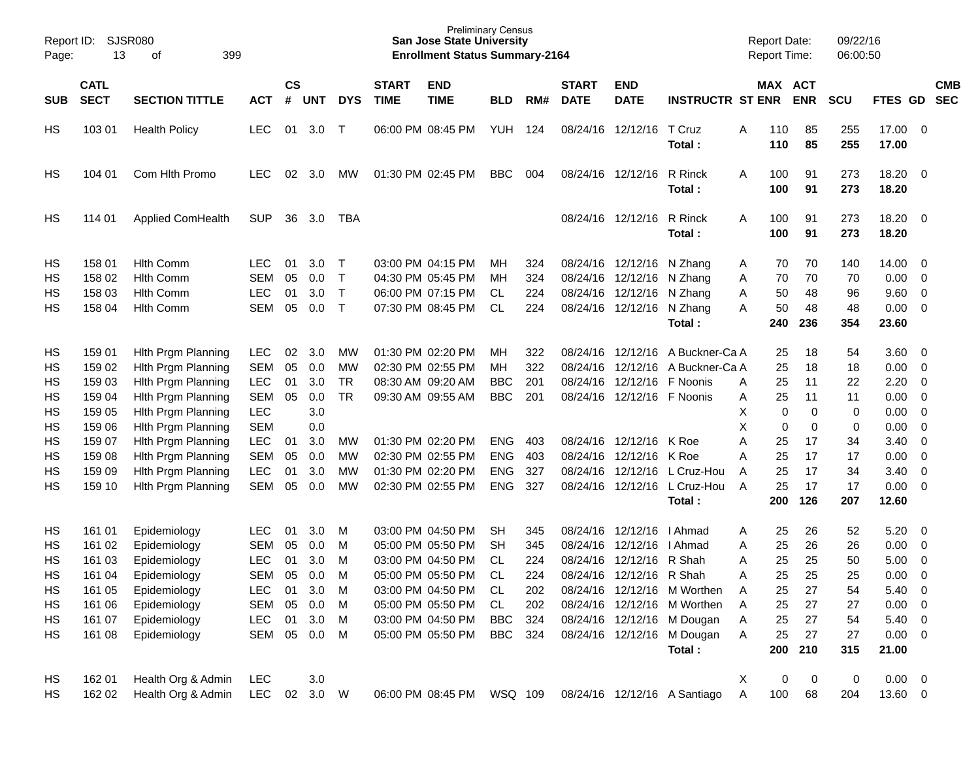| Report ID:<br>Page: | 13          | <b>SJSR080</b><br>399<br>οf |            |               |            |             |              | <b>Preliminary Census</b><br><b>San Jose State University</b><br><b>Enrollment Status Summary-2164</b> |            |     |              |                            |                                                        | <b>Report Date:</b><br>Report Time: |     |            | 09/22/16<br>06:00:50 |                |                         |            |
|---------------------|-------------|-----------------------------|------------|---------------|------------|-------------|--------------|--------------------------------------------------------------------------------------------------------|------------|-----|--------------|----------------------------|--------------------------------------------------------|-------------------------------------|-----|------------|----------------------|----------------|-------------------------|------------|
|                     | <b>CATL</b> |                             |            | $\mathsf{cs}$ |            |             | <b>START</b> | <b>END</b>                                                                                             |            |     | <b>START</b> | <b>END</b>                 |                                                        |                                     |     | MAX ACT    |                      |                |                         | <b>CMB</b> |
| <b>SUB</b>          | <b>SECT</b> | <b>SECTION TITTLE</b>       | <b>ACT</b> | #             | <b>UNT</b> | <b>DYS</b>  | <b>TIME</b>  | <b>TIME</b>                                                                                            | <b>BLD</b> | RM# | <b>DATE</b>  | <b>DATE</b>                | <b>INSTRUCTR ST ENR</b>                                |                                     |     | <b>ENR</b> | <b>SCU</b>           | FTES GD        |                         | <b>SEC</b> |
| HS                  | 103 01      | <b>Health Policy</b>        | <b>LEC</b> | 01            | 3.0        | $\mathsf T$ |              | 06:00 PM 08:45 PM                                                                                      | YUH        | 124 | 08/24/16     | 12/12/16                   | T Cruz                                                 | Α                                   | 110 | 85         | 255                  | 17.00          | $\overline{\mathbf{0}}$ |            |
|                     |             |                             |            |               |            |             |              |                                                                                                        |            |     |              |                            | Total :                                                |                                     | 110 | 85         | 255                  | 17.00          |                         |            |
| HS                  | 104 01      | Com Hith Promo              | <b>LEC</b> | 02            | 3.0        | MW          |              | 01:30 PM 02:45 PM                                                                                      | <b>BBC</b> | 004 | 08/24/16     | 12/12/16                   | R Rinck                                                | A                                   | 100 | 91         | 273                  | 18.20          | $\overline{\mathbf{0}}$ |            |
|                     |             |                             |            |               |            |             |              |                                                                                                        |            |     |              |                            | Total :                                                |                                     | 100 | 91         | 273                  | 18.20          |                         |            |
|                     |             |                             |            |               |            |             |              |                                                                                                        |            |     |              |                            |                                                        |                                     |     |            |                      |                |                         |            |
| HS                  | 114 01      | <b>Applied ComHealth</b>    | <b>SUP</b> | 36            | 3.0        | TBA         |              |                                                                                                        |            |     |              | 08/24/16 12/12/16          | R Rinck                                                | A                                   | 100 | 91         | 273                  | 18.20          | $\overline{\mathbf{0}}$ |            |
|                     |             |                             |            |               |            |             |              |                                                                                                        |            |     |              |                            | Total :                                                |                                     | 100 | 91         | 273                  | 18.20          |                         |            |
| HS                  | 158 01      | <b>Hith Comm</b>            | <b>LEC</b> | 01            | 3.0        | $\top$      |              | 03:00 PM 04:15 PM                                                                                      | MН         | 324 |              | 08/24/16 12/12/16          | N Zhang                                                | A                                   | 70  | 70         | 140                  | 14.00          | $\overline{0}$          |            |
| HS                  | 158 02      | <b>Hith Comm</b>            | <b>SEM</b> | 05            | 0.0        | $\top$      |              | 04:30 PM 05:45 PM                                                                                      | MН         | 324 | 08/24/16     | 12/12/16                   | N Zhang                                                | Α                                   | 70  | 70         | 70                   | 0.00           | 0                       |            |
| HS                  | 158 03      | <b>Hith Comm</b>            | <b>LEC</b> | 01            | 3.0        | $\top$      |              | 06:00 PM 07:15 PM                                                                                      | CL         | 224 |              | 08/24/16 12/12/16          | N Zhang                                                | Α                                   | 50  | 48         | 96                   | 9.60           | $\mathbf 0$             |            |
| НS                  | 158 04      | <b>Hith Comm</b>            | <b>SEM</b> | 05            | 0.0        | $\top$      |              | 07:30 PM 08:45 PM                                                                                      | <b>CL</b>  | 224 |              | 08/24/16 12/12/16          | N Zhang                                                | Α                                   | 50  | 48         | 48                   | 0.00           | $\overline{0}$          |            |
|                     |             |                             |            |               |            |             |              |                                                                                                        |            |     |              |                            | Total:                                                 |                                     | 240 | 236        | 354                  | 23.60          |                         |            |
| HS                  | 159 01      | Hith Prgm Planning          | <b>LEC</b> | 02            | 3.0        | <b>MW</b>   |              | 01:30 PM 02:20 PM                                                                                      | МH         | 322 | 08/24/16     | 12/12/16                   | A Buckner-Ca A                                         |                                     | 25  | 18         | 54                   | 3.60           | $\overline{\mathbf{0}}$ |            |
| HS                  | 159 02      | Hith Prgm Planning          | <b>SEM</b> | 05            | 0.0        | <b>MW</b>   |              | 02:30 PM 02:55 PM                                                                                      | <b>MH</b>  | 322 | 08/24/16     | 12/12/16                   | A Buckner-Ca A                                         |                                     | 25  | 18         | 18                   | 0.00           | 0                       |            |
| HS                  | 159 03      | Hith Prgm Planning          | <b>LEC</b> | 01            | 3.0        | <b>TR</b>   |              | 08:30 AM 09:20 AM                                                                                      | <b>BBC</b> | 201 | 08/24/16     | 12/12/16                   | F Noonis                                               | Α                                   | 25  | 11         | 22                   | 2.20           | $\mathbf 0$             |            |
| HS                  | 159 04      | Hith Prgm Planning          | <b>SEM</b> | 05            | 0.0        | <b>TR</b>   |              | 09:30 AM 09:55 AM                                                                                      | <b>BBC</b> | 201 |              | 08/24/16 12/12/16 F Noonis |                                                        | Α                                   | 25  | 11         | 11                   | 0.00           | $\mathbf 0$             |            |
| HS                  | 159 05      | Hith Prgm Planning          | <b>LEC</b> |               | 3.0        |             |              |                                                                                                        |            |     |              |                            |                                                        | Χ                                   | 0   | 0          | 0                    | 0.00           | $\mathbf 0$             |            |
| HS                  | 159 06      | Hith Prgm Planning          | <b>SEM</b> |               | 0.0        |             |              |                                                                                                        |            |     |              |                            |                                                        | Χ                                   | 0   | 0          | 0                    | 0.00           | $\mathbf 0$             |            |
| HS                  | 159 07      | Hith Prgm Planning          | <b>LEC</b> | 01            | 3.0        | <b>MW</b>   |              | 01:30 PM 02:20 PM                                                                                      | <b>ENG</b> | 403 |              | 08/24/16 12/12/16          | K Roe                                                  | Α                                   | 25  | 17         | 34                   | 3.40           | $\mathbf 0$             |            |
| HS                  | 159 08      | Hith Prgm Planning          | <b>SEM</b> | 05            | 0.0        | <b>MW</b>   |              | 02:30 PM 02:55 PM                                                                                      | <b>ENG</b> | 403 | 08/24/16     | 12/12/16                   | K Roe                                                  | А                                   | 25  | 17         | 17                   | 0.00           | $\mathbf 0$             |            |
| HS                  | 159 09      | Hith Prgm Planning          | <b>LEC</b> | 01            | 3.0        | <b>MW</b>   |              | 01:30 PM 02:20 PM                                                                                      | <b>ENG</b> | 327 | 08/24/16     | 12/12/16                   | L Cruz-Hou                                             | A                                   | 25  | 17         | 34                   | 3.40           | $\mathbf 0$             |            |
| HS                  | 159 10      | Hith Prgm Planning          | <b>SEM</b> | 05            | 0.0        | <b>MW</b>   |              | 02:30 PM 02:55 PM                                                                                      | <b>ENG</b> | 327 |              | 08/24/16 12/12/16          | L Cruz-Hou                                             | A                                   | 25  | 17         | 17                   | 0.00           | $\overline{0}$          |            |
|                     |             |                             |            |               |            |             |              |                                                                                                        |            |     |              |                            | Total :                                                |                                     | 200 | 126        | 207                  | 12.60          |                         |            |
| HS                  | 161 01      | Epidemiology                | <b>LEC</b> | 01            | 3.0        | М           |              | 03:00 PM 04:50 PM                                                                                      | <b>SH</b>  | 345 | 08/24/16     | 12/12/16                   | I Ahmad                                                | Α                                   | 25  | 26         | 52                   | 5.20           | $\overline{\mathbf{0}}$ |            |
| HS                  | 161 02      | Epidemiology                | <b>SEM</b> | 05            | 0.0        | M           |              | 05:00 PM 05:50 PM                                                                                      | <b>SH</b>  | 345 | 08/24/16     | 12/12/16                   | I Ahmad                                                | Α                                   | 25  | 26         | 26                   | 0.00           | 0                       |            |
| HS                  | 161 03      | Epidemiology                | <b>LEC</b> | 01            | 3.0        | M           |              | 03:00 PM 04:50 PM                                                                                      | <b>CL</b>  | 224 |              | 08/24/16 12/12/16 R Shah   |                                                        | Α                                   | 25  | 25         | 50                   | 5.00           | 0                       |            |
| HS                  | 161 04      | Epidemiology                | SEM        |               | 05 0.0     | M           |              | 05:00 PM 05:50 PM CL                                                                                   |            | 224 |              | 08/24/16 12/12/16 R Shah   |                                                        | Α                                   | 25  | 25         | 25                   | 0.00           | $\overline{\mathbf{0}}$ |            |
| HS                  | 161 05      | Epidemiology                | LEC.       | 01            | 3.0        | M           |              | 03:00 PM 04:50 PM CL                                                                                   |            | 202 |              |                            | 08/24/16 12/12/16 M Worthen                            | A                                   | 25  | 27         | 54                   | $5.40 \quad 0$ |                         |            |
| HS                  | 161 06      | Epidemiology                | SEM        | 05            | 0.0        | M           |              | 05:00 PM 05:50 PM                                                                                      | CL         | 202 |              |                            | 08/24/16 12/12/16 M Worthen                            | A                                   | 25  | 27         | 27                   | $0.00 \t 0$    |                         |            |
| HS                  | 161 07      | Epidemiology                | <b>LEC</b> | 01            | 3.0        | M           |              | 03:00 PM 04:50 PM                                                                                      | BBC        | 324 |              |                            | 08/24/16 12/12/16 M Dougan                             | A                                   | 25  | 27         | 54                   | $5.40\ 0$      |                         |            |
| HS                  | 161 08      | Epidemiology                | SEM 05 0.0 |               |            | M           |              | 05:00 PM 05:50 PM                                                                                      | BBC 324    |     |              |                            | 08/24/16 12/12/16 M Dougan                             | Α                                   | 25  | 27         | 27                   | $0.00 \t 0$    |                         |            |
|                     |             |                             |            |               |            |             |              |                                                                                                        |            |     |              |                            | Total:                                                 |                                     | 200 | 210        | 315                  | 21.00          |                         |            |
| HS                  | 162 01      | Health Org & Admin          | LEC        |               | 3.0        |             |              |                                                                                                        |            |     |              |                            |                                                        | X                                   | 0   | 0          | 0                    | $0.00 \t 0$    |                         |            |
| HS                  | 162 02      | Health Org & Admin          | <b>LEC</b> |               | 02 3.0 W   |             |              |                                                                                                        |            |     |              |                            | 06:00 PM 08:45 PM WSQ 109 08/24/16 12/12/16 A Santiago | A                                   | 100 | 68         | 204                  | 13.60 0        |                         |            |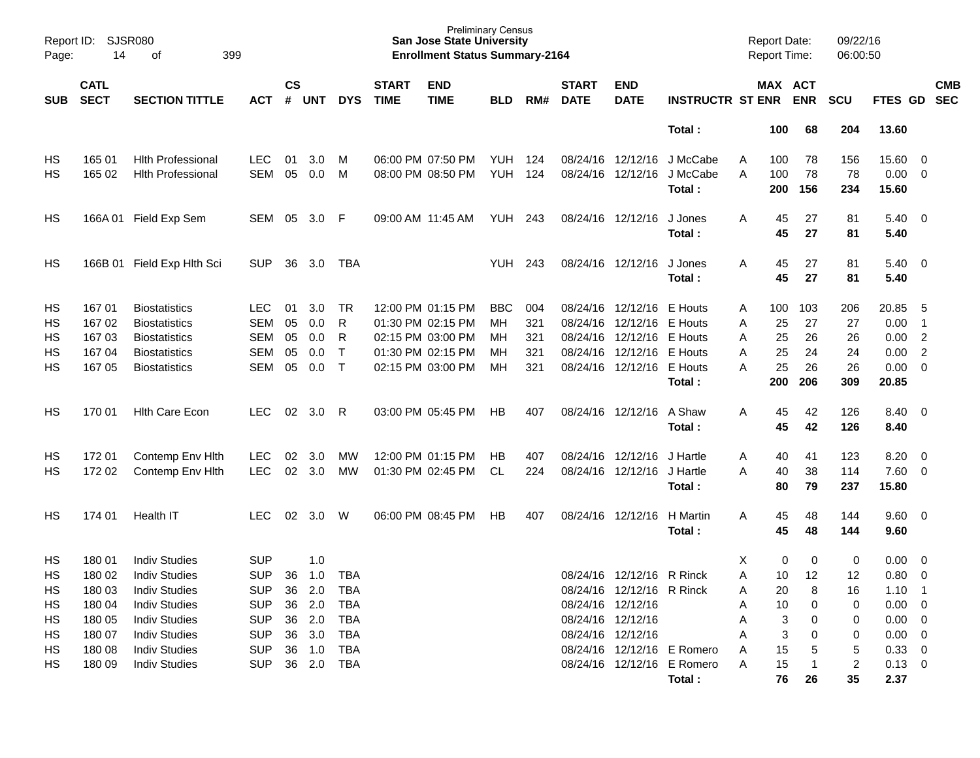| Page: | SJSR080<br>Report ID:<br>14<br>399<br>оf<br><b>CATL</b> |                            |            |                    |            |              |                             | <b>Preliminary Census</b><br><b>San Jose State University</b><br><b>Enrollment Status Summary-2164</b> |            |     |                             |                           |                            |   | <b>Report Date:</b><br><b>Report Time:</b> |            | 09/22/16<br>06:00:50 |               |                         |                          |
|-------|---------------------------------------------------------|----------------------------|------------|--------------------|------------|--------------|-----------------------------|--------------------------------------------------------------------------------------------------------|------------|-----|-----------------------------|---------------------------|----------------------------|---|--------------------------------------------|------------|----------------------|---------------|-------------------------|--------------------------|
| SUB   | <b>SECT</b>                                             | <b>SECTION TITTLE</b>      | <b>ACT</b> | $\mathsf{cs}$<br># | <b>UNT</b> | <b>DYS</b>   | <b>START</b><br><b>TIME</b> | <b>END</b><br><b>TIME</b>                                                                              | <b>BLD</b> | RM# | <b>START</b><br><b>DATE</b> | <b>END</b><br><b>DATE</b> | <b>INSTRUCTR ST ENR</b>    |   | MAX ACT                                    | <b>ENR</b> | <b>SCU</b>           | FTES GD       |                         | <b>CMB</b><br><b>SEC</b> |
|       |                                                         |                            |            |                    |            |              |                             |                                                                                                        |            |     |                             |                           | Total:                     |   | 100                                        | 68         | 204                  | 13.60         |                         |                          |
| HS    | 165 01                                                  | <b>Hith Professional</b>   | <b>LEC</b> | 01                 | 3.0        | M            |                             | 06:00 PM 07:50 PM                                                                                      | YUH        | 124 |                             | 08/24/16 12/12/16         | J McCabe                   | A | 100                                        | 78         | 156                  | 15.60         | 0                       |                          |
| HS    | 165 02                                                  | <b>Hlth Professional</b>   | <b>SEM</b> | 05                 | 0.0        | M            |                             | 08:00 PM 08:50 PM                                                                                      | <b>YUH</b> | 124 |                             | 08/24/16 12/12/16         | J McCabe<br>Total:         | A | 100<br>200                                 | 78<br>156  | 78<br>234            | 0.00<br>15.60 | $\overline{0}$          |                          |
| HS    |                                                         | 166A 01 Field Exp Sem      | SEM        | 05                 | 3.0        | -F           |                             | 09:00 AM 11:45 AM                                                                                      | YUH        | 243 |                             | 08/24/16 12/12/16         | J Jones<br>Total:          | Α | 45<br>45                                   | 27<br>27   | 81<br>81             | 5.40<br>5.40  | $\overline{\mathbf{0}}$ |                          |
| HS    |                                                         | 166B 01 Field Exp Hlth Sci | <b>SUP</b> | 36                 | 3.0        | TBA          |                             |                                                                                                        | <b>YUH</b> | 243 |                             | 08/24/16 12/12/16         | J Jones<br>Total:          | A | 45<br>45                                   | 27<br>27   | 81<br>81             | 5.40<br>5.40  | $\overline{\mathbf{0}}$ |                          |
| HS    | 167 01                                                  | <b>Biostatistics</b>       | <b>LEC</b> | 01                 | 3.0        | TR.          |                             | 12:00 PM 01:15 PM                                                                                      | <b>BBC</b> | 004 |                             | 08/24/16 12/12/16         | E Houts                    | Α | 100                                        | 103        | 206                  | 20.85         | - 5                     |                          |
| HS    | 167 02                                                  | <b>Biostatistics</b>       | <b>SEM</b> | 05                 | 0.0        | R            |                             | 01:30 PM 02:15 PM                                                                                      | MН         | 321 | 08/24/16                    | 12/12/16                  | E Houts                    | Α | 25                                         | 27         | 27                   | 0.00          | $\overline{1}$          |                          |
| HS    | 167 03                                                  | <b>Biostatistics</b>       | <b>SEM</b> | 05                 | 0.0        | R            |                             | 02:15 PM 03:00 PM                                                                                      | мн         | 321 |                             | 08/24/16 12/12/16         | E Houts                    | A | 25                                         | 26         | 26                   | 0.00          | $\overline{2}$          |                          |
| HS    | 167 04                                                  | <b>Biostatistics</b>       | <b>SEM</b> | 05                 | 0.0        | $\mathsf{T}$ |                             | 01:30 PM 02:15 PM                                                                                      | мн         | 321 |                             | 08/24/16 12/12/16         | E Houts                    | Α | 25                                         | 24         | 24                   | 0.00          | $\overline{2}$          |                          |
| HS    | 167 05                                                  | <b>Biostatistics</b>       | <b>SEM</b> | 05                 | 0.0        | $\mathsf{T}$ |                             | 02:15 PM 03:00 PM                                                                                      | MН         | 321 |                             | 08/24/16 12/12/16         | E Houts                    | A | 25                                         | 26         | 26                   | 0.00          | $\overline{0}$          |                          |
|       |                                                         |                            |            |                    |            |              |                             |                                                                                                        |            |     |                             |                           | Total:                     |   | 200                                        | 206        | 309                  | 20.85         |                         |                          |
| HS    | 170 01                                                  | <b>Hith Care Econ</b>      | <b>LEC</b> | 02                 | 3.0        | R            |                             | 03:00 PM 05:45 PM                                                                                      | HB         | 407 |                             | 08/24/16 12/12/16         | A Shaw                     | Α | 45                                         | 42         | 126                  | 8.40          | $\overline{0}$          |                          |
|       |                                                         |                            |            |                    |            |              |                             |                                                                                                        |            |     |                             |                           | Total:                     |   | 45                                         | 42         | 126                  | 8.40          |                         |                          |
| HS    | 17201                                                   | Contemp Env Hith           | <b>LEC</b> | 02                 | 3.0        | MW           |                             | 12:00 PM 01:15 PM                                                                                      | HB         | 407 |                             | 08/24/16 12/12/16         | J Hartle                   | Α | 40                                         | 41         | 123                  | 8.20          | $\overline{0}$          |                          |
| HS    | 172 02                                                  | Contemp Env Hith           | <b>LEC</b> | 02                 | 3.0        | MW           |                             | 01:30 PM 02:45 PM                                                                                      | CL         | 224 |                             | 08/24/16 12/12/16         | J Hartle                   | Α | 40                                         | 38         | 114                  | 7.60          | $\overline{0}$          |                          |
|       |                                                         |                            |            |                    |            |              |                             |                                                                                                        |            |     |                             |                           | Total:                     |   | 80                                         | 79         | 237                  | 15.80         |                         |                          |
| HS    | 174 01                                                  | Health IT                  | <b>LEC</b> | 02                 | 3.0        | W            |                             | 06:00 PM 08:45 PM                                                                                      | HB         | 407 |                             | 08/24/16 12/12/16         | H Martin                   | Α | 45                                         | 48         | 144                  | 9.60          | $\overline{0}$          |                          |
|       |                                                         |                            |            |                    |            |              |                             |                                                                                                        |            |     |                             |                           | Total:                     |   | 45                                         | 48         | 144                  | 9.60          |                         |                          |
| HS    | 180 01                                                  | <b>Indiv Studies</b>       | <b>SUP</b> |                    | 1.0        |              |                             |                                                                                                        |            |     |                             |                           |                            | х | 0                                          | 0          | 0                    | 0.00          | 0                       |                          |
| HS    | 180 02                                                  | <b>Indiv Studies</b>       | <b>SUP</b> | 36                 | 1.0        | <b>TBA</b>   |                             |                                                                                                        |            |     |                             | 08/24/16 12/12/16 R Rinck |                            | A | 10                                         | 12         | 12                   | 0.80          | $\overline{0}$          |                          |
| HS    | 180 03                                                  | <b>Indiv Studies</b>       | <b>SUP</b> | 36                 | 2.0        | TBA          |                             |                                                                                                        |            |     |                             | 08/24/16 12/12/16 R Rinck |                            | Α | 20                                         | 8          | 16                   | $1.10$ 1      |                         |                          |
| HS    | 180 04                                                  | <b>Indiv Studies</b>       | <b>SUP</b> | 36                 | 2.0        | <b>TBA</b>   |                             |                                                                                                        |            |     | 08/24/16 12/12/16           |                           |                            | Α | 10                                         | 0          | 0                    | $0.00 \t 0$   |                         |                          |
| HS    | 180 05                                                  | <b>Indiv Studies</b>       | <b>SUP</b> |                    | 36 2.0     | <b>TBA</b>   |                             |                                                                                                        |            |     | 08/24/16 12/12/16           |                           |                            | А | 3                                          | 0          | 0                    | $0.00 \t 0$   |                         |                          |
| HS    | 180 07                                                  | <b>Indiv Studies</b>       | <b>SUP</b> | 36                 | 3.0        | <b>TBA</b>   |                             |                                                                                                        |            |     | 08/24/16 12/12/16           |                           |                            | А | 3                                          |            | 0                    | $0.00 \t 0$   |                         |                          |
| HS    | 180 08                                                  | <b>Indiv Studies</b>       | <b>SUP</b> | 36                 | 1.0        | <b>TBA</b>   |                             |                                                                                                        |            |     |                             |                           | 08/24/16 12/12/16 E Romero | A | 15                                         | 5          | 5                    | $0.33 \ 0$    |                         |                          |
| HS    | 180 09                                                  | <b>Indiv Studies</b>       | <b>SUP</b> |                    | 36 2.0 TBA |              |                             |                                                                                                        |            |     |                             |                           | 08/24/16 12/12/16 E Romero | Α | 15                                         |            | 2                    | $0.13 \ 0$    |                         |                          |
|       |                                                         |                            |            |                    |            |              |                             |                                                                                                        |            |     |                             |                           | Total:                     |   | 76                                         | 26         | 35                   | 2.37          |                         |                          |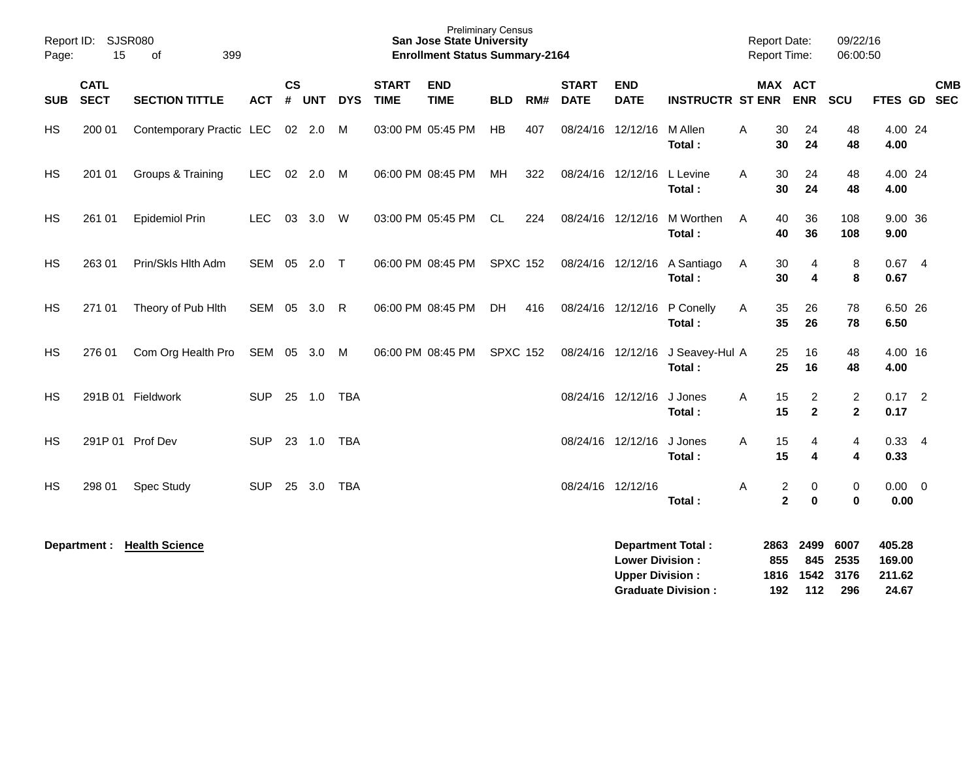| Report ID:<br>Page: | 15                         | <b>SJSR080</b><br>399<br>of       |              |                       |            |            |                             | <b>Preliminary Census</b><br><b>San Jose State University</b><br><b>Enrollment Status Summary-2164</b> |                 |     |                             |                                                  |                             |   | <b>Report Date:</b>              | <b>Report Time:</b>           | 09/22/16<br>06:00:50           |                            |            |
|---------------------|----------------------------|-----------------------------------|--------------|-----------------------|------------|------------|-----------------------------|--------------------------------------------------------------------------------------------------------|-----------------|-----|-----------------------------|--------------------------------------------------|-----------------------------|---|----------------------------------|-------------------------------|--------------------------------|----------------------------|------------|
| <b>SUB</b>          | <b>CATL</b><br><b>SECT</b> | <b>SECTION TITTLE</b>             | <b>ACT</b>   | $\mathsf{cs}$<br>$\#$ | <b>UNT</b> | <b>DYS</b> | <b>START</b><br><b>TIME</b> | <b>END</b><br><b>TIME</b>                                                                              | <b>BLD</b>      | RM# | <b>START</b><br><b>DATE</b> | <b>END</b><br><b>DATE</b>                        | <b>INSTRUCTR ST ENR ENR</b> |   |                                  | MAX ACT                       | SCU                            | FTES GD SEC                | <b>CMB</b> |
| <b>HS</b>           | 200 01                     | Contemporary Practic LEC 02 2.0 M |              |                       |            |            |                             | 03:00 PM 05:45 PM                                                                                      | HB              | 407 |                             | 08/24/16 12/12/16                                | M Allen<br>Total:           | A | 30<br>30                         | 24<br>24                      | 48<br>48                       | 4.00 24<br>4.00            |            |
| HS                  | 201 01                     | Groups & Training                 | LEC          |                       | 02 2.0     | M          |                             | 06:00 PM 08:45 PM                                                                                      | MH              | 322 |                             | 08/24/16 12/12/16                                | L Levine<br>Total:          | A | 30<br>30                         | 24<br>24                      | 48<br>48                       | 4.00 24<br>4.00            |            |
| <b>HS</b>           | 261 01                     | <b>Epidemiol Prin</b>             | <b>LEC</b>   |                       | 03 3.0 W   |            |                             | 03:00 PM 05:45 PM                                                                                      | CL              | 224 |                             | 08/24/16 12/12/16                                | M Worthen<br>Total:         | A | 40<br>40                         | 36<br>36                      | 108<br>108                     | 9.00 36<br>9.00            |            |
| <b>HS</b>           | 263 01                     | Prin/Skls Hlth Adm                | SEM 05 2.0 T |                       |            |            |                             | 06:00 PM 08:45 PM                                                                                      | <b>SPXC 152</b> |     |                             | 08/24/16 12/12/16                                | A Santiago<br>Total:        | Α | 30<br>30                         | 4<br>4                        | 8<br>8                         | $0.67$ 4<br>0.67           |            |
| HS                  | 271 01                     | Theory of Pub Hith                | SEM 05 3.0 R |                       |            |            |                             | 06:00 PM 08:45 PM                                                                                      | DH              | 416 |                             | 08/24/16 12/12/16                                | P Conelly<br>Total:         | Α | 35<br>35                         | 26<br>26                      | 78<br>78                       | 6.50 26<br>6.50            |            |
| HS                  | 276 01                     | Com Org Health Pro                | SEM 05 3.0   |                       |            | M          |                             | 06:00 PM 08:45 PM                                                                                      | <b>SPXC 152</b> |     |                             | 08/24/16 12/12/16                                | J Seavey-Hul A<br>Total:    |   | 25<br>25                         | 16<br>16                      | 48<br>48                       | 4.00 16<br>4.00            |            |
| HS                  |                            | 291B 01 Fieldwork                 | <b>SUP</b>   |                       | 25 1.0     | TBA        |                             |                                                                                                        |                 |     |                             | 08/24/16 12/12/16                                | J Jones<br>Total:           | Α | 15<br>15                         | 2<br>$\overline{2}$           | $\overline{c}$<br>$\mathbf{2}$ | $0.17$ 2<br>0.17           |            |
| HS                  |                            | 291P 01 Prof Dev                  | <b>SUP</b>   |                       | 23 1.0     | TBA        |                             |                                                                                                        |                 |     |                             | 08/24/16 12/12/16                                | J Jones<br>Total:           | Α | 15<br>15                         | 4<br>4                        | 4<br>4                         | $0.33 - 4$<br>0.33         |            |
| HS                  | 298 01                     | <b>Spec Study</b>                 | <b>SUP</b>   |                       | 25 3.0     | TBA        |                             |                                                                                                        |                 |     | 08/24/16 12/12/16           |                                                  | Total:                      | Α | $\overline{c}$<br>$\overline{2}$ | 0<br>$\bf{0}$                 | 0<br>$\bf{0}$                  | $0.00 \t 0$<br>0.00        |            |
|                     | Department :               | <b>Health Science</b>             |              |                       |            |            |                             |                                                                                                        |                 |     |                             | <b>Lower Division:</b><br><b>Upper Division:</b> | <b>Department Total:</b>    |   | 2863<br>855                      | 2499<br>845<br>1816 1542 3176 | 6007<br>2535                   | 405.28<br>169.00<br>211.62 |            |

**Graduate Division : 192 112 296 24.67**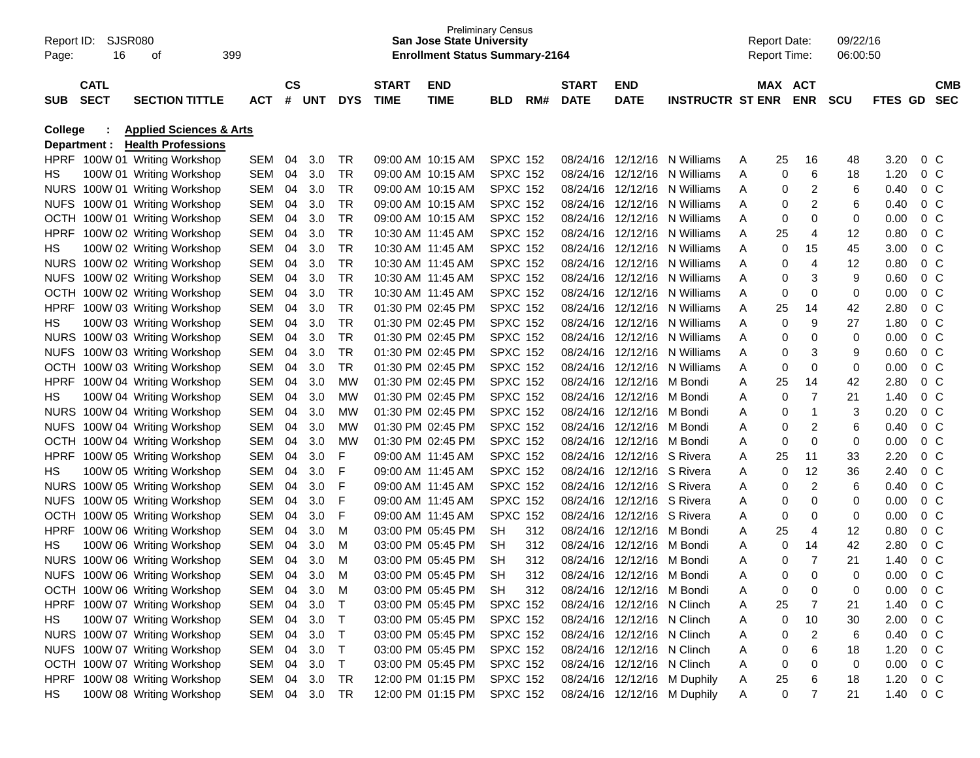| Report ID:<br>Page: | SJSR080<br>16 | οf                                 | 399        |                        |     |            |              | <b>San Jose State University</b><br><b>Enrollment Status Summary-2164</b> | <b>Preliminary Census</b> |     |              |                            |                             |   | <b>Report Date:</b><br><b>Report Time:</b> |                | 09/22/16<br>06:00:50 |         |                |            |
|---------------------|---------------|------------------------------------|------------|------------------------|-----|------------|--------------|---------------------------------------------------------------------------|---------------------------|-----|--------------|----------------------------|-----------------------------|---|--------------------------------------------|----------------|----------------------|---------|----------------|------------|
|                     | <b>CATL</b>   |                                    |            | $\mathbf{c}\mathbf{s}$ |     |            | <b>START</b> | <b>END</b>                                                                |                           |     | <b>START</b> | <b>END</b>                 |                             |   | MAX ACT                                    |                |                      |         |                | <b>CMB</b> |
| <b>SUB</b>          | <b>SECT</b>   | <b>SECTION TITTLE</b>              | <b>ACT</b> | #                      | UNT | <b>DYS</b> | <b>TIME</b>  | <b>TIME</b>                                                               | BLD                       | RM# | <b>DATE</b>  | <b>DATE</b>                | <b>INSTRUCTR ST ENR</b>     |   |                                            | <b>ENR</b>     | <b>SCU</b>           | FTES GD |                | <b>SEC</b> |
| <b>College</b>      |               | <b>Applied Sciences &amp; Arts</b> |            |                        |     |            |              |                                                                           |                           |     |              |                            |                             |   |                                            |                |                      |         |                |            |
|                     | Department :  | <b>Health Professions</b>          |            |                        |     |            |              |                                                                           |                           |     |              |                            |                             |   |                                            |                |                      |         |                |            |
|                     |               | HPRF 100W 01 Writing Workshop      | SEM        | 04                     | 3.0 | TR         |              | 09:00 AM 10:15 AM                                                         | <b>SPXC 152</b>           |     | 08/24/16     | 12/12/16                   | N Williams                  | A | 25                                         | 16             | 48                   | 3.20    | $0\,$ C        |            |
| HS                  |               | 100W 01 Writing Workshop           | SEM        | 04                     | 3.0 | TR         |              | 09:00 AM 10:15 AM                                                         | <b>SPXC 152</b>           |     | 08/24/16     | 12/12/16                   | N Williams                  | A | 0                                          | 6              | 18                   | 1.20    | 0 <sup>o</sup> |            |
|                     |               | NURS 100W 01 Writing Workshop      | SEM        | 04                     | 3.0 | <b>TR</b>  |              | 09:00 AM 10:15 AM                                                         | <b>SPXC 152</b>           |     | 08/24/16     | 12/12/16                   | N Williams                  | A | 0                                          | 2              | 6                    | 0.40    | 0 <sup>o</sup> |            |
| <b>NUFS</b>         |               | 100W 01 Writing Workshop           | SEM        | 04                     | 3.0 | <b>TR</b>  |              | 09:00 AM 10:15 AM                                                         | <b>SPXC 152</b>           |     | 08/24/16     | 12/12/16                   | N Williams                  | Α | 0                                          | 2              | 6                    | 0.40    | 0 <sup>o</sup> |            |
| <b>OCTH</b>         |               | 100W 01 Writing Workshop           | SEM        | 04                     | 3.0 | <b>TR</b>  |              | 09:00 AM 10:15 AM                                                         | <b>SPXC 152</b>           |     | 08/24/16     | 12/12/16                   | N Williams                  | A | 0                                          | 0              | 0                    | 0.00    | 0 <sup>o</sup> |            |
| <b>HPRF</b>         |               | 100W 02 Writing Workshop           | SEM        | 04                     | 3.0 | <b>TR</b>  |              | 10:30 AM 11:45 AM                                                         | <b>SPXC 152</b>           |     | 08/24/16     | 12/12/16                   | N Williams                  | A | 25                                         | 4              | 12                   | 0.80    | 0 <sup>o</sup> |            |
| HS                  |               | 100W 02 Writing Workshop           | SEM        | 04                     | 3.0 | <b>TR</b>  |              | 10:30 AM 11:45 AM                                                         | <b>SPXC 152</b>           |     | 08/24/16     | 12/12/16                   | N Williams                  | A | 0                                          | 15             | 45                   | 3.00    | 0 <sup>o</sup> |            |
|                     |               | NURS 100W 02 Writing Workshop      | SEM        | 04                     | 3.0 | <b>TR</b>  |              | 10:30 AM 11:45 AM                                                         | <b>SPXC 152</b>           |     | 08/24/16     | 12/12/16                   | N Williams                  | A | 0                                          | 4              | 12                   | 0.80    | 0 <sup>o</sup> |            |
| <b>NUFS</b>         |               | 100W 02 Writing Workshop           | SEM        | 04                     | 3.0 | <b>TR</b>  |              | 10:30 AM 11:45 AM                                                         | <b>SPXC 152</b>           |     | 08/24/16     | 12/12/16                   | N Williams                  | A | 0                                          | 3              | 9                    | 0.60    | 0 <sup>o</sup> |            |
| <b>OCTH</b>         |               | 100W 02 Writing Workshop           | SEM        | 04                     | 3.0 | <b>TR</b>  |              | 10:30 AM 11:45 AM                                                         | <b>SPXC 152</b>           |     | 08/24/16     | 12/12/16                   | N Williams                  | A | 0                                          | 0              | 0                    | 0.00    | 0 <sup>o</sup> |            |
| <b>HPRF</b>         |               | 100W 03 Writing Workshop           | SEM        | 04                     | 3.0 | <b>TR</b>  |              | 01:30 PM 02:45 PM                                                         | <b>SPXC 152</b>           |     | 08/24/16     | 12/12/16                   | N Williams                  | A | 25                                         | 14             | 42                   | 2.80    | 0 <sup>o</sup> |            |
| HS                  |               | 100W 03 Writing Workshop           | SEM        | 04                     | 3.0 | <b>TR</b>  |              | 01:30 PM 02:45 PM                                                         | <b>SPXC 152</b>           |     | 08/24/16     | 12/12/16                   | N Williams                  | A | 0                                          | 9              | 27                   | 1.80    | 0 <sup>o</sup> |            |
|                     |               | NURS 100W 03 Writing Workshop      | SEM        | 04                     | 3.0 | <b>TR</b>  |              | 01:30 PM 02:45 PM                                                         | <b>SPXC 152</b>           |     | 08/24/16     | 12/12/16                   | N Williams                  | A | 0                                          | $\mathbf 0$    | 0                    | 0.00    | 0 <sup>o</sup> |            |
| <b>NUFS</b>         |               | 100W 03 Writing Workshop           | SEM        | 04                     | 3.0 | <b>TR</b>  |              | 01:30 PM 02:45 PM                                                         | <b>SPXC 152</b>           |     | 08/24/16     | 12/12/16                   | N Williams                  | Α | 0                                          | 3              | 9                    | 0.60    | 0 <sup>o</sup> |            |
| <b>OCTH</b>         |               | 100W 03 Writing Workshop           | SEM        | 04                     | 3.0 | <b>TR</b>  |              | 01:30 PM 02:45 PM                                                         | <b>SPXC 152</b>           |     | 08/24/16     | 12/12/16                   | N Williams                  | A | 0                                          | 0              | 0                    | 0.00    | 0 <sup>o</sup> |            |
| <b>HPRF</b>         |               | 100W 04 Writing Workshop           | SEM        | 04                     | 3.0 | <b>MW</b>  |              | 01:30 PM 02:45 PM                                                         | <b>SPXC 152</b>           |     | 08/24/16     | 12/12/16                   | M Bondi                     | Α | 25                                         | 14             | 42                   | 2.80    | 0 <sup>o</sup> |            |
| HS                  |               | 100W 04 Writing Workshop           | SEM        | 04                     | 3.0 | <b>MW</b>  |              | 01:30 PM 02:45 PM                                                         | <b>SPXC 152</b>           |     | 08/24/16     | 12/12/16                   | M Bondi                     | Α | 0                                          | $\overline{7}$ | 21                   | 1.40    | 0 <sup>o</sup> |            |
|                     |               | NURS 100W 04 Writing Workshop      | SEM        | 04                     | 3.0 | <b>MW</b>  |              | 01:30 PM 02:45 PM                                                         | <b>SPXC 152</b>           |     | 08/24/16     | 12/12/16                   | M Bondi                     | A | 0                                          | 1              | 3                    | 0.20    | 0 <sup>o</sup> |            |
| <b>NUFS</b>         |               | 100W 04 Writing Workshop           | SEM        | 04                     | 3.0 | <b>MW</b>  |              | 01:30 PM 02:45 PM                                                         | <b>SPXC 152</b>           |     | 08/24/16     | 12/12/16                   | M Bondi                     | A | 0                                          | 2              | 6                    | 0.40    | 0 <sup>o</sup> |            |
| <b>OCTH</b>         |               | 100W 04 Writing Workshop           | SEM        | 04                     | 3.0 | <b>MW</b>  |              | 01:30 PM 02:45 PM                                                         | <b>SPXC 152</b>           |     | 08/24/16     | 12/12/16                   | M Bondi                     | Α | 0                                          | 0              | 0                    | 0.00    | 0 <sup>o</sup> |            |
| <b>HPRF</b>         |               | 100W 05 Writing Workshop           | SEM        | 04                     | 3.0 | F          |              | 09:00 AM 11:45 AM                                                         | <b>SPXC 152</b>           |     | 08/24/16     | 12/12/16 S Rivera          |                             | Α | 25                                         | 11             | 33                   | 2.20    | 0 <sup>o</sup> |            |
| HS                  |               | 100W 05 Writing Workshop           | SEM        | 04                     | 3.0 | F          |              | 09:00 AM 11:45 AM                                                         | <b>SPXC 152</b>           |     | 08/24/16     | 12/12/16 S Rivera          |                             | Α | 0                                          | 12             | 36                   | 2.40    | 0 <sup>o</sup> |            |
|                     |               | NURS 100W 05 Writing Workshop      | SEM        | 04                     | 3.0 | F          |              | 09:00 AM_11:45 AM                                                         | <b>SPXC 152</b>           |     | 08/24/16     | 12/12/16 S Rivera          |                             | A | 0                                          | $\overline{2}$ | 6                    | 0.40    | 0 <sup>o</sup> |            |
| <b>NUFS</b>         |               | 100W 05 Writing Workshop           | SEM        | 04                     | 3.0 | F          |              | 09:00 AM_11:45 AM                                                         | <b>SPXC 152</b>           |     | 08/24/16     | 12/12/16 S Rivera          |                             | A | 0                                          | $\mathbf 0$    | 0                    | 0.00    | 0 <sup>o</sup> |            |
| <b>OCTH</b>         |               | 100W 05 Writing Workshop           | SEM        | 04                     | 3.0 | F          |              | 09:00 AM_11:45 AM                                                         | <b>SPXC 152</b>           |     | 08/24/16     | 12/12/16 S Rivera          |                             | Α | 0                                          | 0              | 0                    | 0.00    | 0 <sup>o</sup> |            |
| <b>HPRF</b>         |               | 100W 06 Writing Workshop           | SEM        | 04                     | 3.0 | M          |              | 03:00 PM 05:45 PM                                                         | <b>SH</b>                 | 312 | 08/24/16     | 12/12/16                   | M Bondi                     | Α | 25                                         | 4              | 12                   | 0.80    | 0 <sup>o</sup> |            |
| HS                  |               | 100W 06 Writing Workshop           | SEM        | 04                     | 3.0 | M          |              | 03:00 PM 05:45 PM                                                         | <b>SH</b>                 | 312 | 08/24/16     | 12/12/16                   | M Bondi                     | Α | 0                                          | 14             | 42                   | 2.80    | 0 <sup>o</sup> |            |
| <b>NURS</b>         |               | 100W 06 Writing Workshop           | SEM        | 04                     | 3.0 | M          |              | 03:00 PM 05:45 PM                                                         | <b>SH</b>                 | 312 | 08/24/16     | 12/12/16                   | M Bondi                     | A | 0                                          | $\overline{7}$ | 21                   | 1.40    | 0 <sup>o</sup> |            |
| <b>NUFS</b>         |               | 100W 06 Writing Workshop           | SEM        | 04                     | 3.0 | M          |              | 03:00 PM 05:45 PM                                                         | <b>SH</b>                 | 312 | 08/24/16     | 12/12/16                   | M Bondi                     |   | 0                                          | $\Omega$       | 0                    | 0.00    | 0 <sup>o</sup> |            |
|                     |               | OCTH 100W 06 Writing Workshop      | SEM 04     |                        | 3.0 | M          |              | 03:00 PM 05:45 PM                                                         | <b>SH</b>                 | 312 |              | 08/24/16 12/12/16 M Bondi  |                             | A | 0                                          | 0              | 0                    | 0.00    | 0 <sup>C</sup> |            |
|                     |               | HPRF 100W 07 Writing Workshop      | SEM 04     |                        | 3.0 | Т          |              | 03:00 PM 05:45 PM                                                         | <b>SPXC 152</b>           |     |              | 08/24/16 12/12/16 N Clinch |                             | A | 25                                         | 7              | 21                   | 1.40    | 0 <sup>C</sup> |            |
| HS                  |               | 100W 07 Writing Workshop           | SEM 04 3.0 |                        |     | Т          |              | 03:00 PM 05:45 PM                                                         | <b>SPXC 152</b>           |     |              | 08/24/16 12/12/16 N Clinch |                             | A | 0                                          | 10             | 30                   | 2.00    | $0\,C$         |            |
|                     |               | NURS 100W 07 Writing Workshop      | SEM 04     |                        | 3.0 | Т          |              | 03:00 PM 05:45 PM                                                         | <b>SPXC 152</b>           |     |              | 08/24/16 12/12/16 N Clinch |                             | Α | 0                                          | $\overline{c}$ | 6                    | 0.40    | $0\,C$         |            |
|                     |               | NUFS 100W 07 Writing Workshop      | SEM 04     |                        | 3.0 | Т          |              | 03:00 PM 05:45 PM                                                         | <b>SPXC 152</b>           |     |              | 08/24/16 12/12/16 N Clinch |                             | Α | 0                                          | 6              | 18                   | 1.20    | $0\,C$         |            |
|                     |               | OCTH 100W 07 Writing Workshop      | SEM 04     |                        | 3.0 | Τ          |              | 03:00 PM 05:45 PM                                                         | <b>SPXC 152</b>           |     |              | 08/24/16 12/12/16 N Clinch |                             | A | 0                                          | 0              | 0                    | 0.00    | $0\,C$         |            |
|                     |               | HPRF 100W 08 Writing Workshop      | SEM 04 3.0 |                        |     | <b>TR</b>  |              | 12:00 PM 01:15 PM                                                         | <b>SPXC 152</b>           |     |              |                            | 08/24/16 12/12/16 M Duphily | A | 25                                         | 6              | 18                   | 1.20    | $0\,C$         |            |
| HS                  |               | 100W 08 Writing Workshop           | SEM 04 3.0 |                        |     | <b>TR</b>  |              | 12:00 PM 01:15 PM                                                         | <b>SPXC 152</b>           |     |              |                            | 08/24/16 12/12/16 M Duphily | A | 0                                          | 7              | 21                   | 1.40    | $0\,C$         |            |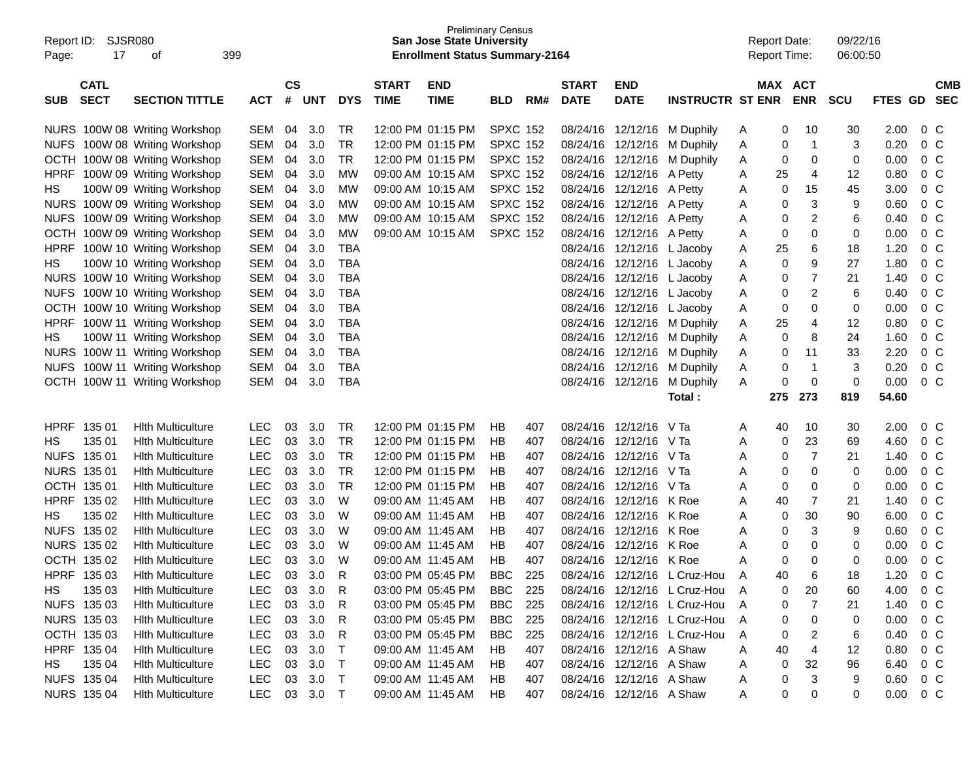| Report ID:<br>Page:                      | 399    |                               |              |                |            | <b>San Jose State University</b><br><b>Enrollment Status Summary-2164</b> | <b>Preliminary Census</b>   |                           |                 |     |                             |                           | <b>Report Date:</b><br><b>Report Time:</b> |   | 09/22/16<br>06:00:50 |                       |            |         |                |                          |
|------------------------------------------|--------|-------------------------------|--------------|----------------|------------|---------------------------------------------------------------------------|-----------------------------|---------------------------|-----------------|-----|-----------------------------|---------------------------|--------------------------------------------|---|----------------------|-----------------------|------------|---------|----------------|--------------------------|
| <b>CATL</b><br><b>SECT</b><br><b>SUB</b> |        | <b>SECTION TITTLE</b>         | <b>ACT</b>   | <b>CS</b><br># | <b>UNT</b> | <b>DYS</b>                                                                | <b>START</b><br><b>TIME</b> | <b>END</b><br><b>TIME</b> | <b>BLD</b>      | RM# | <b>START</b><br><b>DATE</b> | <b>END</b><br><b>DATE</b> | <b>INSTRUCTR ST ENR</b>                    |   |                      | MAX ACT<br><b>ENR</b> | <b>SCU</b> | FTES GD |                | <b>CMB</b><br><b>SEC</b> |
|                                          |        | NURS 100W 08 Writing Workshop | SEM          | 04             | 3.0        | TR                                                                        |                             | 12:00 PM 01:15 PM         | <b>SPXC 152</b> |     | 08/24/16                    |                           | 12/12/16 M Duphily                         | A | 0                    | 10                    | 30         | 2.00    | $0\,$ C        |                          |
|                                          |        | NUFS 100W 08 Writing Workshop | <b>SEM</b>   | 04             | 3.0        | <b>TR</b>                                                                 |                             | 12:00 PM 01:15 PM         | <b>SPXC 152</b> |     |                             |                           | 08/24/16 12/12/16 M Duphily                | Α | 0                    | $\mathbf 1$           | 3          | 0.20    | 0 <sup>o</sup> |                          |
|                                          |        | OCTH 100W 08 Writing Workshop | <b>SEM</b>   | 04             | 3.0        | <b>TR</b>                                                                 |                             | 12:00 PM 01:15 PM         | <b>SPXC 152</b> |     | 08/24/16                    |                           | 12/12/16 M Duphily                         | A | 0                    | 0                     | 0          | 0.00    | 0 <sup>o</sup> |                          |
|                                          |        | HPRF 100W 09 Writing Workshop | SEM          | 04             | 3.0        | MW                                                                        |                             | 09:00 AM 10:15 AM         | <b>SPXC 152</b> |     | 08/24/16                    | 12/12/16 A Petty          |                                            | A | 25                   | 4                     | 12         | 0.80    | 0 <sup>o</sup> |                          |
| НS                                       |        | 100W 09 Writing Workshop      | <b>SEM</b>   | 04             | 3.0        | MW                                                                        |                             | 09:00 AM 10:15 AM         | <b>SPXC 152</b> |     | 08/24/16                    | 12/12/16 A Petty          |                                            | Α | 0                    | 15                    | 45         | 3.00    | 0 <sup>o</sup> |                          |
|                                          |        | NURS 100W 09 Writing Workshop | <b>SEM</b>   | 04             | 3.0        | MW                                                                        |                             | 09:00 AM 10:15 AM         | <b>SPXC 152</b> |     | 08/24/16                    | 12/12/16 A Petty          |                                            | Α | 0                    | 3                     | 9          | 0.60    | 0 <sup>o</sup> |                          |
|                                          |        | NUFS 100W 09 Writing Workshop | <b>SEM</b>   | 04             | 3.0        | MW                                                                        |                             | 09:00 AM 10:15 AM         | <b>SPXC 152</b> |     | 08/24/16                    | 12/12/16 A Petty          |                                            | Α | 0                    | 2                     | 6          | 0.40    | 0 <sup>o</sup> |                          |
|                                          |        | OCTH 100W 09 Writing Workshop | <b>SEM</b>   | 04             | 3.0        | MW                                                                        |                             | 09:00 AM 10:15 AM         | <b>SPXC 152</b> |     | 08/24/16                    | 12/12/16 A Petty          |                                            | Α | 0                    | 0                     | 0          | 0.00    | 0 <sup>o</sup> |                          |
|                                          |        | HPRF 100W 10 Writing Workshop | <b>SEM</b>   | 04             | 3.0        | <b>TBA</b>                                                                |                             |                           |                 |     | 08/24/16                    |                           | 12/12/16 L Jacoby                          | Α | 25                   | 6                     | 18         | 1.20    | 0 <sup>o</sup> |                          |
| НS                                       |        | 100W 10 Writing Workshop      | <b>SEM</b>   | 04             | 3.0        | <b>TBA</b>                                                                |                             |                           |                 |     | 08/24/16                    | 12/12/16 L Jacoby         |                                            | Α | 0                    | 9                     | 27         | 1.80    | 0 <sup>o</sup> |                          |
|                                          |        | NURS 100W 10 Writing Workshop | <b>SEM</b>   | 04             | 3.0        | <b>TBA</b>                                                                |                             |                           |                 |     | 08/24/16                    |                           | 12/12/16 L Jacoby                          | Α | 0                    | $\overline{7}$        | 21         | 1.40    | 0 <sup>o</sup> |                          |
|                                          |        | NUFS 100W 10 Writing Workshop | <b>SEM</b>   | 04             | 3.0        | <b>TBA</b>                                                                |                             |                           |                 |     | 08/24/16                    | 12/12/16 L Jacoby         |                                            | Α | 0                    | $\overline{c}$        | 6          | 0.40    | 0 <sup>o</sup> |                          |
|                                          |        | OCTH 100W 10 Writing Workshop | <b>SEM</b>   | 04             | 3.0        | <b>TBA</b>                                                                |                             |                           |                 |     | 08/24/16                    | 12/12/16 L Jacoby         |                                            | Α | 0                    | 0                     | 0          | 0.00    | 0 <sup>o</sup> |                          |
|                                          |        | HPRF 100W 11 Writing Workshop | SEM          | 04             | 3.0        | <b>TBA</b>                                                                |                             |                           |                 |     | 08/24/16                    |                           | 12/12/16 M Duphily                         | Α | 25                   | 4                     | 12         | 0.80    | 0 <sup>o</sup> |                          |
| НS                                       |        | 100W 11 Writing Workshop      | SEM          | 04             | 3.0        | <b>TBA</b>                                                                |                             |                           |                 |     | 08/24/16                    |                           | 12/12/16 M Duphily                         | Α | 0                    | 8                     | 24         | 1.60    | 0 <sup>o</sup> |                          |
|                                          |        | NURS 100W 11 Writing Workshop | SEM          | 04             | 3.0        | <b>TBA</b>                                                                |                             |                           |                 |     | 08/24/16                    |                           | 12/12/16 M Duphily                         | Α | 0                    | 11                    | 33         | 2.20    | 0 <sup>o</sup> |                          |
|                                          |        | NUFS 100W 11 Writing Workshop | SEM          | 04             | 3.0        | <b>TBA</b>                                                                |                             |                           |                 |     | 08/24/16                    |                           | 12/12/16 M Duphily                         | Α | 0                    | $\overline{1}$        | 3          | 0.20    | 0 <sup>o</sup> |                          |
|                                          |        | OCTH 100W 11 Writing Workshop | SEM          | 04             | 3.0        | <b>TBA</b>                                                                |                             |                           |                 |     |                             |                           | 08/24/16 12/12/16 M Duphily                | A | 0                    | 0                     | 0          | 0.00    | 0 <sup>o</sup> |                          |
|                                          |        |                               |              |                |            |                                                                           |                             |                           |                 |     |                             |                           | Total :                                    |   | 275                  | 273                   | 819        | 54.60   |                |                          |
| HPRF 135 01                              |        | <b>Hith Multiculture</b>      | <b>LEC</b>   | 03             | 3.0        | TR                                                                        |                             | 12:00 PM 01:15 PM         | HВ              | 407 | 08/24/16                    | 12/12/16                  | V Ta                                       | A | 40                   | 10                    | 30         | 2.00    | 0 <sup>o</sup> |                          |
| HS                                       | 135 01 | <b>Hith Multiculture</b>      | <b>LEC</b>   | 03             | 3.0        | <b>TR</b>                                                                 |                             | 12:00 PM 01:15 PM         | HВ              | 407 | 08/24/16                    | 12/12/16                  | V Ta                                       | Α | 0                    | 23                    | 69         | 4.60    | 0 <sup>o</sup> |                          |
| NUFS 135 01                              |        | <b>Hith Multiculture</b>      | <b>LEC</b>   | 03             | 3.0        | <b>TR</b>                                                                 |                             | 12:00 PM 01:15 PM         | HВ              | 407 | 08/24/16                    | 12/12/16                  | – V Ta                                     | Α | 0                    | 7                     | 21         | 1.40    | 0 <sup>o</sup> |                          |
| <b>NURS 135 01</b>                       |        | <b>Hith Multiculture</b>      | <b>LEC</b>   | 03             | 3.0        | <b>TR</b>                                                                 |                             | 12:00 PM 01:15 PM         | HВ              | 407 | 08/24/16                    | 12/12/16                  | – V Ta                                     | Α | 0                    | 0                     | 0          | 0.00    | 0 <sup>o</sup> |                          |
| OCTH 135 01                              |        | <b>Hith Multiculture</b>      | <b>LEC</b>   | 03             | 3.0        | <b>TR</b>                                                                 |                             | 12:00 PM 01:15 PM         | HВ              | 407 | 08/24/16                    | 12/12/16                  | - V Ta                                     | Α | 0                    | 0                     | 0          | 0.00    | 0 <sup>o</sup> |                          |
| HPRF 135 02                              |        | <b>Hith Multiculture</b>      | <b>LEC</b>   | 03             | 3.0        | W                                                                         | 09:00 AM 11:45 AM           |                           | HВ              | 407 | 08/24/16                    | 12/12/16                  | K Roe                                      | Α | 40                   | $\overline{7}$        | 21         | 1.40    | 0 <sup>o</sup> |                          |
| HS                                       | 135 02 | <b>Hith Multiculture</b>      | <b>LEC</b>   | 03             | 3.0        | W                                                                         | 09:00 AM 11:45 AM           |                           | HВ              | 407 | 08/24/16                    | 12/12/16                  | K Roe                                      | Α | 0                    | 30                    | 90         | 6.00    | 0 <sup>o</sup> |                          |
| NUFS 135 02                              |        | <b>Hith Multiculture</b>      | <b>LEC</b>   | 03             | 3.0        | W                                                                         | 09:00 AM 11:45 AM           |                           | HВ              | 407 | 08/24/16                    | 12/12/16                  | K Roe                                      | Α | 0                    | 3                     | 9          | 0.60    | 0 <sup>o</sup> |                          |
| NURS 135 02                              |        | <b>Hith Multiculture</b>      | <b>LEC</b>   | 03             | 3.0        | W                                                                         | 09:00 AM 11:45 AM           |                           | HB              | 407 | 08/24/16                    | 12/12/16                  | K Roe                                      | Α | 0                    | 0                     | 0          | 0.00    | 0 <sup>o</sup> |                          |
| OCTH 135 02                              |        | <b>Hith Multiculture</b>      | <b>LEC</b>   | 03             | 3.0        | W                                                                         | 09:00 AM 11:45 AM           |                           | HB              | 407 |                             | 08/24/16 12/12/16 K Roe   |                                            | Α | 0                    | 0                     | 0          | 0.00    | 0 <sup>o</sup> |                          |
| HPRF 135 03                              |        | <b>Hlth Multiculture</b>      | LEC          |                | 03 3.0     | $\mathsf{R}$                                                              |                             | 03:00 PM 05:45 PM         | <b>BBC</b>      | 225 |                             |                           | 08/24/16 12/12/16 L Cruz-Hou               |   | 40                   | 6                     | 18         | 1.20    | $0\,C$         |                          |
| HS                                       | 135 03 | <b>Hith Multiculture</b>      | LEC          | 03             | 3.0        | R                                                                         |                             | 03:00 PM 05:45 PM         | <b>BBC</b>      | 225 |                             |                           | 08/24/16 12/12/16 L Cruz-Hou               | A | 0                    | 20                    | 60         | 4.00    | $0\,C$         |                          |
| NUFS 135 03                              |        | <b>Hith Multiculture</b>      | LEC          | 03             | 3.0        | R                                                                         |                             | 03:00 PM 05:45 PM         | BBC             | 225 |                             |                           | 08/24/16 12/12/16 L Cruz-Hou               | A | 0                    | 7                     | 21         | 1.40    | $0\,C$         |                          |
| NURS 135 03                              |        | <b>Hith Multiculture</b>      | LEC          | 03             | 3.0        | R                                                                         |                             | 03:00 PM 05:45 PM         | BBC             | 225 |                             |                           | 08/24/16 12/12/16 L Cruz-Hou               | A | 0                    | 0                     | 0          | 0.00    | $0\,$ C        |                          |
| OCTH 135 03                              |        | <b>Hith Multiculture</b>      | LEC          | 03             | 3.0        | R                                                                         |                             | 03:00 PM 05:45 PM         | <b>BBC</b>      | 225 |                             |                           | 08/24/16 12/12/16 L Cruz-Hou               | Α | 0                    | 2                     | 6          | 0.40    | $0\,C$         |                          |
| HPRF 135 04                              |        | <b>Hith Multiculture</b>      | LEC          | 03             | 3.0        | T                                                                         | 09:00 AM 11:45 AM           |                           | HB              | 407 |                             | 08/24/16 12/12/16 A Shaw  |                                            | A | 40                   | 4                     | 12         | 0.80    | $0\,C$         |                          |
| HS                                       | 135 04 | <b>Hith Multiculture</b>      | LEC          | 03             | 3.0        | $\top$                                                                    | 09:00 AM 11:45 AM           |                           | HB.             | 407 |                             | 08/24/16 12/12/16 A Shaw  |                                            | A | 0                    | 32                    | 96         | 6.40    | $0\,$ C        |                          |
| NUFS 135 04                              |        | <b>Hith Multiculture</b>      | LEC          | 03             | 3.0        | $\top$                                                                    |                             | 09:00 AM 11:45 AM         | HB              | 407 |                             | 08/24/16 12/12/16 A Shaw  |                                            | A | 0                    | 3                     | 9          | 0.60    | $0\,$ C        |                          |
| NURS 135 04                              |        | <b>Hith Multiculture</b>      | LEC 03 3.0 T |                |            |                                                                           |                             | 09:00 AM 11:45 AM         | HB              | 407 |                             | 08/24/16 12/12/16 A Shaw  |                                            | A | 0                    | 0                     | 0          | 0.00    | $0\,C$         |                          |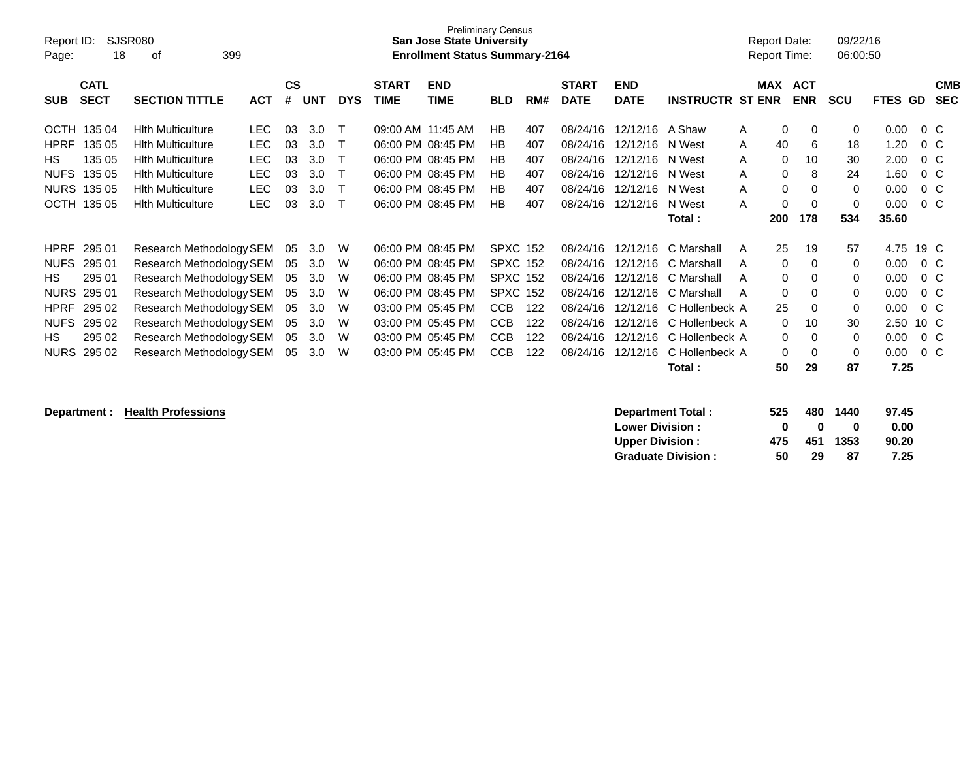| Report ID:<br>Page: | 18                         | <b>SJSR080</b><br>399<br>οf |            |                    |            |            |                             | San Jose State University<br><b>Enrollment Status Summary-2164</b> | <b>Preliminary Census</b> |     |                             |                           |                         | Report Date:<br>Report Time: |                          | 09/22/16<br>06:00:50 |         |         |                          |
|---------------------|----------------------------|-----------------------------|------------|--------------------|------------|------------|-----------------------------|--------------------------------------------------------------------|---------------------------|-----|-----------------------------|---------------------------|-------------------------|------------------------------|--------------------------|----------------------|---------|---------|--------------------------|
| <b>SUB</b>          | <b>CATL</b><br><b>SECT</b> | <b>SECTION TITTLE</b>       | <b>ACT</b> | $\mathsf{cs}$<br># | <b>UNT</b> | <b>DYS</b> | <b>START</b><br><b>TIME</b> | <b>END</b><br><b>TIME</b>                                          | <b>BLD</b>                | RM# | <b>START</b><br><b>DATE</b> | <b>END</b><br><b>DATE</b> | <b>INSTRUCTR ST ENR</b> | MAX                          | <b>ACT</b><br><b>ENR</b> | <b>SCU</b>           | FTES GD |         | <b>CMB</b><br><b>SEC</b> |
|                     | OCTH 135 04                | <b>Hith Multiculture</b>    | <b>LEC</b> | 03                 | 3.0        | т          | 09:00 AM 11:45 AM           |                                                                    | HB                        | 407 | 08/24/16                    | 12/12/16 A Shaw           |                         | A                            | $\mathbf 0$<br>$\Omega$  | 0                    | 0.00    | $0\,$ C |                          |
| <b>HPRF</b>         | 135 05                     | <b>Hith Multiculture</b>    | <b>LEC</b> | 03                 | 3.0        |            |                             | 06:00 PM 08:45 PM                                                  | HB                        | 407 | 08/24/16                    | 12/12/16                  | N West                  | 40<br>A                      | 6                        | 18                   | 1.20    | $0\,C$  |                          |
| <b>HS</b>           | 135 05                     | <b>Hith Multiculture</b>    | <b>LEC</b> | 03                 | 3.0        |            |                             | 06:00 PM 08:45 PM                                                  | HB                        | 407 | 08/24/16                    | 12/12/16                  | N West                  | A                            | $\Omega$<br>10           | 30                   | 2.00    | $0\,C$  |                          |
| <b>NUFS</b>         | 135 05                     | <b>Hith Multiculture</b>    | <b>LEC</b> | 03                 | 3.0        |            |                             | 06:00 PM 08:45 PM                                                  | HB                        | 407 | 08/24/16                    | 12/12/16                  | N West                  | A                            | $\Omega$<br>8            | 24                   | 1.60    | $0\,C$  |                          |
| <b>NURS</b>         | 135 05                     | <b>Hith Multiculture</b>    | <b>LEC</b> | 03                 | 3.0        |            |                             | 06:00 PM 08:45 PM                                                  | HB                        | 407 | 08/24/16                    | 12/12/16                  | N West                  | A                            | 0<br>$\Omega$            | $\mathbf 0$          | 0.00    | $0\,C$  |                          |
|                     | OCTH 135 05                | <b>Hith Multiculture</b>    | <b>LEC</b> | 03                 | 3.0        |            |                             | 06:00 PM 08:45 PM                                                  | HB                        | 407 | 08/24/16                    | 12/12/16                  | N West                  | A                            | 0<br>$\Omega$            | $\mathbf 0$          | 0.00    | $0\,C$  |                          |
|                     |                            |                             |            |                    |            |            |                             |                                                                    |                           |     |                             |                           | Total:                  | 200                          | 178                      | 534                  | 35.60   |         |                          |
| <b>HPRF</b>         | 295 01                     | Research Methodology SEM    |            | 05                 | 3.0        | W          |                             | 06:00 PM 08:45 PM                                                  | <b>SPXC 152</b>           |     | 08/24/16                    | 12/12/16                  | C Marshall              | 25<br>A                      | 19                       | 57                   | 4.75    | 19 C    |                          |
| <b>NUFS</b>         | 295 01                     | Research Methodology SEM    |            | 05                 | 3.0        | W          |                             | 06:00 PM 08:45 PM                                                  | <b>SPXC 152</b>           |     | 08/24/16                    | 12/12/16                  | C Marshall              | A                            | 0<br>$\Omega$            | 0                    | 0.00    | $0\,C$  |                          |
| HS.                 | 295 01                     | Research Methodology SEM    |            | 05                 | 3.0        | W          |                             | 06:00 PM 08:45 PM                                                  | <b>SPXC 152</b>           |     | 08/24/16                    | 12/12/16                  | C Marshall              | A                            | 0<br>0                   | 0                    | 0.00    | $0\,C$  |                          |
| <b>NURS</b>         | 295 01                     | Research Methodology SEM    |            | 05                 | 3.0        | W          |                             | 06:00 PM 08:45 PM                                                  | <b>SPXC 152</b>           |     | 08/24/16                    | 12/12/16                  | C Marshall              | A                            | $\mathbf 0$<br>0         | 0                    | 0.00    | $0\,C$  |                          |
| <b>HPRF</b>         | 295 02                     | Research Methodology SEM    |            | 05                 | 3.0        | W          |                             | 03:00 PM 05:45 PM                                                  | <b>CCB</b>                | 122 | 08/24/16                    | 12/12/16                  | C Hollenbeck A          | 25                           | 0                        | $\mathbf 0$          | 0.00    | $0\,C$  |                          |
| <b>NUFS</b>         | 295 02                     | Research Methodology SEM    |            | 05                 | 3.0        | W          |                             | 03:00 PM 05:45 PM                                                  | <b>CCB</b>                | 122 | 08/24/16                    | 12/12/16                  | C Hollenbeck A          |                              | 0<br>10                  | 30                   | 2.50    | 10 C    |                          |
| HS.                 | 295 02                     | Research Methodology SEM    |            | 05                 | 3.0        | W          |                             | 03:00 PM 05:45 PM                                                  | <b>CCB</b>                | 122 | 08/24/16                    | 12/12/16                  | C Hollenbeck A          |                              | 0<br>0                   | 0                    | 0.00    | $0\,$ C |                          |
|                     | NURS 295 02                | Research Methodology SEM    |            | 05                 | 3.0        | W          |                             | 03:00 PM 05:45 PM                                                  | <b>CCB</b>                | 122 | 08/24/16                    | 12/12/16                  | C Hollenbeck A          |                              | 0<br>0                   | 0                    | 0.00    | $0\,$ C |                          |
|                     |                            |                             |            |                    |            |            |                             |                                                                    |                           |     |                             |                           | Total:                  | 50                           | 29                       | 87                   | 7.25    |         |                          |
|                     |                            |                             |            |                    |            |            |                             |                                                                    |                           |     |                             |                           |                         |                              |                          |                      |         |         |                          |

**Department : Health Professions** 

| <b>Department Total:</b>  | 525 | 480 | 1440     | 97.45 |
|---------------------------|-----|-----|----------|-------|
| <b>Lower Division:</b>    | o   | n   | o        | 0.00  |
| <b>Upper Division:</b>    | 475 |     | 451 1353 | 90.20 |
| <b>Graduate Division:</b> | 50  | 29  | 87       | 7.25  |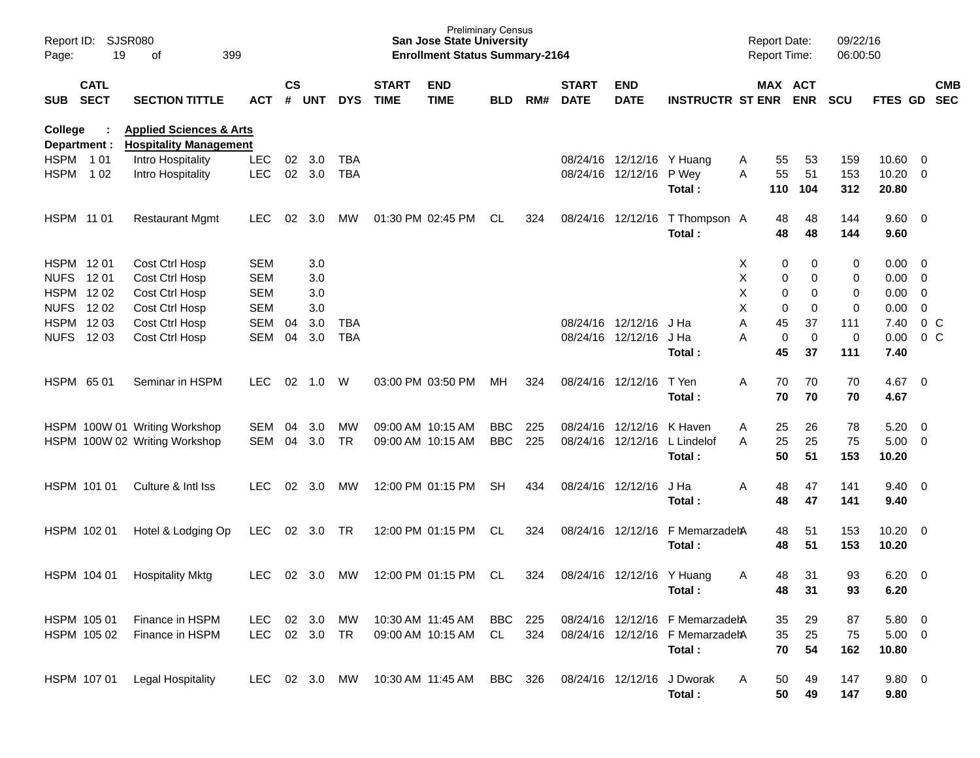| Page:                   | Report ID: SJSR080<br>19<br>399<br>of |                                                                     |            |                |                |            |                             | <b>Preliminary Census</b><br><b>San Jose State University</b><br><b>Enrollment Status Summary-2164</b> |            |     |                             |                           |                                 | <b>Report Date:</b><br>Report Time: |                       | 09/22/16<br>06:00:50 |                        |                          |            |
|-------------------------|---------------------------------------|---------------------------------------------------------------------|------------|----------------|----------------|------------|-----------------------------|--------------------------------------------------------------------------------------------------------|------------|-----|-----------------------------|---------------------------|---------------------------------|-------------------------------------|-----------------------|----------------------|------------------------|--------------------------|------------|
| SUB                     | <b>CATL</b><br><b>SECT</b>            | <b>SECTION TITTLE</b>                                               | <b>ACT</b> | <b>CS</b><br># | <b>UNT</b>     | <b>DYS</b> | <b>START</b><br><b>TIME</b> | <b>END</b><br><b>TIME</b>                                                                              | <b>BLD</b> | RM# | <b>START</b><br><b>DATE</b> | <b>END</b><br><b>DATE</b> | <b>INSTRUCTR ST ENR</b>         |                                     | MAX ACT<br><b>ENR</b> | <b>SCU</b>           | FTES GD SEC            |                          | <b>CMB</b> |
| College<br>Department : |                                       | <b>Applied Sciences &amp; Arts</b><br><b>Hospitality Management</b> |            |                |                |            |                             |                                                                                                        |            |     |                             |                           |                                 |                                     |                       |                      |                        |                          |            |
| HSPM 101                |                                       | Intro Hospitality                                                   | <b>LEC</b> | 02             | 3.0            | TBA        |                             |                                                                                                        |            |     |                             | 08/24/16 12/12/16 Y Huang |                                 | 55<br>A                             | 53                    | 159                  | 10.60                  | $\overline{\phantom{0}}$ |            |
| <b>HSPM</b>             | 1 0 2                                 | Intro Hospitality                                                   | <b>LEC</b> | 02             | 3.0            | <b>TBA</b> |                             |                                                                                                        |            |     |                             | 08/24/16 12/12/16         | P Wey<br>Total:                 | 55<br>A<br>110                      | 51<br>104             | 153<br>312           | 10.20<br>20.80         | $\overline{\phantom{0}}$ |            |
| HSPM 11 01              |                                       | <b>Restaurant Mgmt</b>                                              | <b>LEC</b> | 02             | 3.0            | МW         |                             | 01:30 PM 02:45 PM                                                                                      | CL         | 324 |                             | 08/24/16 12/12/16         | T Thompson A<br>Total:          | 48<br>48                            | 48<br>48              | 144<br>144           | $9.60 \quad 0$<br>9.60 |                          |            |
| HSPM 1201               |                                       | Cost Ctrl Hosp                                                      | <b>SEM</b> |                | 3.0            |            |                             |                                                                                                        |            |     |                             |                           |                                 | X                                   | 0<br>0                | 0                    | 0.00                   | $\overline{\phantom{0}}$ |            |
| <b>NUFS</b>             | 1201                                  | Cost Ctrl Hosp                                                      | <b>SEM</b> |                | 3.0            |            |                             |                                                                                                        |            |     |                             |                           |                                 | X                                   | 0<br>0                | 0                    | 0.00                   | $\overline{\mathbf{0}}$  |            |
| HSPM 1202               |                                       | Cost Ctrl Hosp                                                      | <b>SEM</b> |                | 3.0            |            |                             |                                                                                                        |            |     |                             |                           |                                 | X                                   | 0<br>0                | 0                    | 0.00                   | $\overline{0}$           |            |
| NUFS 1202               |                                       | Cost Ctrl Hosp                                                      | <b>SEM</b> |                | 3.0            |            |                             |                                                                                                        |            |     |                             |                           |                                 | X<br>$\mathbf 0$                    | $\mathbf 0$           | 0                    | 0.00                   | $\mathbf 0$              |            |
| HSPM 1203               |                                       | Cost Ctrl Hosp                                                      | <b>SEM</b> | 04             | 3.0            | TBA        |                             |                                                                                                        |            |     |                             | 08/24/16 12/12/16         | J Ha                            | Α<br>45                             | 37                    | 111                  | 7.40                   | 0 <sup>o</sup>           |            |
| NUFS 1203               |                                       | Cost Ctrl Hosp                                                      | SEM        | 04             | 3.0            | <b>TBA</b> |                             |                                                                                                        |            |     |                             | 08/24/16 12/12/16         | J Ha                            | 0<br>Α                              | $\mathbf 0$           | 0                    | 0.00                   | 0 <sup>o</sup>           |            |
|                         |                                       |                                                                     |            |                |                |            |                             |                                                                                                        |            |     |                             |                           | Total:                          | 45                                  | 37                    | 111                  | 7.40                   |                          |            |
| HSPM 6501               |                                       | Seminar in HSPM                                                     | LEC.       | 02             | 1.0            | W          |                             | 03:00 PM 03:50 PM                                                                                      | МH         | 324 | 08/24/16 12/12/16           |                           | T Yen<br>Total:                 | Α<br>70<br>70                       | 70<br>70              | 70<br>70             | 4.67<br>4.67           | $\overline{\phantom{0}}$ |            |
|                         |                                       | HSPM 100W 01 Writing Workshop                                       | <b>SEM</b> | 04             | 3.0            | MW         |                             | 09:00 AM 10:15 AM                                                                                      | <b>BBC</b> | 225 |                             | 08/24/16 12/12/16         | K Haven                         | 25<br>A                             | 26                    | 78                   | 5.20                   | $\overline{\mathbf{0}}$  |            |
|                         |                                       | HSPM 100W 02 Writing Workshop                                       | SEM        | 04             | 3.0            | TR         |                             | 09:00 AM 10:15 AM                                                                                      | <b>BBC</b> | 225 |                             | 08/24/16 12/12/16         | L Lindelof                      | 25<br>A                             | 25                    | 75                   | 5.00                   | $\overline{\phantom{0}}$ |            |
|                         |                                       |                                                                     |            |                |                |            |                             |                                                                                                        |            |     |                             |                           | Total:                          | 50                                  | 51                    | 153                  | 10.20                  |                          |            |
|                         | HSPM 101 01                           | Culture & Intl Iss                                                  | <b>LEC</b> | 02             | 3.0            | MW         |                             | 12:00 PM 01:15 PM                                                                                      | <b>SH</b>  | 434 | 08/24/16 12/12/16           |                           | J Ha<br>Total:                  | 48<br>Α<br>48                       | 47<br>47              | 141<br>141           | 9.40<br>9.40           | $\overline{\phantom{0}}$ |            |
|                         |                                       |                                                                     |            |                |                |            |                             |                                                                                                        |            |     |                             |                           |                                 |                                     |                       |                      |                        |                          |            |
|                         | HSPM 102 01                           | Hotel & Lodging Op                                                  | <b>LEC</b> | 02             | 3.0            | TR         |                             | 12:00 PM 01:15 PM                                                                                      | CL         | 324 | 08/24/16 12/12/16           |                           | F MemarzadehA                   | 48                                  | 51                    | 153                  | $10.20 \t 0$           |                          |            |
|                         |                                       |                                                                     |            |                |                |            |                             |                                                                                                        |            |     |                             |                           | Total:                          | 48                                  | 51                    | 153                  | 10.20                  |                          |            |
|                         | HSPM 104 01                           | <b>Hospitality Mktg</b>                                             | LEC.       |                | $02 \quad 3.0$ | МW         |                             | 12:00 PM 01:15 PM                                                                                      | CL         | 324 |                             | 08/24/16 12/12/16 Y Huang |                                 | 48<br>A                             | 31                    | 93                   | 6.20                   | $\overline{\phantom{0}}$ |            |
|                         |                                       |                                                                     |            |                |                |            |                             |                                                                                                        |            |     |                             |                           | Total:                          | 48                                  | 31                    | 93                   | 6.20                   |                          |            |
|                         |                                       |                                                                     |            |                |                |            |                             |                                                                                                        |            |     |                             |                           |                                 |                                     |                       |                      |                        |                          |            |
| HSPM 105 01             |                                       | Finance in HSPM                                                     | <b>LEC</b> |                | 02 3.0         | MW         | 10:30 AM 11:45 AM           |                                                                                                        | <b>BBC</b> | 225 |                             | 08/24/16 12/12/16         | F MemarzadehA                   | 35                                  | 29                    | 87                   | $5.80\ 0$              |                          |            |
|                         | HSPM 105 02                           | Finance in HSPM                                                     | <b>LEC</b> |                | 02 3.0         | TR         |                             | 09:00 AM 10:15 AM                                                                                      | CL         | 324 |                             |                           | 08/24/16 12/12/16 F MemarzadehA | 35                                  | 25                    | 75                   | $5.00 \t 0$            |                          |            |
|                         |                                       |                                                                     |            |                |                |            |                             |                                                                                                        |            |     |                             |                           | Total:                          | 70                                  | 54                    | 162                  | 10.80                  |                          |            |
|                         | HSPM 107 01                           | <b>Legal Hospitality</b>                                            | LEC        |                | 02 3.0         | MW         |                             | 10:30 AM 11:45 AM                                                                                      | BBC 326    |     | 08/24/16 12/12/16           |                           | J Dworak<br>Total:              | 50<br>A<br>50                       | 49<br>49              | 147<br>147           | 9.80 0<br>9.80         |                          |            |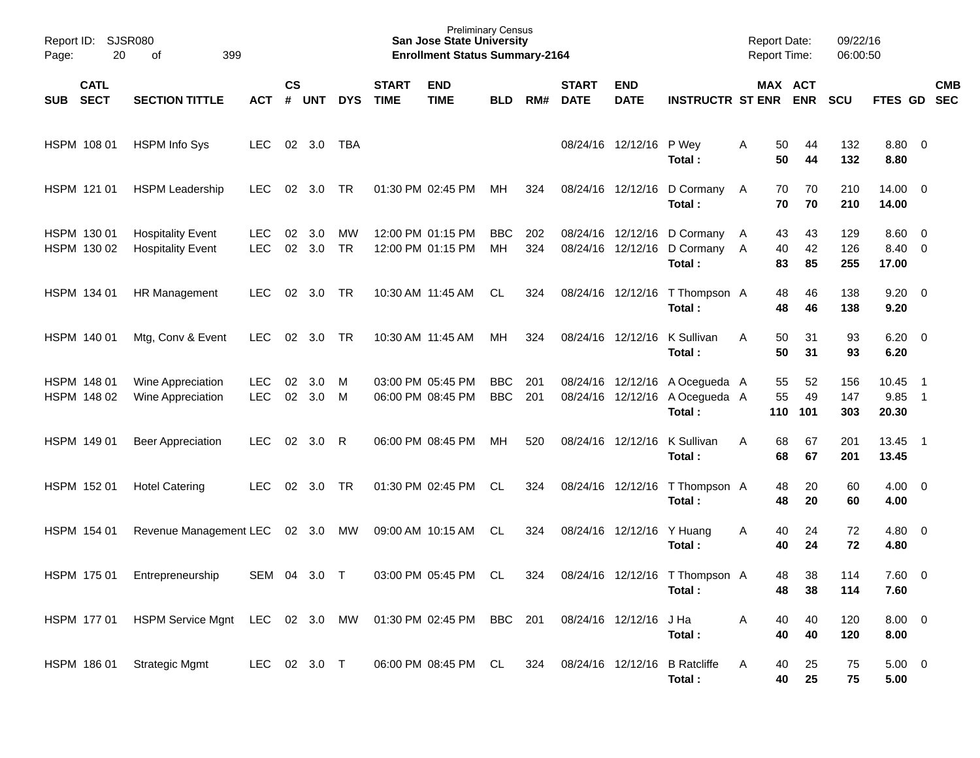| Report ID: SJSR080<br>Page:              | 20<br>399<br>οf                                           |                          |                    |            |            |                             | <b>Preliminary Census</b><br><b>San Jose State University</b><br><b>Enrollment Status Summary-2164</b> |                          |            |                             |                           |                                                                            | <b>Report Date:</b><br><b>Report Time:</b> |                 |                       | 09/22/16<br>06:00:50 |                                   |                                                        |            |
|------------------------------------------|-----------------------------------------------------------|--------------------------|--------------------|------------|------------|-----------------------------|--------------------------------------------------------------------------------------------------------|--------------------------|------------|-----------------------------|---------------------------|----------------------------------------------------------------------------|--------------------------------------------|-----------------|-----------------------|----------------------|-----------------------------------|--------------------------------------------------------|------------|
| <b>CATL</b><br><b>SECT</b><br><b>SUB</b> | <b>SECTION TITTLE</b>                                     | <b>ACT</b>               | $\mathsf{cs}$<br># | <b>UNT</b> | <b>DYS</b> | <b>START</b><br><b>TIME</b> | <b>END</b><br><b>TIME</b>                                                                              | <b>BLD</b>               | RM#        | <b>START</b><br><b>DATE</b> | <b>END</b><br><b>DATE</b> | <b>INSTRUCTR ST ENR</b>                                                    |                                            |                 | MAX ACT<br><b>ENR</b> | <b>SCU</b>           | FTES GD SEC                       |                                                        | <b>CMB</b> |
| HSPM 108 01                              | <b>HSPM Info Sys</b>                                      | <b>LEC</b>               |                    | 02 3.0     | TBA        |                             |                                                                                                        |                          |            |                             | 08/24/16 12/12/16 P Wey   | Total:                                                                     | Α                                          | 50<br>50        | 44<br>44              | 132<br>132           | 8.80 0<br>8.80                    |                                                        |            |
| HSPM 121 01                              | <b>HSPM Leadership</b>                                    | <b>LEC</b>               | 02                 | 3.0        | TR         |                             | 01:30 PM 02:45 PM                                                                                      | МH                       | 324        |                             | 08/24/16 12/12/16         | D Cormany<br>Total:                                                        | A                                          | 70<br>70        | 70<br>70              | 210<br>210           | $14.00 \t 0$<br>14.00             |                                                        |            |
| HSPM 130 01<br>HSPM 130 02               | <b>Hospitality Event</b><br><b>Hospitality Event</b>      | <b>LEC</b><br><b>LEC</b> | 02<br>02           | 3.0<br>3.0 | MW<br>TR   |                             | 12:00 PM 01:15 PM<br>12:00 PM 01:15 PM                                                                 | <b>BBC</b><br>MH         | 202<br>324 |                             |                           | 08/24/16 12/12/16 D Cormany<br>08/24/16 12/12/16 D Cormany A<br>Total:     | A                                          | 43<br>40<br>83  | 43<br>42<br>85        | 129<br>126<br>255    | $8.60 \quad 0$<br>8.40 0<br>17.00 |                                                        |            |
| HSPM 134 01                              | HR Management                                             | LEC.                     | 02                 | 3.0        | TR         |                             | 10:30 AM 11:45 AM                                                                                      | CL                       | 324        |                             | 08/24/16 12/12/16         | T Thompson A<br>Total:                                                     |                                            | 48<br>48        | 46<br>46              | 138<br>138           | $9.20 \ 0$<br>9.20                |                                                        |            |
| HSPM 140 01                              | Mtg, Conv & Event                                         | <b>LEC</b>               | 02                 | 3.0        | TR         |                             | 10:30 AM 11:45 AM                                                                                      | МH                       | 324        |                             | 08/24/16 12/12/16         | K Sullivan<br>Total:                                                       | A                                          | 50<br>50        | 31<br>31              | 93<br>93             | $6.20 \quad 0$<br>6.20            |                                                        |            |
| HSPM 148 01<br>HSPM 148 02               | Wine Appreciation<br>Wine Appreciation                    | <b>LEC</b><br><b>LEC</b> | 02<br>02           | 3.0<br>3.0 | M<br>M     |                             | 03:00 PM 05:45 PM<br>06:00 PM 08:45 PM                                                                 | <b>BBC</b><br><b>BBC</b> | 201<br>201 |                             |                           | 08/24/16 12/12/16 A Ocegueda A<br>08/24/16 12/12/16 A Ocegueda A<br>Total: |                                            | 55<br>55<br>110 | 52<br>49<br>101       | 156<br>147<br>303    | 10.45<br>9.85<br>20.30            | $\overline{\phantom{1}}$<br>$\overline{\phantom{0}}$ 1 |            |
| HSPM 149 01                              | <b>Beer Appreciation</b>                                  | LEC.                     | 02                 | 3.0        | R          |                             | 06:00 PM 08:45 PM                                                                                      | МH                       | 520        |                             | 08/24/16 12/12/16         | K Sullivan<br>Total:                                                       | A                                          | 68<br>68        | 67<br>67              | 201<br>201           | 13.45 1<br>13.45                  |                                                        |            |
| HSPM 152 01                              | <b>Hotel Catering</b>                                     | <b>LEC</b>               | 02                 | 3.0        | TR         |                             | 01:30 PM 02:45 PM                                                                                      | CL                       | 324        |                             | 08/24/16 12/12/16         | T Thompson A<br>Total:                                                     |                                            | 48<br>48        | 20<br>20              | 60<br>60             | $4.00 \ 0$<br>4.00                |                                                        |            |
| HSPM 154 01                              | Revenue Management LEC                                    |                          |                    | 02 3.0     | МW         |                             | 09:00 AM 10:15 AM                                                                                      | CL                       | 324        |                             | 08/24/16 12/12/16         | Y Huang<br>Total:                                                          | A                                          | 40<br>40        | 24<br>24              | 72<br>72             | $4.80$ 0<br>4.80                  |                                                        |            |
| HSPM 175 01                              | Entrepreneurship                                          | SEM 04 3.0               |                    |            | $\top$     |                             | 03:00 PM 05:45 PM                                                                                      | CL                       | 324        |                             |                           | 08/24/16 12/12/16 T Thompson A<br>Total:                                   |                                            | 48<br>48        | 38<br>38              | 114<br>114           | 7.60 0<br>7.60                    |                                                        |            |
| HSPM 177 01                              | HSPM Service Mgnt LEC 02 3.0 MW 01:30 PM 02:45 PM BBC 201 |                          |                    |            |            |                             |                                                                                                        |                          |            |                             | 08/24/16 12/12/16         | J Ha<br>Total:                                                             | A                                          | 40<br>40        | 40<br>40              | 120<br>120           | $8.00 \t 0$<br>8.00               |                                                        |            |
| HSPM 186 01                              | <b>Strategic Mgmt</b>                                     | LEC 02 3.0 T             |                    |            |            |                             | 06:00 PM 08:45 PM CL                                                                                   |                          | 324        | 08/24/16 12/12/16           |                           | <b>B</b> Ratcliffe<br>Total:                                               | A                                          | 40<br>40        | 25<br>25              | 75<br>75             | $5.00 \t 0$<br>5.00               |                                                        |            |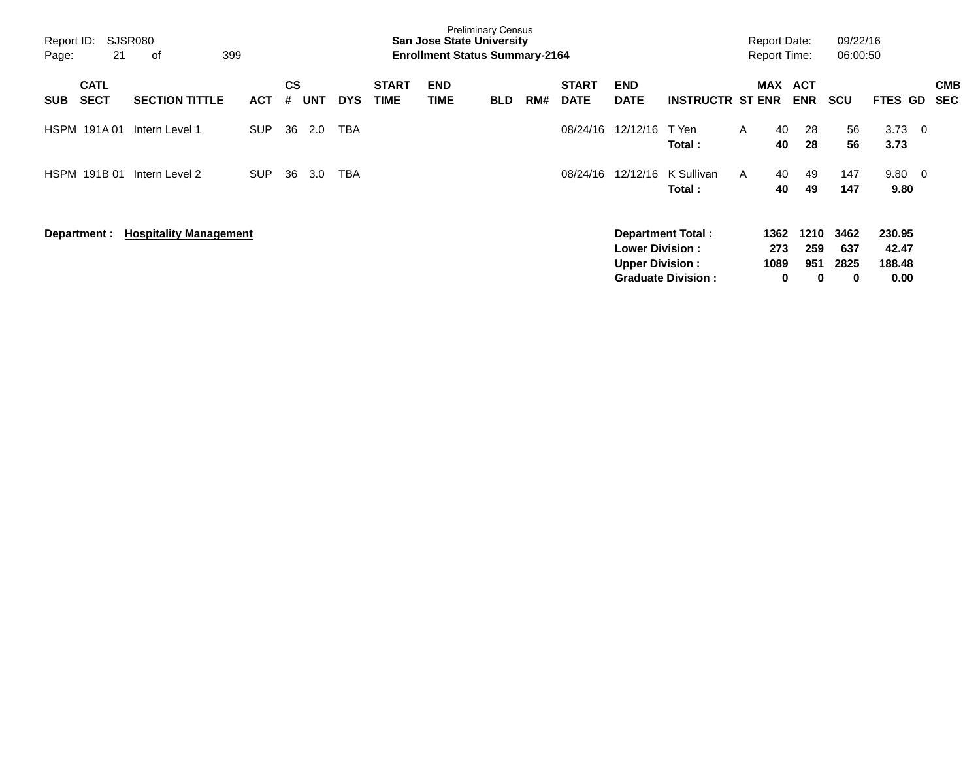| Report ID:<br>Page: | SJSR080<br>21<br>399<br>оf<br><b>CATL</b> |                               |            |                |            |            |                             | <b>San Jose State University</b><br><b>Enrollment Status Summary-2164</b> | <b>Preliminary Census</b> |     |                             |                                                  |                                                |   | <b>Report Date:</b><br><b>Report Time:</b> |                         | 09/22/16<br>06:00:50     |                                   |                          |  |
|---------------------|-------------------------------------------|-------------------------------|------------|----------------|------------|------------|-----------------------------|---------------------------------------------------------------------------|---------------------------|-----|-----------------------------|--------------------------------------------------|------------------------------------------------|---|--------------------------------------------|-------------------------|--------------------------|-----------------------------------|--------------------------|--|
| <b>SUB</b>          | <b>SECT</b>                               | <b>SECTION TITTLE</b>         | <b>ACT</b> | <b>CS</b><br># | <b>UNT</b> | <b>DYS</b> | <b>START</b><br><b>TIME</b> | <b>END</b><br>TIME                                                        | <b>BLD</b>                | RM# | <b>START</b><br><b>DATE</b> | <b>END</b><br><b>DATE</b>                        | <b>INSTRUCTR ST ENR</b>                        |   | MAX                                        | ACT<br><b>ENR</b>       | <b>SCU</b>               | <b>FTES GD</b>                    | <b>CMB</b><br><b>SEC</b> |  |
| HSPM 191A01         |                                           | Intern Level 1                | <b>SUP</b> | 36             | 2.0        | TBA        |                             |                                                                           |                           |     | 08/24/16                    | 12/12/16                                         | T Yen<br>Total:                                | A | 40<br>40                                   | 28<br>28                | 56<br>56                 | 3.73<br>3.73                      | $\overline{\phantom{0}}$ |  |
| HSPM 191B 01        |                                           | Intern Level 2                | <b>SUP</b> | 36             | 3.0        | TBA        |                             |                                                                           |                           |     | 08/24/16                    | 12/12/16                                         | K Sullivan<br>Total:                           | A | 40<br>40                                   | 49<br>49                | 147<br>147               | $9.80\ 0$<br>9.80                 |                          |  |
| Department :        |                                           | <b>Hospitality Management</b> |            |                |            |            |                             |                                                                           |                           |     |                             | <b>Lower Division:</b><br><b>Upper Division:</b> | Department Total:<br><b>Graduate Division:</b> |   | 1362<br>273<br>1089<br>0                   | 1210<br>259<br>951<br>0 | 3462<br>637<br>2825<br>0 | 230.95<br>42.47<br>188.48<br>0.00 |                          |  |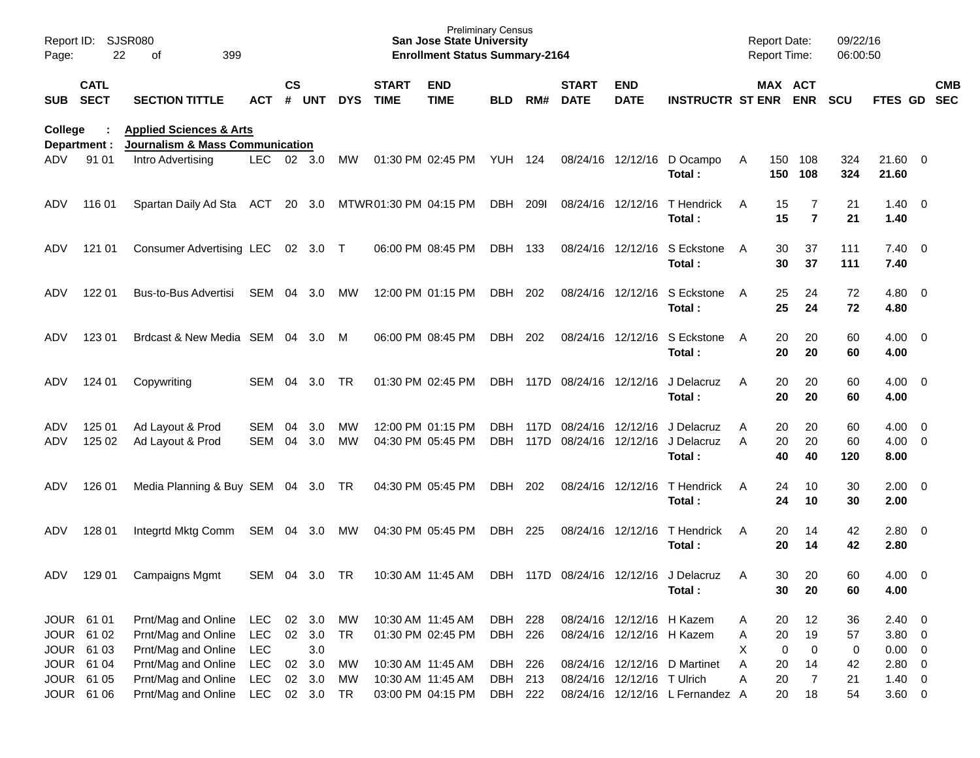| Page:                                  | Report ID: SJSR080<br>22   | 399<br>οf                                                                        |                          |                    |                  |                |                                        | <b>Preliminary Census</b><br><b>San Jose State University</b><br><b>Enrollment Status Summary-2164</b> |                           |       |                                             |                                                        |                                                                 |                | <b>Report Date:</b><br>Report Time: |                            | 09/22/16<br>06:00:50 |                                        |            |
|----------------------------------------|----------------------------|----------------------------------------------------------------------------------|--------------------------|--------------------|------------------|----------------|----------------------------------------|--------------------------------------------------------------------------------------------------------|---------------------------|-------|---------------------------------------------|--------------------------------------------------------|-----------------------------------------------------------------|----------------|-------------------------------------|----------------------------|----------------------|----------------------------------------|------------|
| <b>SUB</b>                             | <b>CATL</b><br><b>SECT</b> | <b>SECTION TITTLE</b>                                                            | <b>ACT</b>               | $\mathsf{cs}$<br># | <b>UNT</b>       | <b>DYS</b>     | <b>START</b><br><b>TIME</b>            | <b>END</b><br><b>TIME</b>                                                                              | BLD                       | RM#   | <b>START</b><br><b>DATE</b>                 | <b>END</b><br><b>DATE</b>                              | <b>INSTRUCTR ST ENR ENR</b>                                     |                | MAX ACT                             |                            | <b>SCU</b>           | FTES GD SEC                            | <b>CMB</b> |
| College<br>Department :                |                            | <b>Applied Sciences &amp; Arts</b><br><b>Journalism &amp; Mass Communication</b> |                          |                    |                  |                |                                        |                                                                                                        |                           |       |                                             |                                                        |                                                                 |                |                                     |                            |                      |                                        |            |
| ADV                                    | 91 01                      | Intro Advertising                                                                | LEC                      |                    | 02 3.0           | MW             |                                        | 01:30 PM 02:45 PM                                                                                      | YUH 124                   |       |                                             |                                                        | 08/24/16 12/12/16 D Ocampo<br>Total:                            | A              | 150<br>150                          | 108<br>108                 | 324<br>324           | 21.60 0<br>21.60                       |            |
| ADV                                    | 116 01                     | Spartan Daily Ad Sta ACT                                                         |                          |                    | 20 3.0           |                | MTWR01:30 PM 04:15 PM                  |                                                                                                        | DBH                       | 2091  | 08/24/16 12/12/16                           |                                                        | T Hendrick<br>Total:                                            | A              | 15<br>15                            | 7<br>$\overline{7}$        | 21<br>21             | $1.40 \quad 0$<br>1.40                 |            |
| ADV                                    | 121 01                     | Consumer Advertising LEC 02 3.0 T                                                |                          |                    |                  |                |                                        | 06:00 PM 08:45 PM                                                                                      | DBH                       | - 133 |                                             | 08/24/16 12/12/16                                      | S Eckstone<br>Total:                                            | $\overline{A}$ | 30<br>30                            | 37<br>37                   | 111<br>111           | $7.40 \quad 0$<br>7.40                 |            |
| ADV                                    | 122 01                     | Bus-to-Bus Advertisi                                                             | SEM                      | 04                 | 3.0              | МW             |                                        | 12:00 PM 01:15 PM                                                                                      | DBH                       | 202   |                                             | 08/24/16 12/12/16                                      | S Eckstone<br>Total:                                            | $\overline{A}$ | 25<br>25                            | 24<br>24                   | 72<br>72             | $4.80$ 0<br>4.80                       |            |
| ADV                                    | 123 01                     | Brdcast & New Media SEM 04 3.0                                                   |                          |                    |                  | M              |                                        | 06:00 PM 08:45 PM                                                                                      | DBH                       | 202   |                                             | 08/24/16 12/12/16                                      | S Eckstone<br>Total:                                            | $\overline{A}$ | 20<br>20                            | 20<br>20                   | 60<br>60             | $4.00 \ 0$<br>4.00                     |            |
| ADV                                    | 124 01                     | Copywriting                                                                      | SEM                      | 04                 | 3.0              | TR.            |                                        | 01:30 PM 02:45 PM                                                                                      | DBH                       |       | 117D 08/24/16 12/12/16                      |                                                        | J Delacruz<br>Total:                                            | A              | 20<br>20                            | 20<br>20                   | 60<br>60             | $4.00 \ 0$<br>4.00                     |            |
| ADV<br>ADV                             | 125 01<br>125 02           | Ad Layout & Prod<br>Ad Layout & Prod                                             | <b>SEM</b><br><b>SEM</b> | 04<br>04           | 3.0<br>3.0       | MW<br>MW       |                                        | 12:00 PM 01:15 PM<br>04:30 PM 05:45 PM                                                                 | DBH.<br>DBH.              | 117D  | 117D 08/24/16 12/12/16<br>08/24/16 12/12/16 |                                                        | J Delacruz<br>J Delacruz<br>Total:                              | A<br>A         | 20<br>20<br>40                      | 20<br>20<br>40             | 60<br>60<br>120      | $4.00 \ 0$<br>$4.00 \ 0$<br>8.00       |            |
| ADV                                    | 126 01                     | Media Planning & Buy SEM 04 3.0 TR                                               |                          |                    |                  |                |                                        | 04:30 PM 05:45 PM                                                                                      | DBH                       | 202   |                                             | 08/24/16 12/12/16                                      | T Hendrick<br>Total:                                            | A              | 24<br>24                            | 10<br>10                   | 30<br>30             | $2.00 \t 0$<br>2.00                    |            |
| ADV                                    | 128 01                     | Integrtd Mktg Comm                                                               | SEM 04 3.0               |                    |                  | MW             |                                        | 04:30 PM 05:45 PM                                                                                      | DBH                       | 225   |                                             | 08/24/16 12/12/16                                      | T Hendrick<br>Total:                                            | A              | 20<br>20                            | 14<br>14                   | 42<br>42             | 2.80 0<br>2.80                         |            |
| ADV                                    | 129 01                     | <b>Campaigns Mgmt</b>                                                            | SEM 04                   |                    | 3.0              | <b>TR</b>      |                                        | 10:30 AM 11:45 AM                                                                                      |                           |       |                                             |                                                        | DBH 117D 08/24/16 12/12/16 J Delacruz<br>Total:                 | A              | 30<br>30                            | 20<br>20                   | 60<br>60             | $4.00 \ 0$<br>4.00                     |            |
| JOUR 61 01<br>JOUR 61 02<br>JOUR 61 03 |                            | Prnt/Mag and Online<br>Prnt/Mag and Online<br>Prnt/Mag and Online                | LEC<br>LEC<br>LEC        | 02 3.0             | 02 3.0<br>3.0    | МW<br>TR       | 10:30 AM 11:45 AM                      | 01:30 PM 02:45 PM                                                                                      | DBH<br>DBH 226            | 228   |                                             | 08/24/16 12/12/16 H Kazem<br>08/24/16 12/12/16 H Kazem |                                                                 | A<br>A<br>X    | 20<br>20<br>0                       | 12<br>19<br>$\mathbf 0$    | 36<br>57<br>0        | $2.40 \ 0$<br>$3.80\ 0$<br>$0.00 \t 0$ |            |
| JOUR 61 05                             | JOUR 61 04<br>JOUR 61 06   | Prnt/Mag and Online<br>Prnt/Mag and Online<br>Prnt/Mag and Online LEC 02 3.0     | LEC<br>LEC               |                    | 02 3.0<br>02 3.0 | МW<br>MW<br>TR | 10:30 AM 11:45 AM<br>10:30 AM 11:45 AM | 03:00 PM 04:15 PM                                                                                      | DBH<br>DBH 213<br>DBH 222 | 226   |                                             | 08/24/16 12/12/16 T Ulrich                             | 08/24/16 12/12/16 D Martinet<br>08/24/16 12/12/16 L Fernandez A | A<br>Α         | 20<br>20<br>20                      | 14<br>$\overline{7}$<br>18 | 42<br>21<br>54       | $2.80\ 0$<br>$1.40 \ 0$<br>$3.60 \t 0$ |            |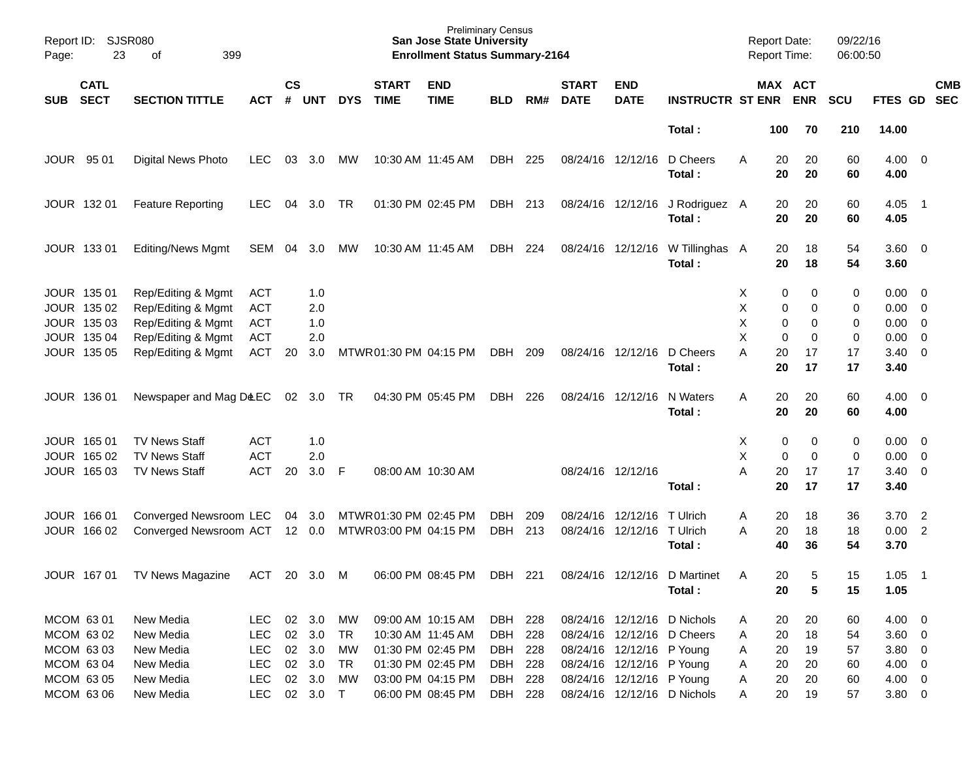| Page:      | Report ID: SJSR080<br>23                  | 399<br>of                                                      |                                        |                    |                   |            |                             | <b>Preliminary Census</b><br><b>San Jose State University</b><br><b>Enrollment Status Summary-2164</b> |            |     |                             |                            |                                        |                  | <b>Report Date:</b><br><b>Report Time:</b> |               | 09/22/16<br>06:00:50 |                                         |                            |                          |
|------------|-------------------------------------------|----------------------------------------------------------------|----------------------------------------|--------------------|-------------------|------------|-----------------------------|--------------------------------------------------------------------------------------------------------|------------|-----|-----------------------------|----------------------------|----------------------------------------|------------------|--------------------------------------------|---------------|----------------------|-----------------------------------------|----------------------------|--------------------------|
| <b>SUB</b> | <b>CATL</b><br><b>SECT</b>                | <b>SECTION TITTLE</b>                                          | <b>ACT</b>                             | $\mathsf{cs}$<br># | <b>UNT</b>        | <b>DYS</b> | <b>START</b><br><b>TIME</b> | <b>END</b><br><b>TIME</b>                                                                              | <b>BLD</b> | RM# | <b>START</b><br><b>DATE</b> | <b>END</b><br><b>DATE</b>  | <b>INSTRUCTR ST ENR</b>                |                  | MAX ACT                                    | <b>ENR</b>    | <b>SCU</b>           | FTES GD                                 |                            | <b>CMB</b><br><b>SEC</b> |
|            |                                           |                                                                |                                        |                    |                   |            |                             |                                                                                                        |            |     |                             |                            | Total:                                 |                  | 100                                        | 70            | 210                  | 14.00                                   |                            |                          |
|            | JOUR 95 01                                | Digital News Photo                                             | <b>LEC</b>                             | 03                 | 3.0               | МW         | 10:30 AM 11:45 AM           |                                                                                                        | DBH        | 225 | 08/24/16 12/12/16           |                            | D Cheers<br>Total:                     | A                | 20<br>20                                   | 20<br>20      | 60<br>60             | $4.00 \ 0$<br>4.00                      |                            |                          |
|            | JOUR 132 01                               | <b>Feature Reporting</b>                                       | <b>LEC</b>                             | 04                 | 3.0               | TR         |                             | 01:30 PM 02:45 PM                                                                                      | DBH 213    |     |                             | 08/24/16 12/12/16          | J Rodriguez A<br>Total:                |                  | 20<br>20                                   | 20<br>20      | 60<br>60             | 4.05<br>4.05                            | $\overline{\phantom{0}}$ 1 |                          |
|            | JOUR 133 01                               | <b>Editing/News Mgmt</b>                                       | SEM                                    | 04                 | 3.0               | МW         | 10:30 AM 11:45 AM           |                                                                                                        | DBH        | 224 |                             | 08/24/16 12/12/16          | W Tillinghas A<br>Total:               |                  | 20<br>20                                   | 18<br>18      | 54<br>54             | 3.60 0<br>3.60                          |                            |                          |
|            | JOUR 135 01<br>JOUR 135 02<br>JOUR 135 03 | Rep/Editing & Mgmt<br>Rep/Editing & Mgmt<br>Rep/Editing & Mgmt | <b>ACT</b><br><b>ACT</b><br><b>ACT</b> |                    | 1.0<br>2.0<br>1.0 |            |                             |                                                                                                        |            |     |                             |                            |                                        | х<br>Χ<br>Χ<br>X | 0<br>0<br>0                                | 0<br>0<br>0   | 0<br>0<br>0          | $0.00 \ 0$<br>$0.00 \ 0$<br>$0.00 \t 0$ |                            |                          |
|            | JOUR 135 04<br>JOUR 135 05                | Rep/Editing & Mgmt<br>Rep/Editing & Mgmt                       | <b>ACT</b><br><b>ACT</b>               | 20                 | 2.0<br>3.0        |            | MTWR01:30 PM 04:15 PM       |                                                                                                        | DBH        | 209 |                             | 08/24/16 12/12/16          | D Cheers<br>Total:                     | Α                | 0<br>20<br>20                              | 0<br>17<br>17 | 0<br>17<br>17        | 0.00<br>$3.40 \ 0$<br>3.40              | $\overline{\phantom{0}}$   |                          |
|            | JOUR 136 01                               | Newspaper and Mag D&EC                                         |                                        |                    | 02 3.0 TR         |            |                             | 04:30 PM 05:45 PM                                                                                      | DBH        | 226 | 08/24/16 12/12/16           |                            | N Waters<br>Total:                     | A                | 20<br>20                                   | 20<br>20      | 60<br>60             | $4.00 \ 0$<br>4.00                      |                            |                          |
|            | JOUR 165 01                               | <b>TV News Staff</b>                                           | <b>ACT</b>                             |                    | 1.0               |            |                             |                                                                                                        |            |     |                             |                            |                                        | х                | 0                                          | 0             | 0                    | $0.00 \quad 0$                          |                            |                          |
|            | JOUR 165 02                               | <b>TV News Staff</b>                                           | <b>ACT</b>                             |                    | 2.0               |            |                             |                                                                                                        |            |     |                             |                            |                                        | Χ                | 0                                          | 0             | 0                    | $0.00 \t 0$                             |                            |                          |
|            | JOUR 165 03                               | <b>TV News Staff</b>                                           | <b>ACT</b>                             | 20                 | 3.0               | - F        | 08:00 AM 10:30 AM           |                                                                                                        |            |     | 08/24/16 12/12/16           |                            | Total:                                 | A                | 20<br>20                                   | 17<br>17      | 17<br>17             | $3.40 \ 0$<br>3.40                      |                            |                          |
|            | JOUR 166 01                               | Converged Newsroom LEC 04 3.0                                  |                                        |                    |                   |            | MTWR01:30 PM 02:45 PM       |                                                                                                        | DBH        | 209 | 08/24/16                    | 12/12/16                   | T Ulrich                               | Α                | 20                                         | 18            | 36                   | 3.70                                    | $\overline{\phantom{0}}$   |                          |
|            | JOUR 166 02                               | Converged Newsroom ACT 12 0.0                                  |                                        |                    |                   |            | MTWR03:00 PM 04:15 PM       |                                                                                                        | DBH        | 213 | 08/24/16                    | 12/12/16                   | T Ulrich<br>Total:                     | Α                | 20<br>40                                   | 18<br>36      | 18<br>54             | 0.00 2<br>3.70                          |                            |                          |
|            | JOUR 167 01                               | TV News Magazine                                               | ACT                                    |                    | 20 3.0            | M          |                             | 06:00 PM 08:45 PM                                                                                      | DBH        | 221 |                             |                            | 08/24/16 12/12/16 D Martinet<br>Total: | Α                | 20<br>$20\,$                               | 5<br>5        | 15<br>15             | 1.05<br>1.05                            | - 1                        |                          |
|            | MCOM 63 01                                | New Media                                                      | <b>LEC</b>                             |                    | 02 3.0            | MW         |                             | 09:00 AM 10:15 AM                                                                                      | DBH 228    |     |                             |                            | 08/24/16 12/12/16 D Nichols            | A                | 20                                         | 20            | 60                   | $4.00 \ 0$                              |                            |                          |
|            | MCOM 63 02                                | New Media                                                      | <b>LEC</b>                             |                    | 02 3.0            | TR         |                             | 10:30 AM 11:45 AM                                                                                      | DBH 228    |     |                             | 08/24/16 12/12/16 D Cheers |                                        | Α                | 20                                         | 18            | 54                   | 3.60 0                                  |                            |                          |
|            | MCOM 63 03                                | New Media                                                      | <b>LEC</b>                             |                    | 02 3.0            | МW         |                             | 01:30 PM 02:45 PM                                                                                      | DBH 228    |     |                             | 08/24/16 12/12/16 P Young  |                                        | Α                | 20                                         | 19            | 57                   | $3.80\ 0$                               |                            |                          |
|            | MCOM 63 04                                | New Media                                                      | <b>LEC</b>                             |                    | 02 3.0            | TR         |                             | 01:30 PM 02:45 PM                                                                                      | DBH 228    |     |                             | 08/24/16 12/12/16 P Young  |                                        | Α                | 20                                         | 20            | 60                   | $4.00 \ 0$                              |                            |                          |
|            | MCOM 63 05                                | New Media                                                      | <b>LEC</b>                             | 02                 | 3.0               | MW         |                             | 03:00 PM 04:15 PM                                                                                      | DBH 228    |     |                             | 08/24/16 12/12/16 P Young  |                                        | Α                | 20                                         | 20            | 60                   | 4.00 0                                  |                            |                          |
|            | MCOM 63 06                                | New Media                                                      | <b>LEC</b>                             |                    | 02 3.0 T          |            |                             | 06:00 PM 08:45 PM                                                                                      | DBH 228    |     |                             |                            | 08/24/16 12/12/16 D Nichols            | Α                | 20                                         | 19            | 57                   | $3.80\ 0$                               |                            |                          |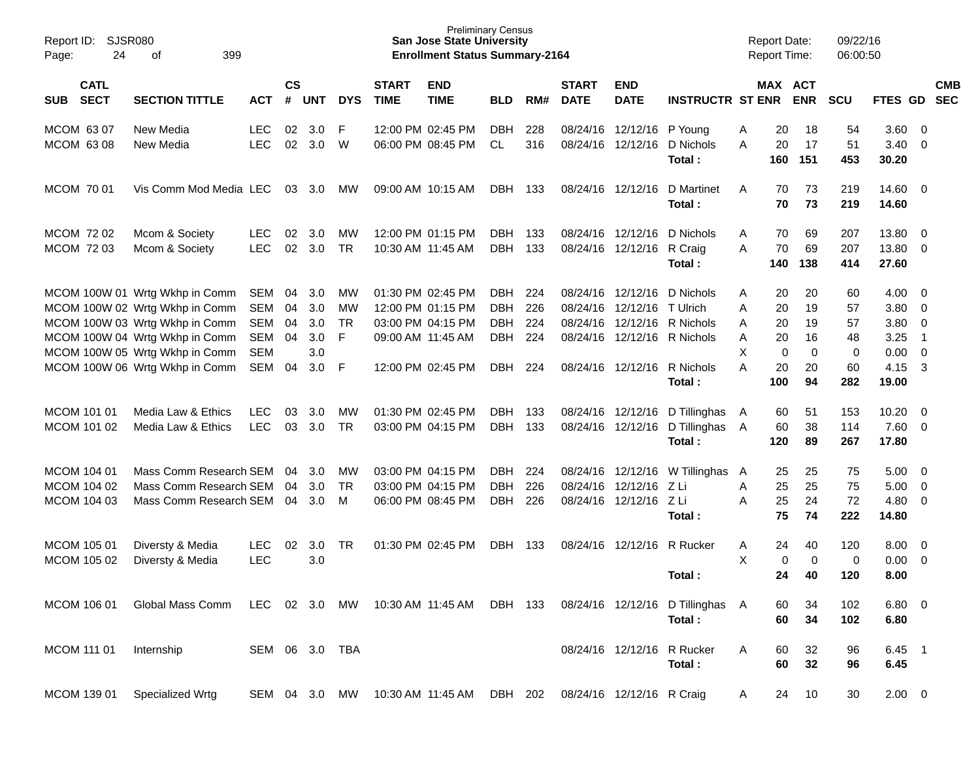| Report ID:<br>24<br>Page:                 | SJSR080<br>399<br>οf                                                                                                                 |                                               |                      |                                 |                      |                             | <b>Preliminary Census</b><br><b>San Jose State University</b><br><b>Enrollment Status Summary-2164</b> |                                                |                          |                                  |                                                    |                                                                |                       | <b>Report Date:</b><br>Report Time: |                         | 09/22/16<br>06:00:50  |                                      |                                                           |                          |
|-------------------------------------------|--------------------------------------------------------------------------------------------------------------------------------------|-----------------------------------------------|----------------------|---------------------------------|----------------------|-----------------------------|--------------------------------------------------------------------------------------------------------|------------------------------------------------|--------------------------|----------------------------------|----------------------------------------------------|----------------------------------------------------------------|-----------------------|-------------------------------------|-------------------------|-----------------------|--------------------------------------|-----------------------------------------------------------|--------------------------|
| <b>CATL</b><br><b>SECT</b><br><b>SUB</b>  | <b>SECTION TITTLE</b>                                                                                                                | <b>ACT</b>                                    | $\mathsf{cs}$<br>#   | UNT                             | <b>DYS</b>           | <b>START</b><br><b>TIME</b> | <b>END</b><br><b>TIME</b>                                                                              | <b>BLD</b>                                     | RM#                      | <b>START</b><br><b>DATE</b>      | <b>END</b><br><b>DATE</b>                          | <b>INSTRUCTR ST ENR</b>                                        |                       |                                     | MAX ACT<br><b>ENR</b>   | <b>SCU</b>            | FTES GD                              |                                                           | <b>CMB</b><br><b>SEC</b> |
| MCOM 63 07<br>MCOM 63 08                  | New Media<br>New Media                                                                                                               | <b>LEC</b><br><b>LEC</b>                      | 02<br>02             | 3.0<br>3.0                      | F<br>W               |                             | 12:00 PM 02:45 PM<br>06:00 PM 08:45 PM                                                                 | <b>DBH</b><br><b>CL</b>                        | 228<br>316               |                                  | 08/24/16 12/12/16 P Young<br>08/24/16 12/12/16     | D Nichols<br>Total:                                            | Α<br>A                | 20<br>20<br>160                     | 18<br>17<br>151         | 54<br>51<br>453       | 3.60<br>3.40<br>30.20                | $\overline{0}$<br>$\overline{0}$                          |                          |
| MCOM 70 01                                | Vis Comm Mod Media LEC                                                                                                               |                                               | 03                   | 3.0                             | МW                   |                             | 09:00 AM 10:15 AM                                                                                      | DBH                                            | 133                      |                                  | 08/24/16 12/12/16                                  | D Martinet<br>Total:                                           | A                     | 70<br>70                            | 73<br>73                | 219<br>219            | $14.60$ 0<br>14.60                   |                                                           |                          |
| <b>MCOM 7202</b><br><b>MCOM 7203</b>      | Mcom & Society<br>Mcom & Society                                                                                                     | <b>LEC</b><br><b>LEC</b>                      | 02<br>02             | 3.0<br>3.0                      | МW<br><b>TR</b>      |                             | 12:00 PM 01:15 PM<br>10:30 AM 11:45 AM                                                                 | <b>DBH</b><br><b>DBH</b>                       | 133<br>133               |                                  | 08/24/16 12/12/16<br>08/24/16 12/12/16 R Craig     | D Nichols<br>Total:                                            | Α<br>A                | 70<br>70<br>140                     | 69<br>69<br>138         | 207<br>207<br>414     | 13.80<br>13.80<br>27.60              | $\overline{0}$<br>$\overline{0}$                          |                          |
|                                           | MCOM 100W 01 Wrtg Wkhp in Comm<br>MCOM 100W 02 Wrtg Wkhp in Comm<br>MCOM 100W 03 Wrtg Wkhp in Comm<br>MCOM 100W 04 Wrtg Wkhp in Comm | SEM<br><b>SEM</b><br><b>SEM</b><br><b>SEM</b> | 04<br>04<br>04<br>04 | 3.0<br>3.0<br>3.0<br>3.0<br>3.0 | МW<br>МW<br>TR<br>F  |                             | 01:30 PM 02:45 PM<br>12:00 PM 01:15 PM<br>03:00 PM 04:15 PM<br>09:00 AM 11:45 AM                       | DBH.<br><b>DBH</b><br><b>DBH</b><br><b>DBH</b> | 224<br>226<br>224<br>224 | 08/24/16<br>08/24/16<br>08/24/16 | 12/12/16<br>12/12/16 T Ulrich                      | D Nichols<br>12/12/16 R Nichols<br>08/24/16 12/12/16 R Nichols | Α<br>Α<br>Α<br>Α<br>X | 20<br>20<br>20<br>20                | 20<br>19<br>19<br>16    | 60<br>57<br>57<br>48  | 4.00<br>3.80<br>3.80<br>3.25<br>0.00 | - 0<br>$\overline{0}$<br>$\overline{0}$<br>$\overline{1}$ |                          |
|                                           | MCOM 100W 05 Wrtg Wkhp in Comm<br>MCOM 100W 06 Wrtg Wkhp in Comm                                                                     | <b>SEM</b><br>SEM                             | 04                   | 3.0                             | F                    |                             | 12:00 PM 02:45 PM                                                                                      | DBH.                                           | 224                      |                                  | 08/24/16 12/12/16                                  | R Nichols<br>Total:                                            | A                     | $\mathbf 0$<br>20<br>100            | $\mathbf 0$<br>20<br>94 | 0<br>60<br>282        | 4.15<br>19.00                        | $\overline{0}$<br>3                                       |                          |
| MCOM 101 01<br>MCOM 101 02                | Media Law & Ethics<br>Media Law & Ethics                                                                                             | <b>LEC</b><br><b>LEC</b>                      | 03<br>03             | 3.0<br>3.0                      | МW<br>TR             |                             | 01:30 PM 02:45 PM<br>03:00 PM 04:15 PM                                                                 | DBH.<br><b>DBH</b>                             | 133<br>133               |                                  | 08/24/16 12/12/16<br>08/24/16 12/12/16             | D Tillinghas<br>D Tillinghas<br>Total:                         | A<br>- A              | 60<br>60<br>120                     | 51<br>38<br>89          | 153<br>114<br>267     | 10.20<br>7.60<br>17.80               | $\overline{0}$<br>$\overline{0}$                          |                          |
| MCOM 104 01<br>MCOM 104 02<br>MCOM 104 03 | Mass Comm Research SEM<br>Mass Comm Research SEM<br>Mass Comm Research SEM                                                           |                                               | 04<br>04<br>04       | 3.0<br>3.0<br>3.0               | МW<br><b>TR</b><br>M |                             | 03:00 PM 04:15 PM<br>03:00 PM 04:15 PM<br>06:00 PM 08:45 PM                                            | DBH.<br><b>DBH</b><br><b>DBH</b>               | 224<br>226<br>226        | 08/24/16                         | 08/24/16 12/12/16<br>12/12/16<br>08/24/16 12/12/16 | W Tillinghas<br>ZLi<br>ZLi<br>Total:                           | A<br>Α<br>A           | 25<br>25<br>25<br>75                | 25<br>25<br>24<br>74    | 75<br>75<br>72<br>222 | 5.00<br>5.00<br>4.80<br>14.80        | $\overline{0}$<br>$\overline{0}$<br>$\overline{0}$        |                          |
| MCOM 105 01<br>MCOM 105 02                | Diversty & Media<br>Diversty & Media                                                                                                 | <b>LEC</b><br><b>LEC</b>                      | 02                   | 3.0<br>3.0                      | <b>TR</b>            |                             | 01:30 PM 02:45 PM                                                                                      | <b>DBH</b>                                     | 133                      | 08/24/16                         | 12/12/16                                           | R Rucker<br>Total :                                            | Α<br>X                | 24<br>0<br>24                       | 40<br>$\mathbf 0$<br>40 | 120<br>0<br>120       | 8.00<br>0.00<br>8.00                 | $\overline{0}$<br>$\overline{0}$                          |                          |
| MCOM 106 01                               | Global Mass Comm                                                                                                                     | LEC                                           |                      | 02 3.0                          | MW                   |                             | 10:30 AM 11:45 AM                                                                                      | DBH 133                                        |                          |                                  |                                                    | 08/24/16 12/12/16 D Tillinghas A<br>Total:                     |                       | 60<br>60                            | 34<br>34                | 102<br>102            | $6.80$ 0<br>6.80                     |                                                           |                          |
| MCOM 111 01                               | Internship                                                                                                                           | SEM 06 3.0 TBA                                |                      |                                 |                      |                             |                                                                                                        |                                                |                          |                                  |                                                    | 08/24/16 12/12/16 R Rucker<br>Total:                           | A                     | 60<br>60                            | 32<br>32                | 96<br>96              | $6.45$ 1<br>6.45                     |                                                           |                          |
| MCOM 139 01                               | Specialized Wrtg                                                                                                                     | SEM 04 3.0 MW                                 |                      |                                 |                      |                             | 10:30 AM 11:45 AM DBH 202                                                                              |                                                |                          |                                  | 08/24/16 12/12/16 R Craig                          |                                                                | A                     | 24                                  | 10                      | 30                    | $2.00 \t 0$                          |                                                           |                          |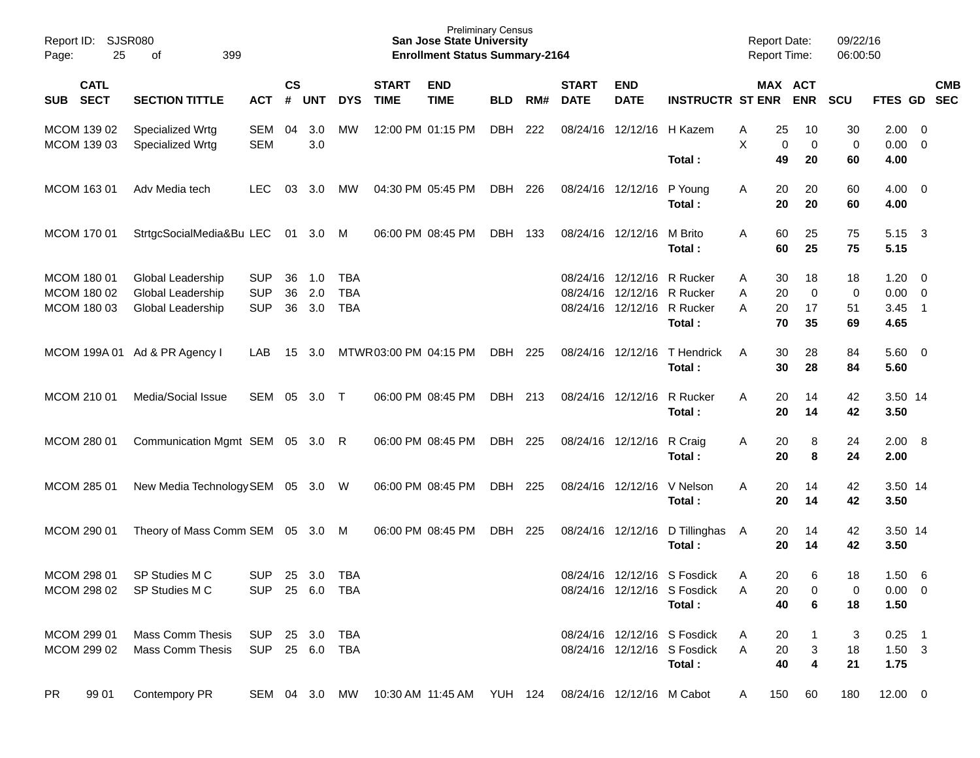| Report ID:<br>25<br>Page:                 | SJSR080<br>399<br>оf                                        |                                        |                    |                   |                                        |                             | <b>Preliminary Census</b><br><b>San Jose State University</b><br><b>Enrollment Status Summary-2164</b> |            |     |                                  |                                  |                                                                      | <b>Report Date:</b><br><b>Report Time:</b> |                       | 09/22/16<br>06:00:50          |                                 |                                                                       |                          |
|-------------------------------------------|-------------------------------------------------------------|----------------------------------------|--------------------|-------------------|----------------------------------------|-----------------------------|--------------------------------------------------------------------------------------------------------|------------|-----|----------------------------------|----------------------------------|----------------------------------------------------------------------|--------------------------------------------|-----------------------|-------------------------------|---------------------------------|-----------------------------------------------------------------------|--------------------------|
| <b>CATL</b><br><b>SECT</b><br><b>SUB</b>  | <b>SECTION TITTLE</b>                                       | <b>ACT</b>                             | $\mathsf{cs}$<br># | <b>UNT</b>        | <b>DYS</b>                             | <b>START</b><br><b>TIME</b> | <b>END</b><br><b>TIME</b>                                                                              | <b>BLD</b> | RM# | <b>START</b><br><b>DATE</b>      | <b>END</b><br><b>DATE</b>        | <b>INSTRUCTR ST ENR</b>                                              |                                            | MAX ACT<br><b>ENR</b> | <b>SCU</b>                    | FTES GD                         |                                                                       | <b>CMB</b><br><b>SEC</b> |
| MCOM 139 02<br>MCOM 139 03                | Specialized Wrtg<br>Specialized Wrtg                        | <b>SEM</b><br><b>SEM</b>               | 04                 | 3.0<br>3.0        | МW                                     |                             | 12:00 PM 01:15 PM                                                                                      | <b>DBH</b> | 222 | 08/24/16                         | 12/12/16                         | H Kazem                                                              | 25<br>Α<br>X                               | 10<br>0<br>0          | 30<br>$\mathbf 0$             | 2.00<br>0.00                    | $\overline{\phantom{0}}$<br>$\overline{0}$                            |                          |
| MCOM 163 01                               | Adv Media tech                                              | <b>LEC</b>                             | 03                 | 3.0               | МW                                     |                             | 04:30 PM 05:45 PM                                                                                      | <b>DBH</b> | 226 |                                  | 08/24/16 12/12/16                | Total:<br>P Young<br>Total:                                          | 49<br>20<br>Α<br>20                        | 20<br>20<br>20        | 60<br>60<br>60                | 4.00<br>4.00<br>4.00            | $\overline{\mathbf{0}}$                                               |                          |
| MCOM 170 01                               | StrtgcSocialMedia&Bu LEC                                    |                                        | 01                 | 3.0               | M                                      |                             | 06:00 PM 08:45 PM                                                                                      | <b>DBH</b> | 133 |                                  | 08/24/16 12/12/16                | M Brito<br>Total :                                                   | 60<br>A<br>60                              | 25<br>25              | 75<br>75                      | 5.15<br>5.15                    | $\overline{\mathbf{3}}$                                               |                          |
| MCOM 180 01<br>MCOM 180 02<br>MCOM 180 03 | Global Leadership<br>Global Leadership<br>Global Leadership | <b>SUP</b><br><b>SUP</b><br><b>SUP</b> | 36<br>36<br>36     | 1.0<br>2.0<br>3.0 | <b>TBA</b><br><b>TBA</b><br><b>TBA</b> |                             |                                                                                                        |            |     | 08/24/16<br>08/24/16<br>08/24/16 | 12/12/16<br>12/12/16<br>12/12/16 | R Rucker<br>R Rucker<br>R Rucker<br>Total:                           | 30<br>A<br>20<br>Α<br>A<br>20<br>70        | 18<br>0<br>17<br>35   | 18<br>$\mathbf 0$<br>51<br>69 | 1.20<br>0.00<br>3.45<br>4.65    | $\overline{\phantom{0}}$<br>$\overline{\mathbf{0}}$<br>$\overline{1}$ |                          |
|                                           | MCOM 199A 01 Ad & PR Agency I                               | LAB                                    | 15                 | 3.0               |                                        | MTWR03:00 PM 04:15 PM       |                                                                                                        | <b>DBH</b> | 225 | 08/24/16                         | 12/12/16                         | T Hendrick<br>Total:                                                 | A<br>30<br>30                              | 28<br>28              | 84<br>84                      | $5.60$ 0<br>5.60                |                                                                       |                          |
| MCOM 210 01                               | Media/Social Issue                                          | <b>SEM</b>                             | 05                 | 3.0               | $\top$                                 |                             | 06:00 PM 08:45 PM                                                                                      | <b>DBH</b> | 213 |                                  | 08/24/16 12/12/16                | R Rucker<br>Total :                                                  | A<br>20<br>20                              | 14<br>14              | 42<br>42                      | 3.50 14<br>3.50                 |                                                                       |                          |
| MCOM 280 01                               | Communication Mgmt SEM 05                                   |                                        |                    | 3.0 R             |                                        |                             | 06:00 PM 08:45 PM                                                                                      | DBH        | 225 |                                  | 08/24/16 12/12/16                | R Craig<br>Total:                                                    | 20<br>Α<br>20                              | 8<br>8                | 24<br>24                      | 2.00 8<br>2.00                  |                                                                       |                          |
| MCOM 285 01                               | New Media Technology SEM                                    |                                        | 05                 | 3.0               | - W                                    |                             | 06:00 PM 08:45 PM                                                                                      | DBH        | 225 |                                  | 08/24/16 12/12/16                | V Nelson<br>Total :                                                  | A<br>20<br>20                              | 14<br>14              | 42<br>42                      | 3.50 14<br>3.50                 |                                                                       |                          |
| MCOM 290 01                               | Theory of Mass Comm SEM 05                                  |                                        |                    | 3.0               | M                                      |                             | 06:00 PM 08:45 PM                                                                                      | <b>DBH</b> | 225 |                                  | 08/24/16 12/12/16                | D Tillinghas<br>Total:                                               | 20<br>Α<br>20                              | 14<br>14              | 42<br>42                      | 3.50 14<br>3.50                 |                                                                       |                          |
| MCOM 298 01 SP Studies M C                | MCOM 298 02 SP Studies M C                                  | SUP 25 3.0 TBA<br>SUP 25 6.0 TBA       |                    |                   |                                        |                             |                                                                                                        |            |     |                                  |                                  | 08/24/16 12/12/16 S Fosdick<br>08/24/16 12/12/16 S Fosdick<br>Total: | 20<br>$\mathsf{A}$<br>A<br>20<br>40        | 6<br>0<br>6           | 18<br>0<br>18                 | 1.506<br>$0.00 \quad 0$<br>1.50 |                                                                       |                          |
| MCOM 299 01<br>MCOM 299 02                | Mass Comm Thesis SUP 25 3.0 TBA<br><b>Mass Comm Thesis</b>  | SUP 25 6.0 TBA                         |                    |                   |                                        |                             |                                                                                                        |            |     |                                  |                                  | 08/24/16 12/12/16 S Fosdick<br>08/24/16 12/12/16 S Fosdick<br>Total: | 20<br>A<br>20<br>A<br>40                   | 1<br>3<br>4           | 3<br>18<br>21                 | $0.25$ 1<br>$1.50 \t3$<br>1.75  |                                                                       |                          |
| <b>PR</b><br>99 01                        | Contempory PR                                               |                                        |                    |                   |                                        |                             | SEM 04 3.0 MW 10:30 AM 11:45 AM YUH 124 08/24/16 12/12/16 M Cabot                                      |            |     |                                  |                                  |                                                                      | 150<br>A                                   | 60                    | 180                           | $12.00 \t 0$                    |                                                                       |                          |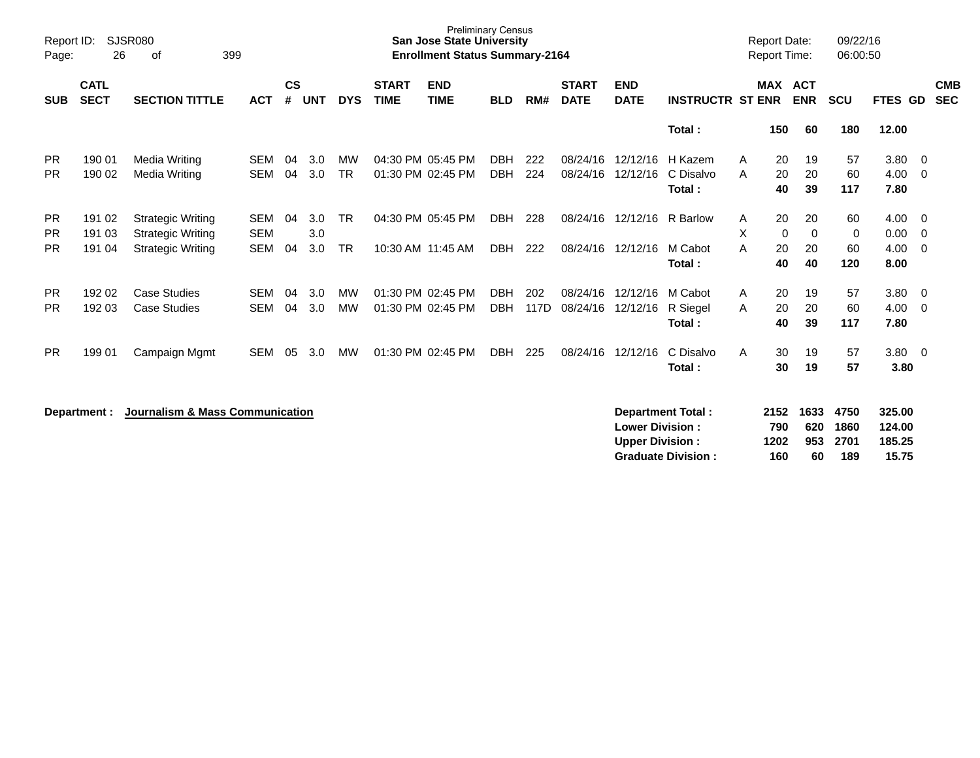| Report ID:<br>Page:                 | 26                         | SJSR080<br>399<br>οf                                                             |                                        |                    |                   |                        |                             | <b>Preliminary Census</b><br><b>San Jose State University</b><br><b>Enrollment Status Summary-2164</b> |                                        |                    |                                  |                                                  |                                                          |             | <b>Report Date:</b><br><b>Report Time:</b> |                                | 09/22/16<br>06:00:50              |                                             |                              |
|-------------------------------------|----------------------------|----------------------------------------------------------------------------------|----------------------------------------|--------------------|-------------------|------------------------|-----------------------------|--------------------------------------------------------------------------------------------------------|----------------------------------------|--------------------|----------------------------------|--------------------------------------------------|----------------------------------------------------------|-------------|--------------------------------------------|--------------------------------|-----------------------------------|---------------------------------------------|------------------------------|
| <b>SUB</b>                          | <b>CATL</b><br><b>SECT</b> | <b>SECTION TITTLE</b>                                                            | <b>ACT</b>                             | $\mathsf{cs}$<br># | <b>UNT</b>        | <b>DYS</b>             | <b>START</b><br><b>TIME</b> | <b>END</b><br><b>TIME</b>                                                                              | <b>BLD</b>                             | RM#                | <b>START</b><br><b>DATE</b>      | <b>END</b><br><b>DATE</b>                        | <b>INSTRUCTR ST ENR</b>                                  |             | <b>MAX ACT</b>                             | <b>ENR</b>                     | <b>SCU</b>                        | FTES GD                                     | <b>CMB</b><br><b>SEC</b>     |
|                                     |                            |                                                                                  |                                        |                    |                   |                        |                             |                                                                                                        |                                        |                    |                                  |                                                  | Total:                                                   |             | 150                                        | 60                             | 180                               | 12.00                                       |                              |
| <b>PR</b><br><b>PR</b>              | 190 01<br>190 02           | Media Writing<br>Media Writing                                                   | SEM<br><b>SEM</b>                      | 04<br>04           | 3.0<br>3.0        | МW<br><b>TR</b>        |                             | 04:30 PM 05:45 PM<br>01:30 PM 02:45 PM                                                                 | <b>DBH</b><br><b>DBH</b>               | 222<br>224         | 08/24/16<br>08/24/16             | 12/12/16<br>12/12/16                             | H Kazem<br>C Disalvo<br>Total:                           | A<br>A      | 20<br>20<br>40                             | 19<br>20<br>39                 | 57<br>60<br>117                   | 3.80<br>4.00<br>7.80                        | - 0<br>- 0                   |
| <b>PR</b><br><b>PR</b><br><b>PR</b> | 191 02<br>191 03<br>191 04 | <b>Strategic Writing</b><br><b>Strategic Writing</b><br><b>Strategic Writing</b> | <b>SEM</b><br><b>SEM</b><br><b>SEM</b> | 04<br>04           | 3.0<br>3.0<br>3.0 | <b>TR</b><br><b>TR</b> |                             | 04:30 PM 05:45 PM<br>10:30 AM 11:45 AM                                                                 | DBH<br><b>DBH</b>                      | 228<br>222         | 08/24/16<br>08/24/16 12/12/16    | 12/12/16                                         | R Barlow<br>M Cabot<br>Total:                            | A<br>X<br>A | 20<br>0<br>20<br>40                        | 20<br>$\mathbf 0$<br>20<br>40  | 60<br>0<br>60<br>120              | 4.00<br>0.00<br>4.00<br>8.00                | - 0<br>- 0<br>$\overline{0}$ |
| PR.<br><b>PR</b><br><b>PR</b>       | 192 02<br>192 03<br>199 01 | <b>Case Studies</b><br><b>Case Studies</b><br>Campaign Mgmt                      | <b>SEM</b><br><b>SEM</b><br><b>SEM</b> | 04<br>04<br>05     | 3.0<br>3.0<br>3.0 | MW<br><b>MW</b><br>MW  |                             | 01:30 PM 02:45 PM<br>01:30 PM 02:45 PM<br>01:30 PM 02:45 PM                                            | <b>DBH</b><br><b>DBH</b><br><b>DBH</b> | 202<br>117D<br>225 | 08/24/16<br>08/24/16<br>08/24/16 | 12/12/16<br>12/12/16<br>12/12/16                 | M Cabot<br>R Siegel<br>Total:<br>C Disalvo               | A<br>A<br>A | 20<br>20<br>40<br>30                       | 19<br>20<br>39<br>19           | 57<br>60<br>117<br>57             | 3.80<br>4.00<br>7.80<br>3.80 0              | - 0<br>$\overline{0}$        |
|                                     | Department :               | Journalism & Mass Communication                                                  |                                        |                    |                   |                        |                             |                                                                                                        |                                        |                    |                                  | <b>Lower Division:</b><br><b>Upper Division:</b> | Total:<br>Department Total:<br><b>Graduate Division:</b> |             | 30<br>2152<br>790<br>1202<br>160           | 19<br>1633<br>620<br>953<br>60 | 57<br>4750<br>1860<br>2701<br>189 | 3.80<br>325.00<br>124.00<br>185.25<br>15.75 |                              |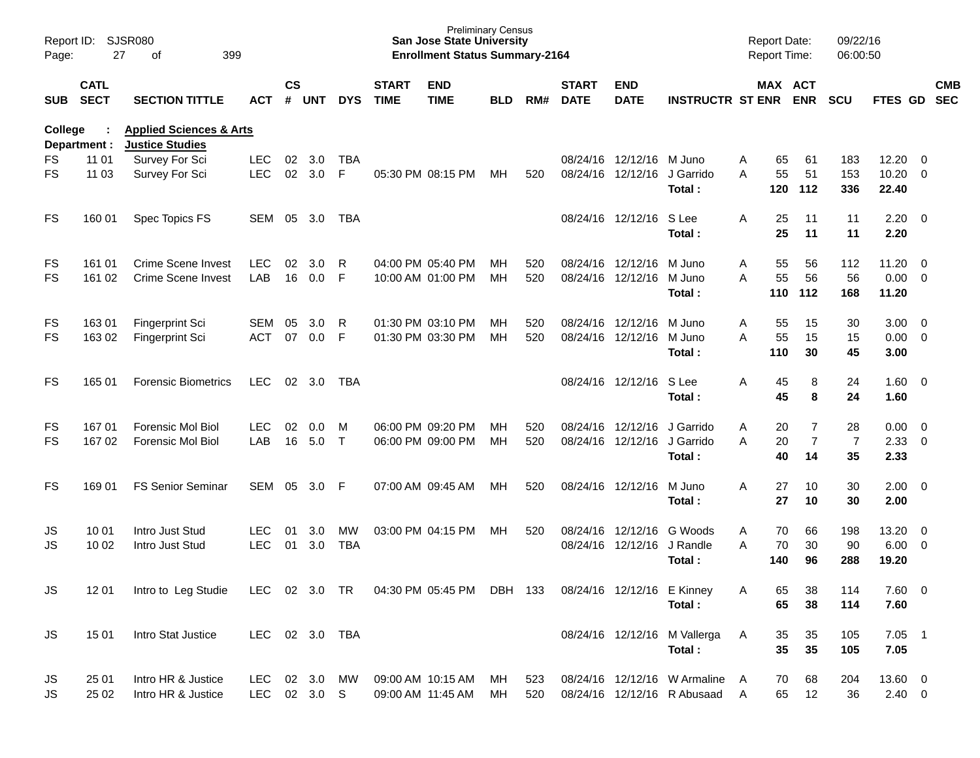| Report ID:<br>Page: | 27                         | SJSR080<br>399<br>of                                         |                |                |            |            |                             | <b>Preliminary Census</b><br><b>San Jose State University</b><br><b>Enrollment Status Summary-2164</b> |            |     |                             |                            |                                |   | <b>Report Date:</b><br>Report Time: |                | 09/22/16<br>06:00:50 |                |                          |            |
|---------------------|----------------------------|--------------------------------------------------------------|----------------|----------------|------------|------------|-----------------------------|--------------------------------------------------------------------------------------------------------|------------|-----|-----------------------------|----------------------------|--------------------------------|---|-------------------------------------|----------------|----------------------|----------------|--------------------------|------------|
| <b>SUB</b>          | <b>CATL</b><br><b>SECT</b> | <b>SECTION TITTLE</b>                                        | ACT            | <b>CS</b><br># | <b>UNT</b> | <b>DYS</b> | <b>START</b><br><b>TIME</b> | <b>END</b><br><b>TIME</b>                                                                              | <b>BLD</b> | RM# | <b>START</b><br><b>DATE</b> | <b>END</b><br><b>DATE</b>  | <b>INSTRUCTR ST ENR</b>        |   | MAX ACT                             | <b>ENR</b>     | <b>SCU</b>           | FTES GD SEC    |                          | <b>CMB</b> |
| College             | Department :               | <b>Applied Sciences &amp; Arts</b><br><b>Justice Studies</b> |                |                |            |            |                             |                                                                                                        |            |     |                             |                            |                                |   |                                     |                |                      |                |                          |            |
| FS                  | 11 01                      | Survey For Sci                                               | <b>LEC</b>     | 02             | 3.0        | <b>TBA</b> |                             |                                                                                                        |            |     |                             | 08/24/16 12/12/16 M Juno   |                                | Α | 65                                  | 61             | 183                  | 12.20          | - 0                      |            |
| <b>FS</b>           | 11 03                      | Survey For Sci                                               | <b>LEC</b>     | 02             | 3.0        | F.         |                             | 05:30 PM 08:15 PM                                                                                      | MН         | 520 |                             | 08/24/16 12/12/16          | J Garrido<br>Total:            | A | 55<br>120                           | 51<br>112      | 153<br>336           | 10.20<br>22.40 | $\overline{0}$           |            |
| FS                  | 160 01                     | Spec Topics FS                                               | SEM            | 05             | 3.0        | TBA        |                             |                                                                                                        |            |     |                             | 08/24/16 12/12/16          | S Lee                          | A | 25                                  | 11             | 11                   | 2.20           | $\overline{\phantom{0}}$ |            |
|                     |                            |                                                              |                |                |            |            |                             |                                                                                                        |            |     |                             |                            | Total:                         |   | 25                                  | 11             | 11                   | 2.20           |                          |            |
| FS                  | 161 01                     | <b>Crime Scene Invest</b>                                    | <b>LEC</b>     | 02             | 3.0        | R          |                             | 04:00 PM 05:40 PM                                                                                      | MН         | 520 |                             | 08/24/16 12/12/16          | M Juno                         | Α | 55                                  | 56             | 112                  | 11.20          | $\overline{0}$           |            |
| <b>FS</b>           | 161 02                     | <b>Crime Scene Invest</b>                                    | LAB            | 16             | 0.0        | F          |                             | 10:00 AM 01:00 PM                                                                                      | MH         | 520 |                             | 08/24/16 12/12/16          | M Juno                         | A | 55                                  | 56             | 56                   | 0.00           | $\overline{0}$           |            |
|                     |                            |                                                              |                |                |            |            |                             |                                                                                                        |            |     |                             |                            | Total :                        |   | 110                                 | 112            | 168                  | 11.20          |                          |            |
| FS                  | 16301                      | <b>Fingerprint Sci</b>                                       | <b>SEM</b>     | 05             | 3.0        | R          |                             | 01:30 PM 03:10 PM                                                                                      | MН         | 520 |                             | 08/24/16 12/12/16          | M Juno                         | Α | 55                                  | 15             | 30                   | 3.00           | $\overline{\mathbf{0}}$  |            |
| <b>FS</b>           | 163 02                     | <b>Fingerprint Sci</b>                                       | <b>ACT</b>     | 07             | 0.0        | F          |                             | 01:30 PM 03:30 PM                                                                                      | MH         | 520 |                             | 08/24/16 12/12/16          | M Juno                         | A | 55                                  | 15             | 15                   | 0.00           | $\overline{\mathbf{0}}$  |            |
|                     |                            |                                                              |                |                |            |            |                             |                                                                                                        |            |     |                             |                            | Total:                         |   | 110                                 | 30             | 45                   | 3.00           |                          |            |
| <b>FS</b>           | 165 01                     | <b>Forensic Biometrics</b>                                   | <b>LEC</b>     | 02             | 3.0        | TBA        |                             |                                                                                                        |            |     |                             | 08/24/16 12/12/16          | S Lee                          | A | 45                                  | 8              | 24                   | 1.60           | $\overline{\mathbf{0}}$  |            |
|                     |                            |                                                              |                |                |            |            |                             |                                                                                                        |            |     |                             |                            | Total:                         |   | 45                                  | 8              | 24                   | 1.60           |                          |            |
| FS                  | 16701                      | <b>Forensic Mol Biol</b>                                     | LEC.           | 02             | 0.0        | M          |                             | 06:00 PM 09:20 PM                                                                                      | MН         | 520 |                             | 08/24/16 12/12/16          | J Garrido                      | Α | 20                                  | $\overline{7}$ | 28                   | 0.00           | $\overline{\mathbf{0}}$  |            |
| <b>FS</b>           | 167 02                     | <b>Forensic Mol Biol</b>                                     | LAB            | 16             | 5.0        | $\top$     |                             | 06:00 PM 09:00 PM                                                                                      | MH         | 520 |                             | 08/24/16 12/12/16          | J Garrido                      | A | 20                                  | $\overline{7}$ | $\overline{7}$       | 2.33           | $\overline{0}$           |            |
|                     |                            |                                                              |                |                |            |            |                             |                                                                                                        |            |     |                             |                            | Total:                         |   | 40                                  | 14             | 35                   | 2.33           |                          |            |
| <b>FS</b>           | 169 01                     | <b>FS Senior Seminar</b>                                     | <b>SEM</b>     | 05             | 3.0        | F          |                             | 07:00 AM 09:45 AM                                                                                      | MН         | 520 |                             | 08/24/16 12/12/16          | M Juno                         | A | 27                                  | 10             | 30                   | 2.00           | $\overline{\phantom{0}}$ |            |
|                     |                            |                                                              |                |                |            |            |                             |                                                                                                        |            |     |                             |                            | Total :                        |   | 27                                  | 10             | 30                   | 2.00           |                          |            |
| JS                  | 10 01                      | Intro Just Stud                                              | <b>LEC</b>     | 01             | 3.0        | MW         |                             | 03:00 PM 04:15 PM                                                                                      | MН         | 520 |                             | 08/24/16 12/12/16          | G Woods                        | A | 70                                  | 66             | 198                  | 13.20          | $\overline{\mathbf{0}}$  |            |
| JS                  | 10 02                      | Intro Just Stud                                              | <b>LEC</b>     | 01             | 3.0        | <b>TBA</b> |                             |                                                                                                        |            |     |                             | 08/24/16 12/12/16          | J Randle                       | A | 70                                  | 30             | 90                   | 6.00           | $\overline{0}$           |            |
|                     |                            |                                                              |                |                |            |            |                             |                                                                                                        |            |     |                             |                            | Total:                         |   | 140                                 | 96             | 288                  | 19.20          |                          |            |
| JS.                 | 12 01                      | Intro to Leg Studie                                          |                |                |            |            |                             | LEC 02 3.0 TR  04:30 PM  05:45 PM  DBH  133                                                            |            |     |                             | 08/24/16 12/12/16 E Kinney |                                | Α | 65                                  | 38             | 114                  | 7.60 0         |                          |            |
|                     |                            |                                                              |                |                |            |            |                             |                                                                                                        |            |     |                             |                            | Total:                         |   | 65                                  | 38             | 114                  | 7.60           |                          |            |
| <b>JS</b>           | 15 01                      | Intro Stat Justice                                           | LEC 02 3.0 TBA |                |            |            |                             |                                                                                                        |            |     |                             |                            | 08/24/16 12/12/16 M Vallerga   | A | 35                                  | 35             | 105                  | $7.05$ 1       |                          |            |
|                     |                            |                                                              |                |                |            |            |                             |                                                                                                        |            |     |                             |                            | Total:                         |   | 35                                  | 35             | 105                  | 7.05           |                          |            |
| JS                  | 25 01                      | Intro HR & Justice                                           | LEC 02 3.0     |                |            | MW         |                             | 09:00 AM 10:15 AM                                                                                      | МH         | 523 |                             |                            | 08/24/16 12/12/16 W Armaline A |   | 70                                  | 68             | 204                  | 13.60 0        |                          |            |
| JS.                 | 25 02                      | Intro HR & Justice                                           | LEC 02 3.0 S   |                |            |            |                             | 09:00 AM 11:45 AM                                                                                      | МH         | 520 |                             |                            | 08/24/16 12/12/16 R Abusaad A  |   | 65                                  | 12             | 36                   | $2.40 \ 0$     |                          |            |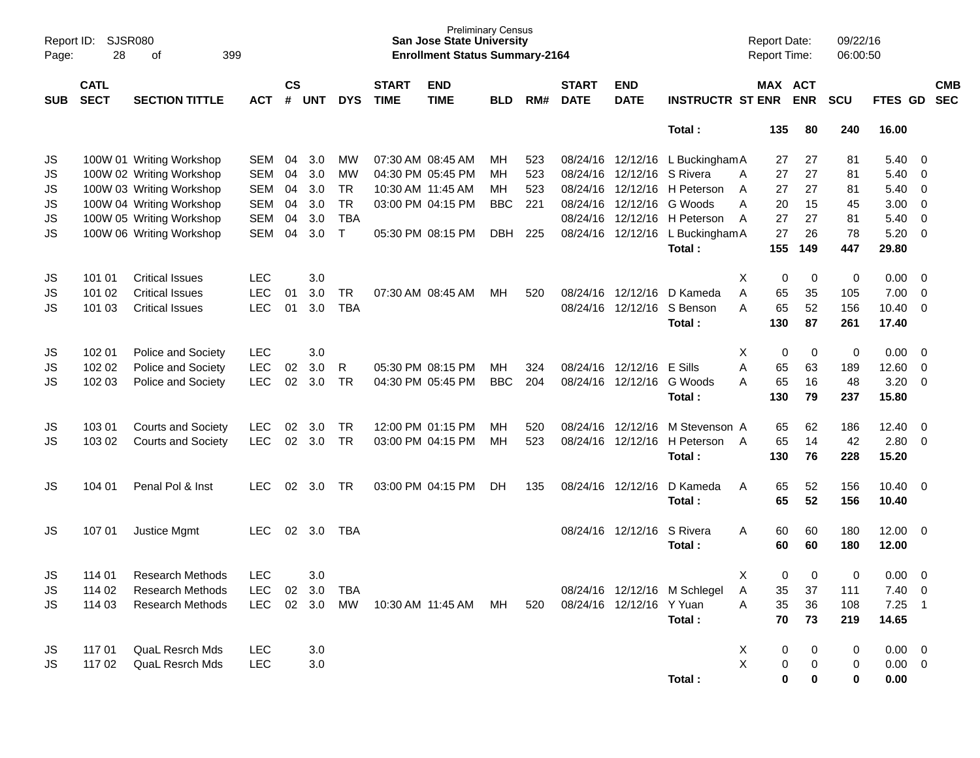| Report ID:<br>Page: | 28                         | <b>SJSR080</b><br>399<br>оf |            |                    |            |            |                             | <b>Preliminary Census</b><br><b>San Jose State University</b><br><b>Enrollment Status Summary-2164</b> |            |     |                             |                           |                                  | <b>Report Date:</b><br><b>Report Time:</b> |            | 09/22/16<br>06:00:50 |             |                          |
|---------------------|----------------------------|-----------------------------|------------|--------------------|------------|------------|-----------------------------|--------------------------------------------------------------------------------------------------------|------------|-----|-----------------------------|---------------------------|----------------------------------|--------------------------------------------|------------|----------------------|-------------|--------------------------|
| <b>SUB</b>          | <b>CATL</b><br><b>SECT</b> | <b>SECTION TITTLE</b>       | <b>ACT</b> | $\mathsf{cs}$<br># | <b>UNT</b> | <b>DYS</b> | <b>START</b><br><b>TIME</b> | <b>END</b><br><b>TIME</b>                                                                              | <b>BLD</b> | RM# | <b>START</b><br><b>DATE</b> | <b>END</b><br><b>DATE</b> | <b>INSTRUCTR ST ENR</b>          | MAX ACT                                    | <b>ENR</b> | <b>SCU</b>           | FTES GD     | <b>CMB</b><br><b>SEC</b> |
|                     |                            |                             |            |                    |            |            |                             |                                                                                                        |            |     |                             |                           | Total:                           | 135                                        | 80         | 240                  | 16.00       |                          |
| JS                  |                            | 100W 01 Writing Workshop    | SEM        | 04                 | 3.0        | <b>MW</b>  |                             | 07:30 AM 08:45 AM                                                                                      | мн         | 523 |                             |                           | 08/24/16 12/12/16 L Buckingham A | 27                                         | 27         | 81                   | 5.40        | $\overline{\mathbf{0}}$  |
| JS                  |                            | 100W 02 Writing Workshop    | SEM        | 04                 | 3.0        | MW         |                             | 04:30 PM 05:45 PM                                                                                      | MН         | 523 |                             | 08/24/16 12/12/16         | S Rivera                         | 27<br>A                                    | 27         | 81                   | 5.40        | 0                        |
| JS                  |                            | 100W 03 Writing Workshop    | <b>SEM</b> | 04                 | 3.0        | <b>TR</b>  |                             | 10:30 AM 11:45 AM                                                                                      | MН         | 523 |                             |                           | 08/24/16 12/12/16 H Peterson     | A<br>27                                    | 27         | 81                   | 5.40        | $\overline{0}$           |
| JS                  |                            | 100W 04 Writing Workshop    | SEM        | 04                 | 3.0        | <b>TR</b>  |                             | 03:00 PM 04:15 PM                                                                                      | <b>BBC</b> | 221 |                             | 08/24/16 12/12/16         | G Woods                          | A<br>20                                    | 15         | 45                   | 3.00        | 0                        |
| JS                  |                            | 100W 05 Writing Workshop    | <b>SEM</b> | 04                 | 3.0        | <b>TBA</b> |                             |                                                                                                        |            |     |                             |                           | 08/24/16 12/12/16 H Peterson     | 27<br>A                                    | 27         | 81                   | 5.40        | $\overline{0}$           |
| JS                  |                            | 100W 06 Writing Workshop    | SEM        | 04                 | 3.0        | $\top$     |                             | 05:30 PM 08:15 PM                                                                                      | <b>DBH</b> | 225 |                             |                           | 08/24/16 12/12/16 L Buckingham A | 27                                         | 26         | 78                   | 5.20        | $\overline{0}$           |
|                     |                            |                             |            |                    |            |            |                             |                                                                                                        |            |     |                             |                           | Total:                           | 155                                        | 149        | 447                  | 29.80       |                          |
| JS                  | 101 01                     | <b>Critical Issues</b>      | LEC        |                    | 3.0        |            |                             |                                                                                                        |            |     |                             |                           |                                  | х<br>0                                     | 0          | 0                    | 0.00        | $\overline{\mathbf{0}}$  |
| JS                  | 101 02                     | <b>Critical Issues</b>      | <b>LEC</b> | 01                 | 3.0        | <b>TR</b>  |                             | 07:30 AM 08:45 AM                                                                                      | MН         | 520 |                             | 08/24/16 12/12/16         | D Kameda                         | A<br>65                                    | 35         | 105                  | 7.00        | 0                        |
| JS                  | 101 03                     | <b>Critical Issues</b>      | <b>LEC</b> | 01                 | 3.0        | <b>TBA</b> |                             |                                                                                                        |            |     |                             | 08/24/16 12/12/16         | S Benson                         | A<br>65                                    | 52         | 156                  | 10.40       | 0                        |
|                     |                            |                             |            |                    |            |            |                             |                                                                                                        |            |     |                             |                           | Total:                           | 130                                        | 87         | 261                  | 17.40       |                          |
| JS                  | 102 01                     | Police and Society          | <b>LEC</b> |                    | 3.0        |            |                             |                                                                                                        |            |     |                             |                           |                                  | Х<br>0                                     | 0          | 0                    | 0.00        | $\overline{\mathbf{0}}$  |
| JS                  | 102 02                     | Police and Society          | <b>LEC</b> | 02                 | 3.0        | R          |                             | 05:30 PM 08:15 PM                                                                                      | MН         | 324 |                             | 08/24/16 12/12/16         | <b>E</b> Sills                   | A<br>65                                    | 63         | 189                  | 12.60       | 0                        |
| JS                  | 102 03                     | Police and Society          | <b>LEC</b> | 02                 | 3.0        | <b>TR</b>  |                             | 04:30 PM 05:45 PM                                                                                      | <b>BBC</b> | 204 |                             | 08/24/16 12/12/16         | G Woods                          | A<br>65                                    | 16         | 48                   | 3.20        | 0                        |
|                     |                            |                             |            |                    |            |            |                             |                                                                                                        |            |     |                             |                           | Total:                           | 130                                        | 79         | 237                  | 15.80       |                          |
| JS                  | 103 01                     | <b>Courts and Society</b>   | <b>LEC</b> | 02                 | 3.0        | TR         |                             | 12:00 PM 01:15 PM                                                                                      | мн         | 520 |                             | 08/24/16 12/12/16         | M Stevenson A                    | 65                                         | 62         | 186                  | 12.40       | $\overline{\mathbf{0}}$  |
| JS                  | 103 02                     | <b>Courts and Society</b>   | <b>LEC</b> | 02                 | 3.0        | TR         |                             | 03:00 PM 04:15 PM                                                                                      | МH         | 523 |                             |                           | 08/24/16 12/12/16 H Peterson     | 65<br>A                                    | 14         | 42                   | 2.80        | 0                        |
|                     |                            |                             |            |                    |            |            |                             |                                                                                                        |            |     |                             |                           | Total:                           | 130                                        | 76         | 228                  | 15.20       |                          |
| JS                  | 104 01                     | Penal Pol & Inst            | LEC        | 02                 | 3.0        | TR         |                             | 03:00 PM 04:15 PM                                                                                      | DH.        | 135 |                             | 08/24/16 12/12/16         | D Kameda                         | Α<br>65                                    | 52         | 156                  | 10.40       | $\overline{\mathbf{0}}$  |
|                     |                            |                             |            |                    |            |            |                             |                                                                                                        |            |     |                             |                           | Total:                           | 65                                         | 52         | 156                  | 10.40       |                          |
| JS                  | 107 01                     | Justice Mgmt                | LEC        | 02                 | 3.0        | TBA        |                             |                                                                                                        |            |     |                             | 08/24/16 12/12/16         | S Rivera                         | Α<br>60                                    | 60         | 180                  | 12.00       | $\overline{\mathbf{0}}$  |
|                     |                            |                             |            |                    |            |            |                             |                                                                                                        |            |     |                             |                           | Total:                           | 60                                         | 60         | 180                  | 12.00       |                          |
| JS                  | 114 01                     | <b>Research Methods</b>     | <b>LEC</b> |                    | 3.0        |            |                             |                                                                                                        |            |     |                             |                           |                                  | X<br>0                                     | 0          | 0                    | $0.00\,$    | 0                        |
| JS                  | 114 02                     | Research Methods            | <b>LEC</b> | 02                 | 3.0        | TBA        |                             |                                                                                                        |            |     |                             |                           | 08/24/16 12/12/16 M Schlegel     | A<br>35                                    | 37         | 111                  | $7.40 \ 0$  |                          |
| JS                  | 114 03                     | <b>Research Methods</b>     | <b>LEC</b> |                    | 02 3.0     | MW         |                             | 10:30 AM 11:45 AM MH                                                                                   |            | 520 |                             | 08/24/16 12/12/16 Y Yuan  |                                  | 35<br>Α                                    | 36         | 108                  | 7.25        |                          |
|                     |                            |                             |            |                    |            |            |                             |                                                                                                        |            |     |                             |                           | Total:                           | 70                                         | 73         | 219                  | 14.65       |                          |
| JS                  | 11701                      | <b>QuaL Resrch Mds</b>      | <b>LEC</b> |                    | 3.0        |            |                             |                                                                                                        |            |     |                             |                           |                                  | X<br>0                                     | 0          | 0                    | $0.00 \t 0$ |                          |
| JS                  | 117 02                     | <b>QuaL Resrch Mds</b>      | <b>LEC</b> |                    | 3.0        |            |                             |                                                                                                        |            |     |                             |                           |                                  | $\pmb{\times}$<br>0                        | 0          | 0                    | $0.00 \t 0$ |                          |
|                     |                            |                             |            |                    |            |            |                             |                                                                                                        |            |     |                             |                           | Total:                           | 0                                          | 0          | 0                    | 0.00        |                          |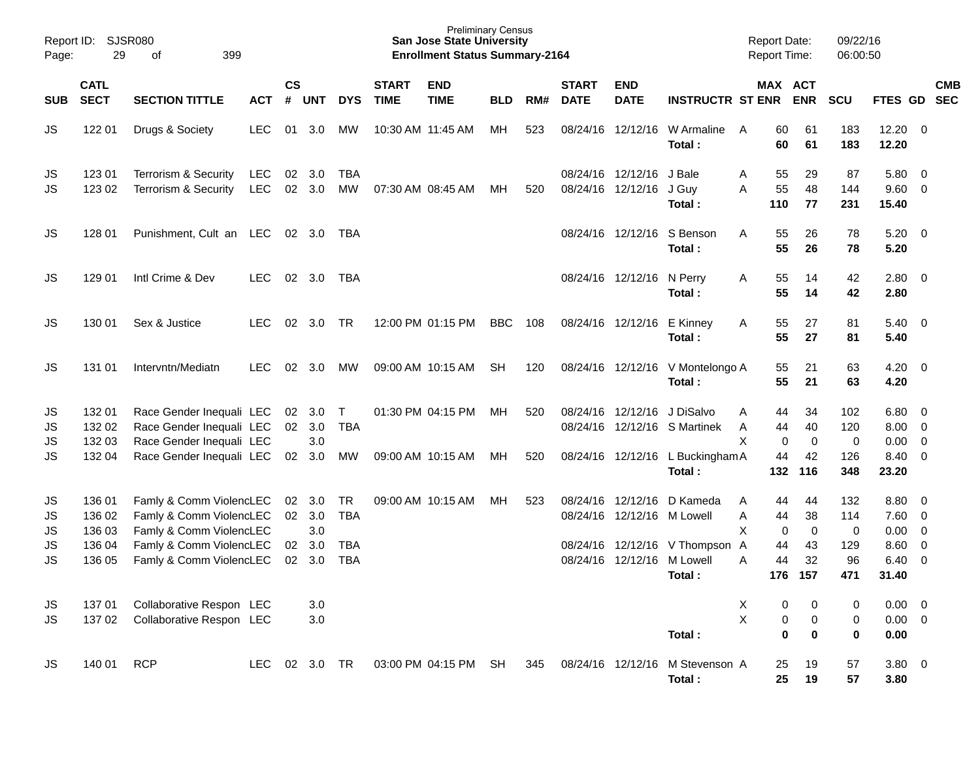| Page:                       | Report ID: SJSR080<br>29             | 399<br>of                                                                                                |            |           |                                |                                       |                             | <b>Preliminary Census</b><br><b>San Jose State University</b><br><b>Enrollment Status Summary-2164</b> |            |     |                             |                                                     |                                                              | <b>Report Date:</b><br>Report Time:          |                     | 09/22/16<br>06:00:50   |                                             |                          |            |
|-----------------------------|--------------------------------------|----------------------------------------------------------------------------------------------------------|------------|-----------|--------------------------------|---------------------------------------|-----------------------------|--------------------------------------------------------------------------------------------------------|------------|-----|-----------------------------|-----------------------------------------------------|--------------------------------------------------------------|----------------------------------------------|---------------------|------------------------|---------------------------------------------|--------------------------|------------|
| <b>SUB</b>                  | <b>CATL</b><br><b>SECT</b>           | <b>SECTION TITTLE</b>                                                                                    | <b>ACT</b> | <b>CS</b> | # UNT                          | <b>DYS</b>                            | <b>START</b><br><b>TIME</b> | <b>END</b><br><b>TIME</b>                                                                              | <b>BLD</b> | RM# | <b>START</b><br><b>DATE</b> | <b>END</b><br><b>DATE</b>                           | <b>INSTRUCTR ST ENR ENR</b>                                  |                                              | MAX ACT             | <b>SCU</b>             | FTES GD SEC                                 |                          | <b>CMB</b> |
| JS                          | 122 01                               | Drugs & Society                                                                                          | <b>LEC</b> | 01        | 3.0                            | МW                                    |                             | 10:30 AM 11:45 AM                                                                                      | МH         | 523 |                             |                                                     | 08/24/16 12/12/16 W Armaline<br>Total:                       | 60<br>A<br>60                                | 61<br>61            | 183<br>183             | $12.20 \t 0$<br>12.20                       |                          |            |
| JS<br>JS                    | 123 01<br>123 02                     | Terrorism & Security<br>Terrorism & Security                                                             | LEC<br>LEC |           | 02 3.0<br>02 3.0               | TBA<br>MW                             |                             | 07:30 AM 08:45 AM                                                                                      | МH         | 520 |                             | 08/24/16 12/12/16 J Bale<br>08/24/16 12/12/16 J Guy | Total:                                                       | 55<br>A<br>55<br>A<br>110                    | 29<br>48<br>77      | 87<br>144<br>231       | 5.80 0<br>9.60 0<br>15.40                   |                          |            |
| JS                          | 128 01                               | Punishment, Cult an LEC 02 3.0 TBA                                                                       |            |           |                                |                                       |                             |                                                                                                        |            |     |                             |                                                     | 08/24/16 12/12/16 S Benson<br>Total:                         | 55<br>A<br>55                                | 26<br>26            | 78<br>78               | $5.20 \ 0$<br>5.20                          |                          |            |
| JS                          | 129 01                               | Intl Crime & Dev                                                                                         | <b>LEC</b> |           | 02 3.0                         | TBA                                   |                             |                                                                                                        |            |     |                             | 08/24/16 12/12/16 N Perry                           | Total:                                                       | 55<br>A<br>55                                | 14<br>14            | 42<br>42               | $2.80 \t 0$<br>2.80                         |                          |            |
| JS                          | 130 01                               | Sex & Justice                                                                                            | <b>LEC</b> | 02        | 3.0                            | TR                                    |                             | 12:00 PM 01:15 PM                                                                                      | BBC        | 108 |                             | 08/24/16 12/12/16 E Kinney                          | Total:                                                       | 55<br>A<br>55                                | 27<br>27            | 81<br>81               | $5.40 \ 0$<br>5.40                          |                          |            |
| JS                          | 131 01                               | Intervntn/Mediatn                                                                                        | <b>LEC</b> | 02        | 3.0                            | MW                                    |                             | 09:00 AM 10:15 AM                                                                                      | SH.        | 120 |                             |                                                     | 08/24/16 12/12/16 V Montelongo A<br>Total:                   | 55<br>55                                     | 21<br>21            | 63<br>63               | $4.20 \ 0$<br>4.20                          |                          |            |
| JS<br>JS<br>JS              | 132 01<br>132 02<br>132 03           | Race Gender Inequali LEC<br>Race Gender Inequali LEC<br>Race Gender Inequali LEC                         |            |           | 02 3.0<br>02 3.0<br>3.0        | $\top$<br>TBA                         |                             | 01:30 PM 04:15 PM                                                                                      | MН         | 520 |                             |                                                     | 08/24/16 12/12/16 J DiSalvo<br>08/24/16 12/12/16 S Martinek  | 44<br>Α<br>44<br>Α<br>X<br>$\mathbf 0$       | 34<br>40<br>0       | 102<br>120<br>0        | $6.80$ 0<br>$8.00 \t 0$<br>$0.00 \t 0$      |                          |            |
| <b>JS</b>                   | 132 04                               | Race Gender Inequali LEC                                                                                 |            | 02        | 3.0                            | МW                                    |                             | 09:00 AM 10:15 AM                                                                                      | МH         | 520 |                             |                                                     | 08/24/16 12/12/16 L Buckingham A<br>Total:                   | 44<br>132                                    | 42<br>116           | 126<br>348             | 8.40 0<br>23.20                             |                          |            |
| JS<br>JS<br><b>JS</b><br>JS | 136 01<br>136 02<br>136 03<br>136 04 | Famly & Comm ViolencLEC<br>Famly & Comm ViolencLEC<br>Famly & Comm ViolencLEC<br>Famly & Comm ViolencLEC |            | 02        | 02 3.0<br>3.0<br>3.0<br>02 3.0 | <b>TR</b><br><b>TBA</b><br><b>TBA</b> |                             | 09:00 AM 10:15 AM                                                                                      | MH         | 523 |                             | 08/24/16 12/12/16 M Lowell                          | 08/24/16 12/12/16 D Kameda<br>08/24/16 12/12/16 V Thompson A | 44<br>A<br>44<br>Α<br>X<br>$\mathbf 0$<br>44 | 44<br>38<br>0<br>43 | 132<br>114<br>0<br>129 | 8.80 0<br>$7.60$ 0<br>$0.00 \t 0$<br>8.60 0 |                          |            |
| <b>JS</b>                   | 136 05                               | Famly & Comm ViolencLEC                                                                                  |            | 02        | 3.0                            | <b>TBA</b>                            |                             |                                                                                                        |            |     | 08/24/16                    | 12/12/16                                            | M Lowell<br>Total:                                           | 44<br>A<br>176                               | 32<br>157           | 96<br>471              | 6.40<br>31.40                               | $\overline{\phantom{0}}$ |            |
| JS<br><b>JS</b>             | 137 01<br>137 02                     | Collaborative Respon LEC<br>Collaborative Respon LEC                                                     |            |           | 3.0<br>3.0                     |                                       |                             |                                                                                                        |            |     |                             |                                                     | Total:                                                       | X<br>0<br>X<br>$\pmb{0}$<br>$\bf{0}$         | 0<br>0<br>0         | 0<br>0<br>$\bf{0}$     | $0.00 \t 0$<br>$0.00 \t 0$<br>0.00          |                          |            |
| JS                          | 140 01                               | <b>RCP</b>                                                                                               | LEC        |           | 02 3.0 TR                      |                                       |                             | 03:00 PM 04:15 PM                                                                                      | SH         | 345 |                             | 08/24/16 12/12/16                                   | M Stevenson A<br>Total:                                      | 25<br>25                                     | 19<br>19            | 57<br>57               | $3.80\ 0$<br>3.80                           |                          |            |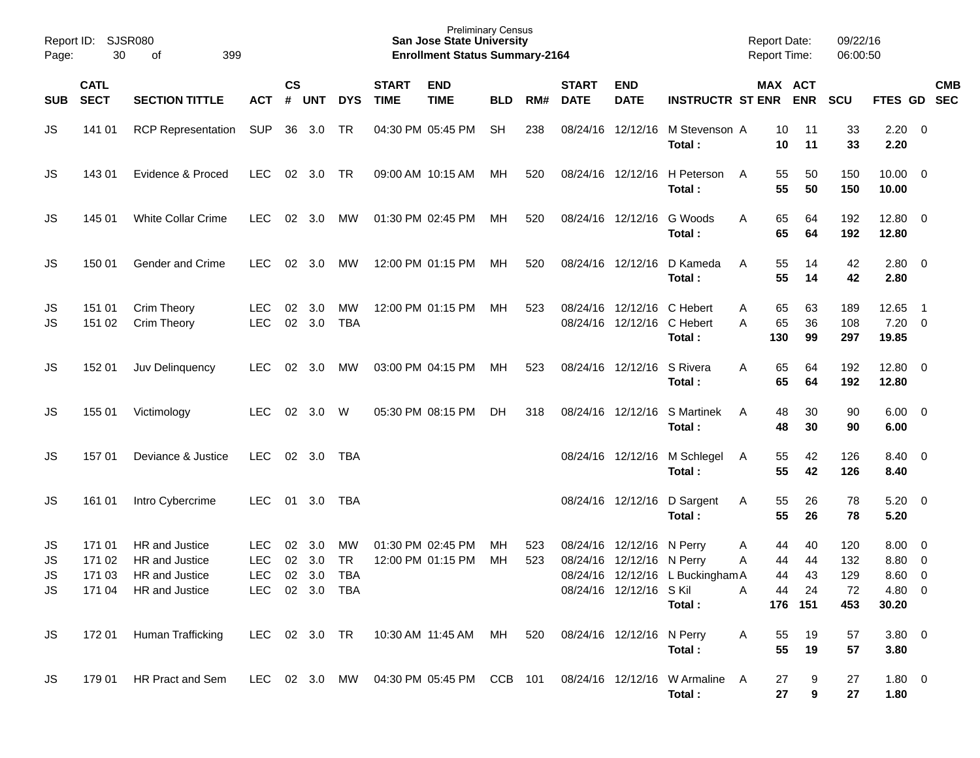| Page:                       | Report ID: SJSR080<br>30   | 399<br>of                                                                   |                                                   |                |                   |                               |                             | <b>Preliminary Census</b><br><b>San Jose State University</b><br><b>Enrollment Status Summary-2164</b> |                  |            |                             |                                                                                   |                                            | <b>Report Date:</b><br><b>Report Time:</b> |                                 | 09/22/16<br>06:00:50           |                                                               |                          |            |
|-----------------------------|----------------------------|-----------------------------------------------------------------------------|---------------------------------------------------|----------------|-------------------|-------------------------------|-----------------------------|--------------------------------------------------------------------------------------------------------|------------------|------------|-----------------------------|-----------------------------------------------------------------------------------|--------------------------------------------|--------------------------------------------|---------------------------------|--------------------------------|---------------------------------------------------------------|--------------------------|------------|
| <b>SUB</b>                  | <b>CATL</b><br><b>SECT</b> | <b>SECTION TITTLE</b>                                                       | <b>ACT</b>                                        | $\mathsf{cs}$  | # UNT             | <b>DYS</b>                    | <b>START</b><br><b>TIME</b> | <b>END</b><br><b>TIME</b>                                                                              | <b>BLD</b>       | RM#        | <b>START</b><br><b>DATE</b> | <b>END</b><br><b>DATE</b>                                                         | <b>INSTRUCTR ST ENR ENR</b>                | MAX ACT                                    |                                 | <b>SCU</b>                     | FTES GD SEC                                                   |                          | <b>CMB</b> |
| JS                          | 141 01                     | <b>RCP Representation</b>                                                   | <b>SUP</b>                                        | 36             | 3.0               | TR                            |                             | 04:30 PM 05:45 PM                                                                                      | <b>SH</b>        | 238        |                             | 08/24/16 12/12/16                                                                 | M Stevenson A<br>Total:                    | 10<br>10                                   | 11<br>11                        | 33<br>33                       | $2.20 \t 0$<br>2.20                                           |                          |            |
| JS                          | 143 01                     | Evidence & Proced                                                           | <b>LEC</b>                                        |                | 02 3.0            | TR                            |                             | 09:00 AM 10:15 AM                                                                                      | MH.              | 520        |                             |                                                                                   | 08/24/16 12/12/16 H Peterson<br>Total:     | 55<br>A<br>55                              | 50<br>50                        | 150<br>150                     | $10.00 \t 0$<br>10.00                                         |                          |            |
| JS                          | 145 01                     | White Collar Crime                                                          | LEC                                               | 02             | 3.0               | МW                            |                             | 01:30 PM 02:45 PM                                                                                      | MH.              | 520        |                             | 08/24/16 12/12/16 G Woods                                                         | Total:                                     | 65<br>Α<br>65                              | 64<br>64                        | 192<br>192                     | 12.80 0<br>12.80                                              |                          |            |
| JS                          | 150 01                     | <b>Gender and Crime</b>                                                     | LEC                                               | 02             | 3.0               | МW                            |                             | 12:00 PM 01:15 PM                                                                                      | MH.              | 520        |                             |                                                                                   | 08/24/16 12/12/16 D Kameda<br>Total:       | 55<br>A<br>55                              | 14<br>14                        | 42<br>42                       | $2.80 \t 0$<br>2.80                                           |                          |            |
| JS<br>JS                    | 151 01<br>151 02           | <b>Crim Theory</b><br><b>Crim Theory</b>                                    | LEC<br><b>LEC</b>                                 | 02             | 3.0<br>02 3.0     | МW<br><b>TBA</b>              |                             | 12:00 PM 01:15 PM                                                                                      | MH.              | 523        |                             | 08/24/16 12/12/16 C Hebert<br>08/24/16 12/12/16 C Hebert                          | Total:                                     | 65<br>Α<br>65<br>A<br>130                  | 63<br>36<br>99                  | 189<br>108<br>297              | 12.65<br>$7.20 \ 0$<br>19.85                                  | $\overline{\phantom{0}}$ |            |
| JS                          | 152 01                     | Juv Delinquency                                                             | LEC                                               | 02             | 3.0               | МW                            |                             | 03:00 PM 04:15 PM                                                                                      | МH               | 523        |                             | 08/24/16 12/12/16 S Rivera                                                        | Total:                                     | 65<br>Α<br>65                              | 64<br>64                        | 192<br>192                     | 12.80 0<br>12.80                                              |                          |            |
| JS                          | 155 01                     | Victimology                                                                 | LEC                                               | 02             | 3.0               | W                             |                             | 05:30 PM 08:15 PM                                                                                      | DH               | 318        |                             |                                                                                   | 08/24/16 12/12/16 S Martinek<br>Total:     | 48<br>A<br>48                              | 30<br>30                        | 90<br>90                       | $6.00 \quad 0$<br>6.00                                        |                          |            |
| JS                          | 15701                      | Deviance & Justice                                                          | <b>LEC</b>                                        |                | 02 3.0            | TBA                           |                             |                                                                                                        |                  |            |                             |                                                                                   | 08/24/16 12/12/16 M Schlegel<br>Total:     | 55<br>A<br>55                              | 42<br>42                        | 126<br>126                     | 8.40 0<br>8.40                                                |                          |            |
| JS                          | 161 01                     | Intro Cybercrime                                                            | LEC                                               | 01             | 3.0               | TBA                           |                             |                                                                                                        |                  |            |                             |                                                                                   | 08/24/16 12/12/16 D Sargent<br>Total:      | 55<br>A<br>55                              | 26<br>26                        | 78<br>78                       | $5.20 \ 0$<br>5.20                                            |                          |            |
| JS<br>JS<br><b>JS</b><br>JS | 171 01<br>171 02<br>171 03 | HR and Justice<br>HR and Justice<br>HR and Justice<br>171 04 HR and Justice | LEC<br><b>LEC</b><br><b>LEC</b><br>LEC 02 3.0 TBA | 02<br>02<br>02 | 3.0<br>3.0<br>3.0 | МW<br><b>TR</b><br><b>TBA</b> |                             | 01:30 PM 02:45 PM<br>12:00 PM 01:15 PM                                                                 | MH.<br><b>MH</b> | 523<br>523 |                             | 08/24/16 12/12/16 N Perry<br>08/24/16 12/12/16 N Perry<br>08/24/16 12/12/16 S Kil | 08/24/16 12/12/16 L Buckingham A<br>Total: | 44<br>A<br>44<br>Α<br>44<br>44<br>Α        | 40<br>44<br>43<br>24<br>176 151 | 120<br>132<br>129<br>72<br>453 | $8.00 \t 0$<br>$8.80\ 0$<br>$8.60 \quad 0$<br>4.80 0<br>30.20 |                          |            |
| <b>JS</b>                   | 17201                      | Human Trafficking                                                           | LEC 02 3.0 TR                                     |                |                   |                               |                             | 10:30 AM 11:45 AM MH 520                                                                               |                  |            | 08/24/16 12/12/16 N Perry   |                                                                                   | Total:                                     | 55<br>A<br>55                              | 19<br>19                        | 57<br>57                       | $3.80\ 0$<br>3.80                                             |                          |            |
| <b>JS</b>                   | 179 01                     | HR Pract and Sem                                                            |                                                   |                |                   |                               |                             | LEC 02 3.0 MW 04:30 PM 05:45 PM CCB 101                                                                |                  |            |                             |                                                                                   | 08/24/16 12/12/16 W Armaline<br>Total:     | 27<br>A<br>27                              | 9<br>9                          | 27<br>27                       | $1.80 \t 0$<br>1.80                                           |                          |            |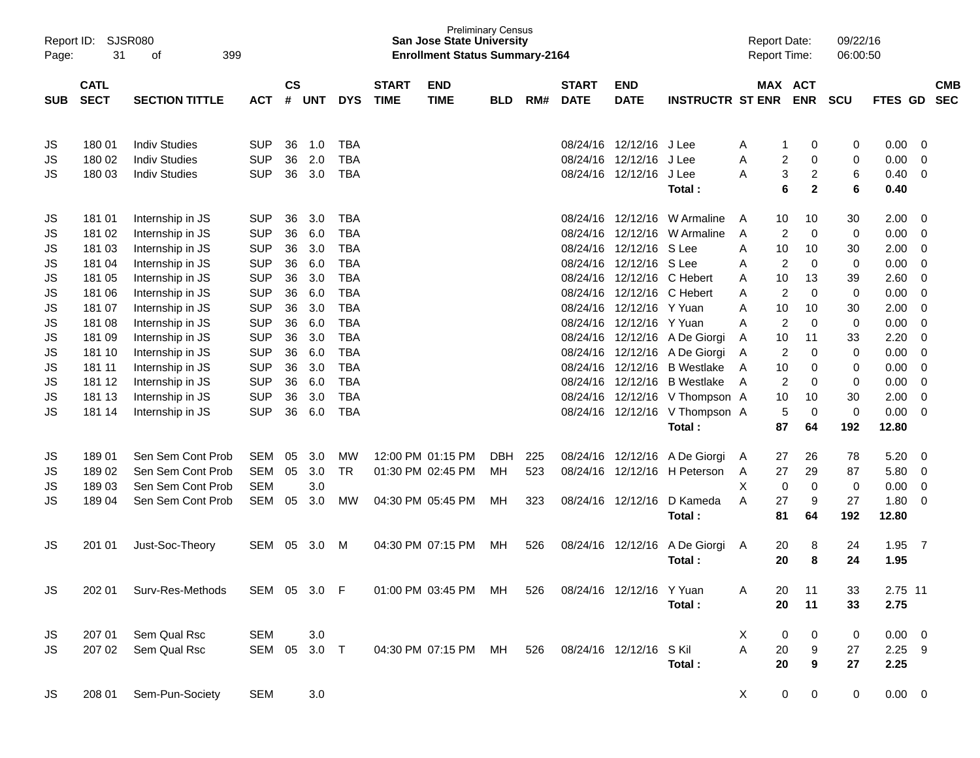| Page:      | <b>SJSR080</b><br>Report ID:<br>31<br>399<br>οf<br><b>CATL</b> |                       |              |               |            |                          |              | <b>Preliminary Census</b><br><b>San Jose State University</b><br><b>Enrollment Status Summary-2164</b> |            |     |              |                               |                                | <b>Report Date:</b><br><b>Report Time:</b> |                                                        | 09/22/16<br>06:00:50 |                |                      |            |
|------------|----------------------------------------------------------------|-----------------------|--------------|---------------|------------|--------------------------|--------------|--------------------------------------------------------------------------------------------------------|------------|-----|--------------|-------------------------------|--------------------------------|--------------------------------------------|--------------------------------------------------------|----------------------|----------------|----------------------|------------|
|            |                                                                |                       |              | $\mathsf{cs}$ |            |                          | <b>START</b> | <b>END</b>                                                                                             |            |     | <b>START</b> | <b>END</b>                    |                                |                                            | <b>MAX ACT</b>                                         |                      |                |                      | <b>CMB</b> |
| <b>SUB</b> | <b>SECT</b>                                                    | <b>SECTION TITTLE</b> | ACT          | #             | <b>UNT</b> | <b>DYS</b>               | <b>TIME</b>  | <b>TIME</b>                                                                                            | <b>BLD</b> | RM# | <b>DATE</b>  | <b>DATE</b>                   | <b>INSTRUCTR ST ENR</b>        |                                            | <b>ENR</b>                                             | <b>SCU</b>           | FTES GD        |                      | <b>SEC</b> |
|            |                                                                |                       |              |               |            |                          |              |                                                                                                        |            |     |              |                               |                                |                                            |                                                        |                      |                |                      |            |
| JS         | 180 01                                                         | <b>Indiv Studies</b>  | <b>SUP</b>   | 36            | 1.0        | <b>TBA</b>               |              |                                                                                                        |            |     |              | 08/24/16 12/12/16 J Lee       |                                | A                                          | 0<br>1                                                 | 0                    | 0.00           | 0                    |            |
| JS         | 180 02                                                         | <b>Indiv Studies</b>  | <b>SUP</b>   | 36            | 2.0        | <b>TBA</b><br><b>TBA</b> |              |                                                                                                        |            |     | 08/24/16     | 12/12/16<br>08/24/16 12/12/16 | J Lee                          | A<br>А                                     | 2<br>$\mathbf 0$                                       | 0                    | 0.00           | $\Omega$<br>$\Omega$ |            |
| JS         | 180 03                                                         | <b>Indiv Studies</b>  | <b>SUP</b>   | 36            | 3.0        |                          |              |                                                                                                        |            |     |              |                               | J Lee<br>Total:                |                                            | 3<br>$\overline{c}$<br>$6\phantom{1}6$<br>$\mathbf{2}$ | 6<br>6               | 0.40<br>0.40   |                      |            |
| JS         | 181 01                                                         | Internship in JS      | <b>SUP</b>   | 36            | 3.0        | <b>TBA</b>               |              |                                                                                                        |            |     | 08/24/16     | 12/12/16                      | W Armaline                     | 10<br>A                                    | 10                                                     | 30                   | 2.00           | 0                    |            |
| JS         | 181 02                                                         | Internship in JS      | <b>SUP</b>   | 36            | 6.0        | <b>TBA</b>               |              |                                                                                                        |            |     | 08/24/16     |                               | 12/12/16 W Armaline            | A                                          | 2<br>$\mathbf 0$                                       | 0                    | 0.00           | $\mathbf 0$          |            |
| JS         | 181 03                                                         | Internship in JS      | <b>SUP</b>   | 36            | 3.0        | <b>TBA</b>               |              |                                                                                                        |            |     | 08/24/16     | 12/12/16 S Lee                |                                | A<br>10                                    | 10                                                     | 30                   | 2.00           | $\Omega$             |            |
| JS         | 181 04                                                         | Internship in JS      | <b>SUP</b>   | 36            | 6.0        | <b>TBA</b>               |              |                                                                                                        |            |     | 08/24/16     | 12/12/16 S Lee                |                                | Α                                          | $\overline{2}$<br>$\mathbf 0$                          | 0                    | 0.00           | $\Omega$             |            |
| JS         | 181 05                                                         | Internship in JS      | <b>SUP</b>   | 36            | 3.0        | <b>TBA</b>               |              |                                                                                                        |            |     | 08/24/16     | 12/12/16 C Hebert             |                                | 10<br>A                                    | 13                                                     | 39                   | 2.60           | $\Omega$             |            |
| JS         | 181 06                                                         | Internship in JS      | <b>SUP</b>   | 36            | 6.0        | <b>TBA</b>               |              |                                                                                                        |            |     | 08/24/16     | 12/12/16 C Hebert             |                                | A                                          | 2<br>$\mathbf 0$                                       | 0                    | 0.00           | $\Omega$             |            |
| JS         | 181 07                                                         | Internship in JS      | <b>SUP</b>   | 36            | 3.0        | <b>TBA</b>               |              |                                                                                                        |            |     | 08/24/16     | 12/12/16 Y Yuan               |                                | A<br>10                                    | 10                                                     | 30                   | 2.00           | $\Omega$             |            |
| JS         | 181 08                                                         | Internship in JS      | <b>SUP</b>   | 36            | 6.0        | <b>TBA</b>               |              |                                                                                                        |            |     | 08/24/16     | 12/12/16 Y Yuan               |                                | A                                          | 2<br>$\mathbf 0$                                       | 0                    | 0.00           | $\Omega$             |            |
| JS         | 181 09                                                         | Internship in JS      | <b>SUP</b>   | 36            | 3.0        | <b>TBA</b>               |              |                                                                                                        |            |     | 08/24/16     |                               | 12/12/16 A De Giorgi           | 10<br>A                                    | 11                                                     | 33                   | 2.20           | $\Omega$             |            |
| JS         | 181 10                                                         | Internship in JS      | <b>SUP</b>   | 36            | 6.0        | <b>TBA</b>               |              |                                                                                                        |            |     | 08/24/16     |                               | 12/12/16 A De Giorgi           | A                                          | 2<br>$\mathbf 0$                                       | 0                    | 0.00           | $\Omega$             |            |
| JS         | 181 11                                                         | Internship in JS      | <b>SUP</b>   | 36            | 3.0        | <b>TBA</b>               |              |                                                                                                        |            |     | 08/24/16     |                               | 12/12/16 B Westlake            | A<br>10                                    | 0                                                      | 0                    | 0.00           | $\Omega$             |            |
| JS         | 181 12                                                         | Internship in JS      | <b>SUP</b>   | 36            | 6.0        | <b>TBA</b>               |              |                                                                                                        |            |     | 08/24/16     |                               | 12/12/16 B Westlake            | A                                          | 2<br>$\Omega$                                          | 0                    | 0.00           | $\Omega$             |            |
| JS         | 181 13                                                         | Internship in JS      | <b>SUP</b>   | 36            | 3.0        | <b>TBA</b>               |              |                                                                                                        |            |     | 08/24/16     |                               | 12/12/16 V Thompson A          | 10                                         | 10                                                     | 30                   | 2.00           | $\Omega$             |            |
| <b>JS</b>  | 181 14                                                         | Internship in JS      | <b>SUP</b>   | 36            | 6.0        | <b>TBA</b>               |              |                                                                                                        |            |     |              |                               | 08/24/16 12/12/16 V Thompson A |                                            | 5<br>$\mathbf 0$                                       | 0                    | 0.00           | $\Omega$             |            |
|            |                                                                |                       |              |               |            |                          |              |                                                                                                        |            |     |              |                               | Total:                         | 87                                         | 64                                                     | 192                  | 12.80          |                      |            |
| JS         | 18901                                                          | Sen Sem Cont Prob     | <b>SEM</b>   | 05            | 3.0        | <b>MW</b>                |              | 12:00 PM 01:15 PM                                                                                      | <b>DBH</b> | 225 |              |                               | 08/24/16 12/12/16 A De Giorgi  | 27<br>A                                    | 26                                                     | 78                   | 5.20           | 0                    |            |
| JS         | 18902                                                          | Sen Sem Cont Prob     | <b>SEM</b>   | 05            | 3.0        | <b>TR</b>                |              | 01:30 PM 02:45 PM                                                                                      | MН         | 523 |              |                               | 08/24/16 12/12/16 H Peterson   | 27<br>A                                    | 29                                                     | 87                   | 5.80           | 0                    |            |
| JS         | 18903                                                          | Sen Sem Cont Prob     | <b>SEM</b>   |               | 3.0        |                          |              |                                                                                                        |            |     |              |                               |                                | X                                          | $\mathbf 0$<br>0                                       | 0                    | 0.00           | $\mathbf 0$          |            |
| JS         | 18904                                                          | Sen Sem Cont Prob     | <b>SEM</b>   | 05            | 3.0        | MW                       |              | 04:30 PM 05:45 PM                                                                                      | MН         | 323 |              | 08/24/16 12/12/16             | D Kameda                       | 27<br>А                                    | 9                                                      | 27                   | 1.80           | $\Omega$             |            |
|            |                                                                |                       |              |               |            |                          |              |                                                                                                        |            |     |              |                               | Total:                         | 81                                         | 64                                                     | 192                  | 12.80          |                      |            |
| JS         | 201 01                                                         | Just-Soc-Theory       | SEM          | 05            | 3.0        | M                        |              | 04:30 PM 07:15 PM                                                                                      | MН         | 526 |              | 08/24/16 12/12/16             | A De Giorgi                    | 20<br>A                                    | 8                                                      | 24                   | 1.95           | - 7                  |            |
|            |                                                                |                       |              |               |            |                          |              |                                                                                                        |            |     |              |                               | Total:                         | 20                                         | 8                                                      | 24                   | 1.95           |                      |            |
| JS         | 202 01                                                         | Surv-Res-Methods      | SEM 05 3.0 F |               |            |                          |              | 01:00 PM 03:45 PM MH                                                                                   |            | 526 |              | 08/24/16 12/12/16 Y Yuan      |                                | 20<br>A                                    | 11                                                     | 33                   | 2.75 11        |                      |            |
|            |                                                                |                       |              |               |            |                          |              |                                                                                                        |            |     |              |                               | Total:                         | 20                                         | 11                                                     | 33                   | 2.75           |                      |            |
| JS         | 207 01                                                         | Sem Qual Rsc          | <b>SEM</b>   |               | 3.0        |                          |              |                                                                                                        |            |     |              |                               |                                | X                                          | 0<br>0                                                 | 0                    | $0.00 \quad 0$ |                      |            |
| JS         | 207 02                                                         | Sem Qual Rsc          | SEM 05       |               | $3.0$ T    |                          |              | 04:30 PM 07:15 PM MH 526 08/24/16 12/12/16 S Kil                                                       |            |     |              |                               |                                | Α<br>20                                    | 9                                                      | 27                   | $2.25$ 9       |                      |            |
|            |                                                                |                       |              |               |            |                          |              |                                                                                                        |            |     |              |                               | Total:                         | 20                                         | 9                                                      | 27                   | 2.25           |                      |            |
| JS         | 208 01                                                         | Sem-Pun-Society       | <b>SEM</b>   |               | 3.0        |                          |              |                                                                                                        |            |     |              |                               |                                | X                                          | 0<br>0                                                 | 0                    | $0.00 \t 0$    |                      |            |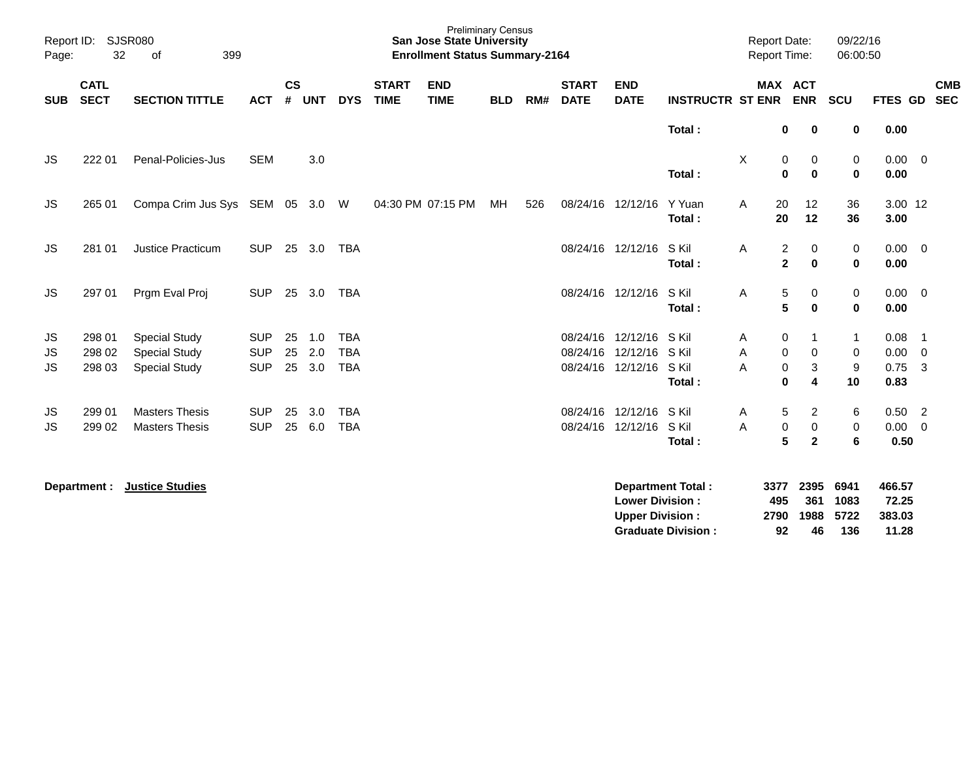| Report ID:<br>Page:   | <b>SJSR080</b><br>32       |                                                                      |                                        |                    |                   |                                        | <b>Preliminary Census</b><br><b>San Jose State University</b><br><b>Enrollment Status Summary-2164</b> |                           |            |     |                             |                                                             |                                                       | <b>Report Date:</b><br><b>Report Time:</b> |                                 | 09/22/16<br>06:00:50                           |                                             |                                    |                                                                                |                          |
|-----------------------|----------------------------|----------------------------------------------------------------------|----------------------------------------|--------------------|-------------------|----------------------------------------|--------------------------------------------------------------------------------------------------------|---------------------------|------------|-----|-----------------------------|-------------------------------------------------------------|-------------------------------------------------------|--------------------------------------------|---------------------------------|------------------------------------------------|---------------------------------------------|------------------------------------|--------------------------------------------------------------------------------|--------------------------|
| <b>SUB</b>            | <b>CATL</b><br><b>SECT</b> | <b>SECTION TITTLE</b>                                                | <b>ACT</b>                             | $\mathsf{cs}$<br># | <b>UNT</b>        | <b>DYS</b>                             | <b>START</b><br><b>TIME</b>                                                                            | <b>END</b><br><b>TIME</b> | <b>BLD</b> | RM# | <b>START</b><br><b>DATE</b> | <b>END</b><br><b>DATE</b>                                   | <b>INSTRUCTR ST ENR</b>                               |                                            | <b>MAX ACT</b>                  | <b>ENR</b>                                     | SCU                                         | <b>FTES GD</b>                     |                                                                                | <b>CMB</b><br><b>SEC</b> |
|                       |                            |                                                                      |                                        |                    |                   |                                        |                                                                                                        |                           |            |     |                             |                                                             | Total:                                                |                                            | 0                               | $\mathbf 0$                                    | 0                                           | 0.00                               |                                                                                |                          |
| <b>JS</b>             | 222 01                     | Penal-Policies-Jus                                                   | <b>SEM</b>                             |                    | 3.0               |                                        |                                                                                                        |                           |            |     |                             |                                                             | Total:                                                | X                                          | $\pmb{0}$<br>0                  | 0<br>0                                         | 0<br>$\mathbf 0$                            | $0.00 \t 0$<br>0.00                |                                                                                |                          |
| JS                    | 265 01                     | Compa Crim Jus Sys SEM 05 3.0 W                                      |                                        |                    |                   |                                        |                                                                                                        | 04:30 PM 07:15 PM         | МH         | 526 |                             | 08/24/16 12/12/16                                           | Y Yuan<br>Total:                                      | A                                          | 20<br>20                        | 12<br>12                                       | 36<br>36                                    | 3.00 12<br>3.00                    |                                                                                |                          |
| JS.                   | 281 01                     | <b>Justice Practicum</b>                                             | <b>SUP</b>                             | 25                 | 3.0               | <b>TBA</b>                             |                                                                                                        |                           |            |     |                             | 08/24/16 12/12/16                                           | S Kil<br>Total:                                       | A                                          | $\overline{c}$<br>$\mathbf{2}$  | 0<br>$\bf{0}$                                  | 0<br>$\pmb{0}$                              | $0.00 \quad 0$<br>0.00             |                                                                                |                          |
| JS                    | 297 01                     | Prgm Eval Proj                                                       | <b>SUP</b>                             |                    | 25 3.0            | TBA                                    |                                                                                                        |                           |            |     |                             | 08/24/16 12/12/16                                           | S Kil<br>Total:                                       | Α                                          | 5<br>5                          | 0<br>0                                         | 0<br>$\mathbf 0$                            | $0.00 \t 0$<br>0.00                |                                                                                |                          |
| JS<br>JS<br><b>JS</b> | 298 01<br>298 02<br>298 03 | <b>Special Study</b><br><b>Special Study</b><br><b>Special Study</b> | <b>SUP</b><br><b>SUP</b><br><b>SUP</b> | 25<br>25<br>25     | 1.0<br>2.0<br>3.0 | <b>TBA</b><br><b>TBA</b><br><b>TBA</b> |                                                                                                        |                           |            |     |                             | 08/24/16 12/12/16<br>08/24/16 12/12/16<br>08/24/16 12/12/16 | S Kil<br>S Kil<br>S Kil<br>Total:                     | Α<br>A<br>A                                | 0<br>0<br>$\pmb{0}$<br>$\bf{0}$ | 1<br>0<br>3<br>4                               | $\mathbf{1}$<br>0<br>$\boldsymbol{9}$<br>10 | 0.08<br>0.00<br>0.75<br>0.83       | $\overline{\phantom{1}}$<br>$\overline{\mathbf{0}}$<br>$\overline{\mathbf{3}}$ |                          |
| JS<br><b>JS</b>       | 299 01<br>299 02           | <b>Masters Thesis</b><br><b>Masters Thesis</b>                       | <b>SUP</b><br><b>SUP</b>               | 25<br>25           | 3.0<br>6.0        | <b>TBA</b><br><b>TBA</b>               |                                                                                                        |                           |            |     |                             | 08/24/16 12/12/16<br>08/24/16 12/12/16                      | S Kil<br>S Kil<br>Total:                              | Α<br>A                                     | $\mathbf 5$<br>$\pmb{0}$<br>5   | $\overline{\mathbf{c}}$<br>0<br>$\overline{2}$ | 6<br>0<br>6                                 | $0.50$ 2<br>0.00<br>0.50           | $\overline{\mathbf{0}}$                                                        |                          |
|                       | Department :               | <b>Justice Studies</b>                                               |                                        |                    |                   |                                        |                                                                                                        |                           |            |     |                             | <b>Lower Division:</b><br><b>Upper Division:</b>            | <b>Department Total:</b><br><b>Graduate Division:</b> |                                            | 3377<br>495<br>2790<br>92       | 2395<br>361<br>1988<br>46                      | 6941<br>1083<br>5722<br>136                 | 466.57<br>72.25<br>383.03<br>11.28 |                                                                                |                          |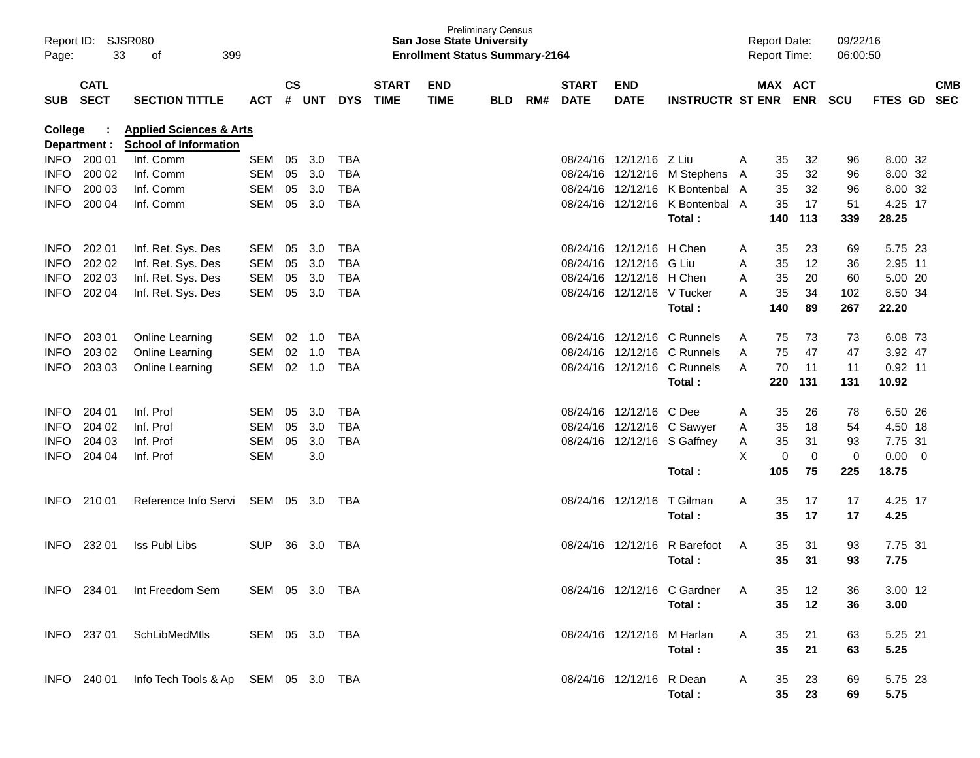| Page:       | Report ID: SJSR080<br>33                                                                             | 399<br>οf                                       |                |    |        |            |                             | <b>San Jose State University</b><br><b>Enrollment Status Summary-2164</b> | <b>Preliminary Census</b> |     |                             |                            |                                 |   | <b>Report Date:</b><br><b>Report Time:</b> |             | 09/22/16<br>06:00:50 |             |                         |            |
|-------------|------------------------------------------------------------------------------------------------------|-------------------------------------------------|----------------|----|--------|------------|-----------------------------|---------------------------------------------------------------------------|---------------------------|-----|-----------------------------|----------------------------|---------------------------------|---|--------------------------------------------|-------------|----------------------|-------------|-------------------------|------------|
|             | <b>CATL</b><br>SUB SECT<br><b>SECTION TITTLE</b><br><b>ACT</b><br><b>Applied Sciences &amp; Arts</b> |                                                 |                |    | # UNT  | <b>DYS</b> | <b>START</b><br><b>TIME</b> | <b>END</b><br><b>TIME</b>                                                 | <b>BLD</b>                | RM# | <b>START</b><br><b>DATE</b> | <b>END</b><br><b>DATE</b>  | <b>INSTRUCTR ST ENR</b>         |   | MAX ACT                                    | <b>ENR</b>  | <b>SCU</b>           | FTES GD SEC |                         | <b>CMB</b> |
| College     | Department :                                                                                         | <b>School of Information</b>                    |                |    |        |            |                             |                                                                           |                           |     |                             |                            |                                 |   |                                            |             |                      |             |                         |            |
|             | INFO 200 01                                                                                          | Inf. Comm                                       | SEM            | 05 | 3.0    | <b>TBA</b> |                             |                                                                           |                           |     |                             | 08/24/16 12/12/16 Z Liu    |                                 | A | 35                                         | 32          | 96                   | 8.00 32     |                         |            |
| <b>INFO</b> | 200 02                                                                                               | Inf. Comm                                       | SEM            | 05 | 3.0    | <b>TBA</b> |                             |                                                                           |                           |     |                             |                            | 08/24/16 12/12/16 M Stephens A  |   | 35                                         | 32          | 96                   | 8.00 32     |                         |            |
| <b>INFO</b> | 200 03                                                                                               | Inf. Comm                                       | SEM            | 05 | 3.0    | <b>TBA</b> |                             |                                                                           |                           |     |                             |                            | 08/24/16 12/12/16 K Bontenbal A |   | 35                                         | 32          | 96                   | 8.00 32     |                         |            |
| <b>INFO</b> | 200 04                                                                                               | Inf. Comm                                       | SEM            | 05 | 3.0    | <b>TBA</b> |                             |                                                                           |                           |     |                             |                            | 08/24/16 12/12/16 K Bontenbal A |   | 35                                         | 17          | 51                   | 4.25 17     |                         |            |
|             |                                                                                                      |                                                 |                |    |        |            |                             |                                                                           |                           |     |                             |                            | Total:                          |   | 140                                        | 113         | 339                  | 28.25       |                         |            |
| <b>INFO</b> | 202 01                                                                                               | Inf. Ret. Sys. Des                              | SEM            | 05 | 3.0    | <b>TBA</b> |                             |                                                                           |                           |     |                             | 08/24/16 12/12/16 H Chen   |                                 | A | 35                                         | 23          | 69                   | 5.75 23     |                         |            |
| <b>INFO</b> | 202 02                                                                                               | Inf. Ret. Sys. Des                              | SEM            | 05 | 3.0    | <b>TBA</b> |                             |                                                                           |                           |     |                             | 08/24/16 12/12/16          | G Liu                           | A | 35                                         | 12          | 36                   | 2.95 11     |                         |            |
| <b>INFO</b> | 202 03                                                                                               | Inf. Ret. Sys. Des                              | SEM            | 05 | 3.0    | <b>TBA</b> |                             |                                                                           |                           |     |                             | 08/24/16 12/12/16 H Chen   |                                 | A | 35                                         | 20          | 60                   | 5.00 20     |                         |            |
| <b>INFO</b> | 202 04                                                                                               | Inf. Ret. Sys. Des                              | SEM            | 05 | 3.0    | <b>TBA</b> |                             |                                                                           |                           |     |                             | 08/24/16 12/12/16 V Tucker |                                 | A | 35                                         | 34          | 102                  | 8.50 34     |                         |            |
|             |                                                                                                      |                                                 |                |    |        |            |                             |                                                                           |                           |     |                             |                            | Total:                          |   | 140                                        | 89          | 267                  | 22.20       |                         |            |
| <b>INFO</b> | 203 01                                                                                               | Online Learning                                 | SEM 02 1.0     |    |        | <b>TBA</b> |                             |                                                                           |                           |     |                             |                            | 08/24/16 12/12/16 C Runnels     | A | 75                                         | 73          | 73                   | 6.08 73     |                         |            |
| <b>INFO</b> | 203 02                                                                                               | Online Learning                                 | SEM            | 02 | 1.0    | <b>TBA</b> |                             |                                                                           |                           |     |                             |                            | 08/24/16 12/12/16 C Runnels     | A | 75                                         | 47          | 47                   | 3.92 47     |                         |            |
| <b>INFO</b> | 203 03                                                                                               | <b>Online Learning</b>                          | SEM            |    | 02 1.0 | <b>TBA</b> |                             |                                                                           |                           |     |                             |                            | 08/24/16 12/12/16 C Runnels     | A | 70                                         | 11          | 11                   | $0.92$ 11   |                         |            |
|             |                                                                                                      |                                                 |                |    |        |            |                             |                                                                           |                           |     |                             |                            | Total:                          |   | 220                                        | 131         | 131                  | 10.92       |                         |            |
| <b>INFO</b> | 204 01                                                                                               | Inf. Prof                                       | SEM            | 05 | 3.0    | <b>TBA</b> |                             |                                                                           |                           |     |                             | 08/24/16 12/12/16 C Dee    |                                 | A | 35                                         | 26          | 78                   | 6.50 26     |                         |            |
| <b>INFO</b> | 204 02                                                                                               | Inf. Prof                                       | SEM            | 05 | 3.0    | <b>TBA</b> |                             |                                                                           |                           |     |                             |                            | 08/24/16 12/12/16 C Sawyer      | Α | 35                                         | 18          | 54                   | 4.50 18     |                         |            |
| <b>INFO</b> | 204 03                                                                                               | Inf. Prof                                       | SEM            | 05 | 3.0    | <b>TBA</b> |                             |                                                                           |                           |     |                             |                            | 08/24/16 12/12/16 S Gaffney     | Α | 35                                         | 31          | 93                   | 7.75 31     |                         |            |
| <b>INFO</b> | 204 04                                                                                               | Inf. Prof                                       | <b>SEM</b>     |    | 3.0    |            |                             |                                                                           |                           |     |                             |                            |                                 | X | 0                                          | $\mathbf 0$ | 0                    | 0.00        | $\overline{\mathbf{0}}$ |            |
|             |                                                                                                      |                                                 |                |    |        |            |                             |                                                                           |                           |     |                             |                            | Total:                          |   | 105                                        | 75          | 225                  | 18.75       |                         |            |
| INFO.       | 210 01                                                                                               | Reference Info Servi                            | SEM 05 3.0     |    |        | TBA        |                             |                                                                           |                           |     |                             | 08/24/16 12/12/16          | T Gilman                        | A | 35                                         | 17          | 17                   | 4.25 17     |                         |            |
|             |                                                                                                      |                                                 |                |    |        |            |                             |                                                                           |                           |     |                             |                            | Total:                          |   | 35                                         | 17          | 17                   | 4.25        |                         |            |
| INFO.       | 232 01                                                                                               | Iss Publ Libs                                   | <b>SUP</b>     | 36 | 3.0    | TBA        |                             |                                                                           |                           |     |                             | 08/24/16 12/12/16          | R Barefoot                      | A | 35                                         | 31          | 93                   | 7.75 31     |                         |            |
|             |                                                                                                      |                                                 |                |    |        |            |                             |                                                                           |                           |     |                             |                            | Total:                          |   | 35                                         | 31          | 93                   | 7.75        |                         |            |
|             | INFO 234 01                                                                                          | Int Freedom Sem                                 | SEM 05 3.0 TBA |    |        |            |                             |                                                                           |                           |     |                             |                            | 08/24/16 12/12/16 C Gardner     |   | 35                                         | 12          | 36                   | 3.00 12     |                         |            |
|             |                                                                                                      |                                                 |                |    |        |            |                             |                                                                           |                           |     |                             |                            | Total:                          |   | 35                                         | 12          | 36                   | 3.00        |                         |            |
|             |                                                                                                      | INFO 237 01 SchLibMedMtIs                       | SEM 05 3.0 TBA |    |        |            |                             |                                                                           |                           |     |                             | 08/24/16 12/12/16 M Harlan |                                 | A | 35                                         | 21          | 63                   | 5.25 21     |                         |            |
|             |                                                                                                      |                                                 |                |    |        |            |                             |                                                                           |                           |     |                             |                            | Total:                          |   | 35                                         | 21          | 63                   | 5.25        |                         |            |
|             |                                                                                                      | INFO 240 01 Info Tech Tools & Ap SEM 05 3.0 TBA |                |    |        |            |                             |                                                                           |                           |     |                             | 08/24/16 12/12/16 R Dean   |                                 | A | 35                                         | 23          | 69                   | 5.75 23     |                         |            |
|             |                                                                                                      |                                                 |                |    |        |            |                             |                                                                           |                           |     |                             |                            | Total:                          |   | 35                                         | 23          | 69                   | 5.75        |                         |            |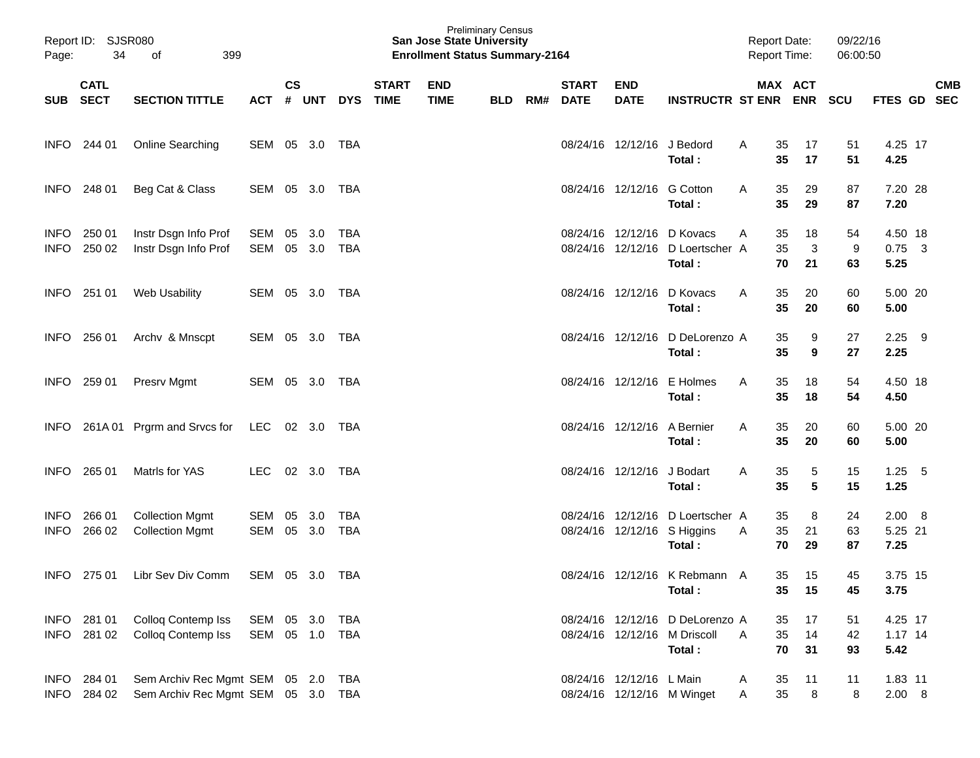| Page:                      | <b>SJSR080</b><br>Report ID:<br>34<br>399<br>оf<br><b>CATL</b> |                                                                      |                          |                    |            |                          |                             | <b>Preliminary Census</b><br><b>San Jose State University</b><br><b>Enrollment Status Summary-2164</b> |            |     |                             |                           |                                                                           |              | <b>Report Date:</b><br>Report Time: |                | 09/22/16<br>06:00:50 |                              |            |                          |
|----------------------------|----------------------------------------------------------------|----------------------------------------------------------------------|--------------------------|--------------------|------------|--------------------------|-----------------------------|--------------------------------------------------------------------------------------------------------|------------|-----|-----------------------------|---------------------------|---------------------------------------------------------------------------|--------------|-------------------------------------|----------------|----------------------|------------------------------|------------|--------------------------|
| <b>SUB</b>                 | <b>SECT</b>                                                    | <b>SECTION TITTLE</b>                                                | АСТ                      | $\mathsf{cs}$<br># | <b>UNT</b> | <b>DYS</b>               | <b>START</b><br><b>TIME</b> | <b>END</b><br><b>TIME</b>                                                                              | <b>BLD</b> | RM# | <b>START</b><br><b>DATE</b> | <b>END</b><br><b>DATE</b> | <b>INSTRUCTR ST ENR</b>                                                   |              | MAX ACT                             | <b>ENR</b>     | <b>SCU</b>           | <b>FTES GD</b>               |            | <b>CMB</b><br><b>SEC</b> |
| INFO.                      | 244 01                                                         | Online Searching                                                     | SEM                      | 05                 | 3.0        | <b>TBA</b>               |                             |                                                                                                        |            |     |                             | 08/24/16 12/12/16         | J Bedord<br>Total:                                                        | A            | 35<br>35                            | 17<br>17       | 51<br>51             | 4.25 17<br>4.25              |            |                          |
| <b>INFO</b>                | 248 01                                                         | Beg Cat & Class                                                      | SEM                      | 05                 | 3.0        | TBA                      |                             |                                                                                                        |            |     |                             | 08/24/16 12/12/16         | <b>G</b> Cotton<br>Total:                                                 | A            | 35<br>35                            | 29<br>29       | 87<br>87             | 7.20 28<br>7.20              |            |                          |
| <b>INFO</b><br><b>INFO</b> | 250 01<br>250 02                                               | Instr Dsgn Info Prof<br>Instr Dsgn Info Prof                         | <b>SEM</b><br>SEM        | 05<br>05           | 3.0<br>3.0 | <b>TBA</b><br><b>TBA</b> |                             |                                                                                                        |            |     | 08/24/16 12/12/16           | 08/24/16 12/12/16         | D Kovacs<br>D Loertscher A<br>Total:                                      | A            | 35<br>35<br>70                      | 18<br>3<br>21  | 54<br>9<br>63        | 4.50 18<br>$0.75$ 3<br>5.25  |            |                          |
| <b>INFO</b>                | 251 01                                                         | <b>Web Usability</b>                                                 | SEM                      | 05                 | 3.0        | <b>TBA</b>               |                             |                                                                                                        |            |     | 08/24/16 12/12/16           |                           | D Kovacs<br>Total:                                                        | A            | 35<br>35                            | 20<br>20       | 60<br>60             | 5.00 20<br>5.00              |            |                          |
| <b>INFO</b>                | 256 01                                                         | Archv & Mnscpt                                                       | SEM                      | 05                 | 3.0        | <b>TBA</b>               |                             |                                                                                                        |            |     |                             | 08/24/16 12/12/16         | D DeLorenzo A<br>Total:                                                   |              | 35<br>35                            | 9<br>9         | 27<br>27             | 2.25<br>2.25                 | - 9        |                          |
| <b>INFO</b>                | 259 01                                                         | Presrv Mgmt                                                          | SEM 05 3.0               |                    |            | TBA                      |                             |                                                                                                        |            |     |                             | 08/24/16 12/12/16         | E Holmes<br>Total:                                                        | A            | 35<br>35                            | 18<br>18       | 54<br>54             | 4.50 18<br>4.50              |            |                          |
| <b>INFO</b>                |                                                                | 261A 01 Prgrm and Srvcs for                                          | LEC                      |                    | 02 3.0     | TBA                      |                             |                                                                                                        |            |     |                             | 08/24/16 12/12/16         | A Bernier<br>Total:                                                       | A            | 35<br>35                            | 20<br>20       | 60<br>60             | 5.00 20<br>5.00              |            |                          |
| <b>INFO</b>                | 265 01                                                         | Matris for YAS                                                       | <b>LEC</b>               |                    | 02 3.0     | <b>TBA</b>               |                             |                                                                                                        |            |     |                             | 08/24/16 12/12/16         | J Bodart<br>Total:                                                        | A            | 35<br>35                            | 5<br>5         | 15<br>15             | 1.25<br>1.25                 | $-5$       |                          |
| <b>INFO</b><br><b>INFO</b> | 266 01<br>266 02                                               | <b>Collection Mgmt</b><br><b>Collection Mgmt</b>                     | SEM<br><b>SEM</b>        | 05<br>05           | 3.0<br>3.0 | <b>TBA</b><br><b>TBA</b> |                             |                                                                                                        |            |     |                             | 08/24/16 12/12/16         | D Loertscher A<br>08/24/16 12/12/16 S Higgins<br>Total:                   | Α            | 35<br>35<br>70                      | 8<br>21<br>29  | 24<br>63<br>87       | 2.00<br>5.25 21<br>7.25      | $_{\rm 8}$ |                          |
| <b>INFO</b>                |                                                                | 275 01 Libr Sev Div Comm                                             | SEM 05 3.0 TBA           |                    |            |                          |                             |                                                                                                        |            |     |                             |                           | 08/24/16 12/12/16 K Rebmann A<br>Total:                                   |              | 35                                  | 35 15<br>15    | 45<br>45             | 3.75 15<br>3.75              |            |                          |
|                            | INFO 281 01<br>INFO 281 02                                     | Colloq Contemp Iss<br>Colloq Contemp Iss                             | SEM 05 3.0<br>SEM 05 1.0 |                    |            | TBA<br>TBA               |                             |                                                                                                        |            |     |                             |                           | 08/24/16 12/12/16 D DeLorenzo A<br>08/24/16 12/12/16 M Driscoll<br>Total: | $\mathsf{A}$ | 35<br>35<br>70                      | 17<br>14<br>31 | 51<br>42<br>93       | 4.25 17<br>$1.17$ 14<br>5.42 |            |                          |
|                            | INFO 284 01<br>INFO 284 02                                     | Sem Archiv Rec Mgmt SEM 05 2.0<br>Sem Archiv Rec Mgmt SEM 05 3.0 TBA |                          |                    |            | TBA                      |                             |                                                                                                        |            |     |                             | 08/24/16 12/12/16 L Main  | 08/24/16 12/12/16 M Winget                                                | A<br>A       | 35<br>35                            | 11<br>8        | 11<br>8              | 1.83 11<br>2.00 8            |            |                          |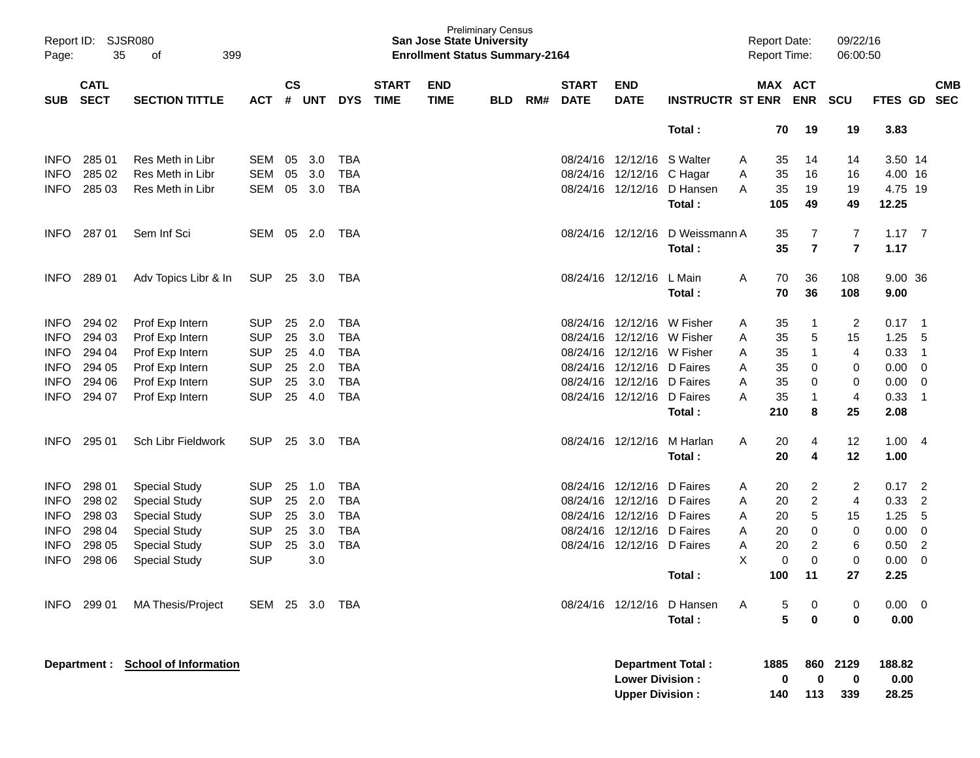| Page:       | Report ID: SJSR080<br>35   | 399<br>of                          |            |                    |        |            |                             | <b>San Jose State University</b><br><b>Enrollment Status Summary-2164</b> | <b>Preliminary Census</b> |     |                             |                                                  |                             |   | <b>Report Date:</b><br><b>Report Time:</b> |                           | 09/22/16<br>06:00:50 |                         |                            |
|-------------|----------------------------|------------------------------------|------------|--------------------|--------|------------|-----------------------------|---------------------------------------------------------------------------|---------------------------|-----|-----------------------------|--------------------------------------------------|-----------------------------|---|--------------------------------------------|---------------------------|----------------------|-------------------------|----------------------------|
| <b>SUB</b>  | <b>CATL</b><br><b>SECT</b> | <b>SECTION TITTLE</b>              | <b>ACT</b> | $\mathsf{cs}$<br># | UNT    | <b>DYS</b> | <b>START</b><br><b>TIME</b> | <b>END</b><br><b>TIME</b>                                                 | <b>BLD</b>                | RM# | <b>START</b><br><b>DATE</b> | <b>END</b><br><b>DATE</b>                        | <b>INSTRUCTR ST ENR ENR</b> |   | MAX ACT                                    |                           | <b>SCU</b>           |                         | <b>CMB</b><br>FTES GD SEC  |
|             |                            |                                    |            |                    |        |            |                             |                                                                           |                           |     |                             |                                                  | Total:                      |   | 70                                         | 19                        | 19                   | 3.83                    |                            |
| <b>INFO</b> | 285 01                     | Res Meth in Libr                   | SEM        | 05                 | 3.0    | <b>TBA</b> |                             |                                                                           |                           |     |                             | 08/24/16 12/12/16                                | S Walter                    | A | 35                                         | 14                        | 14                   | 3.50 14                 |                            |
| <b>INFO</b> | 285 02                     | Res Meth in Libr                   | SEM        | 05                 | 3.0    | <b>TBA</b> |                             |                                                                           |                           |     |                             | 08/24/16 12/12/16 C Hagar                        |                             | Α | 35                                         | 16                        | 16                   | 4.00 16                 |                            |
| <b>INFO</b> | 285 03                     | Res Meth in Libr                   | SEM        | 05                 | 3.0    | <b>TBA</b> |                             |                                                                           |                           |     |                             |                                                  | 08/24/16 12/12/16 D Hansen  | A | 35                                         | 19                        | 19                   | 4.75 19                 |                            |
|             |                            |                                    |            |                    |        |            |                             |                                                                           |                           |     |                             |                                                  | Total:                      |   | 105                                        | 49                        | 49                   | 12.25                   |                            |
| <b>INFO</b> | 28701                      | Sem Inf Sci                        | SEM 05 2.0 |                    |        | TBA        |                             |                                                                           |                           |     |                             | 08/24/16 12/12/16                                | D Weissmann A               |   | 35                                         | 7                         | 7                    | $1.17 \t 7$             |                            |
|             |                            |                                    |            |                    |        |            |                             |                                                                           |                           |     |                             |                                                  | Total:                      |   | 35                                         | $\overline{7}$            | $\overline{7}$       | 1.17                    |                            |
| <b>INFO</b> | 289 01                     | Adv Topics Libr & In               | SUP        |                    | 25 3.0 | TBA        |                             |                                                                           |                           |     |                             | 08/24/16 12/12/16                                | L Main                      | Α | 70                                         | 36                        | 108                  | 9.00 36                 |                            |
|             |                            |                                    |            |                    |        |            |                             |                                                                           |                           |     |                             |                                                  | Total:                      |   | 70                                         | 36                        | 108                  | 9.00                    |                            |
| <b>INFO</b> | 294 02                     | Prof Exp Intern                    | <b>SUP</b> | 25                 | 2.0    | <b>TBA</b> |                             |                                                                           |                           |     |                             | 08/24/16 12/12/16 W Fisher                       |                             | A | 35                                         | 1                         | 2                    | 0.17                    | $\overline{\phantom{0}}$ 1 |
| <b>INFO</b> | 294 03                     | Prof Exp Intern                    | <b>SUP</b> | 25                 | 3.0    | <b>TBA</b> |                             |                                                                           |                           |     |                             | 08/24/16 12/12/16                                | W Fisher                    | Α | 35                                         | 5                         | 15                   | 1.25                    | 5                          |
| <b>INFO</b> | 294 04                     | Prof Exp Intern                    | <b>SUP</b> | 25                 | 4.0    | <b>TBA</b> |                             |                                                                           |                           |     |                             | 08/24/16 12/12/16 W Fisher                       |                             | Α | 35                                         | $\mathbf{1}$              | 4                    | 0.33                    | $\overline{1}$             |
| <b>INFO</b> | 294 05                     | Prof Exp Intern                    | <b>SUP</b> | 25                 | 2.0    | <b>TBA</b> |                             |                                                                           |                           |     |                             | 08/24/16 12/12/16 D Faires                       |                             | A | 35                                         | 0                         | 0                    | 0.00                    | $\mathbf 0$                |
| <b>INFO</b> | 294 06                     | Prof Exp Intern                    | <b>SUP</b> | 25                 | 3.0    | <b>TBA</b> |                             |                                                                           |                           |     |                             | 08/24/16 12/12/16 D Faires                       |                             | A | 35                                         | 0                         | 0                    | 0.00                    | $\mathbf 0$                |
| <b>INFO</b> | 294 07                     | Prof Exp Intern                    | <b>SUP</b> | 25                 | 4.0    | <b>TBA</b> |                             |                                                                           |                           |     |                             | 08/24/16 12/12/16 D Faires                       |                             | A | 35                                         | $\mathbf{1}$              | 4                    | 0.33                    | $\overline{1}$             |
|             |                            |                                    |            |                    |        |            |                             |                                                                           |                           |     |                             |                                                  | Total:                      |   | 210                                        | 8                         | 25                   | 2.08                    |                            |
| <b>INFO</b> | 295 01                     | Sch Libr Fieldwork                 | <b>SUP</b> | 25                 | 3.0    | TBA        |                             |                                                                           |                           |     |                             | 08/24/16 12/12/16                                | M Harlan                    | Α | 20                                         | 4                         | 12                   | 1.00                    | -4                         |
|             |                            |                                    |            |                    |        |            |                             |                                                                           |                           |     |                             |                                                  | Total:                      |   | 20                                         | 4                         | 12                   | 1.00                    |                            |
| <b>INFO</b> | 298 01                     | <b>Special Study</b>               | <b>SUP</b> | 25                 | 1.0    | <b>TBA</b> |                             |                                                                           |                           |     |                             | 08/24/16 12/12/16                                | D Faires                    | A | 20                                         | 2                         | 2                    | 0.17                    | $\overline{2}$             |
| <b>INFO</b> | 298 02                     | <b>Special Study</b>               | <b>SUP</b> | 25                 | 2.0    | <b>TBA</b> |                             |                                                                           |                           |     |                             | 08/24/16 12/12/16                                | D Faires                    | A | 20                                         | $\overline{c}$            | 4                    | 0.33                    | 2                          |
| <b>INFO</b> | 298 03                     | <b>Special Study</b>               | <b>SUP</b> | 25                 | 3.0    | <b>TBA</b> |                             |                                                                           |                           |     |                             | 08/24/16 12/12/16 D Faires                       |                             | Α | 20                                         | $\mathbf 5$               | 15                   | 1.25                    | 5                          |
| <b>INFO</b> | 298 04                     | <b>Special Study</b>               | <b>SUP</b> | 25                 | 3.0    | <b>TBA</b> |                             |                                                                           |                           |     |                             | 08/24/16 12/12/16 D Faires                       |                             | A | 20                                         | $\pmb{0}$                 | 0                    | 0.00                    | $\mathbf 0$                |
| <b>INFO</b> | 298 05                     | <b>Special Study</b>               | <b>SUP</b> | 25                 | 3.0    | <b>TBA</b> |                             |                                                                           |                           |     |                             | 08/24/16 12/12/16 D Faires                       |                             | Α | 20                                         | 2                         | 6                    | 0.50                    | 2                          |
| <b>INFO</b> | 298 06                     | <b>Special Study</b>               | <b>SUP</b> |                    | 3.0    |            |                             |                                                                           |                           |     |                             |                                                  |                             | X | $\mathbf 0$                                | $\mathbf 0$               | 0                    | 0.00                    | 0                          |
|             |                            |                                    |            |                    |        |            |                             |                                                                           |                           |     |                             |                                                  | Total:                      |   | 100                                        | 11                        | 27                   | 2.25                    |                            |
| <b>INFO</b> | 299 01                     | <b>MA Thesis/Project</b>           | SEM 25 3.0 |                    |        | TBA        |                             |                                                                           |                           |     |                             |                                                  | 08/24/16 12/12/16 D Hansen  |   | 5                                          | 0                         | 0                    | 0.00                    | $\overline{0}$             |
|             |                            |                                    |            |                    |        |            |                             |                                                                           |                           |     |                             |                                                  | Total:                      |   | 5                                          | $\bf{0}$                  | $\bf{0}$             | 0.00                    |                            |
|             |                            | Department : School of Information |            |                    |        |            |                             |                                                                           |                           |     |                             | <b>Lower Division:</b><br><b>Upper Division:</b> | <b>Department Total:</b>    |   | 1885<br>0<br>140                           | 860<br>$\mathbf 0$<br>113 | 2129<br>0<br>339     | 188.82<br>0.00<br>28.25 |                            |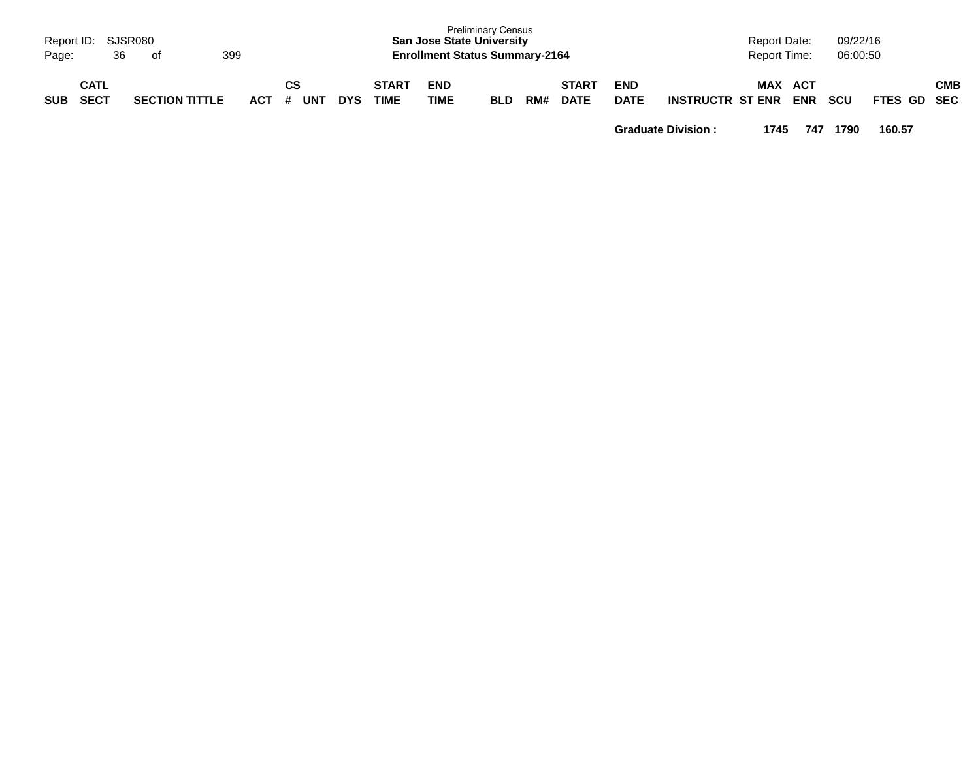| Report ID:<br>Page: | 36                         | SJSR080<br>. of       | 399     |           |            |                      |                           | <b>Preliminary Census</b><br><b>San Jose State University</b><br><b>Enrollment Status Summary-2164</b> |     |                             |                           |                         | <b>Report Date:</b><br><b>Report Time:</b> |                   | 09/22/16<br>06:00:50 |             |            |
|---------------------|----------------------------|-----------------------|---------|-----------|------------|----------------------|---------------------------|--------------------------------------------------------------------------------------------------------|-----|-----------------------------|---------------------------|-------------------------|--------------------------------------------|-------------------|----------------------|-------------|------------|
| <b>SUB</b>          | <b>CATL</b><br><b>SECT</b> | <b>SECTION TITTLE</b> | $ACT$ # | CS<br>UNT | <b>DYS</b> | <b>START</b><br>TIME | <b>END</b><br><b>TIME</b> | <b>BLD</b>                                                                                             | RM# | <b>START</b><br><b>DATE</b> | <b>END</b><br><b>DATE</b> | <b>INSTRUCTR ST ENR</b> | <b>MAX</b>                                 | ACT<br><b>ENR</b> | <b>SCU</b>           | FTES GD SEC | <b>CMB</b> |

**Graduate Division : 1745 747 1790 160.57**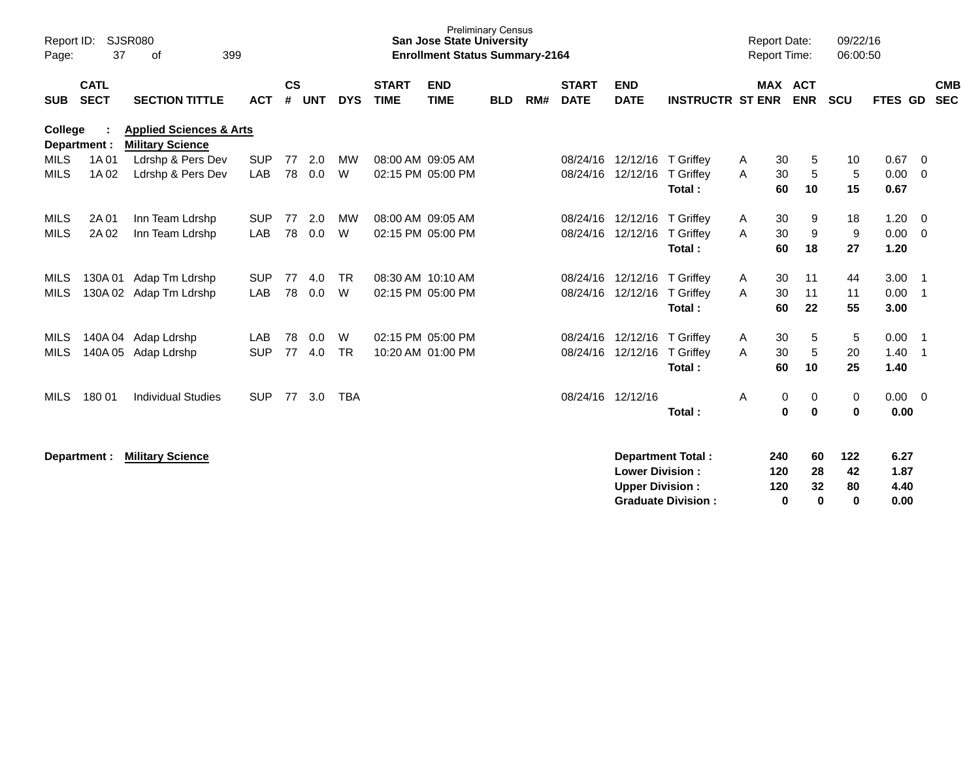| Report ID:<br>Page:        | 37                         | <b>SJSR080</b><br>399<br>оf                                   |                          |               |            |                |                                        | <b>Preliminary Census</b><br><b>San Jose State University</b><br><b>Enrollment Status Summary-2164</b> |            |     |                             |                                                   |                                                       | <b>Report Date:</b><br><b>Report Time:</b> |                                 | 09/22/16<br>06:00:50        |                              |                                  |
|----------------------------|----------------------------|---------------------------------------------------------------|--------------------------|---------------|------------|----------------|----------------------------------------|--------------------------------------------------------------------------------------------------------|------------|-----|-----------------------------|---------------------------------------------------|-------------------------------------------------------|--------------------------------------------|---------------------------------|-----------------------------|------------------------------|----------------------------------|
| <b>SUB</b>                 | <b>CATL</b><br><b>SECT</b> | <b>SECTION TITTLE</b>                                         | <b>ACT</b>               | $\mathsf{cs}$ | # UNT      | <b>DYS</b>     | <b>START</b><br><b>TIME</b>            | <b>END</b><br><b>TIME</b>                                                                              | <b>BLD</b> | RM# | <b>START</b><br><b>DATE</b> | <b>END</b><br><b>DATE</b>                         | <b>INSTRUCTR ST ENR</b>                               |                                            | <b>MAX ACT</b><br><b>ENR</b>    | <b>SCU</b>                  | FTES GD                      | <b>CMB</b><br><b>SEC</b>         |
| College                    | Department :               | <b>Applied Sciences &amp; Arts</b><br><b>Military Science</b> |                          |               |            |                |                                        |                                                                                                        |            |     |                             |                                                   |                                                       |                                            |                                 |                             |                              |                                  |
| <b>MILS</b><br><b>MILS</b> | 1A 01<br>1A 02             | Ldrshp & Pers Dev<br>Ldrshp & Pers Dev                        | <b>SUP</b><br><b>LAB</b> | 77<br>78      | 2.0<br>0.0 | МW<br>W        | 08:00 AM 09:05 AM<br>02:15 PM 05:00 PM |                                                                                                        |            |     | 08/24/16                    | 12/12/16 T Griffey<br>08/24/16 12/12/16 T Griffey | Total:                                                | 30<br>A<br>30<br>A<br>60                   | 5<br>5<br>10                    | 10<br>5<br>15               | 0.67<br>0.00<br>0.67         | - 0<br>- 0                       |
| MILS<br>MILS               | 2A 01<br>2A 02             | Inn Team Ldrshp<br>Inn Team Ldrshp                            | <b>SUP</b><br>LAB        | 77<br>78      | 2.0<br>0.0 | MW<br>W        | 08:00 AM 09:05 AM                      | 02:15 PM 05:00 PM                                                                                      |            |     | 08/24/16<br>08/24/16        | 12/12/16<br>12/12/16                              | T Griffey<br>T Griffey<br>Total:                      | 30<br>A<br>30<br>A<br>60                   | 9<br>9<br>18                    | 18<br>9<br>27               | 1.20<br>0.00<br>1.20         | - 0<br>$\Omega$                  |
| MILS<br><b>MILS</b>        | 130A 01<br>130A02          | Adap Tm Ldrshp<br>Adap Tm Ldrshp                              | <b>SUP</b><br>LAB        | 77<br>78      | 4.0<br>0.0 | <b>TR</b><br>W | 08:30 AM 10:10 AM                      | 02:15 PM 05:00 PM                                                                                      |            |     | 08/24/16                    | 08/24/16 12/12/16 T Griffey<br>12/12/16           | T Griffey<br>Total:                                   | 30<br>A<br>30<br>A<br>60                   | 11<br>11<br>22                  | 44<br>11<br>55              | 3.00<br>0.00<br>3.00         | - 1<br>$\overline{1}$            |
| MILS<br><b>MILS</b>        | 140A 05                    | 140A 04 Adap Ldrshp<br>Adap Ldrshp                            | LAB<br><b>SUP</b>        | 78<br>77      | 0.0<br>4.0 | W<br><b>TR</b> | 10:20 AM 01:00 PM                      | 02:15 PM 05:00 PM                                                                                      |            |     | 08/24/16<br>08/24/16        | 12/12/16<br>12/12/16                              | T Griffey<br>T Griffev<br>Total:                      | 30<br>A<br>30<br>A<br>60                   | $\,$ 5 $\,$<br>5<br>10          | 5<br>20<br>25               | 0.00<br>1.40<br>1.40         | $\overline{1}$<br>$\overline{1}$ |
| <b>MILS</b>                | 180 01                     | <b>Individual Studies</b>                                     | <b>SUP</b>               | 77            | 3.0        | <b>TBA</b>     |                                        |                                                                                                        |            |     |                             | 08/24/16 12/12/16                                 | Total:                                                | A                                          | 0<br>0<br>$\bf{0}$<br>$\bf{0}$  | 0<br>$\bf{0}$               | $0.00 \ 0$<br>0.00           |                                  |
|                            | Department :               | <b>Military Science</b>                                       |                          |               |            |                |                                        |                                                                                                        |            |     |                             | <b>Lower Division:</b><br><b>Upper Division:</b>  | <b>Department Total:</b><br><b>Graduate Division:</b> | 240<br>120<br>120                          | 60<br>28<br>32<br>$\bf{0}$<br>0 | 122<br>42<br>80<br>$\bf{0}$ | 6.27<br>1.87<br>4.40<br>0.00 |                                  |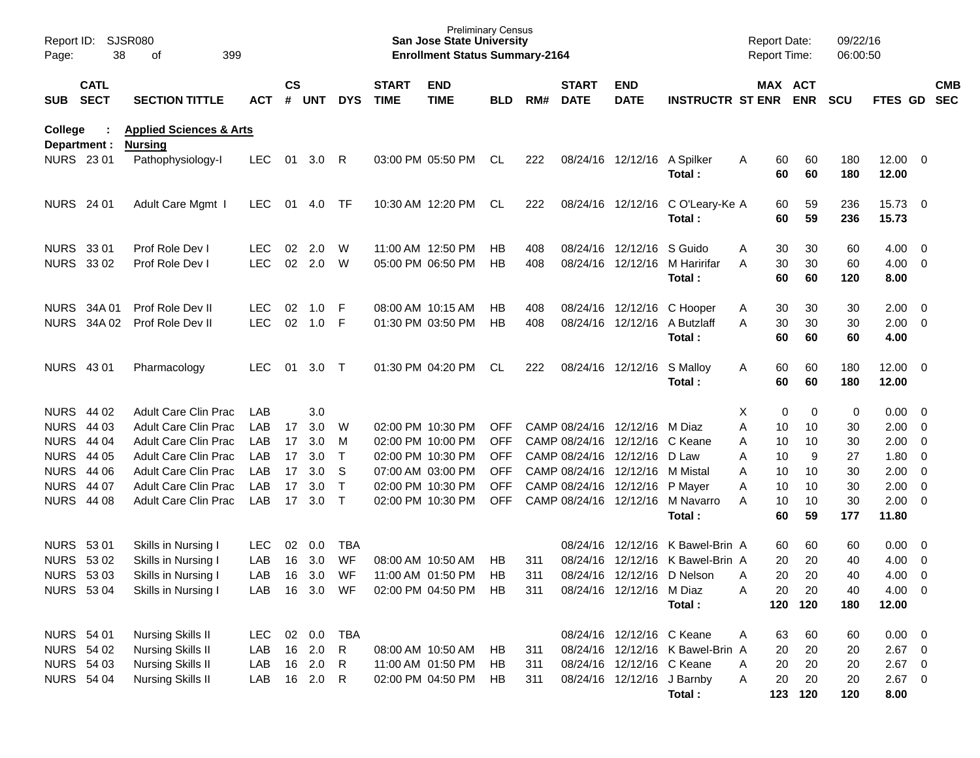| Report ID:<br>Page:     | 38                         | <b>SJSR080</b><br>399<br>οf                          |            |                    |            |              |                             | <b>Preliminary Census</b><br><b>San Jose State University</b><br><b>Enrollment Status Summary-2164</b> |            |     |                             |                                |                                         | <b>Report Date:</b><br>Report Time: |          |                       | 09/22/16<br>06:00:50 |                       |                          |                          |
|-------------------------|----------------------------|------------------------------------------------------|------------|--------------------|------------|--------------|-----------------------------|--------------------------------------------------------------------------------------------------------|------------|-----|-----------------------------|--------------------------------|-----------------------------------------|-------------------------------------|----------|-----------------------|----------------------|-----------------------|--------------------------|--------------------------|
| <b>SUB</b>              | <b>CATL</b><br><b>SECT</b> | <b>SECTION TITTLE</b>                                | <b>ACT</b> | $\mathsf{cs}$<br># | <b>UNT</b> | <b>DYS</b>   | <b>START</b><br><b>TIME</b> | <b>END</b><br><b>TIME</b>                                                                              | <b>BLD</b> | RM# | <b>START</b><br><b>DATE</b> | <b>END</b><br><b>DATE</b>      | <b>INSTRUCTR ST ENR</b>                 |                                     |          | MAX ACT<br><b>ENR</b> | <b>SCU</b>           | <b>FTES GD</b>        |                          | <b>CMB</b><br><b>SEC</b> |
| College<br>Department : |                            | <b>Applied Sciences &amp; Arts</b><br><b>Nursing</b> |            |                    |            |              |                             |                                                                                                        |            |     |                             |                                |                                         |                                     |          |                       |                      |                       |                          |                          |
| <b>NURS 2301</b>        |                            | Pathophysiology-I                                    | <b>LEC</b> | 01                 | 3.0        | R            |                             | 03:00 PM 05:50 PM                                                                                      | CL         | 222 |                             | 08/24/16 12/12/16              | A Spilker<br>Total:                     | A                                   | 60<br>60 | 60<br>60              | 180<br>180           | $12.00 \t 0$<br>12.00 |                          |                          |
| <b>NURS</b> 24 01       |                            | Adult Care Mgmt I                                    | <b>LEC</b> | 01                 | 4.0        | TF           |                             | 10:30 AM 12:20 PM                                                                                      | CL         | 222 |                             | 08/24/16 12/12/16              | C O'Leary-Ke A<br>Total:                |                                     | 60<br>60 | 59<br>59              | 236<br>236           | 15.73 0<br>15.73      |                          |                          |
| NURS 33 01              |                            | Prof Role Dev I                                      | LEC.       | 02                 | 2.0        | W            |                             | 11:00 AM 12:50 PM                                                                                      | НB         | 408 |                             | 08/24/16 12/12/16 S Guido      |                                         | A                                   | 30       | 30                    | 60                   | $4.00 \ 0$            |                          |                          |
| <b>NURS 3302</b>        |                            | Prof Role Dev I                                      | <b>LEC</b> | 02                 | 2.0        | W            |                             | 05:00 PM 06:50 PM                                                                                      | HB         | 408 |                             |                                | 08/24/16 12/12/16 M Haririfar<br>Total: | A                                   | 30<br>60 | 30<br>60              | 60<br>120            | $4.00 \ 0$<br>8.00    |                          |                          |
|                         | NURS 34A 01                | Prof Role Dev II                                     | LEC.       | 02                 | 1.0        | -F           |                             | 08:00 AM 10:15 AM                                                                                      | НB         | 408 |                             |                                | 08/24/16 12/12/16 C Hooper              | A                                   | 30       | 30                    | 30                   | $2.00 \t 0$           |                          |                          |
|                         | NURS 34A 02                | Prof Role Dev II                                     | <b>LEC</b> | 02                 | 1.0        | F            |                             | 01:30 PM 03:50 PM                                                                                      | <b>HB</b>  | 408 |                             | 08/24/16 12/12/16              | A Butzlaff<br>Total:                    | A                                   | 30<br>60 | 30<br>60              | 30<br>60             | $2.00 \t 0$<br>4.00   |                          |                          |
| NURS 43 01              |                            | Pharmacology                                         | <b>LEC</b> | 01                 | 3.0        | $\top$       |                             | 01:30 PM 04:20 PM                                                                                      | CL.        | 222 |                             | 08/24/16 12/12/16              | S Malloy<br>Total:                      | A                                   | 60<br>60 | 60<br>60              | 180<br>180           | $12.00 \t 0$<br>12.00 |                          |                          |
| NURS 44 02              |                            | <b>Adult Care Clin Prac</b>                          | LAB        |                    | 3.0        |              |                             |                                                                                                        |            |     |                             |                                |                                         | Χ                                   | 0        | 0                     | 0                    | $0.00 \t 0$           |                          |                          |
| <b>NURS</b>             | 44 03                      | <b>Adult Care Clin Prac</b>                          | LAB        | 17                 | 3.0        | W            |                             | 02:00 PM 10:30 PM                                                                                      | <b>OFF</b> |     |                             | CAMP 08/24/16 12/12/16         | M Diaz                                  | A                                   | 10       | 10                    | 30                   | $2.00 \t 0$           |                          |                          |
| <b>NURS</b>             | 44 04                      | Adult Care Clin Prac                                 | LAB        | 17                 | 3.0        | M            |                             | 02:00 PM 10:00 PM                                                                                      | <b>OFF</b> |     |                             | CAMP 08/24/16 12/12/16         | C Keane                                 | Α                                   | 10       | 10                    | 30                   | 2.00                  | $\overline{\phantom{0}}$ |                          |
| <b>NURS</b>             | 44 05                      | Adult Care Clin Prac                                 | LAB        | 17                 | 3.0        | $\mathsf{T}$ |                             | 02:00 PM 10:30 PM                                                                                      | <b>OFF</b> |     |                             | CAMP 08/24/16 12/12/16         | D Law                                   | Α                                   | 10       | 9                     | 27                   | 1.80                  | $\overline{\phantom{0}}$ |                          |
| <b>NURS</b>             | 44 06                      | <b>Adult Care Clin Prac</b>                          | LAB        | 17                 | 3.0        | S            |                             | 07:00 AM 03:00 PM                                                                                      | <b>OFF</b> |     |                             | CAMP 08/24/16 12/12/16         | M Mistal                                | Α                                   | 10       | 10                    | 30                   | $2.00 \t 0$           |                          |                          |
| <b>NURS</b>             | 44 07                      | <b>Adult Care Clin Prac</b>                          | LAB        | 17                 | 3.0        | $\mathsf{T}$ |                             | 02:00 PM 10:30 PM                                                                                      | <b>OFF</b> |     |                             | CAMP 08/24/16 12/12/16 P Mayer |                                         | Α                                   | 10       | 10                    | 30                   | 2.00                  | $\overline{\phantom{0}}$ |                          |
| <b>NURS</b>             | 44 08                      | <b>Adult Care Clin Prac</b>                          | LAB        | 17                 | 3.0        | $\mathsf{T}$ |                             | 02:00 PM 10:30 PM                                                                                      | <b>OFF</b> |     |                             |                                | CAMP 08/24/16 12/12/16 M Navarro        | A                                   | 10       | 10                    | 30                   | $2.00 \t 0$           |                          |                          |
|                         |                            |                                                      |            |                    |            |              |                             |                                                                                                        |            |     |                             |                                | Total:                                  |                                     | 60       | 59                    | 177                  | 11.80                 |                          |                          |
| <b>NURS 5301</b>        |                            | Skills in Nursing I                                  | <b>LEC</b> | 02                 | 0.0        | <b>TBA</b>   |                             |                                                                                                        |            |     |                             | 08/24/16 12/12/16              | K Bawel-Brin A                          |                                     | 60       | 60                    | 60                   | 0.00                  | $\overline{\phantom{0}}$ |                          |
| NURS 53 02              |                            | Skills in Nursing I                                  | LAB        | 16                 | 3.0        | WF           |                             | 08:00 AM 10:50 AM                                                                                      | HB         | 311 |                             | 08/24/16 12/12/16              | K Bawel-Brin A                          |                                     | 20       | 20                    | 40                   | 4.00                  | $\overline{\phantom{0}}$ |                          |
| <b>NURS 5303</b>        |                            | Skills in Nursing I                                  | LAB        | 16                 | 3.0        | WF           |                             | 11:00 AM 01:50 PM                                                                                      | <b>HB</b>  | 311 |                             | 08/24/16 12/12/16 D Nelson     |                                         | Α                                   | 20       | 20                    | 40                   | 4.00                  | $\overline{0}$           |                          |
| <b>NURS 5304</b>        |                            | Skills in Nursing I                                  | LAB        | 16                 | 3.0        | WF           |                             | 02:00 PM 04:50 PM                                                                                      | HB         | 311 |                             | 08/24/16 12/12/16 M Diaz       |                                         | Α                                   | 20       | 20                    | 40                   | 4.00 0                |                          |                          |
|                         |                            |                                                      |            |                    |            |              |                             |                                                                                                        |            |     |                             |                                | Total:                                  |                                     |          | 120 120               | 180                  | 12.00                 |                          |                          |
| <b>NURS 54 01</b>       |                            | <b>Nursing Skills II</b>                             | <b>LEC</b> |                    | 02 0.0     | <b>TBA</b>   |                             |                                                                                                        |            |     |                             | 08/24/16 12/12/16 C Keane      |                                         | Α                                   | 63       | 60                    | 60                   | $0.00 \t 0$           |                          |                          |
| NURS 54 02              |                            | Nursing Skills II                                    | LAB        |                    | 16 2.0     | R            |                             | 08:00 AM 10:50 AM                                                                                      | HB         | 311 |                             |                                | 08/24/16 12/12/16 K Bawel-Brin A        |                                     | 20       | 20                    | 20                   | $2.67$ 0              |                          |                          |
| <b>NURS 54 03</b>       |                            | Nursing Skills II                                    | LAB        |                    | 16 2.0     | R            |                             | 11:00 AM 01:50 PM                                                                                      | HB.        | 311 |                             | 08/24/16 12/12/16 C Keane      |                                         | Α                                   | 20       | 20                    | 20                   | $2.67$ 0              |                          |                          |
| <b>NURS 54 04</b>       |                            | <b>Nursing Skills II</b>                             | LAB        |                    | 16 2.0     | R            |                             | 02:00 PM 04:50 PM                                                                                      | HB         | 311 |                             | 08/24/16 12/12/16 J Barnby     |                                         | Α                                   | 20       | 20                    | 20                   | $2.67$ 0              |                          |                          |
|                         |                            |                                                      |            |                    |            |              |                             |                                                                                                        |            |     |                             |                                | Total:                                  |                                     |          | 123 120               | 120                  | 8.00                  |                          |                          |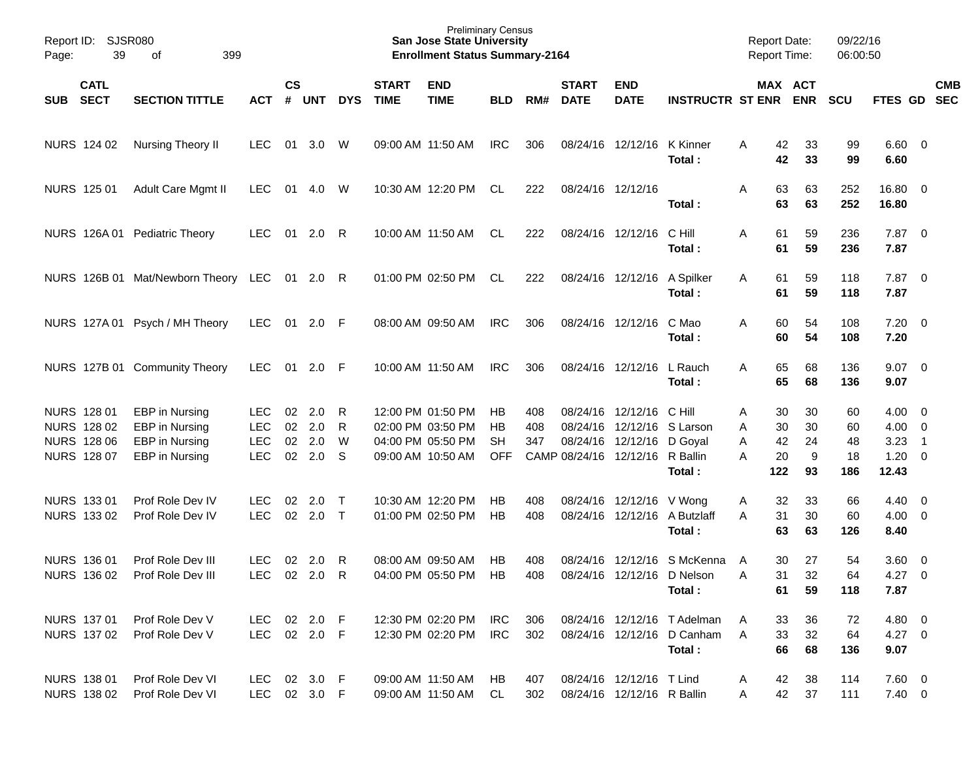| Page:      | Report ID: SJSR080<br>39   | 399<br>of                           |              |                |            |            |                             | <b>Preliminary Census</b><br><b>San Jose State University</b><br><b>Enrollment Status Summary-2164</b> |            |     |                             |                                 |                              |   |          | <b>Report Date:</b><br><b>Report Time:</b> | 09/22/16<br>06:00:50 |                     |                          |            |
|------------|----------------------------|-------------------------------------|--------------|----------------|------------|------------|-----------------------------|--------------------------------------------------------------------------------------------------------|------------|-----|-----------------------------|---------------------------------|------------------------------|---|----------|--------------------------------------------|----------------------|---------------------|--------------------------|------------|
| <b>SUB</b> | <b>CATL</b><br><b>SECT</b> | <b>SECTION TITTLE</b>               | <b>ACT</b>   | <b>CS</b><br># | <b>UNT</b> | <b>DYS</b> | <b>START</b><br><b>TIME</b> | <b>END</b><br><b>TIME</b>                                                                              | <b>BLD</b> | RM# | <b>START</b><br><b>DATE</b> | <b>END</b><br><b>DATE</b>       | <b>INSTRUCTR ST ENR</b>      |   |          | MAX ACT<br><b>ENR</b>                      | <b>SCU</b>           | FTES GD SEC         |                          | <b>CMB</b> |
|            | NURS 124 02                | Nursing Theory II                   | <b>LEC</b>   | 01             | 3.0        | W          |                             | 09:00 AM 11:50 AM                                                                                      | <b>IRC</b> | 306 |                             | 08/24/16 12/12/16               | K Kinner<br>Total:           | A | 42<br>42 | 33<br>33                                   | 99<br>99             | $6.60$ 0<br>6.60    |                          |            |
|            | NURS 125 01                | Adult Care Mgmt II                  | <b>LEC</b>   | 01             | 4.0        | W          |                             | 10:30 AM 12:20 PM                                                                                      | CL         | 222 | 08/24/16 12/12/16           |                                 | Total:                       | Α | 63<br>63 | 63<br>63                                   | 252<br>252           | 16.80 0<br>16.80    |                          |            |
|            |                            | NURS 126A 01 Pediatric Theory       | <b>LEC</b>   | 01             | 2.0        | R          |                             | 10:00 AM 11:50 AM                                                                                      | CL         | 222 |                             | 08/24/16 12/12/16               | C Hill<br>Total:             | A | 61<br>61 | 59<br>59                                   | 236<br>236           | $7.87$ 0<br>7.87    |                          |            |
|            |                            | NURS 126B 01 Mat/Newborn Theory LEC |              | 01             | 2.0        | - R        |                             | 01:00 PM 02:50 PM                                                                                      | CL         | 222 |                             | 08/24/16 12/12/16               | A Spilker<br>Total:          | A | 61<br>61 | 59<br>59                                   | 118<br>118           | $7.87$ 0<br>7.87    |                          |            |
|            |                            | NURS 127A 01 Psych / MH Theory      | <b>LEC</b>   | 01             | 2.0        | -F         |                             | 08:00 AM 09:50 AM                                                                                      | <b>IRC</b> | 306 |                             | 08/24/16 12/12/16               | C Mao<br>Total:              | A | 60<br>60 | 54<br>54                                   | 108<br>108           | $7.20 \t 0$<br>7.20 |                          |            |
|            |                            | NURS 127B 01 Community Theory       | <b>LEC</b>   | 01             | 2.0        | -F         |                             | 10:00 AM 11:50 AM                                                                                      | <b>IRC</b> | 306 |                             | 08/24/16 12/12/16               | L Rauch<br>Total:            | A | 65<br>65 | 68<br>68                                   | 136<br>136           | $9.07$ 0<br>9.07    |                          |            |
|            | NURS 128 01                | EBP in Nursing                      | <b>LEC</b>   | 02             | 2.0        | R          |                             | 12:00 PM 01:50 PM                                                                                      | HB         | 408 |                             | 08/24/16 12/12/16               | C Hill                       | A | 30       | 30                                         | 60                   | $4.00 \ 0$          |                          |            |
|            | NURS 128 02                | EBP in Nursing                      | <b>LEC</b>   | 02             | 2.0        | R          |                             | 02:00 PM 03:50 PM                                                                                      | HB         | 408 |                             | 08/24/16 12/12/16 S Larson      |                              | A | 30       | 30                                         | 60                   | $4.00 \ 0$          |                          |            |
|            | NURS 128 06                | EBP in Nursing                      | <b>LEC</b>   | 02             | 2.0        | W          |                             | 04:00 PM 05:50 PM                                                                                      | <b>SH</b>  | 347 |                             | 08/24/16 12/12/16 D Goyal       |                              | A | 42       | 24                                         | 48                   | 3.23                | $\overline{\phantom{1}}$ |            |
|            | NURS 128 07                | EBP in Nursing                      | <b>LEC</b>   | 02             | 2.0        | S          |                             | 09:00 AM 10:50 AM                                                                                      | <b>OFF</b> |     |                             | CAMP 08/24/16 12/12/16 R Ballin |                              | A | 20       | 9                                          | 18                   | $1.20 \t 0$         |                          |            |
|            |                            |                                     |              |                |            |            |                             |                                                                                                        |            |     |                             |                                 | Total:                       |   | 122      | 93                                         | 186                  | 12.43               |                          |            |
|            | NURS 133 01                | Prof Role Dev IV                    | <b>LEC</b>   | 02             | 2.0        | $\top$     |                             | 10:30 AM 12:20 PM                                                                                      | HB         | 408 |                             | 08/24/16 12/12/16 V Wong        |                              | A | 32       | 33                                         | 66                   | $4.40 \quad 0$      |                          |            |
|            | NURS 133 02                | Prof Role Dev IV                    | <b>LEC</b>   | 02             | 2.0        | $\top$     |                             | 01:00 PM 02:50 PM                                                                                      | НB         | 408 |                             |                                 | 08/24/16 12/12/16 A Butzlaff | A | 31       | 30                                         | 60                   | $4.00 \ 0$          |                          |            |
|            |                            |                                     |              |                |            |            |                             |                                                                                                        |            |     |                             |                                 | Total:                       |   | 63       | 63                                         | 126                  | 8.40                |                          |            |
|            | <b>NURS 136 01</b>         | Prof Role Dev III                   | <b>LEC</b>   | 02             | 2.0        | R          |                             | 08:00 AM 09:50 AM                                                                                      | НB         | 408 | 08/24/16                    | 12/12/16                        | S McKenna                    | A | 30       | 27                                         | 54                   | $3.60 \ 0$          |                          |            |
|            | NURS 136 02                | Prof Role Dev III                   | <b>LEC</b>   |                | 02 2.0     | R          |                             | 04:00 PM 05:50 PM                                                                                      | <b>HB</b>  | 408 |                             |                                 | 08/24/16 12/12/16 D Nelson   | A | 31       | 32                                         | 64                   | 4.27                | $\overline{\mathbf{0}}$  |            |
|            |                            |                                     |              |                |            |            |                             |                                                                                                        |            |     |                             |                                 | Total:                       |   | 61       | 59                                         | 118                  | 7.87                |                          |            |
|            |                            |                                     |              |                |            |            |                             |                                                                                                        |            |     |                             |                                 |                              |   |          |                                            |                      |                     |                          |            |
|            | NURS 137 01                | Prof Role Dev V                     | LEC          |                | 02 2.0 F   |            |                             | 12:30 PM 02:20 PM                                                                                      | IRC        | 306 |                             |                                 | 08/24/16 12/12/16 T Adelman  | A | 33       | 36                                         | 72                   | 4.80 0              |                          |            |
|            | NURS 137 02                | Prof Role Dev V                     | LEC 02 2.0 F |                |            |            |                             | 12:30 PM 02:20 PM                                                                                      | <b>IRC</b> | 302 |                             |                                 | 08/24/16 12/12/16 D Canham   | A | 33       | 32                                         | 64                   | $4.27 \t 0$         |                          |            |
|            |                            |                                     |              |                |            |            |                             |                                                                                                        |            |     |                             |                                 | Total:                       |   | 66       | 68                                         | 136                  | 9.07                |                          |            |
|            | NURS 138 01                | Prof Role Dev VI                    | LEC 02 3.0 F |                |            |            |                             | 09:00 AM 11:50 AM                                                                                      | HB         | 407 |                             | 08/24/16 12/12/16 T Lind        |                              | A | 42       | 38                                         | 114                  | $7.60$ 0            |                          |            |
|            | NURS 138 02                | Prof Role Dev VI                    | LEC 02 3.0 F |                |            |            |                             | 09:00 AM 11:50 AM                                                                                      | CL.        | 302 |                             | 08/24/16 12/12/16 R Ballin      |                              | A | 42       | 37                                         | 111                  | $7.40 \ 0$          |                          |            |
|            |                            |                                     |              |                |            |            |                             |                                                                                                        |            |     |                             |                                 |                              |   |          |                                            |                      |                     |                          |            |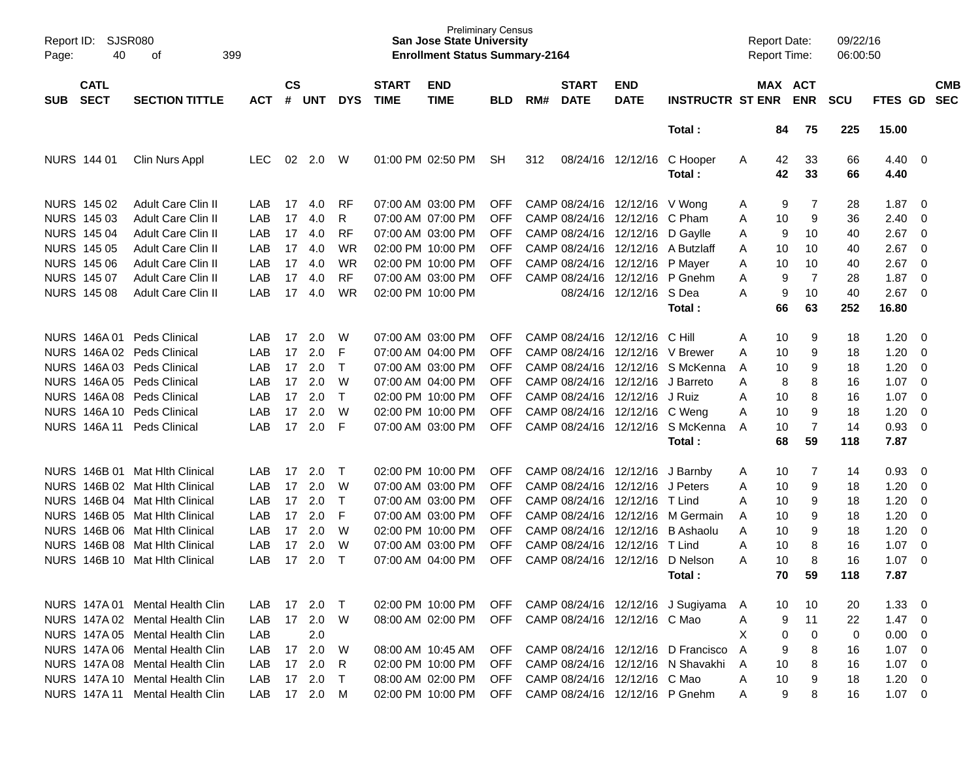| Report ID:<br>Page: | <b>SJSR080</b><br>40       | 399<br>оf                       |            |                |            |              |                             | <b>Preliminary Census</b><br><b>San Jose State University</b><br><b>Enrollment Status Summary-2164</b> |            |     |                             |                              |                                    | <b>Report Date:</b><br>Report Time: |          |                       | 09/22/16<br>06:00:50 |                |                          |                          |
|---------------------|----------------------------|---------------------------------|------------|----------------|------------|--------------|-----------------------------|--------------------------------------------------------------------------------------------------------|------------|-----|-----------------------------|------------------------------|------------------------------------|-------------------------------------|----------|-----------------------|----------------------|----------------|--------------------------|--------------------------|
| <b>SUB</b>          | <b>CATL</b><br><b>SECT</b> | <b>SECTION TITTLE</b>           | <b>ACT</b> | <b>CS</b><br># | <b>UNT</b> | <b>DYS</b>   | <b>START</b><br><b>TIME</b> | <b>END</b><br><b>TIME</b>                                                                              | <b>BLD</b> | RM# | <b>START</b><br><b>DATE</b> | <b>END</b><br><b>DATE</b>    | <b>INSTRUCTR ST ENR</b>            |                                     |          | MAX ACT<br><b>ENR</b> | <b>SCU</b>           | FTES GD        |                          | <b>CMB</b><br><b>SEC</b> |
|                     |                            |                                 |            |                |            |              |                             |                                                                                                        |            |     |                             |                              | Total:                             |                                     | 84       | 75                    | 225                  | 15.00          |                          |                          |
|                     | <b>NURS 144 01</b>         | Clin Nurs Appl                  | <b>LEC</b> | 02             | 2.0        | W            |                             | 01:00 PM 02:50 PM                                                                                      | <b>SH</b>  | 312 |                             | 08/24/16 12/12/16            | C Hooper<br>Total:                 | A                                   | 42<br>42 | 33<br>33              | 66<br>66             | 4.40<br>4.40   | $\overline{\mathbf{0}}$  |                          |
|                     | NURS 145 02                | <b>Adult Care Clin II</b>       | LAB        | 17             | 4.0        | <b>RF</b>    |                             | 07:00 AM 03:00 PM                                                                                      | <b>OFF</b> |     |                             | CAMP 08/24/16 12/12/16       | V Wong                             | A                                   | 9        | 7                     | 28                   | 1.87           | - 0                      |                          |
|                     | NURS 145 03                | Adult Care Clin II              | LAB        | 17             | 4.0        | R            |                             | 07:00 AM 07:00 PM                                                                                      | <b>OFF</b> |     |                             | CAMP 08/24/16 12/12/16       | C Pham                             | A                                   | 10       | 9                     | 36                   | 2.40           | $\overline{0}$           |                          |
|                     | NURS 145 04                | Adult Care Clin II              | LAB        | 17             | 4.0        | <b>RF</b>    |                             | 07:00 AM 03:00 PM                                                                                      | <b>OFF</b> |     |                             | CAMP 08/24/16 12/12/16       | D Gaylle                           | Α                                   | 9        | 10                    | 40                   | 2.67           | $\overline{0}$           |                          |
|                     | <b>NURS 145 05</b>         | Adult Care Clin II              | LAB        | 17             | 4.0        | <b>WR</b>    |                             | 02:00 PM 10:00 PM                                                                                      | <b>OFF</b> |     |                             | CAMP 08/24/16 12/12/16       | A Butzlaff                         | Α                                   | 10       | 10                    | 40                   | 2.67           | $\overline{0}$           |                          |
|                     | NURS 145 06                | Adult Care Clin II              | LAB        | 17             | 4.0        | <b>WR</b>    |                             | 02:00 PM 10:00 PM                                                                                      | <b>OFF</b> |     |                             | CAMP 08/24/16 12/12/16       | P Mayer                            | Α                                   | 10       | 10                    | 40                   | 2.67           | $\overline{\mathbf{0}}$  |                          |
|                     | NURS 145 07                | Adult Care Clin II              | LAB        | 17             | 4.0        | <b>RF</b>    |                             | 07:00 AM 03:00 PM                                                                                      | <b>OFF</b> |     |                             | CAMP 08/24/16 12/12/16       | P Gnehm                            | Α                                   | 9        | 7                     | 28                   | 1.87           | $\overline{0}$           |                          |
|                     | <b>NURS 145 08</b>         | <b>Adult Care Clin II</b>       | LAB        | 17             | 4.0        | <b>WR</b>    |                             | 02:00 PM 10:00 PM                                                                                      |            |     |                             | 08/24/16 12/12/16 S Dea      |                                    | A                                   | 9        | 10                    | 40                   | 2.67           | $\overline{\phantom{0}}$ |                          |
|                     |                            |                                 |            |                |            |              |                             |                                                                                                        |            |     |                             |                              | Total:                             |                                     | 66       | 63                    | 252                  | 16.80          |                          |                          |
|                     | NURS 146A01                | <b>Peds Clinical</b>            | LAB        | 17             | 2.0        | W            |                             | 07:00 AM 03:00 PM                                                                                      | <b>OFF</b> |     |                             | CAMP 08/24/16 12/12/16       | - C Hill                           | Α                                   | 10       | 9                     | 18                   | 1.20           | - 0                      |                          |
|                     |                            | NURS 146A 02 Peds Clinical      | LAB        | 17             | 2.0        | F            |                             | 07:00 AM 04:00 PM                                                                                      | <b>OFF</b> |     |                             | CAMP 08/24/16 12/12/16       | V Brewer                           | Α                                   | 10       | 9                     | 18                   | 1.20           | $\overline{0}$           |                          |
|                     |                            | NURS 146A 03 Peds Clinical      | LAB        | 17             | 2.0        | $\mathsf{T}$ |                             | 07:00 AM 03:00 PM                                                                                      | <b>OFF</b> |     |                             | CAMP 08/24/16 12/12/16       | S McKenna                          | A                                   | 10       | 9                     | 18                   | 1.20           | $\overline{0}$           |                          |
|                     |                            | NURS 146A 05 Peds Clinical      | LAB        | 17             | 2.0        | W            |                             | 07:00 AM 04:00 PM                                                                                      | <b>OFF</b> |     |                             | CAMP 08/24/16 12/12/16       | J Barreto                          | Α                                   | 8        | 8                     | 16                   | 1.07           | $\overline{0}$           |                          |
|                     |                            | NURS 146A 08 Peds Clinical      | LAB        | 17             | 2.0        | $\top$       |                             | 02:00 PM 10:00 PM                                                                                      | <b>OFF</b> |     |                             | CAMP 08/24/16 12/12/16       | J Ruiz                             | Α                                   | 10       | 8                     | 16                   | 1.07           | $\overline{0}$           |                          |
|                     |                            | NURS 146A 10 Peds Clinical      | LAB        | 17             | 2.0        | W            |                             | 02:00 PM 10:00 PM                                                                                      | <b>OFF</b> |     |                             | CAMP 08/24/16 12/12/16       | C Weng                             | Α                                   | 10       | 9                     | 18                   | 1.20           | $\overline{0}$           |                          |
|                     | <b>NURS 146A11</b>         | Peds Clinical                   | LAB        | 17             | 2.0        | F            |                             | 07:00 AM 03:00 PM                                                                                      | <b>OFF</b> |     |                             | CAMP 08/24/16 12/12/16       | S McKenna                          | A                                   | 10       | 7                     | 14                   | 0.93           | $\overline{0}$           |                          |
|                     |                            |                                 |            |                |            |              |                             |                                                                                                        |            |     |                             |                              | Total:                             |                                     | 68       | 59                    | 118                  | 7.87           |                          |                          |
|                     | NURS 146B 01               | <b>Mat Hith Clinical</b>        | LAB        | 17             | 2.0        | $\top$       |                             | 02:00 PM 10:00 PM                                                                                      | <b>OFF</b> |     |                             | CAMP 08/24/16 12/12/16       | J Barnby                           | A                                   | 10       | 7                     | 14                   | 0.93           | - 0                      |                          |
|                     |                            | NURS 146B 02 Mat Hlth Clinical  | LAB        | 17             | 2.0        | W            |                             | 07:00 AM 03:00 PM                                                                                      | <b>OFF</b> |     |                             | CAMP 08/24/16 12/12/16       | J Peters                           | Α                                   | 10       | 9                     | 18                   | 1.20           | $\mathbf 0$              |                          |
|                     |                            | NURS 146B 04 Mat Hlth Clinical  | LAB        | 17             | 2.0        | $\mathsf{T}$ |                             | 07:00 AM 03:00 PM                                                                                      | <b>OFF</b> |     |                             | CAMP 08/24/16 12/12/16       | T Lind                             | Α                                   | 10       | 9                     | 18                   | 1.20           | $\mathbf 0$              |                          |
|                     |                            | NURS 146B 05 Mat Hlth Clinical  | LAB        | 17             | 2.0        | F            |                             | 07:00 AM 03:00 PM                                                                                      | <b>OFF</b> |     |                             | CAMP 08/24/16 12/12/16       | M Germain                          | A                                   | 10       | 9                     | 18                   | 1.20           | $\overline{0}$           |                          |
|                     |                            | NURS 146B 06 Mat Hlth Clinical  | LAB        | 17             | 2.0        | W            |                             | 02:00 PM 10:00 PM                                                                                      | <b>OFF</b> |     |                             | CAMP 08/24/16 12/12/16       | <b>B</b> Ashaolu                   | A                                   | 10       | 9                     | 18                   | 1.20           | $\overline{0}$           |                          |
|                     |                            | NURS 146B 08 Mat Hlth Clinical  | LAB        | 17             | 2.0        | W            |                             | 07:00 AM 03:00 PM                                                                                      | <b>OFF</b> |     |                             | CAMP 08/24/16 12/12/16       | T Lind                             | Α                                   | 10       | 8                     | 16                   | 1.07           | $\overline{0}$           |                          |
| <b>NURS</b>         |                            | 146B 10 Mat Hith Clinical       | LAB        | 17             | 2.0        | $\top$       |                             | 07:00 AM 04:00 PM                                                                                      | <b>OFF</b> |     |                             | CAMP 08/24/16 12/12/16       | D Nelson                           | А                                   | 10       | 8                     | 16                   | 1.07           | $\overline{\mathbf{0}}$  |                          |
|                     |                            |                                 |            |                |            |              |                             |                                                                                                        |            |     |                             |                              | Total:                             |                                     | 70       | 59                    | 118                  | 7.87           |                          |                          |
|                     | NURS 147A 01               | Mental Health Clin              | LAB        | 17             | 2.0        | $\top$       |                             | 02:00 PM 10:00 PM                                                                                      | <b>OFF</b> |     |                             |                              | CAMP 08/24/16 12/12/16 J Sugiyama  | A                                   | 10       | 10                    | 20                   | 1.33           | $\overline{\mathbf{0}}$  |                          |
|                     |                            | NURS 147A 02 Mental Health Clin | LAB        |                | 17 2.0     | W            |                             | 08:00 AM 02:00 PM                                                                                      | <b>OFF</b> |     |                             | CAMP 08/24/16 12/12/16 C Mao |                                    | Α                                   | 9        | 11                    | 22                   | $1.47 \quad 0$ |                          |                          |
|                     |                            | NURS 147A 05 Mental Health Clin | LAB        |                | 2.0        |              |                             |                                                                                                        |            |     |                             |                              |                                    | X                                   | 0        | 0                     | 0                    | $0.00 \t 0$    |                          |                          |
|                     |                            | NURS 147A 06 Mental Health Clin | LAB        |                | 17 2.0     | W            |                             | 08:00 AM 10:45 AM                                                                                      | <b>OFF</b> |     |                             |                              | CAMP 08/24/16 12/12/16 D Francisco | A                                   | 9        | 8                     | 16                   | $1.07 \t 0$    |                          |                          |
|                     |                            | NURS 147A 08 Mental Health Clin | LAB        | 17             | 2.0        | R            |                             | 02:00 PM 10:00 PM                                                                                      | <b>OFF</b> |     |                             |                              | CAMP 08/24/16 12/12/16 N Shavakhi  | A                                   | 10       | 8                     | 16                   | $1.07 \t 0$    |                          |                          |
|                     |                            | NURS 147A 10 Mental Health Clin | LAB        | 17             | 2.0        | $\top$       |                             | 08:00 AM 02:00 PM                                                                                      | <b>OFF</b> |     |                             | CAMP 08/24/16 12/12/16 C Mao |                                    | Α                                   | 10       | 9                     | 18                   | $1.20 \t 0$    |                          |                          |
|                     |                            | NURS 147A 11 Mental Health Clin | LAB        |                | 17 2.0 M   |              |                             | 02:00 PM 10:00 PM                                                                                      | <b>OFF</b> |     |                             |                              | CAMP 08/24/16 12/12/16 P Gnehm     | Α                                   | 9        | 8                     | 16                   | $1.07 \t 0$    |                          |                          |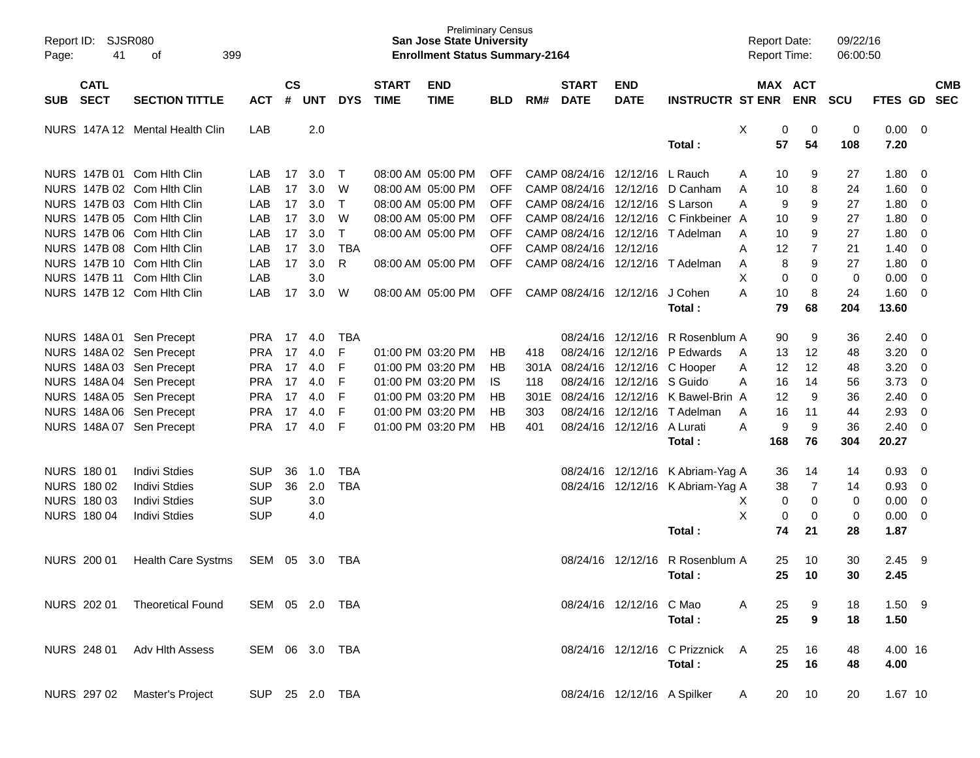| Page: | Report ID: SJSR080<br>41   | 399<br>οf                       |                |                    |            |              |                             | <b>San Jose State University</b><br><b>Enrollment Status Summary-2164</b> | <b>Preliminary Census</b> |      |                             |                                 |                                  | <b>Report Date:</b><br>Report Time: |             |                       | 09/22/16<br>06:00:50 |              |                         |            |
|-------|----------------------------|---------------------------------|----------------|--------------------|------------|--------------|-----------------------------|---------------------------------------------------------------------------|---------------------------|------|-----------------------------|---------------------------------|----------------------------------|-------------------------------------|-------------|-----------------------|----------------------|--------------|-------------------------|------------|
| SUB   | <b>CATL</b><br><b>SECT</b> | <b>SECTION TITTLE</b>           | <b>ACT</b>     | $\mathsf{cs}$<br># | <b>UNT</b> | <b>DYS</b>   | <b>START</b><br><b>TIME</b> | <b>END</b><br><b>TIME</b>                                                 | <b>BLD</b>                | RM#  | <b>START</b><br><b>DATE</b> | <b>END</b><br><b>DATE</b>       | <b>INSTRUCTR ST ENR</b>          |                                     |             | MAX ACT<br><b>ENR</b> | <b>SCU</b>           | FTES GD SEC  |                         | <b>CMB</b> |
|       |                            | NURS 147A 12 Mental Health Clin | LAB            |                    | 2.0        |              |                             |                                                                           |                           |      |                             |                                 | Total:                           | X                                   | 0<br>57     | 0<br>54               | 0<br>108             | 0.00<br>7.20 | $\overline{\mathbf{0}}$ |            |
|       |                            | NURS 147B 01 Com Hith Clin      | LAB            | 17                 | 3.0        | $\top$       |                             | 08:00 AM 05:00 PM                                                         | <b>OFF</b>                |      |                             | CAMP 08/24/16 12/12/16          | L Rauch                          | Α                                   | 10          | 9                     | 27                   | 1.80         | - 0                     |            |
|       |                            | NURS 147B 02 Com Hith Clin      | LAB            | 17                 | 3.0        | W            |                             | 08:00 AM 05:00 PM                                                         | <b>OFF</b>                |      |                             | CAMP 08/24/16 12/12/16          | D Canham                         | A                                   | 10          | 8                     | 24                   | 1.60         | 0                       |            |
|       |                            | NURS 147B 03 Com Hith Clin      | LAB            | 17                 | 3.0        | $\mathsf{T}$ |                             | 08:00 AM 05:00 PM                                                         | <b>OFF</b>                |      |                             | CAMP 08/24/16 12/12/16 S Larson |                                  | A                                   | 9           | 9                     | 27                   | 1.80         | $\overline{0}$          |            |
|       |                            | NURS 147B 05 Com Hith Clin      | LAB            | 17                 | 3.0        | W            |                             | 08:00 AM 05:00 PM                                                         | <b>OFF</b>                |      |                             | CAMP 08/24/16 12/12/16          | C Finkbeiner A                   |                                     | 10          | 9                     | 27                   | 1.80         | $\overline{0}$          |            |
|       |                            | NURS 147B 06 Com Hith Clin      | LAB            | 17                 | 3.0        | $\mathsf{T}$ |                             | 08:00 AM 05:00 PM                                                         | <b>OFF</b>                |      |                             |                                 | CAMP 08/24/16 12/12/16 T Adelman | A                                   | 10          | 9                     | 27                   | 1.80         | 0                       |            |
|       |                            | NURS 147B 08 Com Hith Clin      | LAB            | 17                 | 3.0        | <b>TBA</b>   |                             |                                                                           | <b>OFF</b>                |      | CAMP 08/24/16 12/12/16      |                                 |                                  | Α                                   | 12          | 7                     | 21                   | 1.40         | 0                       |            |
|       |                            | NURS 147B 10 Com Hith Clin      | LAB            | 17                 | 3.0        | R            |                             | 08:00 AM 05:00 PM                                                         | <b>OFF</b>                |      |                             |                                 | CAMP 08/24/16 12/12/16 T Adelman | Α                                   | 8           | 9                     | 27                   | 1.80         | $\overline{0}$          |            |
|       |                            | NURS 147B 11 Com Hith Clin      | LAB            |                    | 3.0        |              |                             |                                                                           |                           |      |                             |                                 |                                  | X                                   | $\mathbf 0$ | $\mathbf 0$           | 0                    | 0.00         | $\overline{0}$          |            |
|       |                            | NURS 147B 12 Com Hith Clin      | LAB            | 17                 | 3.0        | W            |                             | 08:00 AM 05:00 PM                                                         | <b>OFF</b>                |      |                             | CAMP 08/24/16 12/12/16          | J Cohen                          | A                                   | 10          | 8                     | 24                   | 1.60         | $\overline{0}$          |            |
|       |                            |                                 |                |                    |            |              |                             |                                                                           |                           |      |                             |                                 | Total:                           |                                     | 79          | 68                    | 204                  | 13.60        |                         |            |
|       |                            | NURS 148A 01 Sen Precept        | <b>PRA</b>     | 17                 | 4.0        | TBA          |                             |                                                                           |                           |      |                             | 08/24/16 12/12/16               | R Rosenblum A                    |                                     | 90          | 9                     | 36                   | 2.40         | $\overline{0}$          |            |
|       |                            | NURS 148A 02 Sen Precept        | <b>PRA</b>     | 17                 | 4.0        | F            |                             | 01:00 PM 03:20 PM                                                         | HB                        | 418  |                             | 08/24/16 12/12/16               | P Edwards                        | A                                   | 13          | 12                    | 48                   | 3.20         | $\overline{0}$          |            |
|       |                            | NURS 148A 03 Sen Precept        | <b>PRA</b>     | 17                 | 4.0        | F            |                             | 01:00 PM 03:20 PM                                                         | HB                        | 301A |                             | 08/24/16 12/12/16               | C Hooper                         | Α                                   | 12          | 12                    | 48                   | 3.20         | $\overline{0}$          |            |
|       |                            | NURS 148A 04 Sen Precept        | <b>PRA</b>     | 17                 | 4.0        | F            |                             | 01:00 PM 03:20 PM                                                         | IS.                       | 118  |                             | 08/24/16 12/12/16 S Guido       |                                  | A                                   | 16          | 14                    | 56                   | 3.73         | 0                       |            |
|       |                            | NURS 148A 05 Sen Precept        | <b>PRA</b>     | 17                 | 4.0        | F            |                             | 01:00 PM 03:20 PM                                                         | НB                        | 301E |                             |                                 | 08/24/16 12/12/16 K Bawel-Brin A |                                     | 12          | 9                     | 36                   | 2.40         | 0                       |            |
|       |                            | NURS 148A 06 Sen Precept        | <b>PRA</b>     | 17                 | 4.0        | F            |                             | 01:00 PM 03:20 PM                                                         | HB                        | 303  |                             |                                 | 08/24/16 12/12/16 T Adelman      | A                                   | 16          | 11                    | 44                   | 2.93         | 0                       |            |
|       |                            | NURS 148A 07 Sen Precept        | <b>PRA</b>     | 17                 | 4.0        | F            |                             | 01:00 PM 03:20 PM                                                         | <b>HB</b>                 | 401  |                             | 08/24/16 12/12/16               | A Lurati                         | A                                   | 9           | 9                     | 36                   | 2.40         | $\overline{0}$          |            |
|       |                            |                                 |                |                    |            |              |                             |                                                                           |                           |      |                             |                                 | Total:                           |                                     | 168         | 76                    | 304                  | 20.27        |                         |            |
|       | <b>NURS 180 01</b>         | <b>Indivi Stdies</b>            | <b>SUP</b>     | 36                 | 1.0        | <b>TBA</b>   |                             |                                                                           |                           |      |                             |                                 | 08/24/16 12/12/16 K Abriam-Yag A |                                     | 36          | 14                    | 14                   | 0.93         | $\overline{0}$          |            |
|       | NURS 180 02                | <b>Indivi Stdies</b>            | <b>SUP</b>     | 36                 | 2.0        | <b>TBA</b>   |                             |                                                                           |                           |      |                             |                                 | 08/24/16 12/12/16 K Abriam-Yag A |                                     | 38          | 7                     | 14                   | 0.93         | 0                       |            |
|       | NURS 180 03                | <b>Indivi Stdies</b>            | <b>SUP</b>     |                    | 3.0        |              |                             |                                                                           |                           |      |                             |                                 |                                  | Х                                   | 0           | $\mathbf 0$           | 0                    | 0.00         | $\overline{0}$          |            |
|       | <b>NURS 180 04</b>         | <b>Indivi Stdies</b>            | <b>SUP</b>     |                    | 4.0        |              |                             |                                                                           |                           |      |                             |                                 |                                  | X                                   | 0           | 0                     | 0                    | 0.00         | $\overline{0}$          |            |
|       |                            |                                 |                |                    |            |              |                             |                                                                           |                           |      |                             |                                 | Total:                           |                                     | 74          | 21                    | 28                   | 1.87         |                         |            |
|       | <b>NURS 200 01</b>         | <b>Health Care Systms</b>       | SEM            | 05                 | 3.0        | TBA          |                             |                                                                           |                           |      |                             | 08/24/16 12/12/16               | R Rosenblum A                    |                                     | 25          | 10                    | 30                   | 2.45         | - 9                     |            |
|       |                            |                                 |                |                    |            |              |                             |                                                                           |                           |      |                             |                                 | Total:                           |                                     | 25          | 10                    | 30                   | 2.45         |                         |            |
|       |                            | NURS 202 01 Theoretical Found   | SEM 05 2.0 TBA |                    |            |              |                             |                                                                           |                           |      |                             | 08/24/16 12/12/16 C Mao         |                                  | A                                   | 25          | 9                     | 18                   | $1.50$ 9     |                         |            |
|       |                            |                                 |                |                    |            |              |                             |                                                                           |                           |      |                             |                                 | Total:                           |                                     | 25          | 9                     | 18                   | 1.50         |                         |            |
|       |                            | NURS 248 01 Adv Hith Assess     | SEM 06 3.0 TBA |                    |            |              |                             |                                                                           |                           |      |                             |                                 | 08/24/16 12/12/16 C Prizznick A  |                                     | 25          | 16                    | 48                   | 4.00 16      |                         |            |
|       |                            |                                 |                |                    |            |              |                             |                                                                           |                           |      |                             |                                 | Total:                           |                                     | 25          | 16                    | 48                   | 4.00         |                         |            |
|       | NURS 297 02                | Master's Project                | SUP 25 2.0 TBA |                    |            |              |                             |                                                                           |                           |      |                             |                                 | 08/24/16 12/12/16 A Spilker      | $\mathsf{A}$                        | 20          | 10                    | 20                   | 1.67 10      |                         |            |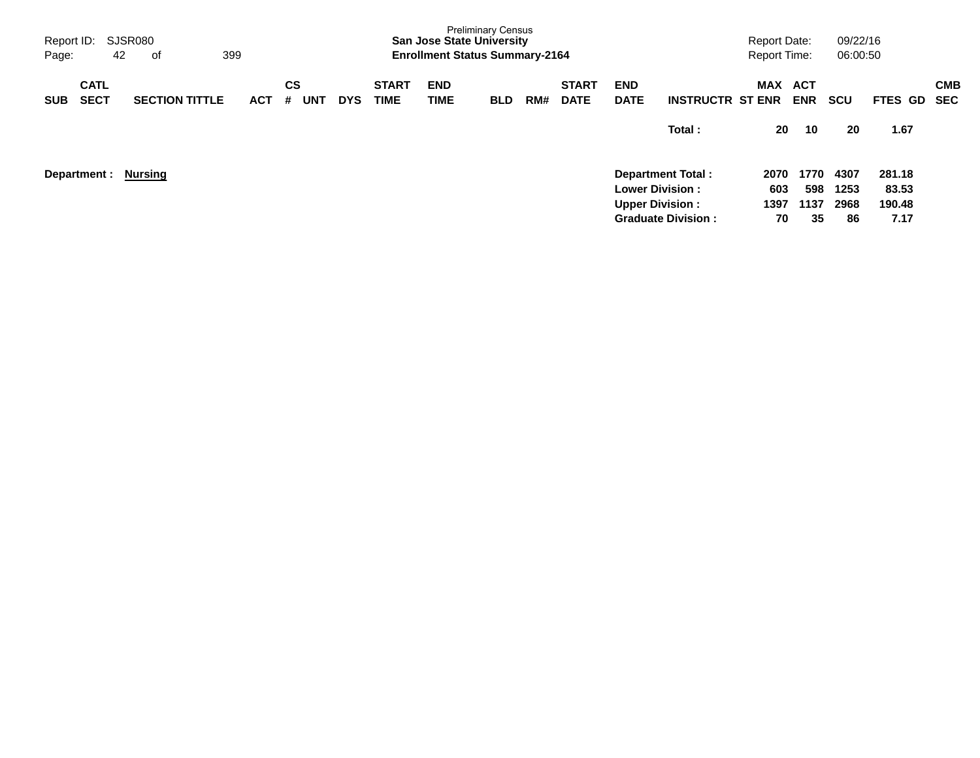| Report ID:<br>Page:                      | SJSR080<br>399<br>42<br>оf |            |                       |            |                             | <b>San Jose State University</b><br><b>Enrollment Status Summary-2164</b> | <b>Preliminary Census</b> |     |                             |                                                  |                           | <b>Report Date:</b><br><b>Report Time:</b> |                          | 09/22/16<br>06:00:50 |                           |                   |
|------------------------------------------|----------------------------|------------|-----------------------|------------|-----------------------------|---------------------------------------------------------------------------|---------------------------|-----|-----------------------------|--------------------------------------------------|---------------------------|--------------------------------------------|--------------------------|----------------------|---------------------------|-------------------|
| <b>CATL</b><br><b>SECT</b><br><b>SUB</b> | <b>SECTION TITTLE</b>      | <b>ACT</b> | CS<br><b>UNT</b><br># | <b>DYS</b> | <b>START</b><br><b>TIME</b> | <b>END</b><br><b>TIME</b>                                                 | <b>BLD</b>                | RM# | <b>START</b><br><b>DATE</b> | <b>END</b><br><b>DATE</b>                        | <b>INSTRUCTR ST ENR</b>   | <b>MAX</b>                                 | <b>ACT</b><br><b>ENR</b> | <b>SCU</b>           | <b>FTES</b><br>GD.        | <b>CMB</b><br>SEC |
|                                          |                            |            |                       |            |                             |                                                                           |                           |     |                             |                                                  | Total:                    | 20                                         | 10                       | 20                   | 1.67                      |                   |
| Department :                             | <b>Nursing</b>             |            |                       |            |                             |                                                                           |                           |     |                             | <b>Lower Division:</b><br><b>Upper Division:</b> | <b>Department Total:</b>  | 2070<br>603<br>1397                        | 1770<br>598<br>1137      | 4307<br>1253<br>2968 | 281.18<br>83.53<br>190.48 |                   |
|                                          |                            |            |                       |            |                             |                                                                           |                           |     |                             |                                                  | <b>Graduate Division:</b> | 70                                         | 35                       | 86                   | 7.17                      |                   |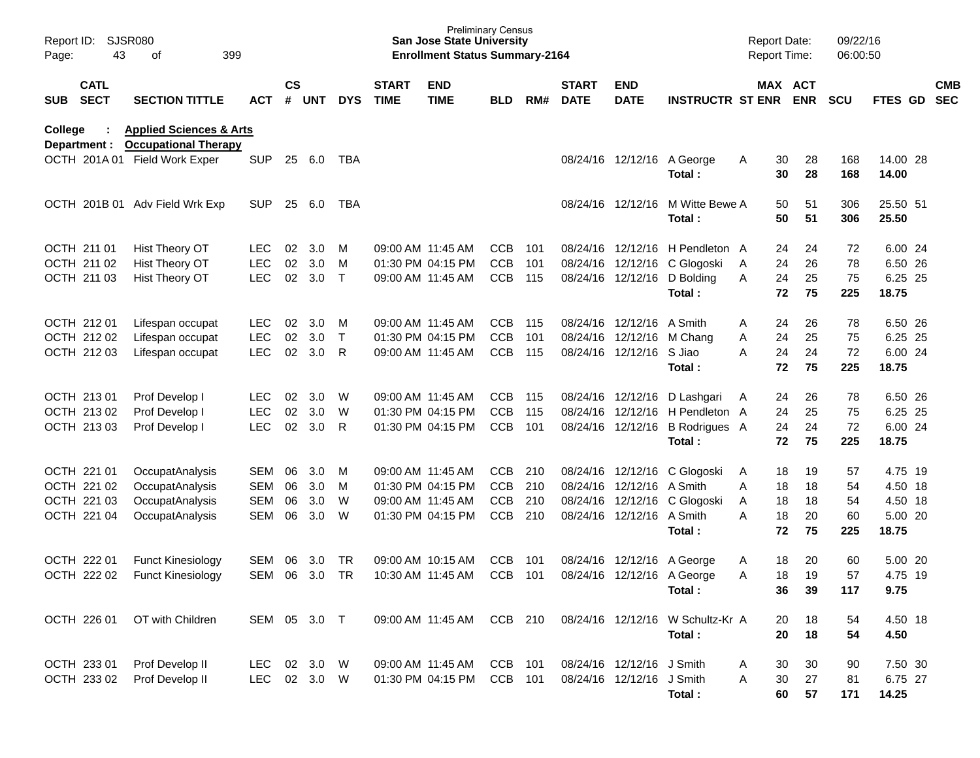| Report ID:<br>Page: | 43                         | <b>SJSR080</b><br>399<br>οf                                       |              |                    |            |              |                             | <b>Preliminary Census</b><br><b>San Jose State University</b><br><b>Enrollment Status Summary-2164</b> |            |      |                             |                           |                                      |   | <b>Report Date:</b><br><b>Report Time:</b> |          | 09/22/16<br>06:00:50 |                   |                          |
|---------------------|----------------------------|-------------------------------------------------------------------|--------------|--------------------|------------|--------------|-----------------------------|--------------------------------------------------------------------------------------------------------|------------|------|-----------------------------|---------------------------|--------------------------------------|---|--------------------------------------------|----------|----------------------|-------------------|--------------------------|
| <b>SUB</b>          | <b>CATL</b><br><b>SECT</b> | <b>SECTION TITTLE</b>                                             | <b>ACT</b>   | $\mathsf{cs}$<br># | <b>UNT</b> | <b>DYS</b>   | <b>START</b><br><b>TIME</b> | <b>END</b><br><b>TIME</b>                                                                              | <b>BLD</b> | RM#  | <b>START</b><br><b>DATE</b> | <b>END</b><br><b>DATE</b> | <b>INSTRUCTR ST ENR ENR</b>          |   | MAX ACT                                    |          | <b>SCU</b>           | <b>FTES GD</b>    | <b>CMB</b><br><b>SEC</b> |
| College             | Department :               | <b>Applied Sciences &amp; Arts</b><br><b>Occupational Therapy</b> |              |                    |            |              |                             |                                                                                                        |            |      |                             |                           |                                      |   |                                            |          |                      |                   |                          |
|                     |                            | OCTH 201A 01 Field Work Exper                                     | <b>SUP</b>   | 25                 | 6.0        | TBA          |                             |                                                                                                        |            |      |                             |                           | 08/24/16 12/12/16 A George<br>Total: | Α | 30<br>30                                   | 28<br>28 | 168<br>168           | 14.00 28<br>14.00 |                          |
|                     |                            | OCTH 201B 01 Adv Field Wrk Exp                                    | <b>SUP</b>   | 25                 | 6.0        | TBA          |                             |                                                                                                        |            |      |                             | 08/24/16 12/12/16         | M Witte Bewe A<br>Total:             |   | 50<br>50                                   | 51<br>51 | 306<br>306           | 25.50 51<br>25.50 |                          |
|                     | OCTH 211 01                | Hist Theory OT                                                    | <b>LEC</b>   | 02                 | 3.0        | M            |                             | 09:00 AM 11:45 AM                                                                                      | <b>CCB</b> | 101  |                             | 08/24/16 12/12/16         | H Pendleton A                        |   | 24                                         | 24       | 72                   | 6.00 24           |                          |
|                     | OCTH 211 02                | Hist Theory OT                                                    | <b>LEC</b>   | 02                 | 3.0        | м            |                             | 01:30 PM 04:15 PM                                                                                      | <b>CCB</b> | 101  |                             | 08/24/16 12/12/16         | C Glogoski                           | A | 24                                         | 26       | 78                   | 6.50 26           |                          |
|                     | OCTH 211 03                | Hist Theory OT                                                    | <b>LEC</b>   | 02                 | 3.0        | $\mathsf{T}$ |                             | 09:00 AM 11:45 AM                                                                                      | <b>CCB</b> | 115  |                             | 08/24/16 12/12/16         | D Bolding<br>Total:                  | A | 24<br>72                                   | 25<br>75 | 75<br>225            | 6.25 25<br>18.75  |                          |
|                     | OCTH 212 01                | Lifespan occupat                                                  | <b>LEC</b>   | 02                 | 3.0        | M            |                             | 09:00 AM 11:45 AM                                                                                      | <b>CCB</b> | -115 |                             | 08/24/16 12/12/16         | A Smith                              | A | 24                                         | 26       | 78                   | 6.50 26           |                          |
|                     | OCTH 212 02                | Lifespan occupat                                                  | <b>LEC</b>   | 02                 | 3.0        | T.           |                             | 01:30 PM 04:15 PM                                                                                      | <b>CCB</b> | 101  |                             | 08/24/16 12/12/16         | M Chang                              | Α | 24                                         | 25       | 75                   | 6.25 25           |                          |
|                     | OCTH 212 03                | Lifespan occupat                                                  | <b>LEC</b>   | 02                 | 3.0        | R            |                             | 09:00 AM 11:45 AM                                                                                      | <b>CCB</b> | 115  |                             | 08/24/16 12/12/16 S Jiao  |                                      | A | 24                                         | 24       | 72                   | 6.00 24           |                          |
|                     |                            |                                                                   |              |                    |            |              |                             |                                                                                                        |            |      |                             |                           | Total:                               |   | 72                                         | 75       | 225                  | 18.75             |                          |
|                     | OCTH 213 01                | Prof Develop I                                                    | <b>LEC</b>   | 02                 | 3.0        | W            |                             | 09:00 AM 11:45 AM                                                                                      | <b>CCB</b> | 115  |                             | 08/24/16 12/12/16         | D Lashgari                           | A | 24                                         | 26       | 78                   | 6.50 26           |                          |
|                     | OCTH 213 02                | Prof Develop I                                                    | <b>LEC</b>   | 02                 | 3.0        | W            |                             | 01:30 PM 04:15 PM                                                                                      | <b>CCB</b> | 115  |                             |                           | 08/24/16 12/12/16 H Pendleton A      |   | 24                                         | 25       | 75                   | 6.25 25           |                          |
|                     | OCTH 213 03                | Prof Develop I                                                    | <b>LEC</b>   | 02                 | 3.0        | R            |                             | 01:30 PM 04:15 PM                                                                                      | <b>CCB</b> | 101  |                             |                           | 08/24/16 12/12/16 B Rodrigues A      |   | 24                                         | 24       | 72                   | 6.00 24           |                          |
|                     |                            |                                                                   |              |                    |            |              |                             |                                                                                                        |            |      |                             |                           | Total:                               |   | 72                                         | 75       | 225                  | 18.75             |                          |
|                     | OCTH 221 01                | OccupatAnalysis                                                   | SEM          | 06                 | 3.0        | м            |                             | 09:00 AM 11:45 AM                                                                                      | <b>CCB</b> | 210  |                             | 08/24/16 12/12/16         | C Glogoski                           | A | 18                                         | 19       | 57                   | 4.75 19           |                          |
|                     | OCTH 221 02                | OccupatAnalysis                                                   | SEM          | 06                 | 3.0        | м            |                             | 01:30 PM 04:15 PM                                                                                      | <b>CCB</b> | 210  |                             | 08/24/16 12/12/16         | A Smith                              | Α | 18                                         | 18       | 54                   | 4.50 18           |                          |
|                     | OCTH 221 03                | OccupatAnalysis                                                   | SEM          | 06                 | 3.0        | W            |                             | 09:00 AM 11:45 AM                                                                                      | <b>CCB</b> | 210  |                             |                           | 08/24/16 12/12/16 C Glogoski         | Α | 18                                         | 18       | 54                   | 4.50 18           |                          |
|                     | OCTH 221 04                | OccupatAnalysis                                                   | SEM          | 06                 | 3.0        | W            |                             | 01:30 PM 04:15 PM                                                                                      | <b>CCB</b> | 210  |                             | 08/24/16 12/12/16 A Smith |                                      | A | 18                                         | 20       | 60                   | 5.00 20           |                          |
|                     |                            |                                                                   |              |                    |            |              |                             |                                                                                                        |            |      |                             |                           | Total:                               |   | 72                                         | 75       | 225                  | 18.75             |                          |
|                     | OCTH 222 01                | <b>Funct Kinesiology</b>                                          | <b>SEM</b>   | 06                 | 3.0        | TR           |                             | 09:00 AM 10:15 AM                                                                                      | <b>CCB</b> | 101  |                             | 08/24/16 12/12/16         | A George                             | A | 18                                         | 20       | 60                   | 5.00 20           |                          |
|                     | OCTH 222 02                | <b>Funct Kinesiology</b>                                          | SEM          | 06                 | 3.0        | <b>TR</b>    |                             | 10:30 AM 11:45 AM                                                                                      | <b>CCB</b> | 101  |                             |                           | 08/24/16 12/12/16 A George           | A | 18                                         | 19       | 57                   | 4.75 19           |                          |
|                     |                            |                                                                   |              |                    |            |              |                             |                                                                                                        |            |      |                             |                           | Total:                               |   | 36                                         | 39       | 117                  | 9.75              |                          |
|                     | OCTH 226 01                | OT with Children                                                  | SEM 05 3.0 T |                    |            |              |                             | 09:00 AM 11:45 AM                                                                                      | CCB 210    |      |                             |                           | 08/24/16 12/12/16 W Schultz-Kr A     |   | 20                                         | 18       | 54                   | 4.50 18           |                          |
|                     |                            |                                                                   |              |                    |            |              |                             |                                                                                                        |            |      |                             |                           | Total:                               |   | 20                                         | 18       | 54                   | 4.50              |                          |
|                     | OCTH 233 01                | Prof Develop II                                                   | LEC          |                    | 02 3.0     | <b>W</b>     |                             | 09:00 AM 11:45 AM                                                                                      | CCB 101    |      |                             | 08/24/16 12/12/16         | J Smith                              | A | 30                                         | 30       | 90                   | 7.50 30           |                          |
|                     | OCTH 233 02                | Prof Develop II                                                   | LEC          |                    | 02 3.0 W   |              |                             | 01:30 PM 04:15 PM                                                                                      | CCB 101    |      |                             | 08/24/16 12/12/16 J Smith |                                      | Α | 30                                         | 27       | 81                   | 6.75 27           |                          |
|                     |                            |                                                                   |              |                    |            |              |                             |                                                                                                        |            |      |                             |                           | Total:                               |   | 60                                         | 57       | 171                  | 14.25             |                          |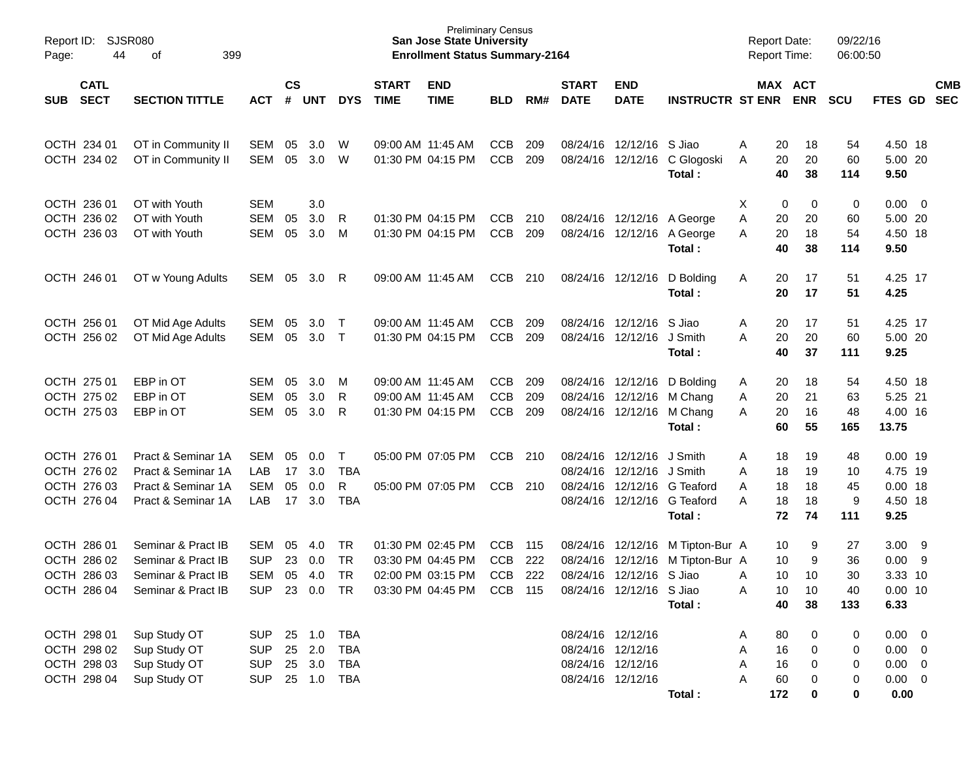| Report ID:<br>44<br>Page:                                | SJSR080<br>399<br>οf                                                                 |                                                      |                      |                                      |                                        |                                        | <b>Preliminary Census</b><br><b>San Jose State University</b><br><b>Enrollment Status Summary-2164</b> |                                 |                   |                               |                                                                                  |                                                                          | <b>Report Date:</b><br><b>Report Time:</b>      |                            | 09/22/16<br>06:00:50        |                                                                  |                          |
|----------------------------------------------------------|--------------------------------------------------------------------------------------|------------------------------------------------------|----------------------|--------------------------------------|----------------------------------------|----------------------------------------|--------------------------------------------------------------------------------------------------------|---------------------------------|-------------------|-------------------------------|----------------------------------------------------------------------------------|--------------------------------------------------------------------------|-------------------------------------------------|----------------------------|-----------------------------|------------------------------------------------------------------|--------------------------|
| <b>CATL</b><br><b>SECT</b><br><b>SUB</b>                 | <b>SECTION TITTLE</b>                                                                | <b>ACT</b>                                           | $\mathsf{cs}$<br>#   | UNT                                  | <b>DYS</b>                             | <b>START</b><br><b>TIME</b>            | <b>END</b><br><b>TIME</b>                                                                              | <b>BLD</b>                      | RM#               | <b>START</b><br><b>DATE</b>   | <b>END</b><br><b>DATE</b>                                                        | <b>INSTRUCTR ST ENR</b>                                                  |                                                 | MAX ACT<br><b>ENR</b>      | <b>SCU</b>                  | FTES GD                                                          | <b>CMB</b><br><b>SEC</b> |
| OCTH 234 01<br>OCTH 234 02                               | OT in Community II<br>OT in Community II                                             | SEM<br>SEM                                           | 05<br>05             | 3.0<br>3.0                           | W<br>W                                 |                                        | 09:00 AM 11:45 AM<br>01:30 PM 04:15 PM                                                                 | <b>CCB</b><br>CCB               | 209<br>209        |                               | 08/24/16 12/12/16 S Jiao<br>08/24/16 12/12/16                                    | C Glogoski<br>Total:                                                     | 20<br>A<br>20<br>A<br>40                        | 18<br>20<br>38             | 54<br>60<br>114             | 4.50 18<br>5.00 20<br>9.50                                       |                          |
| OCTH 236 01<br>OCTH 236 02<br>OCTH 236 03                | OT with Youth<br>OT with Youth<br>OT with Youth                                      | <b>SEM</b><br>SEM<br>SEM                             | 05<br>05             | 3.0<br>3.0<br>3.0                    | R<br>M                                 |                                        | 01:30 PM 04:15 PM<br>01:30 PM 04:15 PM                                                                 | <b>CCB</b><br>CCB               | 210<br>209        |                               | 08/24/16 12/12/16                                                                | 08/24/16 12/12/16 A George<br>A George<br>Total:                         | Χ<br>0<br>Α<br>20<br>20<br>A<br>40              | 0<br>20<br>18<br>38        | 0<br>60<br>54<br>114        | $0.00 \t 0$<br>5.00 20<br>4.50 18<br>9.50                        |                          |
| OCTH 246 01                                              | OT w Young Adults                                                                    | SEM                                                  | 05                   | 3.0                                  | R                                      |                                        | 09:00 AM 11:45 AM                                                                                      | <b>CCB</b>                      | 210               | 08/24/16 12/12/16             |                                                                                  | D Bolding<br>Total:                                                      | 20<br>A<br>20                                   | 17<br>17                   | 51<br>51                    | 4.25 17<br>4.25                                                  |                          |
| OCTH 256 01<br>OCTH 256 02                               | OT Mid Age Adults<br>OT Mid Age Adults                                               | SEM<br>SEM                                           | 05<br>05             | 3.0 <sub>2</sub><br>3.0              | $\top$<br>$\top$                       |                                        | 09:00 AM 11:45 AM<br>01:30 PM 04:15 PM                                                                 | <b>CCB</b><br>CCB               | 209<br>209        |                               | 08/24/16 12/12/16<br>08/24/16 12/12/16                                           | S Jiao<br>J Smith<br>Total:                                              | 20<br>A<br>A<br>20<br>40                        | 17<br>20<br>37             | 51<br>60<br>111             | 4.25 17<br>5.00 20<br>9.25                                       |                          |
| OCTH 275 01<br>OCTH 275 02<br>OCTH 275 03                | EBP in OT<br>EBP in OT<br>EBP in OT                                                  | SEM<br>SEM<br>SEM                                    | 05<br>05<br>05       | 3.0<br>3.0<br>3.0                    | M<br>R<br>R                            | 09:00 AM 11:45 AM<br>09:00 AM 11:45 AM | 01:30 PM 04:15 PM                                                                                      | <b>CCB</b><br><b>CCB</b><br>CCB | 209<br>209<br>209 |                               | 08/24/16 12/12/16<br>08/24/16 12/12/16<br>08/24/16 12/12/16                      | D Bolding<br>M Chang<br>M Chang<br>Total:                                | 20<br>A<br>20<br>A<br>20<br>A<br>60             | 18<br>21<br>16<br>55       | 54<br>63<br>48<br>165       | 4.50 18<br>5.25 21<br>4.00 16<br>13.75                           |                          |
| OCTH 276 01<br>OCTH 276 02<br>OCTH 276 03<br>OCTH 276 04 | Pract & Seminar 1A<br>Pract & Seminar 1A<br>Pract & Seminar 1A<br>Pract & Seminar 1A | SEM<br>LAB<br><b>SEM</b><br>LAB                      | 05<br>17<br>05<br>17 | 0.0<br>3.0<br>0.0<br>3.0             | T<br><b>TBA</b><br>R<br><b>TBA</b>     |                                        | 05:00 PM 07:05 PM<br>05:00 PM 07:05 PM                                                                 | <b>CCB</b><br><b>CCB</b>        | 210<br>210        |                               | 08/24/16 12/12/16<br>08/24/16 12/12/16<br>08/24/16 12/12/16                      | J Smith<br>J Smith<br>G Teaford<br>08/24/16 12/12/16 G Teaford<br>Total: | 18<br>A<br>Α<br>18<br>A<br>18<br>18<br>A<br>72  | 19<br>19<br>18<br>18<br>74 | 48<br>10<br>45<br>9<br>111  | $0.00$ 19<br>4.75 19<br>$0.00$ 18<br>4.50 18<br>9.25             |                          |
| OCTH 286 01<br>OCTH 286 02<br>OCTH 286 03<br>OCTH 286 04 | Seminar & Pract IB<br>Seminar & Pract IB<br>Seminar & Pract IB<br>Seminar & Pract IB | SEM<br><b>SUP</b><br>SEM<br><b>SUP</b>               | 05<br>23<br>05       | 4.0<br>0.0<br>4.0<br>23 0.0 TR       | TR<br>TR<br><b>TR</b>                  |                                        | 01:30 PM 02:45 PM<br>03:30 PM 04:45 PM<br>02:00 PM 03:15 PM<br>03:30 PM 04:45 PM CCB 115               | <b>CCB</b><br><b>CCB</b><br>CCB | 115<br>222<br>222 | 08/24/16 12/12/16<br>08/24/16 | 12/12/16<br>08/24/16 12/12/16 S Jiao<br>08/24/16 12/12/16 S Jiao                 | M Tipton-Bur A<br>M Tipton-Bur A<br>Total:                               | 10<br>10<br>10<br>A<br>10<br>Α<br>40            | 9<br>9<br>10<br>10<br>38   | 27<br>36<br>30<br>40<br>133 | 3.00<br>0.00<br>3.33 10<br>$0.00$ 10<br>6.33                     | $_{9}$<br>9              |
| OCTH 298 01<br>OCTH 298 02<br>OCTH 298 03<br>OCTH 298 04 | Sup Study OT<br>Sup Study OT<br>Sup Study OT<br>Sup Study OT                         | <b>SUP</b><br><b>SUP</b><br><b>SUP</b><br><b>SUP</b> |                      | 25 1.0<br>25 2.0<br>25 3.0<br>25 1.0 | <b>TBA</b><br>TBA<br><b>TBA</b><br>TBA |                                        |                                                                                                        |                                 |                   |                               | 08/24/16 12/12/16<br>08/24/16 12/12/16<br>08/24/16 12/12/16<br>08/24/16 12/12/16 | Total:                                                                   | 80<br>A<br>16<br>Α<br>16<br>Α<br>60<br>А<br>172 | 0<br>0<br>0<br>0<br>0      | 0<br>0<br>0<br>0<br>0       | $0.00 \t 0$<br>$0.00 \t 0$<br>$0.00 \t 0$<br>$0.00 \t 0$<br>0.00 |                          |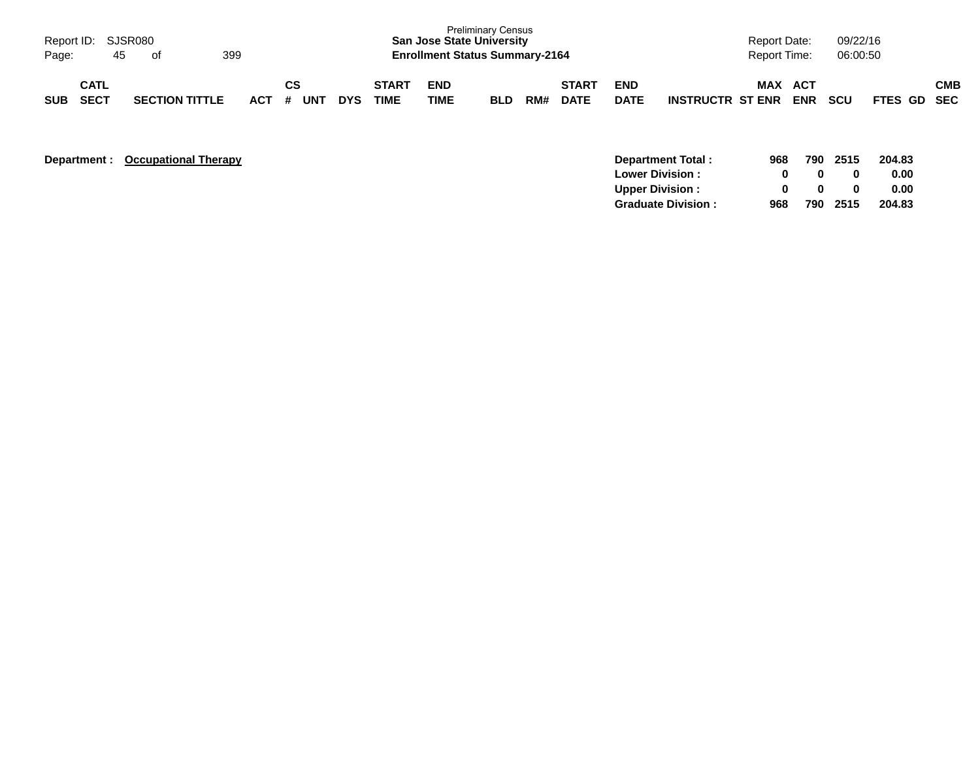| Page:      | Report ID: SJSR080<br>45   | . of                  | 399     |                  |            |                             | <b>Preliminary Census</b><br><b>San Jose State University</b><br><b>Enrollment Status Summary-2164</b> |            |     |                             |                           |                         | <b>Report Date:</b><br><b>Report Time:</b> |                   | 09/22/16<br>06:00:50 |             |            |
|------------|----------------------------|-----------------------|---------|------------------|------------|-----------------------------|--------------------------------------------------------------------------------------------------------|------------|-----|-----------------------------|---------------------------|-------------------------|--------------------------------------------|-------------------|----------------------|-------------|------------|
| <b>SUB</b> | <b>CATL</b><br><b>SECT</b> | <b>SECTION TITTLE</b> | $ACT$ # | CS<br><b>UNT</b> | <b>DYS</b> | <b>START</b><br><b>TIME</b> | <b>END</b><br><b>TIME</b>                                                                              | <b>BLD</b> | RM# | <b>START</b><br><b>DATE</b> | <b>END</b><br><b>DATE</b> | <b>INSTRUCTR ST ENR</b> | MAX                                        | ACT<br><b>ENR</b> | <b>SCU</b>           | FTES GD SEC | <b>CMB</b> |

| Department : | <b>Occupational Therapy</b> | Department Total:         | 968 | 790 | 2515 | 204.83 |
|--------------|-----------------------------|---------------------------|-----|-----|------|--------|
|              |                             | <b>Lower Division:</b>    |     |     | 0    | 0.00   |
|              |                             | <b>Upper Division:</b>    |     |     | 0    | 0.00   |
|              |                             | <b>Graduate Division:</b> | 968 | 790 | 2515 | 204.83 |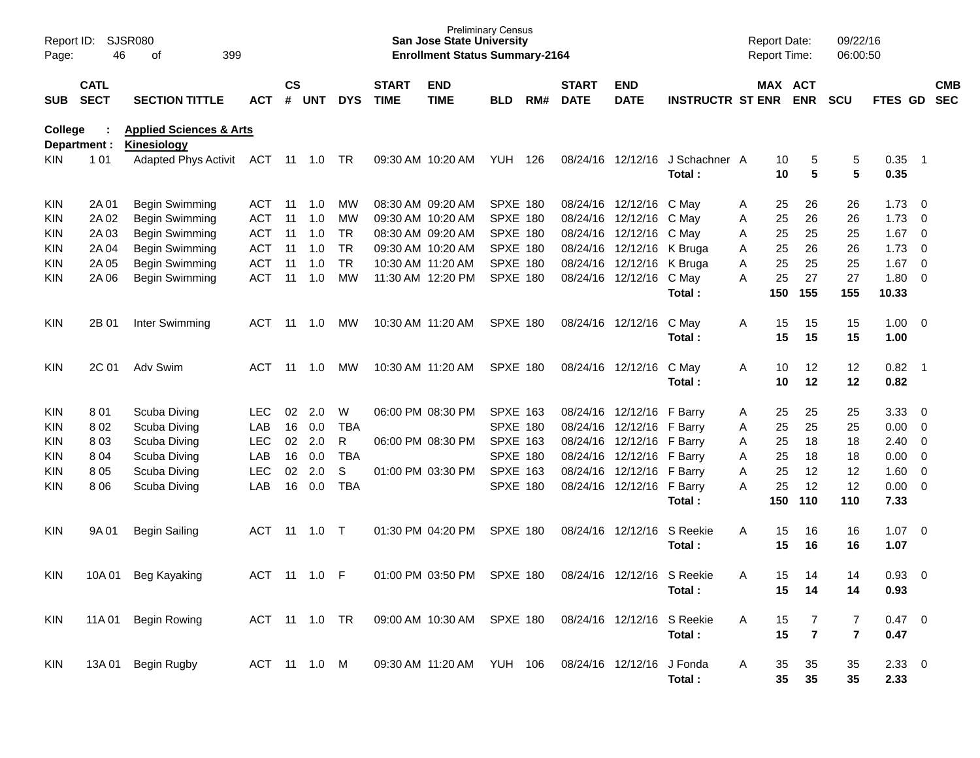| Report ID:<br>Page: | 46                         | SJSR080<br>399<br>οf                                     |               |                    |            |            |                             | <b>San Jose State University</b><br><b>Enrollment Status Summary-2164</b> | <b>Preliminary Census</b> |     |                             |                            |                         |   | <b>Report Date:</b> | <b>Report Time:</b>   | 09/22/16<br>06:00:50 |                     |                          |                          |
|---------------------|----------------------------|----------------------------------------------------------|---------------|--------------------|------------|------------|-----------------------------|---------------------------------------------------------------------------|---------------------------|-----|-----------------------------|----------------------------|-------------------------|---|---------------------|-----------------------|----------------------|---------------------|--------------------------|--------------------------|
| SUB                 | <b>CATL</b><br><b>SECT</b> | <b>SECTION TITTLE</b>                                    | <b>ACT</b>    | $\mathsf{cs}$<br># | <b>UNT</b> | <b>DYS</b> | <b>START</b><br><b>TIME</b> | <b>END</b><br><b>TIME</b>                                                 | <b>BLD</b>                | RM# | <b>START</b><br><b>DATE</b> | <b>END</b><br><b>DATE</b>  | <b>INSTRUCTR ST ENR</b> |   |                     | MAX ACT<br><b>ENR</b> | <b>SCU</b>           | <b>FTES GD</b>      |                          | <b>CMB</b><br><b>SEC</b> |
| College             | Department :               | <b>Applied Sciences &amp; Arts</b><br><b>Kinesiology</b> |               |                    |            |            |                             |                                                                           |                           |     |                             |                            |                         |   |                     |                       |                      |                     |                          |                          |
| KIN.                | 101                        | Adapted Phys Activit                                     | ACT 11 1.0 TR |                    |            |            | 09:30 AM 10:20 AM           |                                                                           | YUH                       | 126 |                             | 08/24/16 12/12/16          | J Schachner A<br>Total: |   | 10<br>10            | 5<br>$5\phantom{1}$   | 5<br>5               | 0.35<br>0.35        | $\overline{\phantom{1}}$ |                          |
| <b>KIN</b>          | 2A 01                      | <b>Begin Swimming</b>                                    | ACT           | -11                | 1.0        | мw         |                             | 08:30 AM 09:20 AM                                                         | SPXE 180                  |     |                             | 08/24/16 12/12/16          | C May                   | A | 25                  | 26                    | 26                   | 1.73                | $\overline{\phantom{0}}$ |                          |
| <b>KIN</b>          | 2A 02                      | Begin Swimming                                           | <b>ACT</b>    | 11                 | 1.0        | MW         |                             | 09:30 AM 10:20 AM                                                         | <b>SPXE 180</b>           |     | 08/24/16                    | 12/12/16                   | C May                   | A | 25                  | 26                    | 26                   | 1.73                | $\overline{\phantom{0}}$ |                          |
| <b>KIN</b>          | 2A 03                      | Begin Swimming                                           | <b>ACT</b>    | 11                 | 1.0        | TR         |                             | 08:30 AM 09:20 AM                                                         | <b>SPXE 180</b>           |     | 08/24/16                    | 12/12/16                   | C May                   | Α | 25                  | 25                    | 25                   | $1.67$ 0            |                          |                          |
| <b>KIN</b>          | 2A 04                      | Begin Swimming                                           | <b>ACT</b>    | 11                 | 1.0        | TR         |                             | 09:30 AM 10:20 AM                                                         | <b>SPXE 180</b>           |     | 08/24/16                    | 12/12/16                   | K Bruga                 | Α | 25                  | 26                    | 26                   | 1.73                | $\overline{\phantom{0}}$ |                          |
| <b>KIN</b>          | 2A 05                      | Begin Swimming                                           | <b>ACT</b>    | 11                 | 1.0        | <b>TR</b>  |                             | 10:30 AM 11:20 AM                                                         | SPXE 180                  |     | 08/24/16                    | 12/12/16                   | K Bruga                 | Α | 25                  | 25                    | 25                   | 1.67                | $\overline{\phantom{0}}$ |                          |
| <b>KIN</b>          | 2A 06                      | Begin Swimming                                           | <b>ACT</b>    | 11                 | 1.0        | MW         |                             | 11:30 AM 12:20 PM                                                         | <b>SPXE 180</b>           |     |                             | 08/24/16 12/12/16          | C Mav                   | A | 25                  | 27                    | 27                   | $1.80 \ 0$          |                          |                          |
|                     |                            |                                                          |               |                    |            |            |                             |                                                                           |                           |     |                             |                            | Total:                  |   | 150                 | 155                   | 155                  | 10.33               |                          |                          |
| <b>KIN</b>          | 2B 01                      | Inter Swimming                                           | ACT           | 11                 | 1.0        | <b>MW</b>  |                             | 10:30 AM 11:20 AM                                                         | SPXE 180                  |     |                             | 08/24/16 12/12/16          | C May                   | A | 15                  | 15                    | 15                   | $1.00 \t 0$         |                          |                          |
|                     |                            |                                                          |               |                    |            |            |                             |                                                                           |                           |     |                             |                            | Total:                  |   | 15                  | 15                    | 15                   | 1.00                |                          |                          |
| <b>KIN</b>          | 2C 01                      | Adv Swim                                                 | ACT           | 11                 | 1.0        | МW         |                             | 10:30 AM 11:20 AM                                                         | SPXE 180                  |     |                             | 08/24/16 12/12/16          | C May                   | A | 10                  | 12                    | 12                   | $0.82$ 1            |                          |                          |
|                     |                            |                                                          |               |                    |            |            |                             |                                                                           |                           |     |                             |                            | Total:                  |   | 10                  | 12                    | 12                   | 0.82                |                          |                          |
| <b>KIN</b>          | 801                        | Scuba Diving                                             | LEC.          | 02                 | 2.0        | W          |                             | 06:00 PM 08:30 PM                                                         | <b>SPXE 163</b>           |     |                             | 08/24/16 12/12/16          | F Barry                 | A | 25                  | 25                    | 25                   | 3.3300              |                          |                          |
| <b>KIN</b>          | 802                        | Scuba Diving                                             | LAB           | 16                 | 0.0        | <b>TBA</b> |                             |                                                                           | <b>SPXE 180</b>           |     | 08/24/16                    | 12/12/16                   | F Barry                 | A | 25                  | 25                    | 25                   | $0.00 \t 0$         |                          |                          |
| <b>KIN</b>          | 803                        | Scuba Diving                                             | <b>LEC</b>    | 02                 | 2.0        | R          |                             | 06:00 PM 08:30 PM                                                         | <b>SPXE 163</b>           |     | 08/24/16                    | 12/12/16                   | F Barry                 | Α | 25                  | 18                    | 18                   | $2.40 \ 0$          |                          |                          |
| <b>KIN</b>          | 804                        | Scuba Diving                                             | LAB           | 16                 | 0.0        | <b>TBA</b> |                             |                                                                           | <b>SPXE 180</b>           |     | 08/24/16                    | 12/12/16                   | F Barry                 | A | 25                  | 18                    | 18                   | $0.00 \t 0$         |                          |                          |
| <b>KIN</b>          | 8 0 5                      | Scuba Diving                                             | <b>LEC</b>    | 02                 | 2.0        | S          |                             | 01:00 PM 03:30 PM                                                         | <b>SPXE 163</b>           |     | 08/24/16                    | 12/12/16                   | F Barry                 | Α | 25                  | 12                    | 12                   | $1.60 \t 0$         |                          |                          |
| KIN                 | 8 0 6                      | Scuba Diving                                             | LAB           | 16                 | 0.0        | <b>TBA</b> |                             |                                                                           | <b>SPXE 180</b>           |     |                             | 08/24/16 12/12/16 F Barry  | Total:                  | Α | 25<br>150           | 12<br>110             | 12<br>110            | $0.00 \t 0$<br>7.33 |                          |                          |
|                     |                            |                                                          |               |                    |            |            |                             |                                                                           |                           |     |                             |                            |                         |   |                     |                       |                      |                     |                          |                          |
| <b>KIN</b>          | 9A 01                      | Begin Sailing                                            | <b>ACT</b>    | 11                 | 1.0        | $\top$     | 01:30 PM 04:20 PM           |                                                                           | <b>SPXE 180</b>           |     |                             | 08/24/16 12/12/16          | S Reekie                | Α | 15                  | 16                    | 16                   | 1.07                | $\overline{\phantom{0}}$ |                          |
|                     |                            |                                                          |               |                    |            |            |                             |                                                                           |                           |     |                             |                            | Total:                  |   | 15                  | 16                    | 16                   | 1.07                |                          |                          |
| <b>KIN</b>          | 10A 01                     | <b>Beg Kayaking</b>                                      | ACT           |                    |            | -F         |                             | 01:00 PM 03:50 PM                                                         | <b>SPXE 180</b>           |     |                             | 08/24/16 12/12/16 S Reekie |                         | A | 15                  | 14                    | 14                   | $0.93$ 0            |                          |                          |
|                     |                            |                                                          |               |                    |            |            |                             |                                                                           |                           |     |                             |                            | Total:                  |   | 15                  | 14                    | 14                   | 0.93                |                          |                          |
| KIN                 | 11A 01                     | <b>Begin Rowing</b>                                      | ACT 11 1.0 TR |                    |            |            |                             | 09:00 AM 10:30 AM                                                         | SPXE 180                  |     |                             | 08/24/16 12/12/16          | S Reekie                | A | 15                  | 7                     | 7                    | 0.47 0              |                          |                          |
|                     |                            |                                                          |               |                    |            |            |                             |                                                                           |                           |     |                             |                            | Total:                  |   | 15                  | $\overline{7}$        | $\overline{7}$       | 0.47                |                          |                          |
| <b>KIN</b>          | 13A 01                     | Begin Rugby                                              | ACT 11 1.0 M  |                    |            |            |                             | 09:30 AM 11:20 AM                                                         | <b>YUH 106</b>            |     | 08/24/16 12/12/16           |                            | J Fonda                 | A | 35                  | 35                    | 35                   | 2.3300              |                          |                          |
|                     |                            |                                                          |               |                    |            |            |                             |                                                                           |                           |     |                             |                            | Total:                  |   | 35                  | 35                    | 35                   | 2.33                |                          |                          |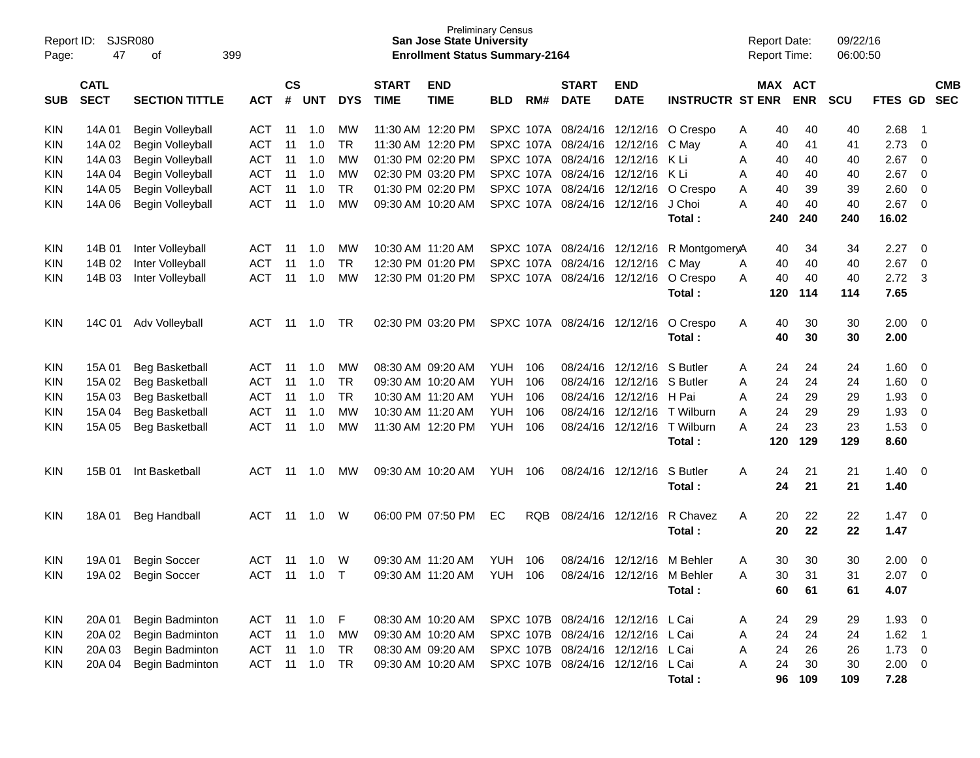| Report ID:<br>Page: | 47          | SJSR080<br>399<br>οf  |               |     |                |              |                   | <b>San Jose State University</b><br><b>Enrollment Status Summary-2164</b> | <b>Preliminary Census</b> |              |                             |                                   |                         | <b>Report Date:</b><br><b>Report Time:</b> |         |            | 09/22/16<br>06:00:50 |             |             |            |
|---------------------|-------------|-----------------------|---------------|-----|----------------|--------------|-------------------|---------------------------------------------------------------------------|---------------------------|--------------|-----------------------------|-----------------------------------|-------------------------|--------------------------------------------|---------|------------|----------------------|-------------|-------------|------------|
|                     | <b>CATL</b> |                       | $\mathsf{cs}$ |     |                | <b>START</b> | <b>END</b>        |                                                                           |                           | <b>START</b> | <b>END</b>                  |                                   |                         |                                            | MAX ACT |            |                      |             | <b>CMB</b>  |            |
| <b>SUB</b>          | <b>SECT</b> | <b>SECTION TITTLE</b> | <b>ACT</b>    | #   | <b>UNT</b>     | <b>DYS</b>   | <b>TIME</b>       | <b>TIME</b>                                                               | <b>BLD</b>                | RM#          | <b>DATE</b>                 | <b>DATE</b>                       | <b>INSTRUCTR ST ENR</b> |                                            |         | <b>ENR</b> | <b>SCU</b>           | FTES GD     |             | <b>SEC</b> |
| KIN                 | 14A 01      | Begin Volleyball      | ACT           | -11 | 1.0            | МW           |                   | 11:30 AM 12:20 PM                                                         |                           |              | SPXC 107A 08/24/16 12/12/16 |                                   | O Crespo                | Α                                          | 40      | 40         | 40                   | 2.68        | -1          |            |
| KIN                 | 14A 02      | Begin Volleyball      | ACT           | 11  | 1.0            | TR.          |                   | 11:30 AM 12:20 PM                                                         |                           |              | SPXC 107A 08/24/16          | 12/12/16                          | C May                   | Α                                          | 40      | 41         | 41                   | 2.73        | 0           |            |
| KIN                 | 14A 03      | Begin Volleyball      | ACT           | 11  | 1.0            | МW           |                   | 01:30 PM 02:20 PM                                                         |                           |              | SPXC 107A 08/24/16          | 12/12/16                          | -K Li                   | Α                                          | 40      | 40         | 40                   | 2.67        | 0           |            |
| KIN                 | 14A 04      | Begin Volleyball      | ACT           | 11  | 1.0            | МW           |                   | 02:30 PM 03:20 PM                                                         |                           |              | SPXC 107A 08/24/16          | 12/12/16                          | -K Li                   | Α                                          | 40      | 40         | 40                   | 2.67        | 0           |            |
| KIN                 | 14A 05      | Begin Volleyball      | ACT           | 11  | 1.0            | <b>TR</b>    |                   | 01:30 PM 02:20 PM                                                         |                           |              | SPXC 107A 08/24/16 12/12/16 |                                   | O Crespo                | Α                                          | 40      | 39         | 39                   | 2.60        | 0           |            |
| KIN                 | 14A 06      | Begin Volleyball      | <b>ACT</b>    | 11  | 1.0            | МW           |                   | 09:30 AM 10:20 AM                                                         |                           |              | SPXC 107A 08/24/16          | 12/12/16                          | J Choi                  | Α                                          | 40      | 40         | 40                   | 2.67        | $\mathbf 0$ |            |
|                     |             |                       |               |     |                |              |                   |                                                                           |                           |              |                             |                                   | Total :                 |                                            | 240     | 240        | 240                  | 16.02       |             |            |
| KIN                 | 14B 01      | Inter Volleyball      | ACT           | 11  | 1.0            | МW           | 10:30 AM 11:20 AM |                                                                           |                           |              | SPXC 107A 08/24/16 12/12/16 |                                   | R MontgomeryA           |                                            | 40      | 34         | 34                   | 2.27        | 0           |            |
| KIN                 | 14B 02      | Inter Volleyball      | <b>ACT</b>    | 11  | 1.0            | <b>TR</b>    |                   | 12:30 PM 01:20 PM                                                         |                           |              | SPXC 107A 08/24/16 12/12/16 |                                   | C May                   | Α                                          | 40      | 40         | 40                   | 2.67        | 0           |            |
| KIN                 | 14B 03      | Inter Volleyball      | <b>ACT</b>    | 11  | 1.0            | МW           |                   | 12:30 PM 01:20 PM                                                         |                           |              | SPXC 107A 08/24/16          | 12/12/16                          | O Crespo                | A                                          | 40      | 40         | 40                   | 2.72        | 3           |            |
|                     |             |                       |               |     |                |              |                   |                                                                           |                           |              |                             |                                   | Total:                  |                                            | 120     | 114        | 114                  | 7.65        |             |            |
| <b>KIN</b>          | 14C 01      | Adv Volleyball        | ACT           | -11 | 1.0            | TR.          |                   | 02:30 PM 03:20 PM                                                         |                           |              | SPXC 107A 08/24/16 12/12/16 |                                   | O Crespo                | Α                                          | 40      | 30         | 30                   | 2.00        | - 0         |            |
|                     |             |                       |               |     |                |              |                   |                                                                           |                           |              |                             |                                   | Total :                 |                                            | 40      | 30         | 30                   | 2.00        |             |            |
| <b>KIN</b>          | 15A 01      | <b>Beg Basketball</b> | ACT           | 11  | 1.0            | МW           | 08:30 AM 09:20 AM |                                                                           | <b>YUH</b>                | 106          | 08/24/16                    | 12/12/16                          | S Butler                | Α                                          | 24      | 24         | 24                   | 1.60        | 0           |            |
| KIN                 | 15A 02      | <b>Beg Basketball</b> | ACT           | 11  | 1.0            | <b>TR</b>    | 09:30 AM 10:20 AM |                                                                           | <b>YUH</b>                | 106          | 08/24/16                    | 12/12/16                          | S Butler                | A                                          | 24      | 24         | 24                   | 1.60        | 0           |            |
| KIN                 | 15A 03      | Beg Basketball        | ACT           | 11  | 1.0            | <b>TR</b>    | 10:30 AM 11:20 AM |                                                                           | YUH.                      | 106          | 08/24/16                    | 12/12/16                          | H Pai                   | A                                          | 24      | 29         | 29                   | 1.93        | 0           |            |
| KIN                 | 15A 04      | <b>Beg Basketball</b> | <b>ACT</b>    | 11  | 1.0            | <b>MW</b>    | 10:30 AM 11:20 AM |                                                                           | <b>YUH</b>                | 106          | 08/24/16                    | 12/12/16                          | T Wilburn               | Α                                          | 24      | 29         | 29                   | 1.93        | 0           |            |
| KIN                 | 15A 05      | <b>Beg Basketball</b> | <b>ACT</b>    | 11  | 1.0            | МW           |                   | 11:30 AM 12:20 PM                                                         | <b>YUH</b>                | 106          |                             | 08/24/16 12/12/16                 | T Wilburn               | А                                          | 24      | 23         | 23                   | 1.53        | $\mathbf 0$ |            |
|                     |             |                       |               |     |                |              |                   |                                                                           |                           |              |                             |                                   | Total :                 |                                            | 120     | 129        | 129                  | 8.60        |             |            |
| KIN                 | 15B 01      | Int Basketball        | ACT           | 11  | 1.0            | МW           |                   | 09:30 AM 10:20 AM                                                         | YUH                       | 106          |                             | 08/24/16 12/12/16                 | S Butler                | Α                                          | 24      | 21         | 21                   | 1.40        | 0           |            |
|                     |             |                       |               |     |                |              |                   |                                                                           |                           |              |                             |                                   | Total :                 |                                            | 24      | 21         | 21                   | 1.40        |             |            |
| <b>KIN</b>          | 18A 01      | <b>Beg Handball</b>   | <b>ACT</b>    | 11  | 1.0            | W            |                   | 06:00 PM 07:50 PM                                                         | EС                        | <b>RQB</b>   | 08/24/16 12/12/16           |                                   | R Chavez                | A                                          | 20      | 22         | 22                   | 1.47        | 0           |            |
|                     |             |                       |               |     |                |              |                   |                                                                           |                           |              |                             |                                   | Total :                 |                                            | 20      | 22         | 22                   | 1.47        |             |            |
| <b>KIN</b>          | 19A 01      | <b>Begin Soccer</b>   | <b>ACT</b>    | 11  | 1.0            | W            | 09:30 AM 11:20 AM |                                                                           | <b>YUH</b>                | 106          | 08/24/16                    | 12/12/16                          | M Behler                | A                                          | 30      | 30         | 30                   | 2.00        | 0           |            |
| <b>KIN</b>          | 19A 02      | <b>Begin Soccer</b>   | ACT 11 1.0    |     |                | $\top$       |                   | 09:30 AM 11:20 AM                                                         | YUH                       | 106          |                             | 08/24/16 12/12/16 M Behler        |                         |                                            | 30      | 31         | 31                   | 2.07        | $\Omega$    |            |
|                     |             |                       |               |     |                |              |                   |                                                                           |                           |              |                             |                                   | Total:                  |                                            | 60      | 61         | 61                   | 4.07        |             |            |
|                     |             |                       |               |     |                |              |                   |                                                                           |                           |              |                             |                                   |                         |                                            |         |            |                      |             |             |            |
| <b>KIN</b>          | 20A 01      | Begin Badminton       | ACT 11 1.0 F  |     |                |              |                   | 08:30 AM 10:20 AM                                                         |                           |              |                             | SPXC 107B 08/24/16 12/12/16 L Cai |                         | A                                          | 24      | 29         | 29                   | $1.93$ 0    |             |            |
| <b>KIN</b>          | 20A 02      | Begin Badminton       | ACT           |     | $11 \quad 1.0$ | MW           |                   | 09:30 AM 10:20 AM                                                         |                           |              |                             | SPXC 107B 08/24/16 12/12/16 L Cai |                         | Α                                          | 24      | 24         | 24                   | $1.62$ 1    |             |            |
| <b>KIN</b>          | 20A 03      | Begin Badminton       | ACT 11 1.0    |     |                | <b>TR</b>    |                   | 08:30 AM 09:20 AM                                                         |                           |              |                             | SPXC 107B 08/24/16 12/12/16 L Cai |                         | Α                                          | 24      | 26         | 26                   | $1.73 \t 0$ |             |            |
| <b>KIN</b>          | 20A 04      | Begin Badminton       | ACT 11 1.0    |     |                | TR           |                   | 09:30 AM 10:20 AM                                                         |                           |              |                             | SPXC 107B 08/24/16 12/12/16 L Cai |                         | Α                                          | 24      | 30         | 30                   | $2.00 \t 0$ |             |            |
|                     |             |                       |               |     |                |              |                   |                                                                           |                           |              |                             |                                   | Total:                  |                                            | 96      | 109        | 109                  | 7.28        |             |            |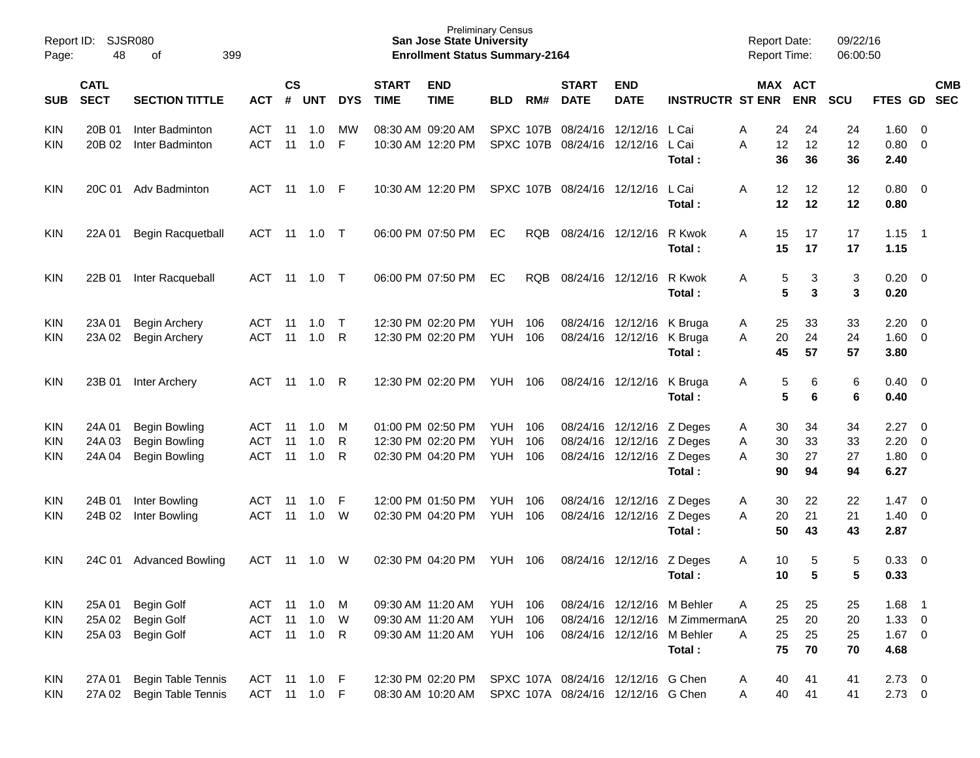| 48                         | 399<br>of                                    |                                                                                           |                |            |                                     |                              |                           |                                                                                                                                                                                                                                                                                                                                                                                                             |            |                                                                                                                                       |                                       |                                                                                                                                                                               |                                                                                                                                                                                                                                                                                                                                                              |                                     |                                                                                                                                                                                                                                                                                                 |                      |                                      |                                                                                                                                                                                                                |
|----------------------------|----------------------------------------------|-------------------------------------------------------------------------------------------|----------------|------------|-------------------------------------|------------------------------|---------------------------|-------------------------------------------------------------------------------------------------------------------------------------------------------------------------------------------------------------------------------------------------------------------------------------------------------------------------------------------------------------------------------------------------------------|------------|---------------------------------------------------------------------------------------------------------------------------------------|---------------------------------------|-------------------------------------------------------------------------------------------------------------------------------------------------------------------------------|--------------------------------------------------------------------------------------------------------------------------------------------------------------------------------------------------------------------------------------------------------------------------------------------------------------------------------------------------------------|-------------------------------------|-------------------------------------------------------------------------------------------------------------------------------------------------------------------------------------------------------------------------------------------------------------------------------------------------|----------------------|--------------------------------------|----------------------------------------------------------------------------------------------------------------------------------------------------------------------------------------------------------------|
| <b>CATL</b><br><b>SECT</b> | <b>SECTION TITTLE</b>                        | <b>ACT</b>                                                                                | <b>CS</b><br># |            | <b>DYS</b>                          | <b>START</b><br><b>TIME</b>  | <b>END</b><br><b>TIME</b> | <b>BLD</b>                                                                                                                                                                                                                                                                                                                                                                                                  | RM#        | <b>START</b><br><b>DATE</b>                                                                                                           | <b>END</b><br><b>DATE</b>             |                                                                                                                                                                               |                                                                                                                                                                                                                                                                                                                                                              | <b>ENR</b>                          | <b>SCU</b>                                                                                                                                                                                                                                                                                      |                      |                                      | <b>CMB</b>                                                                                                                                                                                                     |
| 20B 01<br>20B 02           | Inter Badminton<br>Inter Badminton           | ACT<br><b>ACT</b>                                                                         | 11<br>11       | 1.0<br>1.0 | MW<br>F                             |                              |                           |                                                                                                                                                                                                                                                                                                                                                                                                             |            |                                                                                                                                       |                                       | L Cai<br>L Cai<br>Total:                                                                                                                                                      | Α<br>A                                                                                                                                                                                                                                                                                                                                                       | 24<br>12<br>36                      | 24<br>12<br>36                                                                                                                                                                                                                                                                                  | 1.60<br>0.80<br>2.40 | - 0<br>$\overline{0}$                |                                                                                                                                                                                                                |
|                            |                                              | ACT                                                                                       |                |            | - F                                 |                              |                           |                                                                                                                                                                                                                                                                                                                                                                                                             |            |                                                                                                                                       |                                       | L Cai<br>Total:                                                                                                                                                               | A                                                                                                                                                                                                                                                                                                                                                            | 12<br>12                            | 12<br>12                                                                                                                                                                                                                                                                                        | 0.80<br>0.80         |                                      |                                                                                                                                                                                                                |
| 22A 01                     | Begin Racquetball                            | ACT                                                                                       |                |            |                                     |                              |                           | EC                                                                                                                                                                                                                                                                                                                                                                                                          | <b>RQB</b> |                                                                                                                                       |                                       | R Kwok<br>Total:                                                                                                                                                              | A                                                                                                                                                                                                                                                                                                                                                            | 17<br>17                            | 17<br>17                                                                                                                                                                                                                                                                                        | 1.15                 |                                      |                                                                                                                                                                                                                |
| 22B 01                     | Inter Racqueball                             | ACT                                                                                       |                |            |                                     |                              |                           | EC                                                                                                                                                                                                                                                                                                                                                                                                          | <b>RQB</b> |                                                                                                                                       |                                       | R Kwok<br>Total:                                                                                                                                                              | A                                                                                                                                                                                                                                                                                                                                                            | 3<br>3                              | 3<br>$\mathbf{3}$                                                                                                                                                                                                                                                                               | 0.20<br>0.20         |                                      |                                                                                                                                                                                                                |
| 23A 01<br>23A 02           | <b>Begin Archery</b><br><b>Begin Archery</b> | ACT<br><b>ACT</b>                                                                         | 11<br>11       | 1.0<br>1.0 | $\top$<br>R                         |                              |                           | YUH<br><b>YUH</b>                                                                                                                                                                                                                                                                                                                                                                                           | 106<br>106 |                                                                                                                                       |                                       | Total:                                                                                                                                                                        | A<br>A                                                                                                                                                                                                                                                                                                                                                       | 33<br>24<br>57                      | 33<br>24<br>57                                                                                                                                                                                                                                                                                  | 2.20<br>1.60<br>3.80 | - 0<br>$\overline{0}$                |                                                                                                                                                                                                                |
| 23B 01                     | Inter Archery                                | ACT                                                                                       | 11             | 1.0        | R                                   |                              |                           |                                                                                                                                                                                                                                                                                                                                                                                                             |            |                                                                                                                                       |                                       | K Bruga<br>Total:                                                                                                                                                             | A                                                                                                                                                                                                                                                                                                                                                            | 6<br>6                              | 6<br>6                                                                                                                                                                                                                                                                                          | 0.40<br>0.40         |                                      |                                                                                                                                                                                                                |
| 24A 01                     |                                              | ACT                                                                                       | 11             | 1.0        | м                                   |                              |                           | YUH                                                                                                                                                                                                                                                                                                                                                                                                         | 106        |                                                                                                                                       |                                       |                                                                                                                                                                               | A                                                                                                                                                                                                                                                                                                                                                            | 34                                  | 34                                                                                                                                                                                                                                                                                              | 2.27                 | - 0                                  |                                                                                                                                                                                                                |
| 24A 03                     | <b>Begin Bowling</b>                         | <b>ACT</b>                                                                                | 11             | 1.0        | R                                   |                              |                           | <b>YUH</b>                                                                                                                                                                                                                                                                                                                                                                                                  | 106        |                                                                                                                                       |                                       |                                                                                                                                                                               | A                                                                                                                                                                                                                                                                                                                                                            | 33                                  | 33                                                                                                                                                                                                                                                                                              | 2.20                 | $\overline{0}$                       |                                                                                                                                                                                                                |
| 24A 04                     | <b>Begin Bowling</b>                         | <b>ACT</b>                                                                                | 11             | 1.0        | R                                   |                              |                           | YUH                                                                                                                                                                                                                                                                                                                                                                                                         | 106        |                                                                                                                                       |                                       | Total:                                                                                                                                                                        | A                                                                                                                                                                                                                                                                                                                                                            | 27<br>94                            | 27<br>94                                                                                                                                                                                                                                                                                        | 1.80<br>6.27         |                                      |                                                                                                                                                                                                                |
| 24B 01                     |                                              | ACT                                                                                       | 11             | 1.0        | F                                   |                              |                           |                                                                                                                                                                                                                                                                                                                                                                                                             | 106        |                                                                                                                                       |                                       |                                                                                                                                                                               |                                                                                                                                                                                                                                                                                                                                                              |                                     |                                                                                                                                                                                                                                                                                                 |                      | - 0                                  |                                                                                                                                                                                                                |
| 24B 02                     | Inter Bowling                                | ACT                                                                                       | 11             | 1.0        | W                                   |                              |                           | <b>YUH</b>                                                                                                                                                                                                                                                                                                                                                                                                  | 106        |                                                                                                                                       |                                       |                                                                                                                                                                               | A                                                                                                                                                                                                                                                                                                                                                            | 21                                  | 21                                                                                                                                                                                                                                                                                              | 1.40                 |                                      |                                                                                                                                                                                                                |
|                            |                                              |                                                                                           |                |            |                                     |                              |                           |                                                                                                                                                                                                                                                                                                                                                                                                             |            |                                                                                                                                       |                                       | Total:                                                                                                                                                                        |                                                                                                                                                                                                                                                                                                                                                              | 43                                  | 43                                                                                                                                                                                                                                                                                              | 2.87                 |                                      |                                                                                                                                                                                                                |
| 24C 01                     | <b>Advanced Bowling</b>                      | <b>ACT</b>                                                                                | 11             | 1.0        | W                                   |                              |                           | YUH                                                                                                                                                                                                                                                                                                                                                                                                         | 106        |                                                                                                                                       |                                       | Z Deges                                                                                                                                                                       | A                                                                                                                                                                                                                                                                                                                                                            | 5                                   | 5                                                                                                                                                                                                                                                                                               | 0.33                 | $\overline{\mathbf{0}}$              |                                                                                                                                                                                                                |
|                            |                                              |                                                                                           |                |            |                                     |                              |                           |                                                                                                                                                                                                                                                                                                                                                                                                             |            |                                                                                                                                       |                                       |                                                                                                                                                                               |                                                                                                                                                                                                                                                                                                                                                              |                                     |                                                                                                                                                                                                                                                                                                 |                      |                                      |                                                                                                                                                                                                                |
| 25A 01                     | <b>Begin Golf</b>                            |                                                                                           |                | 1.0        | M                                   |                              |                           |                                                                                                                                                                                                                                                                                                                                                                                                             |            |                                                                                                                                       |                                       |                                                                                                                                                                               | Α                                                                                                                                                                                                                                                                                                                                                            | 25                                  | 25                                                                                                                                                                                                                                                                                              | 1.68                 |                                      |                                                                                                                                                                                                                |
| 25A 02                     | Begin Golf                                   | ACT                                                                                       | 11             | 1.0        | W                                   |                              |                           |                                                                                                                                                                                                                                                                                                                                                                                                             |            |                                                                                                                                       |                                       |                                                                                                                                                                               |                                                                                                                                                                                                                                                                                                                                                              | 20                                  | 20                                                                                                                                                                                                                                                                                              |                      |                                      |                                                                                                                                                                                                                |
| 25A 03                     | Begin Golf                                   |                                                                                           |                |            | R                                   |                              |                           |                                                                                                                                                                                                                                                                                                                                                                                                             |            |                                                                                                                                       |                                       |                                                                                                                                                                               | A                                                                                                                                                                                                                                                                                                                                                            | 25                                  | 25                                                                                                                                                                                                                                                                                              |                      |                                      |                                                                                                                                                                                                                |
|                            |                                              |                                                                                           |                |            |                                     |                              |                           |                                                                                                                                                                                                                                                                                                                                                                                                             |            |                                                                                                                                       |                                       | Total:                                                                                                                                                                        |                                                                                                                                                                                                                                                                                                                                                              | 70                                  | 70                                                                                                                                                                                                                                                                                              | 4.68                 |                                      |                                                                                                                                                                                                                |
| 27A 01                     | Begin Table Tennis<br>Begin Table Tennis     |                                                                                           |                |            |                                     |                              |                           |                                                                                                                                                                                                                                                                                                                                                                                                             |            |                                                                                                                                       |                                       |                                                                                                                                                                               | A<br>A                                                                                                                                                                                                                                                                                                                                                       | 41<br>41                            | 41<br>41                                                                                                                                                                                                                                                                                        |                      |                                      |                                                                                                                                                                                                                |
| Page:                      | Report ID:                                   | <b>SJSR080</b><br>20C 01 Adv Badminton<br><b>Begin Bowling</b><br>Inter Bowling<br>27A 02 |                | ACT 11     | <b>UNT</b><br>11  1.0<br>ACT 11 1.0 | ACT 11 1.0 F<br>ACT 11 1.0 F |                           | 08:30 AM 09:20 AM<br>10:30 AM 12:20 PM<br>10:30 AM 12:20 PM<br>06:00 PM 07:50 PM<br>06:00 PM 07:50 PM<br>12:30 PM 02:20 PM<br>12:30 PM 02:20 PM<br>12:30 PM 02:20 PM<br>01:00 PM 02:50 PM<br>12:30 PM 02:20 PM<br>02:30 PM 04:20 PM<br>12:00 PM 01:50 PM<br>02:30 PM 04:20 PM<br>02:30 PM 04:20 PM<br>09:30 AM 11:20 AM<br>09:30 AM 11:20 AM<br>09:30 AM 11:20 AM<br>12:30 PM 02:20 PM<br>08:30 AM 10:20 AM | <b>YUH</b> | <b>Preliminary Census</b><br><b>San Jose State University</b><br><b>YUH 106</b><br><b>YUH 106</b><br><b>YUH 106</b><br><b>YUH 106</b> | <b>Enrollment Status Summary-2164</b> | SPXC 107B 08/24/16 12/12/16<br>SPXC 107B 08/24/16 12/12/16<br>SPXC 107B 08/24/16 12/12/16<br>08/24/16 12/12/16<br>08/24/16 12/12/16<br>08/24/16 12/12/16<br>08/24/16 12/12/16 | 08/24/16 12/12/16<br>K Bruga<br>08/24/16 12/12/16 K Bruga<br>08/24/16 12/12/16 Z Deges<br>08/24/16 12/12/16 Z Deges<br>08/24/16 12/12/16 Z Deges<br>08/24/16 12/12/16 Z Deges<br>08/24/16 12/12/16 Z Deges<br>Total:<br>08/24/16 12/12/16 M Behler<br>08/24/16 12/12/16 M Behler<br>SPXC 107A 08/24/16 12/12/16 G Chen<br>SPXC 107A 08/24/16 12/12/16 G Chen | A<br>08/24/16 12/12/16 M ZimmermanA | <b>Report Date:</b><br><b>Report Time:</b><br>MAX ACT<br><b>INSTRUCTR ST ENR</b><br>24<br>12<br>36<br>12<br>12<br>15<br>15<br>5<br>$5\phantom{1}$<br>25<br>20<br>45<br>5<br>$5\phantom{1}$<br>30<br>30<br>30<br>90<br>22<br>30<br>20<br>50<br>10<br>5<br>10<br>25<br>25<br>25<br>75<br>40<br>40 | 22<br>5              | 09/22/16<br>06:00:50<br>1.47<br>0.33 | FTES GD SEC<br>$\overline{\mathbf{0}}$<br>$1.15$ 1<br>$\overline{\mathbf{0}}$<br>$\overline{\mathbf{0}}$<br>$\overline{0}$<br>$\overline{0}$<br>- 1<br>$1.33 \ 0$<br>$1.67 \t 0$<br>$2.73 \t 0$<br>$2.73 \t 0$ |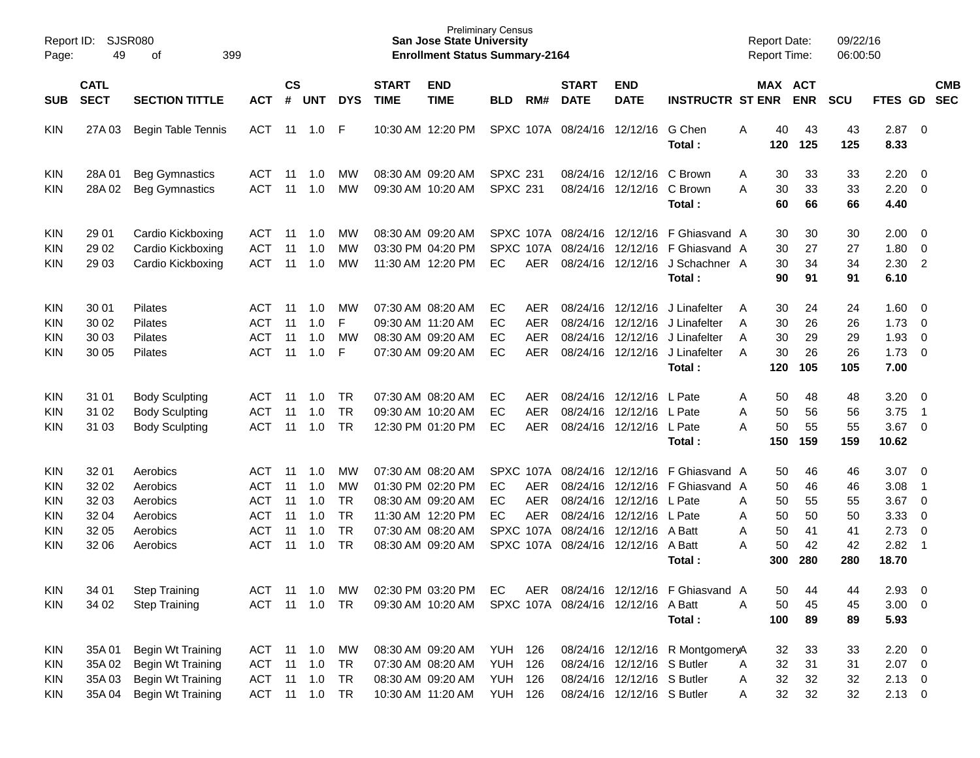| Report ID:<br>Page:                                                       | 49                                                 | SJSR080<br>399<br>of                                                                           |                                                                           |                                  |                                        |                                                              |                             | <b>San Jose State University</b><br><b>Enrollment Status Summary-2164</b>                                                  | <b>Preliminary Census</b>                                     |                                                                               |                                                          |                                                                                        |                                                                                  |                  | <b>Report Date:</b><br>Report Time:     |                                         | 09/22/16<br>06:00:50                    |                                                       |                                                                                                    |                          |
|---------------------------------------------------------------------------|----------------------------------------------------|------------------------------------------------------------------------------------------------|---------------------------------------------------------------------------|----------------------------------|----------------------------------------|--------------------------------------------------------------|-----------------------------|----------------------------------------------------------------------------------------------------------------------------|---------------------------------------------------------------|-------------------------------------------------------------------------------|----------------------------------------------------------|----------------------------------------------------------------------------------------|----------------------------------------------------------------------------------|------------------|-----------------------------------------|-----------------------------------------|-----------------------------------------|-------------------------------------------------------|----------------------------------------------------------------------------------------------------|--------------------------|
| <b>SUB</b>                                                                | <b>CATL</b><br><b>SECT</b>                         | <b>SECTION TITTLE</b>                                                                          | <b>ACT</b>                                                                | $\mathsf{cs}$<br>$\#$            | <b>UNT</b>                             | <b>DYS</b>                                                   | <b>START</b><br><b>TIME</b> | <b>END</b><br><b>TIME</b>                                                                                                  | <b>BLD</b>                                                    | RM#                                                                           | <b>START</b><br><b>DATE</b>                              | <b>END</b><br><b>DATE</b>                                                              | <b>INSTRUCTR ST ENR</b>                                                          |                  | MAX ACT                                 | <b>ENR</b>                              | <b>SCU</b>                              | FTES GD                                               |                                                                                                    | <b>CMB</b><br><b>SEC</b> |
| <b>KIN</b>                                                                | 27A 03                                             | <b>Begin Table Tennis</b>                                                                      | <b>ACT</b>                                                                |                                  | $11 \quad 1.0$                         | -F                                                           |                             | 10:30 AM 12:20 PM                                                                                                          |                                                               |                                                                               | SPXC 107A 08/24/16 12/12/16                              |                                                                                        | G Chen<br>Total:                                                                 | A                | 40<br>120                               | 43<br>125                               | 43<br>125                               | 2.87<br>8.33                                          | $\overline{0}$                                                                                     |                          |
| <b>KIN</b><br><b>KIN</b>                                                  | 28A01<br>28A02                                     | <b>Beg Gymnastics</b><br><b>Beg Gymnastics</b>                                                 | ACT<br><b>ACT</b>                                                         | 11<br>11                         | 1.0<br>1.0                             | MW<br>MW                                                     |                             | 08:30 AM 09:20 AM<br>09:30 AM 10:20 AM                                                                                     | <b>SPXC 231</b><br><b>SPXC 231</b>                            |                                                                               |                                                          | 08/24/16 12/12/16<br>08/24/16 12/12/16                                                 | C Brown<br>C Brown<br>Total:                                                     | A<br>A           | 30<br>30<br>60                          | 33<br>33<br>66                          | 33<br>33<br>66                          | 2.20<br>2.20<br>4.40                                  | $\overline{0}$<br>$\mathbf 0$                                                                      |                          |
| <b>KIN</b><br><b>KIN</b><br>KIN                                           | 29 01<br>29 02<br>29 03                            | Cardio Kickboxing<br>Cardio Kickboxing<br>Cardio Kickboxing                                    | ACT<br><b>ACT</b><br><b>ACT</b>                                           | 11<br>11<br>11                   | 1.0<br>1.0<br>1.0                      | MW<br>MW<br>MW                                               |                             | 08:30 AM 09:20 AM<br>03:30 PM 04:20 PM<br>11:30 AM 12:20 PM                                                                | EC                                                            | SPXC 107A<br>AER                                                              | SPXC 107A 08/24/16 12/12/16<br>08/24/16                  | 12/12/16<br>08/24/16 12/12/16                                                          | F Ghiasvand A<br>F Ghiasvand A<br>J Schachner A<br>Total:                        |                  | 30<br>30<br>30<br>90                    | 30<br>27<br>34<br>91                    | 30<br>27<br>34<br>91                    | 2.00<br>1.80<br>2.30<br>6.10                          | $\overline{0}$<br>$\mathbf 0$<br>$\overline{2}$                                                    |                          |
| <b>KIN</b><br><b>KIN</b><br><b>KIN</b><br>KIN                             | 30 01<br>30 02<br>30 03<br>30 05                   | <b>Pilates</b><br>Pilates<br>Pilates<br>Pilates                                                | ACT<br><b>ACT</b><br><b>ACT</b><br><b>ACT</b>                             | 11<br>11<br>11<br>11             | 1.0<br>1.0<br>1.0<br>1.0               | МW<br>E<br><b>MW</b><br>F                                    |                             | 07:30 AM 08:20 AM<br>09:30 AM 11:20 AM<br>08:30 AM 09:20 AM<br>07:30 AM 09:20 AM                                           | EС<br>EC<br>EC<br>EC                                          | AER<br><b>AER</b><br><b>AER</b><br><b>AER</b>                                 | 08/24/16<br>08/24/16                                     | 08/24/16 12/12/16<br>12/12/16<br>12/12/16<br>08/24/16 12/12/16                         | J Linafelter<br>J Linafelter<br>J Linafelter<br>J Linafelter<br>Total:           | A<br>A<br>A<br>A | 30<br>30<br>30<br>30<br>120             | 24<br>26<br>29<br>26<br>105             | 24<br>26<br>29<br>26<br>105             | 1.60<br>1.73<br>1.93<br>1.73<br>7.00                  | $\overline{0}$<br>$\overline{0}$<br>$\mathbf 0$<br>$\mathbf 0$                                     |                          |
| <b>KIN</b><br><b>KIN</b><br>KIN                                           | 31 01<br>31 02<br>31 03                            | <b>Body Sculpting</b><br><b>Body Sculpting</b><br><b>Body Sculpting</b>                        | ACT<br><b>ACT</b><br><b>ACT</b>                                           | 11<br>11<br>11                   | 1.0<br>1.0<br>1.0                      | <b>TR</b><br><b>TR</b><br><b>TR</b>                          |                             | 07:30 AM 08:20 AM<br>09:30 AM 10:20 AM<br>12:30 PM 01:20 PM                                                                | EC<br>EC<br>EC                                                | AER<br><b>AER</b><br>AER                                                      | 08/24/16                                                 | 08/24/16 12/12/16<br>12/12/16<br>08/24/16 12/12/16 L Pate                              | L Pate<br>L Pate<br>Total:                                                       | Α<br>A<br>A      | 50<br>50<br>50<br>150                   | 48<br>56<br>55<br>159                   | 48<br>56<br>55<br>159                   | 3.20<br>3.75<br>3.67<br>10.62                         | $\overline{0}$<br>$\overline{1}$<br>$\overline{0}$                                                 |                          |
| <b>KIN</b><br><b>KIN</b><br><b>KIN</b><br><b>KIN</b><br><b>KIN</b><br>KIN | 32 01<br>32 02<br>32 03<br>32 04<br>32 05<br>32 06 | Aerobics<br>Aerobics<br>Aerobics<br>Aerobics<br>Aerobics<br>Aerobics                           | ACT<br><b>ACT</b><br><b>ACT</b><br><b>ACT</b><br><b>ACT</b><br><b>ACT</b> | 11<br>11<br>11<br>11<br>11<br>11 | 1.0<br>1.0<br>1.0<br>1.0<br>1.0<br>1.0 | MW<br>MW<br><b>TR</b><br><b>TR</b><br><b>TR</b><br><b>TR</b> |                             | 07:30 AM 08:20 AM<br>01:30 PM 02:20 PM<br>08:30 AM 09:20 AM<br>11:30 AM 12:20 PM<br>07:30 AM 08:20 AM<br>08:30 AM 09:20 AM | EC<br>EC<br>EC                                                | SPXC 107A<br><b>AER</b><br><b>AER</b><br><b>AER</b><br>SPXC 107A<br>SPXC 107A | 08/24/16<br>08/24/16<br>08/24/16<br>08/24/16<br>08/24/16 | 12/12/16<br>12/12/16<br>12/12/16<br>12/12/16<br>12/12/16<br>08/24/16 12/12/16          | F Ghiasvand A<br>F Ghiasvand A<br>L Pate<br>L Pate<br>A Batt<br>A Batt<br>Total: | Α<br>Α<br>Α<br>A | 50<br>50<br>50<br>50<br>50<br>50<br>300 | 46<br>46<br>55<br>50<br>41<br>42<br>280 | 46<br>46<br>55<br>50<br>41<br>42<br>280 | 3.07<br>3.08<br>3.67<br>3.33<br>2.73<br>2.82<br>18.70 | $\overline{0}$<br>$\overline{1}$<br>$\overline{0}$<br>$\mathbf 0$<br>$\mathbf 0$<br>$\overline{1}$ |                          |
| <b>KIN</b><br><b>KIN</b>                                                  | 34 01<br>34 02                                     | <b>Step Training</b><br><b>Step Training</b>                                                   | ACT<br><b>ACT</b>                                                         |                                  | 11  1.0<br>11  1.0  TR                 | MW                                                           |                             | 02:30 PM 03:20 PM<br>09:30 AM 10:20 AM                                                                                     | EC                                                            |                                                                               | SPXC 107A 08/24/16 12/12/16 A Batt                       |                                                                                        | AER 08/24/16 12/12/16 F Ghiasvand A<br>Total:                                    | Α                | 50<br>50<br>100                         | 44<br>45<br>89                          | 44<br>45<br>89                          | 2.93<br>$3.00 \ 0$<br>5.93                            | $\overline{\mathbf{0}}$                                                                            |                          |
| <b>KIN</b><br><b>KIN</b><br><b>KIN</b><br><b>KIN</b>                      | 35A 01<br>35A 02<br>35A 03<br>35A 04               | <b>Begin Wt Training</b><br><b>Begin Wt Training</b><br>Begin Wt Training<br>Begin Wt Training | ACT 11 1.0 MW<br>ACT 11 1.0<br><b>ACT</b><br>ACT 11 1.0 TR                |                                  | $11 \quad 1.0$                         | TR<br>TR                                                     |                             | 08:30 AM 09:20 AM<br>07:30 AM 08:20 AM<br>08:30 AM 09:20 AM<br>10:30 AM 11:20 AM                                           | YUH 126<br><b>YUH 126</b><br><b>YUH 126</b><br><b>YUH 126</b> |                                                                               |                                                          | 08/24/16 12/12/16 S Butler<br>08/24/16 12/12/16 S Butler<br>08/24/16 12/12/16 S Butler | 08/24/16 12/12/16 R MontgomeryA                                                  | Α<br>Α<br>Α      | 32<br>32<br>32<br>32                    | 33<br>31<br>32<br>32                    | 33<br>31<br>32<br>32                    | $2.20 \t 0$<br>$2.07$ 0<br>$2.13 \ 0$<br>$2.13 \t 0$  |                                                                                                    |                          |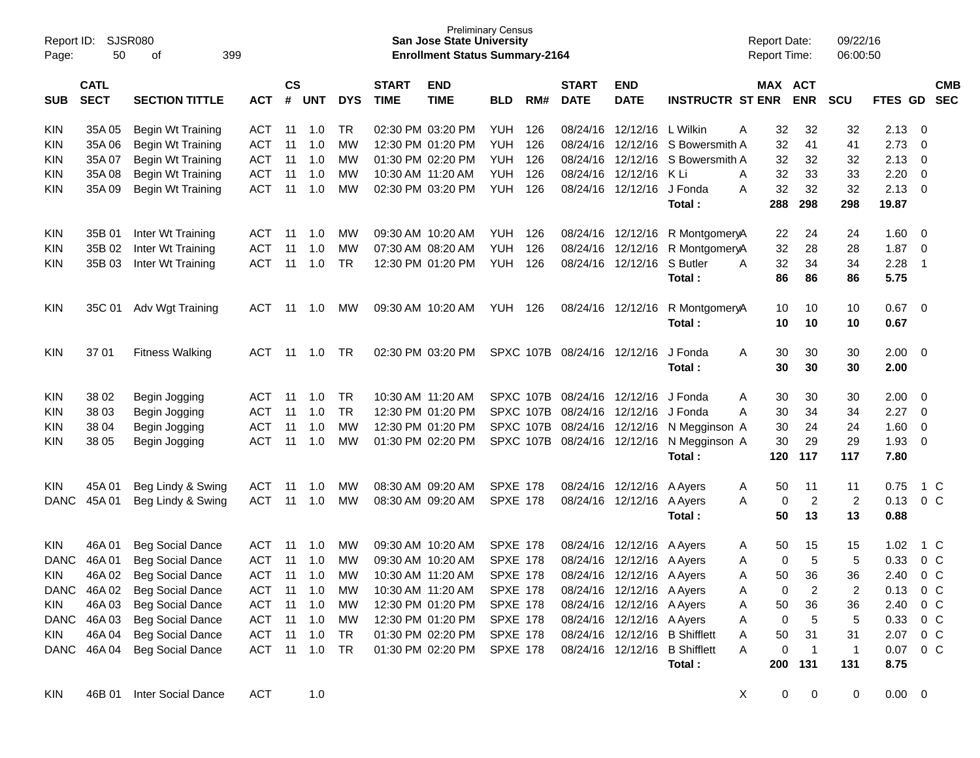| Report ID:<br>Page: | 50                         | <b>SJSR080</b><br>399<br>οf |            |               |        |            |                             | <b>San Jose State University</b><br><b>Enrollment Status Summary-2164</b> | <b>Preliminary Census</b> |     |                             |                                     |                                  | Report Date:<br>Report Time: |                       | 09/22/16<br>06:00:50 |               |                          |
|---------------------|----------------------------|-----------------------------|------------|---------------|--------|------------|-----------------------------|---------------------------------------------------------------------------|---------------------------|-----|-----------------------------|-------------------------------------|----------------------------------|------------------------------|-----------------------|----------------------|---------------|--------------------------|
| <b>SUB</b>          | <b>CATL</b><br><b>SECT</b> | <b>SECTION TITTLE</b>       | <b>ACT</b> | $\mathsf{cs}$ | # UNT  | <b>DYS</b> | <b>START</b><br><b>TIME</b> | <b>END</b><br><b>TIME</b>                                                 | <b>BLD</b>                | RM# | <b>START</b><br><b>DATE</b> | <b>END</b><br><b>DATE</b>           | <b>INSTRUCTR ST ENR</b>          |                              | MAX ACT<br><b>ENR</b> | <b>SCU</b>           | FTES GD       | <b>CMB</b><br><b>SEC</b> |
| <b>KIN</b>          | 35A 05                     | Begin Wt Training           | <b>ACT</b> | 11            | 1.0    | TR         |                             | 02:30 PM 03:20 PM                                                         | YUH                       | 126 |                             | 08/24/16 12/12/16 L Wilkin          |                                  | 32<br>A                      | 32                    | 32                   | 2.13          | 0                        |
| <b>KIN</b>          | 35A 06                     | Begin Wt Training           | <b>ACT</b> | 11            | 1.0    | MW         |                             | 12:30 PM 01:20 PM                                                         | YUH                       | 126 |                             |                                     | 08/24/16 12/12/16 S Bowersmith A | 32                           | 41                    | 41                   | 2.73          | 0                        |
| <b>KIN</b>          | 35A 07                     | Begin Wt Training           | <b>ACT</b> | 11            | 1.0    | MW         |                             | 01:30 PM 02:20 PM                                                         | <b>YUH</b>                | 126 |                             |                                     | 08/24/16 12/12/16 S Bowersmith A | 32                           | 32                    | 32                   | 2.13          | 0                        |
| <b>KIN</b>          | 35A08                      | Begin Wt Training           | <b>ACT</b> | 11            | 1.0    | MW         | 10:30 AM 11:20 AM           |                                                                           | <b>YUH</b>                | 126 |                             | 08/24/16 12/12/16 K Li              |                                  | 32<br>A                      | 33                    | 33                   | 2.20          | 0                        |
| <b>KIN</b>          | 35A09                      | Begin Wt Training           | <b>ACT</b> | 11            | 1.0    | MW         |                             | 02:30 PM 03:20 PM                                                         | YUH                       | 126 |                             | 08/24/16 12/12/16 J Fonda           | Total :                          | 32<br>A<br>288               | 32<br>298             | 32<br>298            | 2.13<br>19.87 | 0                        |
|                     |                            |                             |            |               |        |            |                             |                                                                           |                           |     |                             |                                     |                                  |                              |                       |                      |               |                          |
| KIN                 | 35B 01                     | Inter Wt Training           | <b>ACT</b> | 11            | 1.0    | МW         |                             | 09:30 AM 10:20 AM                                                         | YUH                       | 126 |                             | 08/24/16 12/12/16                   | R MontgomeryA                    | 22                           | 24                    | 24                   | 1.60          | 0                        |
| <b>KIN</b>          | 35B 02                     | Inter Wt Training           | <b>ACT</b> | 11            | 1.0    | MW         |                             | 07:30 AM 08:20 AM                                                         | <b>YUH</b>                | 126 |                             | 08/24/16 12/12/16                   | R MontgomeryA                    | 32                           | 28                    | 28                   | 1.87          | 0                        |
| <b>KIN</b>          | 35B 03                     | Inter Wt Training           | <b>ACT</b> | 11            | 1.0    | <b>TR</b>  |                             | 12:30 PM 01:20 PM                                                         | YUH                       | 126 |                             | 08/24/16 12/12/16 S Butler          | Total :                          | 32<br>A<br>86                | 34<br>86              | 34<br>86             | 2.28<br>5.75  | $\overline{1}$           |
| <b>KIN</b>          | 35C 01                     | Adv Wgt Training            | ACT        | 11            | 1.0    | МW         |                             | 09:30 AM 10:20 AM                                                         | YUH                       | 126 |                             | 08/24/16 12/12/16                   | R MontgomeryA                    | 10                           | 10                    | 10                   | 0.67          | - 0                      |
|                     |                            |                             |            |               |        |            |                             |                                                                           |                           |     |                             |                                     | Total:                           | 10                           | 10                    | 10                   | 0.67          |                          |
| <b>KIN</b>          | 37 01                      | <b>Fitness Walking</b>      | <b>ACT</b> | 11            | 1.0    | TR.        |                             | 02:30 PM 03:20 PM                                                         |                           |     |                             | SPXC 107B 08/24/16 12/12/16         | J Fonda                          | 30<br>Α                      | 30                    | 30                   | 2.00          | - 0                      |
|                     |                            |                             |            |               |        |            |                             |                                                                           |                           |     |                             |                                     | Total :                          | 30                           | 30                    | 30                   | 2.00          |                          |
| <b>KIN</b>          | 38 02                      | Begin Jogging               | <b>ACT</b> | 11            | 1.0    | <b>TR</b>  | 10:30 AM 11:20 AM           |                                                                           |                           |     |                             | SPXC 107B 08/24/16 12/12/16         | J Fonda                          | 30<br>A                      | 30                    | 30                   | 2.00          | 0                        |
| <b>KIN</b>          | 38 03                      | Begin Jogging               | <b>ACT</b> | 11            | 1.0    | <b>TR</b>  |                             | 12:30 PM 01:20 PM                                                         |                           |     |                             | SPXC 107B 08/24/16 12/12/16 J Fonda |                                  | 30<br>A                      | 34                    | 34                   | 2.27          | 0                        |
| <b>KIN</b>          | 38 04                      | Begin Jogging               | <b>ACT</b> | 11            | 1.0    | MW         |                             | 12:30 PM 01:20 PM                                                         |                           |     |                             | SPXC 107B 08/24/16 12/12/16         | N Megginson A                    | 30                           | 24                    | 24                   | 1.60          | 0                        |
| <b>KIN</b>          | 38 05                      | Begin Jogging               | <b>ACT</b> | 11            | 1.0    | MW         |                             | 01:30 PM 02:20 PM                                                         |                           |     |                             | SPXC 107B 08/24/16 12/12/16         | N Megginson A<br>Total :         | 30<br>120                    | 29<br>117             | 29<br>117            | 1.93<br>7.80  | 0                        |
| <b>KIN</b>          | 45A 01                     | Beg Lindy & Swing           | <b>ACT</b> | 11            | 1.0    | МW         |                             | 08:30 AM 09:20 AM                                                         | <b>SPXE 178</b>           |     |                             | 08/24/16 12/12/16                   | A Ayers                          | 50                           | 11                    | 11                   | 0.75          | 1 C                      |
| <b>DANC</b>         | 45A 01                     | Beg Lindy & Swing           | <b>ACT</b> | 11            | 1.0    | MW         |                             | 08:30 AM 09:20 AM                                                         | <b>SPXE 178</b>           |     |                             | 08/24/16 12/12/16                   | A Ayers                          | A<br>A                       | $\overline{c}$<br>0   | $\overline{c}$       | 0.13          | 0 <sup>o</sup>           |
|                     |                            |                             |            |               |        |            |                             |                                                                           |                           |     |                             |                                     | Total :                          | 50                           | 13                    | 13                   | 0.88          |                          |
| <b>KIN</b>          | 46A 01                     | <b>Beg Social Dance</b>     | <b>ACT</b> | 11            | 1.0    | МW         |                             | 09:30 AM 10:20 AM                                                         | <b>SPXE 178</b>           |     |                             | 08/24/16 12/12/16 A Ayers           |                                  | 50<br>A                      | 15                    | 15                   | 1.02          | 1 C                      |
| <b>DANC</b>         | 46A01                      | <b>Beg Social Dance</b>     | <b>ACT</b> | 11            | 1.0    | МW         |                             | 09:30 AM 10:20 AM                                                         | <b>SPXE 178</b>           |     |                             | 08/24/16 12/12/16 A Ayers           |                                  | A                            | 5<br>0                | 5                    | 0.33          | 0 <sup>C</sup>           |
| KIN                 | 46A 02                     | <b>Beg Social Dance</b>     | <b>ACT</b> | 11            | 1.0    | МW         |                             | 10:30 AM 11:20 AM                                                         | <b>SPXE 178</b>           |     |                             | 08/24/16 12/12/16 A Ayers           |                                  | 50                           | 36                    | 36                   | 2.40          | 0 <sup>C</sup>           |
|                     | DANC 46A 02                | <b>Beg Social Dance</b>     | ACT        | 11            | 1.0    | <b>MW</b>  |                             | 10:30 AM 11:20 AM                                                         | SPXE 178                  |     |                             | 08/24/16 12/12/16 A Ayers           |                                  | A                            | 0<br>2                | 2                    | 0.13          | 0 <sup>o</sup>           |
| KIN.                | 46A03                      | <b>Beg Social Dance</b>     | <b>ACT</b> | 11            | 1.0    | MW         |                             | 12:30 PM 01:20 PM                                                         | <b>SPXE 178</b>           |     |                             | 08/24/16 12/12/16 A Ayers           |                                  | 50<br>A                      | 36                    | 36                   | 2.40          | 0 <sup>C</sup>           |
|                     | DANC 46A 03                | <b>Beg Social Dance</b>     | ACT        |               | 11 1.0 | МW         |                             | 12:30 PM 01:20 PM                                                         | SPXE 178                  |     |                             | 08/24/16 12/12/16 A Ayers           |                                  | A                            | 5<br>0                | 5                    | 0.33          | $0\,C$                   |
| KIN.                | 46A 04                     | <b>Beg Social Dance</b>     | <b>ACT</b> | 11            | 1.0    | <b>TR</b>  |                             | 01:30 PM 02:20 PM                                                         | <b>SPXE 178</b>           |     |                             |                                     | 08/24/16 12/12/16 B Shifflett    | 50<br>A                      | 31                    | 31                   | 2.07          | $0\,C$                   |
|                     | DANC 46A 04                | <b>Beg Social Dance</b>     | ACT        | 11            | 1.0    | <b>TR</b>  |                             | 01:30 PM 02:20 PM                                                         | <b>SPXE 178</b>           |     |                             |                                     | 08/24/16 12/12/16 B Shifflett    | Α                            | $\overline{1}$<br>0   | -1                   | 0.07          | $0\,C$                   |
|                     |                            |                             |            |               |        |            |                             |                                                                           |                           |     |                             |                                     | Total:                           | 200                          | 131                   | 131                  | 8.75          |                          |
| <b>KIN</b>          | 46B 01                     | Inter Social Dance          | <b>ACT</b> |               | 1.0    |            |                             |                                                                           |                           |     |                             |                                     |                                  | X                            | 0<br>$\mathbf 0$      | 0                    | $0.00 \t 0$   |                          |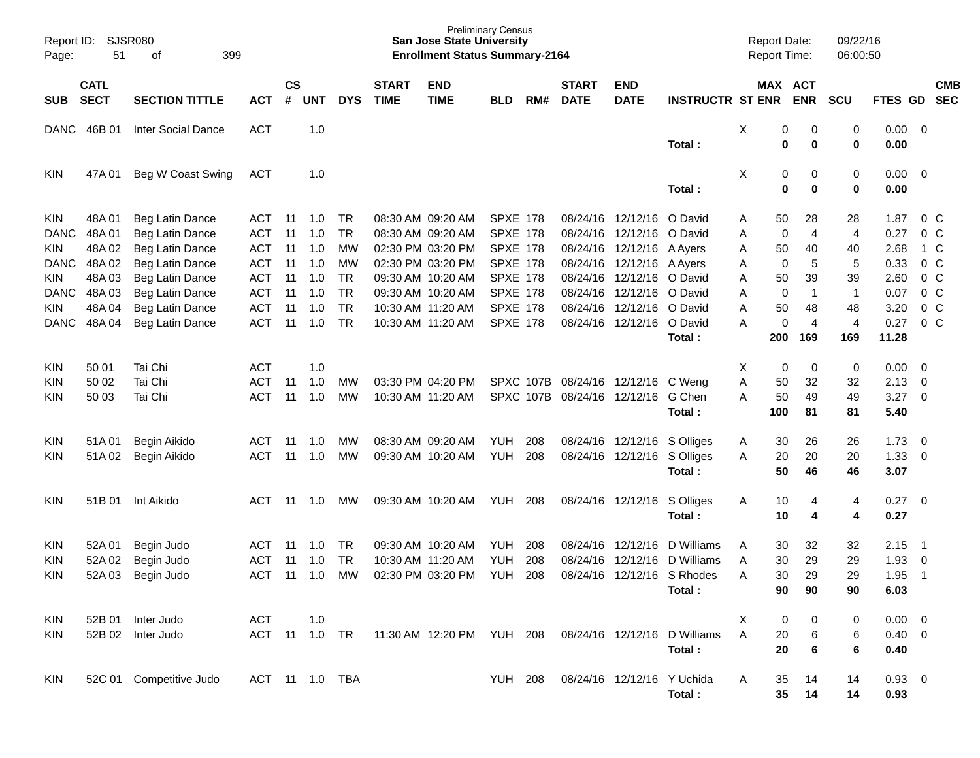| Page:       | <b>SJSR080</b><br>Report ID:<br>399<br>51<br>οf |                           |                |                    |            |            |                             | <b>San Jose State University</b><br><b>Enrollment Status Summary-2164</b> | <b>Preliminary Census</b> |     |                             |                            |                                                        |              | Report Date:<br><b>Report Time:</b> |                | 09/22/16<br>06:00:50 |             |                          |                          |
|-------------|-------------------------------------------------|---------------------------|----------------|--------------------|------------|------------|-----------------------------|---------------------------------------------------------------------------|---------------------------|-----|-----------------------------|----------------------------|--------------------------------------------------------|--------------|-------------------------------------|----------------|----------------------|-------------|--------------------------|--------------------------|
| <b>SUB</b>  | <b>CATL</b><br><b>SECT</b>                      | <b>SECTION TITTLE</b>     | <b>ACT</b>     | $\mathsf{cs}$<br># | <b>UNT</b> | <b>DYS</b> | <b>START</b><br><b>TIME</b> | <b>END</b><br><b>TIME</b>                                                 | <b>BLD</b>                | RM# | <b>START</b><br><b>DATE</b> | <b>END</b><br><b>DATE</b>  | <b>INSTRUCTR ST ENR</b>                                |              | MAX ACT                             | <b>ENR</b>     | <b>SCU</b>           | FTES GD     |                          | <b>CMB</b><br><b>SEC</b> |
|             |                                                 |                           |                |                    |            |            |                             |                                                                           |                           |     |                             |                            |                                                        |              |                                     |                |                      |             |                          |                          |
| DANC        | 46B 01                                          | <b>Inter Social Dance</b> | <b>ACT</b>     |                    | 1.0        |            |                             |                                                                           |                           |     |                             |                            |                                                        | X            | 0                                   | 0              | 0                    | $0.00 \t 0$ |                          |                          |
|             |                                                 |                           |                |                    |            |            |                             |                                                                           |                           |     |                             |                            | Total :                                                |              | 0                                   | 0              | 0                    | 0.00        |                          |                          |
| <b>KIN</b>  | 47A 01                                          | Beg W Coast Swing         | <b>ACT</b>     |                    | 1.0        |            |                             |                                                                           |                           |     |                             |                            |                                                        | X            | 0                                   | 0              | 0                    | $0.00 \ 0$  |                          |                          |
|             |                                                 |                           |                |                    |            |            |                             |                                                                           |                           |     |                             |                            | Total:                                                 |              | 0                                   | 0              | 0                    | 0.00        |                          |                          |
| <b>KIN</b>  | 48A01                                           | Beg Latin Dance           | ACT            | 11                 | 1.0        | TR         |                             | 08:30 AM 09:20 AM                                                         | <b>SPXE 178</b>           |     | 08/24/16                    | 12/12/16                   | O David                                                | Α            | 50                                  | 28             | 28                   | 1.87        | $0\,$ C                  |                          |
| <b>DANC</b> | 48A01                                           | Beg Latin Dance           | <b>ACT</b>     | 11                 | 1.0        | <b>TR</b>  |                             | 08:30 AM 09:20 AM                                                         | <b>SPXE 178</b>           |     | 08/24/16                    | 12/12/16                   | O David                                                | Α            | 0                                   | $\overline{4}$ | 4                    | 0.27        | 0 C                      |                          |
| KIN         | 48A 02                                          | Beg Latin Dance           | <b>ACT</b>     | 11                 | 1.0        | <b>MW</b>  |                             | 02:30 PM 03:20 PM                                                         | <b>SPXE 178</b>           |     | 08/24/16                    | 12/12/16                   | A Ayers                                                | Α            | 50                                  | 40             | 40                   | 2.68        |                          | 1 C                      |
| <b>DANC</b> | 48A02                                           | Beg Latin Dance           | <b>ACT</b>     | 11                 | 1.0        | <b>MW</b>  |                             | 02:30 PM 03:20 PM                                                         | <b>SPXE 178</b>           |     | 08/24/16                    | 12/12/16 A Ayers           |                                                        | Α            | 0                                   | 5              | 5                    | 0.33        | 0 <sup>o</sup>           |                          |
| KIN         | 48A03                                           | Beg Latin Dance           | <b>ACT</b>     | 11                 | 1.0        | <b>TR</b>  |                             | 09:30 AM 10:20 AM                                                         | <b>SPXE 178</b>           |     | 08/24/16                    | 12/12/16                   | O David                                                | Α            | 50                                  | 39             | 39                   | 2.60        | 0 <sup>o</sup>           |                          |
| <b>DANC</b> | 48A03                                           | Beg Latin Dance           | <b>ACT</b>     | 11                 | 1.0        | <b>TR</b>  |                             | 09:30 AM 10:20 AM                                                         | <b>SPXE 178</b>           |     | 08/24/16                    | 12/12/16                   | O David                                                | Α            | $\mathbf 0$                         | -1             | $\mathbf 1$          | 0.07        | 0 <sup>o</sup>           |                          |
| KIN         | 48A 04                                          | Beg Latin Dance           | <b>ACT</b>     | 11                 | 1.0        | <b>TR</b>  |                             | 10:30 AM 11:20 AM                                                         | <b>SPXE 178</b>           |     | 08/24/16                    | 12/12/16                   | O David                                                | Α            | 50                                  | 48             | 48                   | 3.20        | 0 <sup>o</sup>           |                          |
| <b>DANC</b> | 48A04                                           | Beg Latin Dance           | <b>ACT</b>     | 11                 | 1.0        | <b>TR</b>  |                             | 10:30 AM 11:20 AM                                                         | <b>SPXE 178</b>           |     | 08/24/16                    | 12/12/16                   | O David                                                | А            | 0                                   | 4              | 4                    | 0.27        | 0 <sup>o</sup>           |                          |
|             |                                                 |                           |                |                    |            |            |                             |                                                                           |                           |     |                             |                            | Total :                                                |              | 200                                 | 169            | 169                  | 11.28       |                          |                          |
| <b>KIN</b>  | 50 01                                           | Tai Chi                   | <b>ACT</b>     |                    | 1.0        |            |                             |                                                                           |                           |     |                             |                            |                                                        | X            | 0                                   | 0              | 0                    | 0.00        | - 0                      |                          |
| KIN         | 50 02                                           | Tai Chi                   | <b>ACT</b>     | 11                 | 1.0        | MW         |                             | 03:30 PM 04:20 PM                                                         | SPXC 107B                 |     | 08/24/16                    | 12/12/16                   | C Weng                                                 | Α            | 50                                  | 32             | 32                   | 2.13        | $\overline{\mathbf{0}}$  |                          |
| KIN         | 50 03                                           | Tai Chi                   | <b>ACT</b>     | 11                 | 1.0        | <b>MW</b>  |                             | 10:30 AM 11:20 AM                                                         | SPXC 107B                 |     | 08/24/16                    | 12/12/16                   | G Chen                                                 | Α            | 50                                  | 49             | 49                   | 3.27        | - 0                      |                          |
|             |                                                 |                           |                |                    |            |            |                             |                                                                           |                           |     |                             |                            | Total :                                                |              | 100                                 | 81             | 81                   | 5.40        |                          |                          |
| <b>KIN</b>  | 51A 01                                          | Begin Aikido              | ACT            | 11                 | 1.0        | MW         |                             | 08:30 AM 09:20 AM                                                         | <b>YUH</b>                | 208 | 08/24/16                    | 12/12/16                   | S Olliges                                              | A            | 30                                  | 26             | 26                   | 1.73        | $\overline{\phantom{0}}$ |                          |
| KIN         | 51A02                                           | Begin Aikido              | <b>ACT</b>     | 11                 | 1.0        | MW         |                             | 09:30 AM 10:20 AM                                                         | <b>YUH</b>                | 208 | 08/24/16                    | 12/12/16                   | S Olliges                                              | A            | 20                                  | 20             | 20                   | 1.33        | $\overline{\phantom{0}}$ |                          |
|             |                                                 |                           |                |                    |            |            |                             |                                                                           |                           |     |                             |                            | Total:                                                 |              | 50                                  | 46             | 46                   | 3.07        |                          |                          |
| <b>KIN</b>  | 51B 01                                          | Int Aikido                | ACT            |                    | 11 1.0     | MW         |                             | 09:30 AM 10:20 AM                                                         | YUH                       | 208 |                             | 08/24/16 12/12/16          | S Olliges                                              | A            | 10                                  | 4              | 4                    | $0.27 \ 0$  |                          |                          |
|             |                                                 |                           |                |                    |            |            |                             |                                                                           |                           |     |                             |                            | Total:                                                 |              | 10                                  | 4              | 4                    | 0.27        |                          |                          |
| <b>KIN</b>  | 52A 01                                          | Begin Judo                | <b>ACT</b>     | -11                | 1.0        | <b>TR</b>  |                             | 09:30 AM 10:20 AM                                                         | <b>YUH</b>                | 208 | 08/24/16                    | 12/12/16                   | D Williams                                             | A            | 30                                  | 32             | 32                   | 2.15        | $\overline{\phantom{1}}$ |                          |
| <b>KIN</b>  | 52A 02                                          | Begin Judo                | ACT            | 11                 | 1.0        | <b>TR</b>  |                             | 10:30 AM 11:20 AM                                                         | <b>YUH</b>                | 208 | 08/24/16                    | 12/12/16                   | D Williams                                             | A            | 30                                  | 29             | 29                   | 1.93        | $\overline{\mathbf{0}}$  |                          |
| KIN         |                                                 | 52A 03 Begin Judo         |                |                    |            |            |                             | ACT 11 1.0 MW 02:30 PM 03:20 PM                                           | <b>YUH 208</b>            |     |                             |                            | 08/24/16 12/12/16 S Rhodes                             | $\mathsf{A}$ | 30                                  | 29             | 29                   | $1.95$ 1    |                          |                          |
|             |                                                 |                           |                |                    |            |            |                             |                                                                           |                           |     |                             |                            | Total:                                                 |              | 90                                  | 90             | 90                   | 6.03        |                          |                          |
| KIN         |                                                 | 52B 01 Inter Judo         | ACT            |                    | 1.0        |            |                             |                                                                           |                           |     |                             |                            |                                                        | X            | 0                                   | 0              | 0                    | $0.00 \t 0$ |                          |                          |
| KIN.        |                                                 | 52B 02 Inter Judo         | ACT 11 1.0 TR  |                    |            |            |                             |                                                                           |                           |     |                             |                            | 11:30 AM 12:20 PM YUH 208 08/24/16 12/12/16 D Williams | A            | 20                                  | 6              | 6                    | $0.40 \ 0$  |                          |                          |
|             |                                                 |                           |                |                    |            |            |                             |                                                                           |                           |     |                             |                            | Total:                                                 |              | 20                                  | 6              | 6                    | 0.40        |                          |                          |
| KIN.        |                                                 | 52C 01 Competitive Judo   | ACT 11 1.0 TBA |                    |            |            |                             |                                                                           | <b>YUH 208</b>            |     |                             | 08/24/16 12/12/16 Y Uchida |                                                        | A            | 35                                  | 14             | 14                   | $0.93 \ 0$  |                          |                          |
|             |                                                 |                           |                |                    |            |            |                             |                                                                           |                           |     |                             |                            | Total:                                                 |              | 35 <sub>5</sub>                     | 14             | 14                   | 0.93        |                          |                          |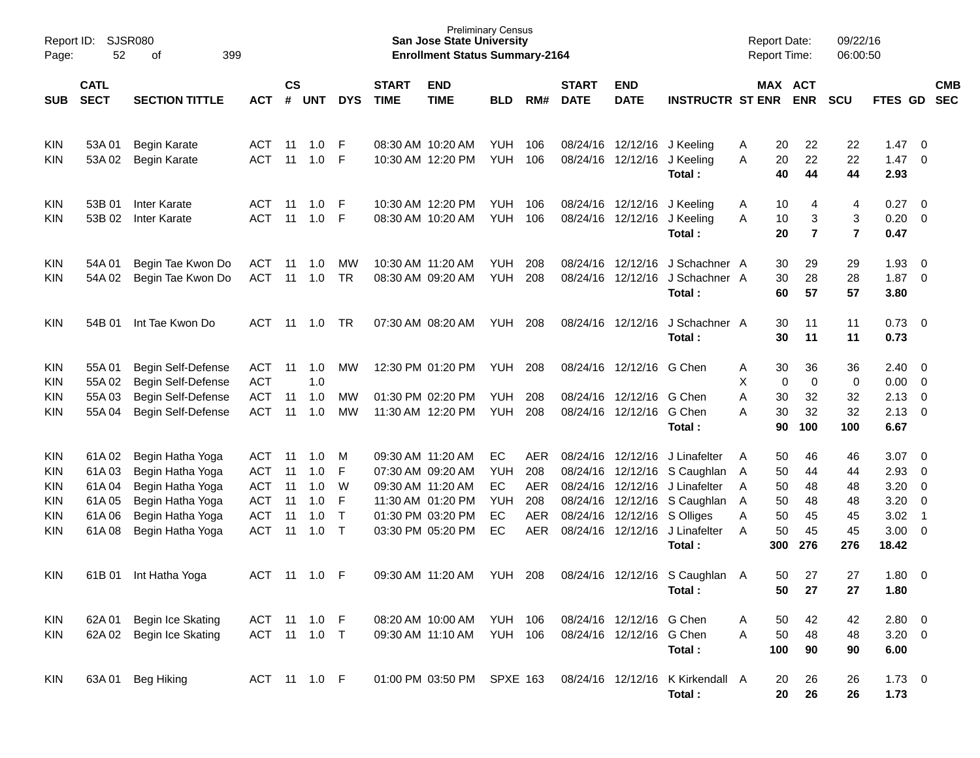| Page:                                         | SJSR080<br>Report ID:<br>52<br>399<br>οf |                                                                                      |                                               |                |                          |                        |                             | <b>Preliminary Census</b><br><b>San Jose State University</b><br><b>Enrollment Status Summary-2164</b> |                                     |                          |                             |                                                                           |                                                                              | <b>Report Date:</b><br><b>Report Time:</b> |                          | 09/22/16<br>06:00:50          |                                                        |                                                     |                          |
|-----------------------------------------------|------------------------------------------|--------------------------------------------------------------------------------------|-----------------------------------------------|----------------|--------------------------|------------------------|-----------------------------|--------------------------------------------------------------------------------------------------------|-------------------------------------|--------------------------|-----------------------------|---------------------------------------------------------------------------|------------------------------------------------------------------------------|--------------------------------------------|--------------------------|-------------------------------|--------------------------------------------------------|-----------------------------------------------------|--------------------------|
| <b>SUB</b>                                    | <b>CATL</b><br><b>SECT</b>               | <b>SECTION TITTLE</b>                                                                | <b>ACT</b>                                    | <b>CS</b><br># | UNT                      | <b>DYS</b>             | <b>START</b><br><b>TIME</b> | <b>END</b><br><b>TIME</b>                                                                              | <b>BLD</b>                          | RM#                      | <b>START</b><br><b>DATE</b> | <b>END</b><br><b>DATE</b>                                                 | <b>INSTRUCTR ST ENR</b>                                                      | MAX ACT                                    | <b>ENR</b>               | <b>SCU</b>                    | <b>FTES GD</b>                                         |                                                     | <b>CMB</b><br><b>SEC</b> |
| <b>KIN</b><br><b>KIN</b>                      | 53A 01<br>53A02                          | Begin Karate<br><b>Begin Karate</b>                                                  | ACT<br>ACT                                    | 11<br>11       | 1.0<br>1.0               | -F<br>F                |                             | 08:30 AM 10:20 AM<br>10:30 AM 12:20 PM                                                                 | YUH<br><b>YUH</b>                   | 106<br>106               |                             |                                                                           | 08/24/16 12/12/16 J Keeling<br>08/24/16 12/12/16 J Keeling<br>Total:         | 20<br>A<br>20<br>A<br>40                   | 22<br>22<br>44           | 22<br>22<br>44                | 1.47<br>1.47<br>2.93                                   | $\overline{\phantom{0}}$<br>$\overline{\mathbf{0}}$ |                          |
| <b>KIN</b><br>KIN                             | 53B 01<br>53B 02                         | <b>Inter Karate</b><br><b>Inter Karate</b>                                           | ACT<br>ACT                                    | 11<br>11       | 1.0<br>1.0               | -F<br>F                |                             | 10:30 AM 12:20 PM<br>08:30 AM 10:20 AM                                                                 | YUH<br><b>YUH</b>                   | 106<br>106               |                             |                                                                           | 08/24/16 12/12/16 J Keeling<br>08/24/16 12/12/16 J Keeling<br>Total:         | 10<br>A<br>10<br>A<br>20                   | 4<br>3<br>$\overline{7}$ | 4<br>3<br>$\overline{7}$      | 0.27<br>$0.20 \ 0$<br>0.47                             | $\overline{\mathbf{0}}$                             |                          |
| <b>KIN</b><br><b>KIN</b>                      | 54A 01<br>54A 02                         | Begin Tae Kwon Do<br>Begin Tae Kwon Do                                               | ACT<br><b>ACT</b>                             | 11<br>11       | 1.0<br>1.0               | <b>MW</b><br><b>TR</b> |                             | 10:30 AM 11:20 AM<br>08:30 AM 09:20 AM                                                                 | YUH<br><b>YUH</b>                   | 208<br>208               |                             | 08/24/16 12/12/16                                                         | J Schachner A<br>08/24/16 12/12/16 J Schachner A<br>Total:                   | 30<br>30<br>60                             | 29<br>28<br>57           | 29<br>28<br>57                | 1.93<br>$1.87 \t 0$<br>3.80                            | $\overline{\phantom{0}}$                            |                          |
| <b>KIN</b>                                    | 54B 01                                   | Int Tae Kwon Do                                                                      | ACT                                           | 11             | 1.0                      | <b>TR</b>              |                             | 07:30 AM 08:20 AM                                                                                      | YUH                                 | 208                      |                             | 08/24/16 12/12/16                                                         | J Schachner A<br>Total:                                                      | 30<br>30                                   | 11<br>11                 | 11<br>11                      | $0.73 \quad 0$<br>0.73                                 |                                                     |                          |
| <b>KIN</b><br><b>KIN</b><br><b>KIN</b><br>KIN | 55A01<br>55A 02<br>55A03<br>55A 04       | Begin Self-Defense<br>Begin Self-Defense<br>Begin Self-Defense<br>Begin Self-Defense | ACT<br><b>ACT</b><br><b>ACT</b><br><b>ACT</b> | 11<br>11<br>11 | 1.0<br>1.0<br>1.0<br>1.0 | <b>MW</b><br>МW<br>MW  |                             | 12:30 PM 01:20 PM<br>01:30 PM 02:20 PM<br>11:30 AM 12:20 PM                                            | <b>YUH 208</b><br><b>YUH</b><br>YUH | 208<br>208               |                             | 08/24/16 12/12/16 G Chen<br>08/24/16 12/12/16<br>08/24/16 12/12/16 G Chen | G Chen                                                                       | 30<br>A<br>х<br>0<br>30<br>A<br>30<br>A    | 36<br>0<br>32<br>32      | 36<br>$\mathbf 0$<br>32<br>32 | $2.40 \quad 0$<br>$0.00 \ 0$<br>2.13<br>$2.13 \quad 0$ | $\overline{\phantom{0}}$                            |                          |
| <b>KIN</b>                                    | 61A02                                    | Begin Hatha Yoga                                                                     | ACT                                           | 11             | 1.0                      | M                      |                             | 09:30 AM 11:20 AM                                                                                      | EC                                  | AER                      |                             | 08/24/16 12/12/16                                                         | Total:<br>J Linafelter                                                       | 90<br>50<br>A                              | 100<br>46                | 100<br>46                     | 6.67<br>3.07                                           | $\overline{\mathbf{0}}$                             |                          |
| <b>KIN</b><br>KIN<br><b>KIN</b>               | 61A03<br>61A04<br>61A05                  | Begin Hatha Yoga<br>Begin Hatha Yoga<br>Begin Hatha Yoga                             | ACT<br><b>ACT</b><br><b>ACT</b>               | 11<br>11<br>11 | 1.0<br>1.0<br>1.0        | F<br>W<br>F            |                             | 07:30 AM 09:20 AM<br>09:30 AM 11:20 AM<br>11:30 AM 01:20 PM                                            | YUH<br>EC<br>YUH                    | 208<br><b>AER</b><br>208 | 08/24/16                    | 12/12/16                                                                  | 08/24/16 12/12/16 S Caughlan<br>J Linafelter<br>08/24/16 12/12/16 S Caughlan | 50<br>A<br>50<br>A<br>50<br>A              | 44<br>48<br>48           | 44<br>48<br>48                | $2.93$ 0<br>3.20<br>3.20                               | $\overline{\mathbf{0}}$<br>$\overline{0}$           |                          |
| <b>KIN</b><br>KIN                             | 61A06<br>61A08                           | Begin Hatha Yoga<br>Begin Hatha Yoga                                                 | <b>ACT</b><br><b>ACT</b>                      | 11<br>11       | 1.0<br>1.0               | $\top$<br>$\top$       |                             | 01:30 PM 03:20 PM<br>03:30 PM 05:20 PM                                                                 | EC<br>EC                            | AER<br>AER               | 08/24/16                    |                                                                           | 12/12/16 S Olliges<br>08/24/16 12/12/16 J Linafelter<br>Total:               | 50<br>Α<br>50<br>A<br>300                  | 45<br>45<br>276          | 45<br>45<br>276               | 3.02<br>$3.00 \ 0$<br>18.42                            | $\overline{\phantom{1}}$                            |                          |
| <b>KIN</b>                                    | 61B 01                                   | Int Hatha Yoga                                                                       | ACT                                           |                | 11 1.0                   | -F                     |                             | 09:30 AM 11:20 AM                                                                                      | YUH 208                             |                          |                             |                                                                           | 08/24/16 12/12/16 S Caughlan A<br>Total:                                     | 50<br>50                                   | 27<br>27                 | 27<br>27                      | $1.80 \ 0$<br>1.80                                     |                                                     |                          |
| KIN<br><b>KIN</b>                             | 62A 01                                   | Begin Ice Skating<br>62A 02 Begin Ice Skating                                        | ACT<br>ACT 11 1.0                             | 11             | $1.0$ F                  | $\top$                 |                             | 08:20 AM 10:00 AM<br>09:30 AM 11:10 AM                                                                 | <b>YUH 106</b><br><b>YUH 106</b>    |                          |                             | 08/24/16 12/12/16 G Chen<br>08/24/16 12/12/16 G Chen                      | Total:                                                                       | 50<br>A<br>50<br>A<br>100                  | 42<br>48<br>90           | 42<br>48<br>90                | $2.80 \t 0$<br>$3.20 \ 0$<br>6.00                      |                                                     |                          |
| <b>KIN</b>                                    | 63A 01                                   | Beg Hiking                                                                           | ACT 11 1.0 F                                  |                |                          |                        |                             | 01:00 PM 03:50 PM                                                                                      | <b>SPXE 163</b>                     |                          |                             |                                                                           | 08/24/16 12/12/16 K Kirkendall A<br>Total:                                   | 20<br>20                                   | 26<br>26                 | 26<br>26                      | $1.73 \t 0$<br>1.73                                    |                                                     |                          |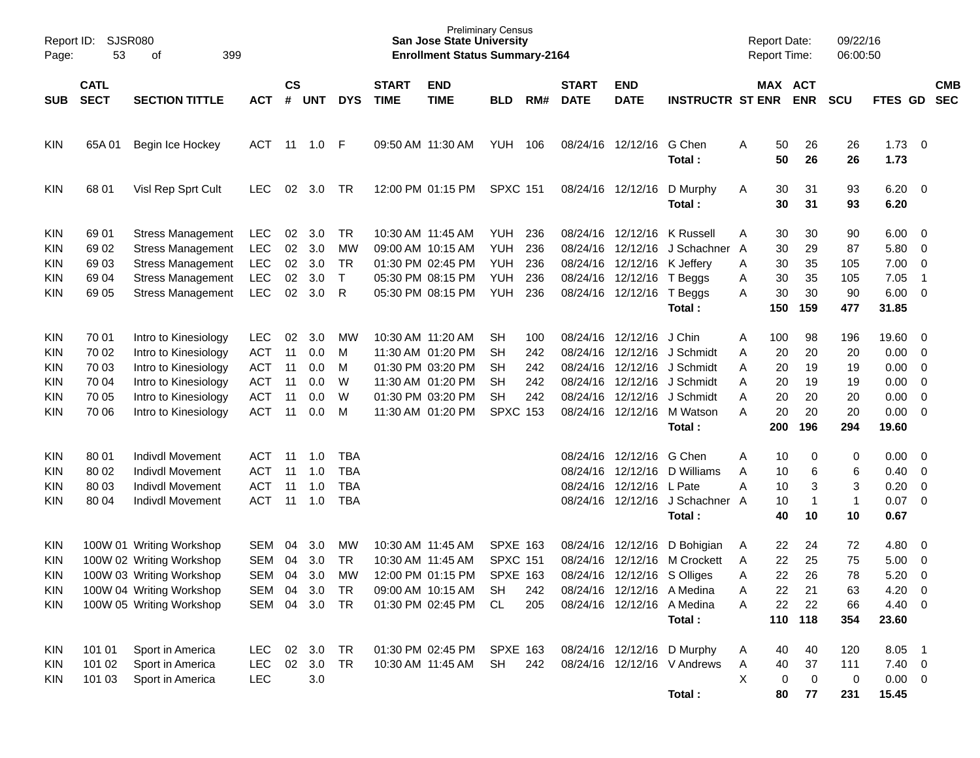| Page:      | SJSR080<br>Report ID:<br>53<br>399<br>оf |                                              |                          |                    |            |              |                             | <b>San Jose State University</b><br><b>Enrollment Status Summary-2164</b> | <b>Preliminary Census</b> |            |                             |                             |                               | <b>Report Date:</b><br><b>Report Time:</b> |                       | 09/22/16<br>06:00:50 |                        |                            |                          |
|------------|------------------------------------------|----------------------------------------------|--------------------------|--------------------|------------|--------------|-----------------------------|---------------------------------------------------------------------------|---------------------------|------------|-----------------------------|-----------------------------|-------------------------------|--------------------------------------------|-----------------------|----------------------|------------------------|----------------------------|--------------------------|
| <b>SUB</b> | <b>CATL</b><br><b>SECT</b>               | <b>SECTION TITTLE</b>                        | ACT                      | $\mathsf{cs}$<br># | <b>UNT</b> | <b>DYS</b>   | <b>START</b><br><b>TIME</b> | <b>END</b><br><b>TIME</b>                                                 | <b>BLD</b>                | RM#        | <b>START</b><br><b>DATE</b> | <b>END</b><br><b>DATE</b>   | <b>INSTRUCTR ST ENR</b>       |                                            | MAX ACT<br><b>ENR</b> | <b>SCU</b>           | FTES GD                |                            | <b>CMB</b><br><b>SEC</b> |
| KIN        | 65A 01                                   | Begin Ice Hockey                             | ACT                      | 11                 | 1.0 F      |              |                             | 09:50 AM 11:30 AM                                                         | YUH                       | - 106      |                             | 08/24/16 12/12/16 G Chen    | Total:                        | 50<br>A<br>50                              | 26<br>26              | 26<br>26             | $1.73 \t 0$<br>1.73    |                            |                          |
| KIN        | 68 01                                    | Visl Rep Sprt Cult                           | <b>LEC</b>               | 02                 | 3.0        | TR.          |                             | 12:00 PM 01:15 PM                                                         | <b>SPXC 151</b>           |            |                             | 08/24/16 12/12/16           | D Murphy<br>Total :           | 30<br>A<br>30                              | 31<br>31              | 93<br>93             | $6.20 \quad 0$<br>6.20 |                            |                          |
| <b>KIN</b> | 69 01                                    | <b>Stress Management</b>                     | <b>LEC</b>               | 02                 | 3.0        | TR           |                             | 10:30 AM 11:45 AM                                                         | YUH                       | 236        |                             | 08/24/16 12/12/16 K Russell |                               | 30<br>Α                                    | 30                    | 90                   | $6.00 \quad 0$         |                            |                          |
| KIN        | 69 02                                    | <b>Stress Management</b>                     | LEC                      | 02                 | 3.0        | MW           |                             | 09:00 AM 10:15 AM                                                         | YUH                       | 236        |                             |                             | 08/24/16 12/12/16 J Schachner | 30<br>A                                    | 29                    | 87                   | 5.80                   | $\overline{\phantom{0}}$   |                          |
| <b>KIN</b> | 69 03                                    | <b>Stress Management</b>                     | LEC                      | 02                 | 3.0        | TR           |                             | 01:30 PM 02:45 PM                                                         | YUH                       | 236        |                             | 08/24/16 12/12/16 K Jeffery |                               | 30<br>A                                    | 35                    | 105                  | 7.00                   | $\overline{\mathbf{0}}$    |                          |
| <b>KIN</b> | 69 04                                    | <b>Stress Management</b>                     | LEC                      | 02                 | 3.0        | $\mathsf{T}$ |                             | 05:30 PM 08:15 PM                                                         | <b>YUH</b>                | 236        |                             | 08/24/16 12/12/16 T Beggs   |                               | 30<br>A                                    | 35                    | 105                  | 7.05                   | $\overline{\phantom{0}}$ 1 |                          |
| <b>KIN</b> | 69 05                                    | <b>Stress Management</b>                     | LEC                      | 02                 | 3.0        | R            |                             | 05:30 PM 08:15 PM                                                         | <b>YUH</b>                | 236        |                             | 08/24/16 12/12/16 T Beggs   |                               | 30<br>A                                    | 30                    | 90                   | $6.00 \quad 0$         |                            |                          |
|            |                                          |                                              |                          |                    |            |              |                             |                                                                           |                           |            |                             |                             | Total :                       | 150                                        | 159                   | 477                  | 31.85                  |                            |                          |
|            |                                          |                                              |                          |                    |            |              |                             |                                                                           |                           |            |                             |                             |                               |                                            |                       |                      |                        |                            |                          |
| <b>KIN</b> | 70 01                                    | Intro to Kinesiology<br>Intro to Kinesiology | <b>LEC</b><br><b>ACT</b> | 02<br>11           | 3.0<br>0.0 | MW<br>M      |                             | 10:30 AM 11:20 AM<br>11:30 AM 01:20 PM                                    | SН<br>SН                  | 100<br>242 |                             | 08/24/16 12/12/16 J Chin    | 08/24/16 12/12/16 J Schmidt   | 100<br>A<br>20                             | 98<br>20              | 196<br>20            | 19.60 0<br>$0.00 \t 0$ |                            |                          |
| <b>KIN</b> | 70 02                                    | Intro to Kinesiology                         | <b>ACT</b>               | 11                 | 0.0        | M            |                             | 01:30 PM 03:20 PM                                                         | SН                        | 242        |                             |                             | 08/24/16 12/12/16 J Schmidt   | Α<br>Α<br>20                               | 19                    | 19                   | 0.00                   | $\overline{\phantom{0}}$   |                          |
| <b>KIN</b> | 70 03                                    | Intro to Kinesiology                         | <b>ACT</b>               | 11                 | 0.0        | W            |                             | 11:30 AM 01:20 PM                                                         | <b>SH</b>                 | 242        |                             |                             | 08/24/16 12/12/16 J Schmidt   | Α<br>20                                    | 19                    | 19                   | 0.00                   | $\overline{\phantom{0}}$   |                          |
| <b>KIN</b> | 70 04                                    |                                              | <b>ACT</b>               | 11                 | 0.0        | W            |                             | 01:30 PM 03:20 PM                                                         | <b>SH</b>                 | 242        |                             |                             | 08/24/16 12/12/16 J Schmidt   | 20<br>A                                    | 20                    | 20                   | 0.00                   | $\overline{\phantom{0}}$   |                          |
| <b>KIN</b> | 70 05                                    | Intro to Kinesiology<br>Intro to Kinesiology | <b>ACT</b>               | 11                 |            | M            |                             |                                                                           | <b>SPXC 153</b>           |            |                             |                             | 08/24/16 12/12/16 M Watson    | A<br>20                                    | 20                    | 20                   | $0.00 \t 0$            |                            |                          |
| <b>KIN</b> | 70 06                                    |                                              |                          |                    | 0.0        |              |                             | 11:30 AM 01:20 PM                                                         |                           |            |                             |                             | Total:                        | 200                                        | 196                   | 294                  | 19.60                  |                            |                          |
|            |                                          |                                              |                          |                    |            |              |                             |                                                                           |                           |            |                             |                             |                               |                                            |                       |                      |                        |                            |                          |
| <b>KIN</b> | 80 01                                    | <b>Indivdl Movement</b>                      | ACT                      | -11                | 1.0        | TBA          |                             |                                                                           |                           |            |                             | 08/24/16 12/12/16 G Chen    |                               | 10<br>A                                    | 0                     | 0                    | $0.00 \t 0$            |                            |                          |
| KIN        | 80 02                                    | <b>Indivdl Movement</b>                      | <b>ACT</b>               | 11                 | 1.0        | <b>TBA</b>   |                             |                                                                           |                           |            |                             |                             | 08/24/16 12/12/16 D Williams  | Α<br>10                                    | 6                     | 6                    | 0.40                   | $\overline{\phantom{0}}$   |                          |
| <b>KIN</b> | 80 03                                    | <b>Indivdl Movement</b>                      | <b>ACT</b>               | 11                 | 1.0        | <b>TBA</b>   |                             |                                                                           |                           |            | 08/24/16                    | 12/12/16 L Pate             |                               | A<br>10                                    | 3                     | 3                    | 0.20                   | $\overline{0}$             |                          |
| <b>KIN</b> | 80 04                                    | <b>Indivdl Movement</b>                      | <b>ACT</b>               | 11                 | 1.0        | <b>TBA</b>   |                             |                                                                           |                           |            |                             |                             | 08/24/16 12/12/16 J Schachner | 10<br>A                                    | -1                    | $\mathbf{1}$         | 0.07                   | $\overline{0}$             |                          |
|            |                                          |                                              |                          |                    |            |              |                             |                                                                           |                           |            |                             |                             | Total:                        | 40                                         | 10                    | 10                   | 0.67                   |                            |                          |
|            |                                          |                                              |                          |                    |            |              |                             |                                                                           |                           |            |                             |                             |                               |                                            |                       |                      |                        |                            |                          |
| KIN        |                                          | 100W 01 Writing Workshop                     | <b>SEM</b>               | 04                 | 3.0        | MW           |                             | 10:30 AM 11:45 AM                                                         | <b>SPXE 163</b>           |            | 08/24/16                    | 12/12/16                    | D Bohigian                    | 22<br>A                                    | 24                    | 72                   | 4.80                   | $\overline{\mathbf{0}}$    |                          |
| KIN        |                                          | 100W 02 Writing Workshop                     | <b>SEM</b>               | 04                 | 3.0        | TR           |                             | 10:30 AM 11:45 AM                                                         | <b>SPXC 151</b>           |            | 08/24/16                    |                             | 12/12/16 M Crockett           | 22<br>Α                                    | 25                    | 75                   | 5.00                   | $\overline{\mathbf{0}}$    |                          |
| <b>KIN</b> |                                          | 100W 03 Writing Workshop                     | <b>SEM</b>               | 04                 | 3.0        | <b>MW</b>    |                             | 12:00 PM 01:15 PM                                                         | <b>SPXE 163</b>           |            |                             | 08/24/16 12/12/16 S Olliges |                               | 22<br>Α                                    | 26                    | 78                   | 5.20                   | $\overline{0}$             |                          |
| KIN        |                                          | 100W 04 Writing Workshop                     | <b>SEM</b>               | 04                 | 3.0        | TR           |                             | 09:00 AM 10:15 AM                                                         | <b>SH</b>                 | 242        |                             | 08/24/16 12/12/16 A Medina  |                               | 22<br>Α                                    | 21                    | 63                   | $4.20 \ 0$             |                            |                          |
| KIN        |                                          | 100W 05 Writing Workshop                     | <b>SEM</b>               |                    | 04 3.0     | <b>TR</b>    |                             | 01:30 PM 02:45 PM                                                         | CL                        | 205        |                             | 08/24/16 12/12/16 A Medina  |                               | 22<br>A                                    | 22                    | 66                   | 4.40 0                 |                            |                          |
|            |                                          |                                              |                          |                    |            |              |                             |                                                                           |                           |            |                             |                             | Total:                        |                                            | 110 118               | 354                  | 23.60                  |                            |                          |
| KIN        | 101 01                                   | Sport in America                             | LEC                      | 02                 | 3.0        | TR           |                             | 01:30 PM 02:45 PM                                                         | <b>SPXE 163</b>           |            |                             |                             | 08/24/16 12/12/16 D Murphy    | 40<br>A                                    | 40                    | 120                  | 8.05 1                 |                            |                          |
| KIN        | 101 02                                   | Sport in America                             | LEC                      |                    | 02 3.0     | <b>TR</b>    |                             | 10:30 AM 11:45 AM                                                         | <b>SH</b>                 | 242        |                             |                             | 08/24/16 12/12/16 V Andrews   | A<br>40                                    | 37                    | 111                  | $7.40 \ 0$             |                            |                          |
| KIN        | 101 03                                   | Sport in America                             | LEC                      |                    | 3.0        |              |                             |                                                                           |                           |            |                             |                             |                               | X<br>0                                     | $\mathbf 0$           | $\mathbf 0$          | $0.00 \t 0$            |                            |                          |
|            |                                          |                                              |                          |                    |            |              |                             |                                                                           |                           |            |                             |                             | Total:                        | 80                                         | 77                    | 231                  | 15.45                  |                            |                          |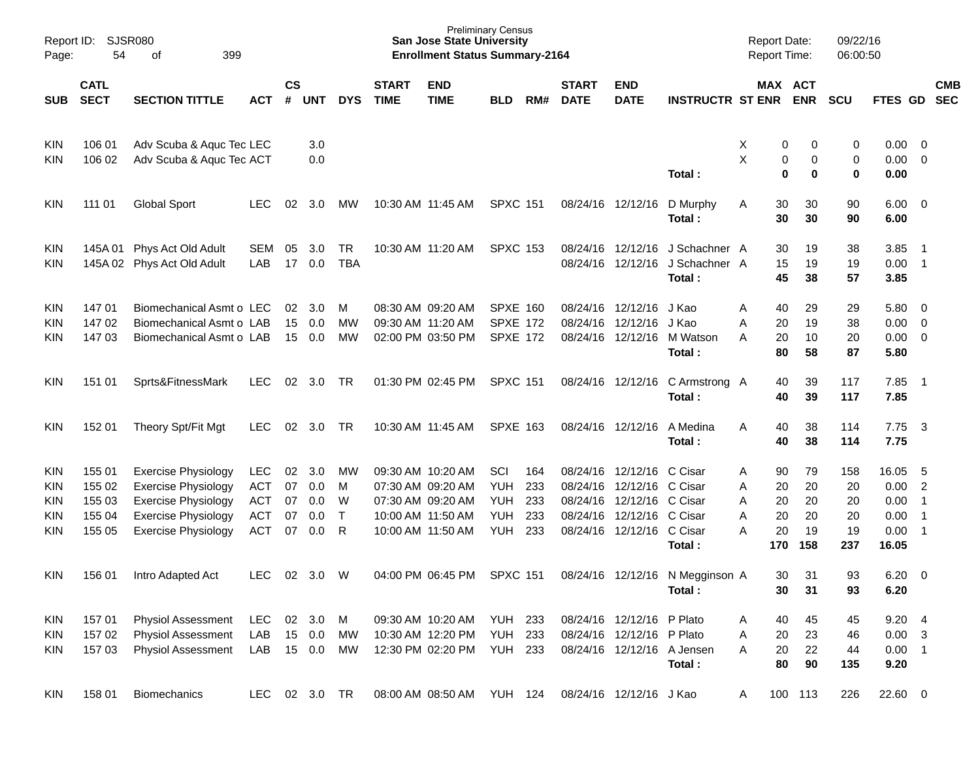| Page:                                         | Report ID: SJSR080<br>54                       | 399<br>οf                                                                                                                                          |                                                                    |                            |                                 |                                          |                             | <b>Preliminary Census</b><br><b>San Jose State University</b><br><b>Enrollment Status Summary-2164</b> |                                                       |                                 |                                  |                                                                                                    |                                           | <b>Report Date:</b><br><b>Report Time:</b> |                            |                                   | 09/22/16<br>06:00:50               |                                                |                                                                                          |                          |
|-----------------------------------------------|------------------------------------------------|----------------------------------------------------------------------------------------------------------------------------------------------------|--------------------------------------------------------------------|----------------------------|---------------------------------|------------------------------------------|-----------------------------|--------------------------------------------------------------------------------------------------------|-------------------------------------------------------|---------------------------------|----------------------------------|----------------------------------------------------------------------------------------------------|-------------------------------------------|--------------------------------------------|----------------------------|-----------------------------------|------------------------------------|------------------------------------------------|------------------------------------------------------------------------------------------|--------------------------|
| <b>SUB</b>                                    | <b>CATL</b><br><b>SECT</b>                     | <b>SECTION TITTLE</b>                                                                                                                              | <b>ACT</b>                                                         | $\mathsf{cs}$<br>#         | <b>UNT</b>                      | <b>DYS</b>                               | <b>START</b><br><b>TIME</b> | <b>END</b><br><b>TIME</b>                                                                              | <b>BLD</b>                                            | RM#                             | <b>START</b><br><b>DATE</b>      | <b>END</b><br><b>DATE</b>                                                                          | <b>INSTRUCTR ST ENR</b>                   |                                            | MAX ACT<br><b>ENR</b>      |                                   | <b>SCU</b>                         | FTES GD                                        |                                                                                          | <b>CMB</b><br><b>SEC</b> |
| <b>KIN</b><br>KIN                             | 106 01<br>106 02                               | Adv Scuba & Aquc Tec LEC<br>Adv Scuba & Aquc Tec ACT                                                                                               |                                                                    |                            | 3.0<br>0.0                      |                                          |                             |                                                                                                        |                                                       |                                 |                                  |                                                                                                    | Total:                                    | х<br>X                                     | 0<br>0<br>0                | 0<br>0<br>0                       | 0<br>0<br>0                        | $0.00 \quad 0$<br>0.00<br>0.00                 | $\overline{\phantom{0}}$                                                                 |                          |
| <b>KIN</b>                                    | 111 01                                         | <b>Global Sport</b>                                                                                                                                | <b>LEC</b>                                                         | 02                         | 3.0                             | <b>MW</b>                                |                             | 10:30 AM 11:45 AM                                                                                      | <b>SPXC 151</b>                                       |                                 |                                  | 08/24/16 12/12/16                                                                                  | D Murphy<br>Total:                        | Α                                          | 30<br>30                   | 30<br>30                          | 90<br>90                           | $6.00 \quad 0$<br>6.00                         |                                                                                          |                          |
| KIN<br><b>KIN</b>                             |                                                | 145A 01 Phys Act Old Adult<br>145A 02 Phys Act Old Adult                                                                                           | SEM<br>LAB                                                         | 05<br>17                   | 3.0<br>0.0                      | <b>TR</b><br><b>TBA</b>                  |                             | 10:30 AM 11:20 AM                                                                                      | <b>SPXC 153</b>                                       |                                 |                                  | 08/24/16 12/12/16<br>08/24/16 12/12/16                                                             | J Schachner A<br>J Schachner A<br>Total:  |                                            | 30<br>15<br>45             | 19<br>19<br>38                    | 38<br>19<br>57                     | 3.85<br>0.00<br>3.85                           | - 1<br>$\overline{\phantom{0}}$ 1                                                        |                          |
| KIN<br>KIN<br>KIN                             | 147 01<br>147 02<br>14703                      | Biomechanical Asmt o LEC<br>Biomechanical Asmt o LAB<br>Biomechanical Asmt o LAB                                                                   |                                                                    | 02<br>15                   | 3.0<br>0.0<br>15 0.0            | M<br>MW<br>MW                            |                             | 08:30 AM 09:20 AM<br>09:30 AM 11:20 AM<br>02:00 PM 03:50 PM                                            | <b>SPXE 160</b><br><b>SPXE 172</b><br><b>SPXE 172</b> |                                 | 08/24/16                         | 08/24/16 12/12/16<br>12/12/16<br>08/24/16 12/12/16                                                 | J Kao<br>J Kao<br>M Watson<br>Total:      | Α<br>Α<br>Α                                | 40<br>20<br>20<br>80       | 29<br>19<br>10<br>58              | 29<br>38<br>20<br>87               | $5.80\ 0$<br>0.00<br>$0.00 \t 0$<br>5.80       | $\overline{0}$                                                                           |                          |
| <b>KIN</b>                                    | 151 01                                         | Sprts&FitnessMark                                                                                                                                  | <b>LEC</b>                                                         | 02                         | 3.0                             | TR                                       |                             | 01:30 PM 02:45 PM                                                                                      | <b>SPXC 151</b>                                       |                                 |                                  | 08/24/16 12/12/16                                                                                  | C Armstrong A<br>Total:                   |                                            | 40<br>40                   | 39<br>39                          | 117<br>117                         | 7.85<br>7.85                                   | $\overline{\phantom{1}}$                                                                 |                          |
| <b>KIN</b>                                    | 152 01                                         | Theory Spt/Fit Mgt                                                                                                                                 | LEC.                                                               | 02                         | 3.0                             | TR                                       |                             | 10:30 AM 11:45 AM                                                                                      | <b>SPXE 163</b>                                       |                                 |                                  | 08/24/16 12/12/16                                                                                  | A Medina<br>Total:                        | Α                                          | 40<br>40                   | 38<br>38                          | 114<br>114                         | 7.75<br>7.75                                   | $\overline{\mathbf{3}}$                                                                  |                          |
| KIN<br><b>KIN</b><br>KIN<br>KIN<br><b>KIN</b> | 155 01<br>155 02<br>155 03<br>155 04<br>155 05 | <b>Exercise Physiology</b><br><b>Exercise Physiology</b><br><b>Exercise Physiology</b><br><b>Exercise Physiology</b><br><b>Exercise Physiology</b> | <b>LEC</b><br><b>ACT</b><br><b>ACT</b><br><b>ACT</b><br><b>ACT</b> | 02<br>07<br>07<br>07<br>07 | 3.0<br>0.0<br>0.0<br>0.0<br>0.0 | <b>MW</b><br>M<br>W<br>$\mathsf{T}$<br>R |                             | 09:30 AM 10:20 AM<br>07:30 AM 09:20 AM<br>07:30 AM 09:20 AM<br>10:00 AM 11:50 AM<br>10:00 AM 11:50 AM  | SCI<br><b>YUH</b><br>YUH<br><b>YUH</b><br><b>YUH</b>  | 164<br>233<br>233<br>233<br>233 | 08/24/16<br>08/24/16<br>08/24/16 | 08/24/16 12/12/16<br>12/12/16<br>12/12/16 C Cisar<br>12/12/16 C Cisar<br>08/24/16 12/12/16 C Cisar | C Cisar<br>C Cisar<br>Total:              | Α<br>Α<br>Α<br>Α<br>А<br>170               | 90<br>20<br>20<br>20<br>20 | 79<br>20<br>20<br>20<br>19<br>158 | 158<br>20<br>20<br>20<br>19<br>237 | 16.05<br>0.00<br>0.00<br>0.00<br>0.00<br>16.05 | $-5$<br>$\overline{2}$<br>$\overline{1}$<br>$\overline{1}$<br>$\overline{\phantom{0}}$ 1 |                          |
| <b>KIN</b>                                    | 156 01                                         | Intro Adapted Act                                                                                                                                  | LEC.                                                               | 02                         | 3.0                             | W                                        |                             | 04:00 PM 06:45 PM                                                                                      | <b>SPXC 151</b>                                       |                                 |                                  |                                                                                                    | 08/24/16 12/12/16 N Megginson A<br>Total: |                                            | 30<br>30                   | 31<br>31                          | 93<br>93                           | 6.20<br>6.20                                   | $\overline{\phantom{0}}$                                                                 |                          |
| <b>KIN</b><br>KIN<br><b>KIN</b>               | 157 01<br>157 02<br>157 03                     | Physiol Assessment<br><b>Physiol Assessment</b><br><b>Physiol Assessment</b>                                                                       | <b>LEC</b><br>LAB<br>LAB                                           | 02                         | 3.0<br>15 0.0<br>15 0.0         | M<br>МW<br>MW                            |                             | 09:30 AM 10:20 AM<br>10:30 AM 12:20 PM<br>12:30 PM 02:20 PM                                            | <b>YUH 233</b><br><b>YUH 233</b><br><b>YUH 233</b>    |                                 |                                  | 08/24/16 12/12/16 P Plato<br>08/24/16 12/12/16 P Plato                                             | 08/24/16 12/12/16 A Jensen<br>Total:      | Α<br>Α<br>А                                | 40<br>20<br>20<br>80       | 45<br>23<br>22<br>90              | 45<br>46<br>44<br>135              | 9.204<br>$0.00 \quad 3$<br>$0.00$ 1<br>9.20    |                                                                                          |                          |
| <b>KIN</b>                                    | 158 01                                         | Biomechanics                                                                                                                                       | LEC                                                                |                            | 02 3.0 TR                       |                                          |                             | 08:00 AM 08:50 AM YUH 124                                                                              |                                                       |                                 |                                  | 08/24/16 12/12/16 J Kao                                                                            |                                           | A                                          | 100 113                    |                                   | 226                                | 22.60 0                                        |                                                                                          |                          |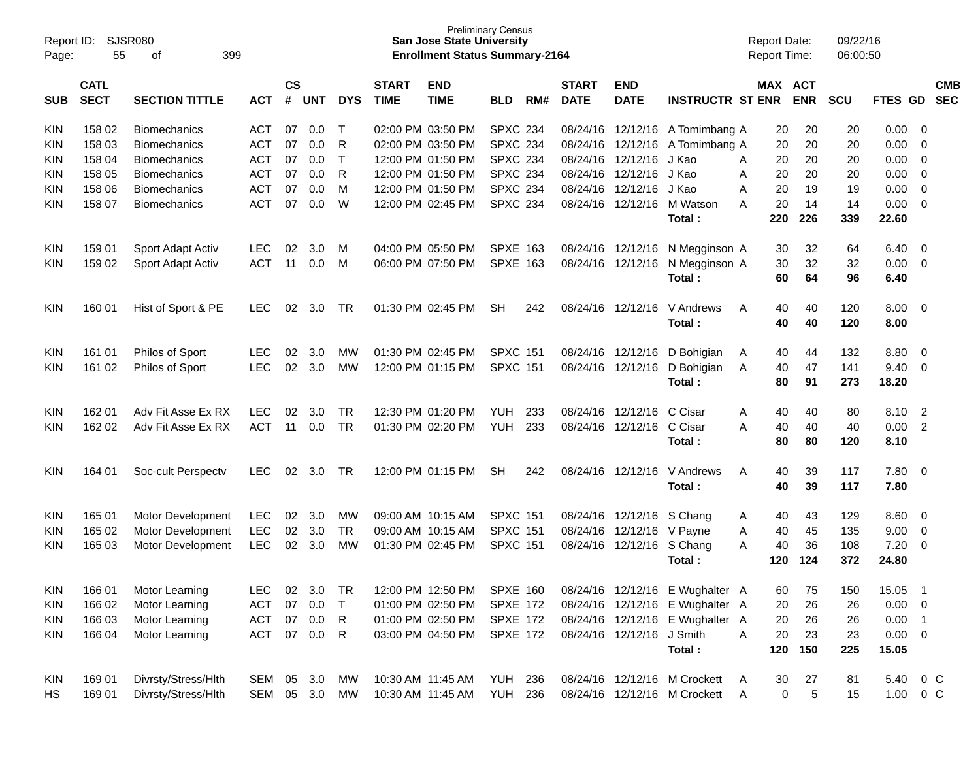| Page:            | Report ID:<br>SJSR080<br>55<br>399<br>of<br><b>CATL</b> |                                            |                          |                    |            |              |                             | <b>San Jose State University</b><br><b>Enrollment Status Summary-2164</b> | <b>Preliminary Census</b>        |     |                             |                           |                                                                |     | <b>Report Date:</b><br><b>Report Time:</b> | 09/22/16<br>06:00:50 |                  |                            |                          |
|------------------|---------------------------------------------------------|--------------------------------------------|--------------------------|--------------------|------------|--------------|-----------------------------|---------------------------------------------------------------------------|----------------------------------|-----|-----------------------------|---------------------------|----------------------------------------------------------------|-----|--------------------------------------------|----------------------|------------------|----------------------------|--------------------------|
| <b>SUB</b>       | <b>SECT</b>                                             | <b>SECTION TITTLE</b>                      | <b>ACT</b>               | $\mathsf{cs}$<br># | <b>UNT</b> | <b>DYS</b>   | <b>START</b><br><b>TIME</b> | <b>END</b><br><b>TIME</b>                                                 | <b>BLD</b>                       | RM# | <b>START</b><br><b>DATE</b> | <b>END</b><br><b>DATE</b> | <b>INSTRUCTR ST ENR</b>                                        |     | MAX ACT<br><b>ENR</b>                      | SCU                  | FTES GD          |                            | <b>CMB</b><br><b>SEC</b> |
|                  |                                                         |                                            |                          |                    |            |              |                             |                                                                           |                                  |     |                             |                           |                                                                |     |                                            |                      |                  |                            |                          |
| <b>KIN</b>       | 158 02                                                  | <b>Biomechanics</b>                        | <b>ACT</b>               | 07                 | 0.0        | т            |                             | 02:00 PM 03:50 PM                                                         | <b>SPXC 234</b>                  |     | 08/24/16                    | 12/12/16                  | A Tomimbang A                                                  |     | 20<br>20                                   | 20                   | 0.00             | - 0                        |                          |
| <b>KIN</b>       | 158 03                                                  | <b>Biomechanics</b>                        | <b>ACT</b>               | 07                 | 0.0        | R            |                             | 02:00 PM 03:50 PM                                                         | <b>SPXC 234</b>                  |     | 08/24/16                    | 12/12/16                  | A Tomimbang A                                                  |     | 20<br>20                                   | 20                   | 0.00             | $\overline{0}$             |                          |
| <b>KIN</b>       | 158 04                                                  | <b>Biomechanics</b>                        | <b>ACT</b>               | 07                 | 0.0        | $\mathsf{T}$ |                             | 12:00 PM 01:50 PM                                                         | <b>SPXC 234</b>                  |     | 08/24/16                    | 12/12/16                  | J Kao                                                          | A   | 20<br>20                                   | 20                   | 0.00             | $\overline{0}$             |                          |
| KIN              | 158 05                                                  | <b>Biomechanics</b>                        | <b>ACT</b>               | 07                 | 0.0        | R            |                             | 12:00 PM 01:50 PM                                                         | <b>SPXC 234</b>                  |     | 08/24/16                    | 12/12/16                  | J Kao                                                          | A   | 20<br>20                                   | 20                   | 0.00             | $\overline{0}$             |                          |
| <b>KIN</b>       | 158 06                                                  | <b>Biomechanics</b>                        | <b>ACT</b>               | 07                 | 0.0        | M            |                             | 12:00 PM 01:50 PM                                                         | <b>SPXC 234</b>                  |     | 08/24/16                    | 12/12/16                  | J Kao                                                          | Α   | 20<br>19                                   | 19                   | 0.00             | $\overline{0}$             |                          |
| KIN              | 158 07                                                  | <b>Biomechanics</b>                        | <b>ACT</b>               | 07                 | 0.0        | W            |                             | 12:00 PM 02:45 PM                                                         | <b>SPXC 234</b>                  |     | 08/24/16                    | 12/12/16                  | M Watson                                                       | A   | 20<br>14                                   | 14                   | 0.00             | $\Omega$                   |                          |
|                  |                                                         |                                            |                          |                    |            |              |                             |                                                                           |                                  |     |                             |                           | Total:                                                         | 220 | 226                                        | 339                  | 22.60            |                            |                          |
| <b>KIN</b>       | 159 01                                                  | Sport Adapt Activ                          | <b>LEC</b>               | 02                 | 3.0        | м            |                             | 04:00 PM 05:50 PM                                                         | <b>SPXE 163</b>                  |     | 08/24/16                    | 12/12/16                  | N Megginson A                                                  |     | 32<br>30                                   | 64                   | 6.40             | - 0                        |                          |
| KIN              | 159 02                                                  | Sport Adapt Activ                          | <b>ACT</b>               | 11                 | 0.0        | м            |                             | 06:00 PM 07:50 PM                                                         | <b>SPXE 163</b>                  |     | 08/24/16                    | 12/12/16                  | N Megginson A                                                  |     | 32<br>30                                   | 32                   | 0.00             | $\overline{0}$             |                          |
|                  |                                                         |                                            |                          |                    |            |              |                             |                                                                           |                                  |     |                             |                           | Total:                                                         |     | 60<br>64                                   | 96                   | 6.40             |                            |                          |
| KIN              | 160 01                                                  | Hist of Sport & PE                         | <b>LEC</b>               | 02                 | 3.0        | <b>TR</b>    |                             | 01:30 PM 02:45 PM                                                         | <b>SH</b>                        | 242 | 08/24/16                    | 12/12/16                  | V Andrews                                                      | A   | 40<br>40                                   | 120                  | 8.00             | - 0                        |                          |
|                  |                                                         |                                            |                          |                    |            |              |                             |                                                                           |                                  |     |                             |                           | Total:                                                         |     | 40<br>40                                   | 120                  | 8.00             |                            |                          |
|                  |                                                         |                                            |                          |                    |            |              |                             |                                                                           |                                  |     |                             |                           |                                                                |     |                                            |                      |                  |                            |                          |
| <b>KIN</b>       | 161 01                                                  | Philos of Sport                            | <b>LEC</b>               | 02                 | 3.0        | МW           |                             | 01:30 PM 02:45 PM                                                         | <b>SPXC 151</b>                  |     | 08/24/16                    | 12/12/16                  | D Bohigian                                                     | A   | 40<br>44                                   | 132                  | 8.80             | - 0                        |                          |
| KIN              | 161 02                                                  | Philos of Sport                            | <b>LEC</b>               | 02                 | 3.0        | <b>MW</b>    |                             | 12:00 PM 01:15 PM                                                         | <b>SPXC 151</b>                  |     | 08/24/16                    | 12/12/16                  | D Bohigian                                                     | A   | 47<br>40                                   | 141                  | 9.40             | $\overline{0}$             |                          |
|                  |                                                         |                                            |                          |                    |            |              |                             |                                                                           |                                  |     |                             |                           | Total:                                                         |     | 80<br>91                                   | 273                  | 18.20            |                            |                          |
| <b>KIN</b>       | 162 01                                                  | Adv Fit Asse Ex RX                         | <b>LEC</b>               | 02                 | 3.0        | <b>TR</b>    |                             | 12:30 PM 01:20 PM                                                         | <b>YUH</b>                       | 233 | 08/24/16                    | 12/12/16                  | C Cisar                                                        | A   | 40<br>40                                   | 80                   | 8.10             | $\overline{2}$             |                          |
| KIN              | 162 02                                                  | Adv Fit Asse Ex RX                         | <b>ACT</b>               | 11                 | 0.0        | <b>TR</b>    |                             | 01:30 PM 02:20 PM                                                         | YUH                              | 233 | 08/24/16                    | 12/12/16                  | C Cisar                                                        | A   | 40<br>40                                   | 40                   | 0.00             | $\overline{2}$             |                          |
|                  |                                                         |                                            |                          |                    |            |              |                             |                                                                           |                                  |     |                             |                           | Total:                                                         |     | 80<br>80                                   | 120                  | 8.10             |                            |                          |
|                  |                                                         |                                            |                          |                    |            |              |                             |                                                                           |                                  |     |                             |                           |                                                                |     |                                            |                      |                  |                            |                          |
| KIN              | 164 01                                                  | Soc-cult Perspectv                         | <b>LEC</b>               | 02                 | 3.0        | <b>TR</b>    |                             | 12:00 PM 01:15 PM                                                         | <b>SH</b>                        | 242 | 08/24/16                    | 12/12/16                  | V Andrews                                                      | A   | 40<br>39                                   | 117                  | 7.80             | - 0                        |                          |
|                  |                                                         |                                            |                          |                    |            |              |                             |                                                                           |                                  |     |                             |                           | Total :                                                        |     | 40<br>39                                   | 117                  | 7.80             |                            |                          |
| <b>KIN</b>       | 165 01                                                  | Motor Development                          | <b>LEC</b>               | 02                 | 3.0        | МW           |                             | 09:00 AM 10:15 AM                                                         | <b>SPXC 151</b>                  |     | 08/24/16                    | 12/12/16                  | S Chang                                                        | A   | 40<br>43                                   | 129                  | 8.60             | - 0                        |                          |
| <b>KIN</b>       | 165 02                                                  | Motor Development                          | <b>LEC</b>               | $02\,$             | 3.0        | <b>TR</b>    |                             | 09:00 AM 10:15 AM                                                         | <b>SPXC 151</b>                  |     | 08/24/16                    | 12/12/16                  | V Payne                                                        | A   | 40<br>45                                   | 135                  | 9.00             | $\overline{0}$             |                          |
| KIN              | 165 03                                                  | Motor Development                          | <b>LEC</b>               | 02 <sub>o</sub>    | 3.0        | <b>MW</b>    |                             | 01:30 PM 02:45 PM                                                         | <b>SPXC 151</b>                  |     |                             | 08/24/16 12/12/16         | S Chang                                                        | A   | 36<br>40                                   | 108                  | 7.20             | $\overline{0}$             |                          |
|                  |                                                         |                                            |                          |                    |            |              |                             |                                                                           |                                  |     |                             |                           | Total :                                                        |     | 124<br>120                                 | 372                  | 24.80            |                            |                          |
| <b>KIN</b>       | 166 01                                                  | Motor Learning                             | <b>LEC</b>               | 02                 | 3.0        | <b>TR</b>    |                             | 12:00 PM 12:50 PM                                                         | <b>SPXE 160</b>                  |     |                             |                           | 08/24/16 12/12/16 E Wughalter A                                |     | 75<br>60                                   | 150                  | 15.05            | $\overline{\phantom{0}}$ 1 |                          |
| <b>KIN</b>       | 166 02                                                  | Motor Learning                             | <b>ACT</b>               | 07                 | 0.0        | $\top$       |                             | 01:00 PM 02:50 PM                                                         | <b>SPXE 172</b>                  |     |                             |                           | 08/24/16 12/12/16 E Wughalter A                                |     | 26<br>20                                   | 26                   | $0.00 \t 0$      |                            |                          |
| <b>KIN</b>       | 166 03                                                  | Motor Learning                             | <b>ACT</b>               | 07                 | 0.0        | R            |                             | 01:00 PM 02:50 PM                                                         | <b>SPXE 172</b>                  |     |                             |                           | 08/24/16 12/12/16 E Wughalter A                                |     | 26<br>20                                   | 26                   | 0.00             | $\overline{\phantom{0}}$ 1 |                          |
| <b>KIN</b>       | 166 04                                                  | Motor Learning                             | <b>ACT</b>               |                    | 07 0.0     | $\mathsf{R}$ |                             | 03:00 PM 04:50 PM                                                         | <b>SPXE 172</b>                  |     |                             | 08/24/16 12/12/16 J Smith |                                                                | Α   | 20<br>23                                   | 23                   | $0.00 \t 0$      |                            |                          |
|                  |                                                         |                                            |                          |                    |            |              |                             |                                                                           |                                  |     |                             |                           | Total:                                                         |     | 150<br>120                                 | 225                  | 15.05            |                            |                          |
|                  |                                                         |                                            |                          |                    |            |              | 10:30 AM 11:45 AM           |                                                                           |                                  |     |                             |                           |                                                                |     | 27                                         |                      |                  |                            |                          |
| <b>KIN</b><br>HS | 169 01<br>169 01                                        | Divrsty/Stress/Hlth<br>Divrsty/Stress/Hlth | SEM 05 3.0<br>SEM 05 3.0 |                    |            | МW<br>MW     | 10:30 AM 11:45 AM           |                                                                           | <b>YUH 236</b><br><b>YUH 236</b> |     |                             |                           | 08/24/16 12/12/16 M Crockett<br>08/24/16 12/12/16 M Crockett A | - A | 30<br>$\sqrt{5}$<br>0                      | 81<br>15             | 5.40<br>1.00 0 C | $0\,C$                     |                          |
|                  |                                                         |                                            |                          |                    |            |              |                             |                                                                           |                                  |     |                             |                           |                                                                |     |                                            |                      |                  |                            |                          |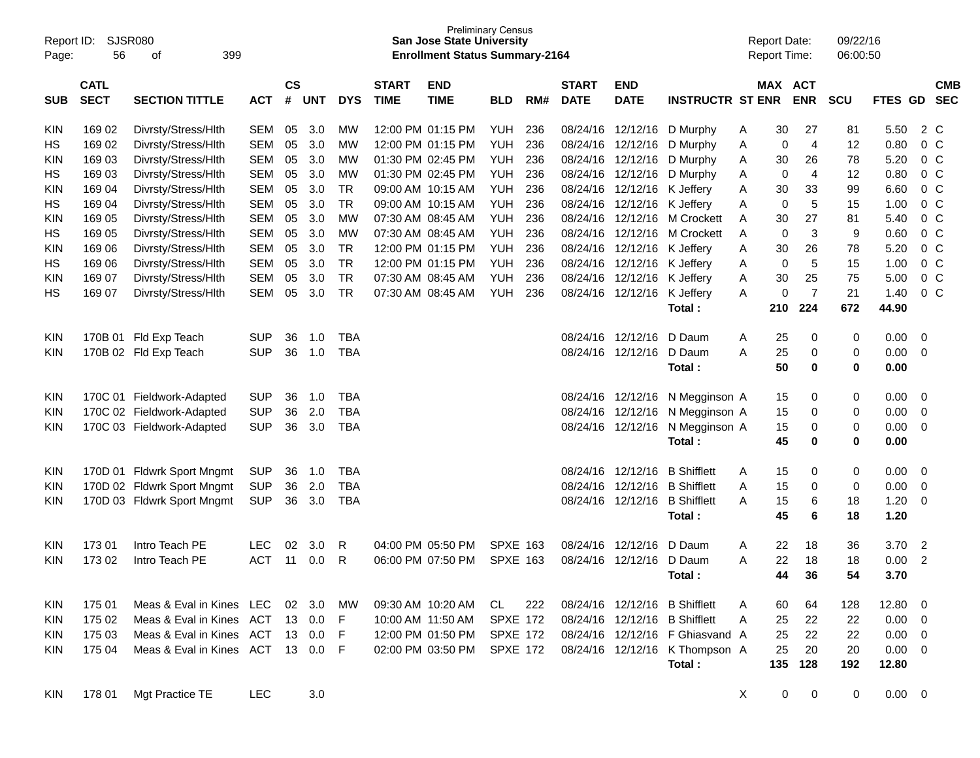| Page:      | <b>SJSR080</b><br>Report ID:<br>56<br>399<br>οf |                                 |            |                |            |            |                             | <b>San Jose State University</b><br><b>Enrollment Status Summary-2164</b> | <b>Preliminary Census</b> |     |                             |                           |                                 | <b>Report Date:</b><br>Report Time: |     |                       | 09/22/16<br>06:00:50 |              |                |                          |
|------------|-------------------------------------------------|---------------------------------|------------|----------------|------------|------------|-----------------------------|---------------------------------------------------------------------------|---------------------------|-----|-----------------------------|---------------------------|---------------------------------|-------------------------------------|-----|-----------------------|----------------------|--------------|----------------|--------------------------|
| <b>SUB</b> | <b>CATL</b><br><b>SECT</b>                      | <b>SECTION TITTLE</b>           | <b>ACT</b> | <b>CS</b><br># | <b>UNT</b> | <b>DYS</b> | <b>START</b><br><b>TIME</b> | <b>END</b><br><b>TIME</b>                                                 | <b>BLD</b>                | RM# | <b>START</b><br><b>DATE</b> | <b>END</b><br><b>DATE</b> | <b>INSTRUCTR ST ENR</b>         |                                     |     | MAX ACT<br><b>ENR</b> | <b>SCU</b>           | FTES GD      |                | <b>CMB</b><br><b>SEC</b> |
| <b>KIN</b> | 169 02                                          | Divrsty/Stress/Hlth             | <b>SEM</b> | 05             | 3.0        | МW         |                             | 12:00 PM 01:15 PM                                                         | <b>YUH</b>                | 236 | 08/24/16                    | 12/12/16                  | D Murphy                        | A                                   | 30  | 27                    | 81                   | 5.50         |                | 2 C                      |
| HS         | 169 02                                          | Divrsty/Stress/Hlth             | <b>SEM</b> | 05             | 3.0        | MW         |                             | 12:00 PM 01:15 PM                                                         | <b>YUH</b>                | 236 | 08/24/16                    | 12/12/16                  | D Murphy                        | A                                   | 0   | $\overline{4}$        | 12                   | 0.80         |                | 0 <sup>C</sup>           |
| KIN        | 169 03                                          | Divrsty/Stress/Hlth             | <b>SEM</b> | 05             | 3.0        | MW         |                             | 01:30 PM 02:45 PM                                                         | <b>YUH</b>                | 236 | 08/24/16                    | 12/12/16                  | D Murphy                        | A                                   | 30  | 26                    | 78                   | 5.20         |                | 0 <sup>C</sup>           |
| HS         | 169 03                                          | Divrsty/Stress/Hlth             | <b>SEM</b> | 05             | 3.0        | <b>MW</b>  |                             | 01:30 PM 02:45 PM                                                         | <b>YUH</b>                | 236 | 08/24/16                    | 12/12/16                  | D Murphy                        | A                                   | 0   | $\overline{4}$        | 12                   | 0.80         |                | 0 <sup>C</sup>           |
| KIN        | 16904                                           | Divrsty/Stress/Hlth             | <b>SEM</b> | 05             | 3.0        | <b>TR</b>  |                             | 09:00 AM 10:15 AM                                                         | <b>YUH</b>                | 236 | 08/24/16                    | 12/12/16                  | K Jeffery                       | Α                                   | 30  | 33                    | 99                   | 6.60         |                | 0 <sup>C</sup>           |
| HS         | 169 04                                          | Divrsty/Stress/Hlth             | <b>SEM</b> | 05             | 3.0        | <b>TR</b>  |                             | 09:00 AM 10:15 AM                                                         | <b>YUH</b>                | 236 | 08/24/16                    | 12/12/16                  | K Jeffery                       | Α                                   | 0   | 5                     | 15                   | 1.00         |                | 0 <sup>C</sup>           |
| KIN        | 169 05                                          | Divrsty/Stress/Hlth             | <b>SEM</b> | 05             | 3.0        | <b>MW</b>  |                             | 07:30 AM 08:45 AM                                                         | <b>YUH</b>                | 236 | 08/24/16                    | 12/12/16                  | <b>M Crockett</b>               | Α                                   | 30  | 27                    | 81                   | 5.40         |                | 0 <sup>C</sup>           |
| HS         | 169 05                                          | Divrsty/Stress/Hlth             | <b>SEM</b> | 05             | 3.0        | <b>MW</b>  |                             | 07:30 AM 08:45 AM                                                         | <b>YUH</b>                | 236 | 08/24/16                    | 12/12/16                  | <b>M Crockett</b>               | A                                   | 0   | 3                     | 9                    | 0.60         |                | 0 <sup>C</sup>           |
| KIN        | 169 06                                          | Divrsty/Stress/Hlth             | <b>SEM</b> | 05             | 3.0        | <b>TR</b>  |                             | 12:00 PM 01:15 PM                                                         | <b>YUH</b>                | 236 | 08/24/16                    | 12/12/16                  | K Jeffery                       | Α                                   | 30  | 26                    | 78                   | 5.20         |                | 0 <sup>C</sup>           |
| HS         | 169 06                                          | Divrsty/Stress/Hlth             | <b>SEM</b> | 05             | 3.0        | <b>TR</b>  |                             | 12:00 PM 01:15 PM                                                         | <b>YUH</b>                | 236 | 08/24/16                    | 12/12/16                  | K Jeffery                       | Α                                   | 0   | 5                     | 15                   | 1.00         |                | 0 <sup>C</sup>           |
| KIN        | 169 07                                          | Divrsty/Stress/Hlth             | <b>SEM</b> | 05             | 3.0        | <b>TR</b>  |                             | 07:30 AM 08:45 AM                                                         | <b>YUH</b>                | 236 | 08/24/16                    | 12/12/16                  | K Jeffery                       | Α                                   | 30  | 25                    | 75                   | 5.00         |                | 0 <sup>C</sup>           |
| НS         | 169 07                                          | Divrsty/Stress/Hlth             | <b>SEM</b> | 05             | 3.0        | <b>TR</b>  |                             | 07:30 AM 08:45 AM                                                         | <b>YUH</b>                | 236 |                             | 08/24/16 12/12/16         | K Jeffery                       | A                                   | 0   | $\overline{7}$        | 21                   | 1.40         |                | 0 <sup>C</sup>           |
|            |                                                 |                                 |            |                |            |            |                             |                                                                           |                           |     |                             |                           | Total:                          |                                     | 210 | 224                   | 672                  | 44.90        |                |                          |
| <b>KIN</b> | 170B 01                                         | Fld Exp Teach                   | <b>SUP</b> | 36             | 1.0        | <b>TBA</b> |                             |                                                                           |                           |     | 08/24/16                    | 12/12/16                  | D Daum                          | Α                                   | 25  | 0                     | 0                    | 0.00         | $\mathbf 0$    |                          |
| <b>KIN</b> |                                                 | 170B 02 Fld Exp Teach           | <b>SUP</b> | 36             | 1.0        | <b>TBA</b> |                             |                                                                           |                           |     |                             | 08/24/16 12/12/16         | D Daum                          | A                                   | 25  | 0                     | 0                    | 0.00         | 0              |                          |
|            |                                                 |                                 |            |                |            |            |                             |                                                                           |                           |     |                             |                           | Total:                          |                                     | 50  | 0                     | 0                    | 0.00         |                |                          |
| <b>KIN</b> | 170C 01                                         | Fieldwork-Adapted               | <b>SUP</b> | 36             | 1.0        | <b>TBA</b> |                             |                                                                           |                           |     | 08/24/16                    | 12/12/16                  | N Megginson A                   |                                     | 15  | 0                     | 0                    | 0.00         | 0              |                          |
| <b>KIN</b> |                                                 | 170C 02 Fieldwork-Adapted       | <b>SUP</b> | 36             | 2.0        | <b>TBA</b> |                             |                                                                           |                           |     | 08/24/16                    | 12/12/16                  | N Megginson A                   |                                     | 15  | 0                     | 0                    | 0.00         | 0              |                          |
| <b>KIN</b> |                                                 | 170C 03 Fieldwork-Adapted       | <b>SUP</b> | 36             | 3.0        | <b>TBA</b> |                             |                                                                           |                           |     |                             | 08/24/16 12/12/16         | N Megginson A                   |                                     | 15  | 0                     | 0                    | 0.00         | 0              |                          |
|            |                                                 |                                 |            |                |            |            |                             |                                                                           |                           |     |                             |                           | Total:                          |                                     | 45  | 0                     | 0                    | 0.00         |                |                          |
| <b>KIN</b> | 170D 01                                         | <b>Fldwrk Sport Mngmt</b>       | <b>SUP</b> | 36             | 1.0        | <b>TBA</b> |                             |                                                                           |                           |     | 08/24/16                    | 12/12/16                  | <b>B</b> Shifflett              | Α                                   | 15  | 0                     | 0                    | 0.00         | $\mathbf 0$    |                          |
| <b>KIN</b> |                                                 | 170D 02 Fldwrk Sport Mngmt      | <b>SUP</b> | 36             | 2.0        | <b>TBA</b> |                             |                                                                           |                           |     | 08/24/16                    | 12/12/16                  | <b>B</b> Shifflett              | A                                   | 15  | 0                     | 0                    | 0.00         | 0              |                          |
| <b>KIN</b> |                                                 | 170D 03 Fldwrk Sport Mngmt      | <b>SUP</b> | 36             | 3.0        | <b>TBA</b> |                             |                                                                           |                           |     |                             | 08/24/16 12/12/16         | <b>B</b> Shifflett              | A                                   | 15  | 6                     | 18                   | 1.20         | 0              |                          |
|            |                                                 |                                 |            |                |            |            |                             |                                                                           |                           |     |                             |                           | Total:                          |                                     | 45  | 6                     | 18                   | 1.20         |                |                          |
| <b>KIN</b> | 17301                                           | Intro Teach PE                  | <b>LEC</b> | 02             | 3.0        | R          |                             | 04:00 PM 05:50 PM                                                         | <b>SPXE 163</b>           |     | 08/24/16                    | 12/12/16                  | D Daum                          | Α                                   | 22  | 18                    | 36                   | 3.70         | $\overline{2}$ |                          |
| <b>KIN</b> | 173 02                                          | Intro Teach PE                  | <b>ACT</b> | 11             | 0.0        | R          |                             | 06:00 PM 07:50 PM                                                         | <b>SPXE 163</b>           |     |                             | 08/24/16 12/12/16         | D Daum                          | A                                   | 22  | 18                    | 18                   | 0.00         | $\overline{2}$ |                          |
|            |                                                 |                                 |            |                |            |            |                             |                                                                           |                           |     |                             |                           | Total:                          |                                     | 44  | 36                    | 54                   | 3.70         |                |                          |
| <b>KIN</b> | 175 01                                          | Meas & Eval in Kines LEC        |            |                | 02 3.0     | MW         |                             | 09:30 AM 10:20 AM                                                         | CL.                       | 222 |                             |                           | 08/24/16 12/12/16 B Shifflett   | A                                   | 60  | 64                    | 128                  | $12.80 \t 0$ |                |                          |
| <b>KIN</b> | 175 02                                          | Meas & Eval in Kines            | ACT        |                | 13 0.0     | F          | 10:00 AM 11:50 AM           |                                                                           | <b>SPXE 172</b>           |     |                             |                           | 08/24/16 12/12/16 B Shifflett   | Α                                   | 25  | 22                    | 22                   | $0.00 \t 0$  |                |                          |
| <b>KIN</b> | 175 03                                          | Meas & Eval in Kines            | ACT        |                | 13 0.0     | F          |                             | 12:00 PM 01:50 PM                                                         | <b>SPXE 172</b>           |     |                             |                           | 08/24/16 12/12/16 F Ghiasvand A |                                     | 25  | 22                    | 22                   | $0.00 \t 0$  |                |                          |
| <b>KIN</b> | 175 04                                          | Meas & Eval in Kines ACT 13 0.0 |            |                |            | F          |                             | 02:00 PM 03:50 PM                                                         | <b>SPXE 172</b>           |     |                             |                           | 08/24/16 12/12/16 K Thompson A  |                                     | 25  | 20                    | 20                   | $0.00 \t 0$  |                |                          |
|            |                                                 |                                 |            |                |            |            |                             |                                                                           |                           |     |                             |                           | Total:                          |                                     | 135 | 128                   | 192                  | 12.80        |                |                          |
| <b>KIN</b> | 178 01                                          | Mgt Practice TE                 | <b>LEC</b> |                | 3.0        |            |                             |                                                                           |                           |     |                             |                           |                                 | X                                   | 0   | 0                     | 0                    | $0.00 \t 0$  |                |                          |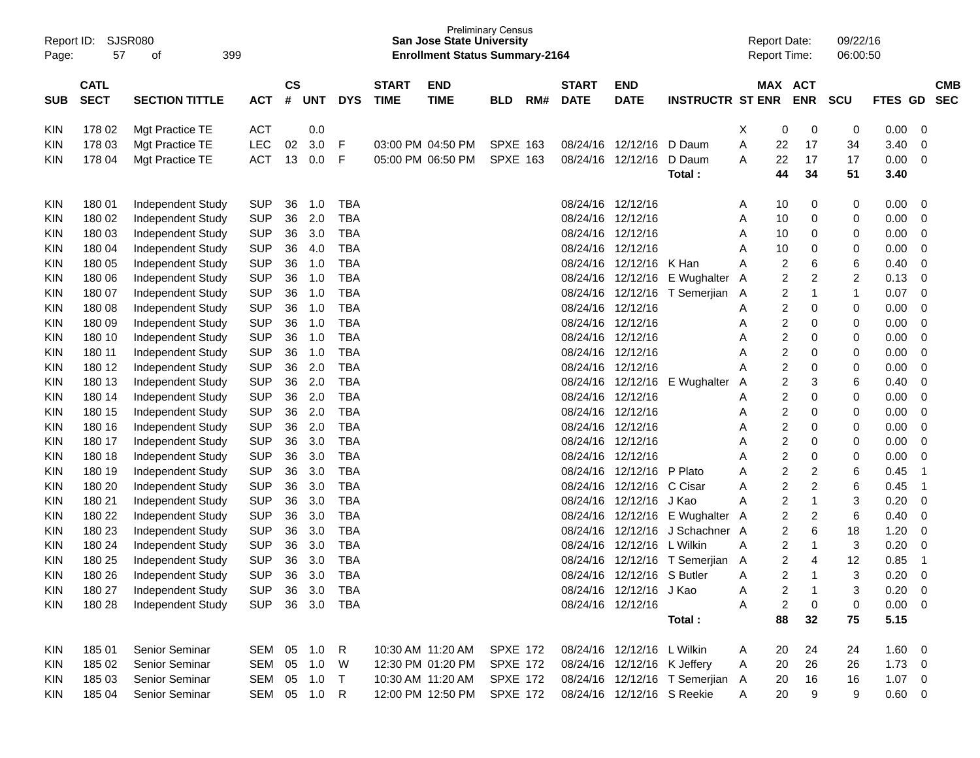| Report ID:<br>Page:      | 57                         | SJSR080<br>399<br>οf                   |                          |                    |              |                          |                             | <b>San Jose State University</b><br><b>Enrollment Status Summary-2164</b> | <b>Preliminary Census</b> |     |                             |                             |                                 | <b>Report Date:</b><br>Report Time: |                |                              | 09/22/16<br>06:00:50 |              |                          |                          |
|--------------------------|----------------------------|----------------------------------------|--------------------------|--------------------|--------------|--------------------------|-----------------------------|---------------------------------------------------------------------------|---------------------------|-----|-----------------------------|-----------------------------|---------------------------------|-------------------------------------|----------------|------------------------------|----------------------|--------------|--------------------------|--------------------------|
| <b>SUB</b>               | <b>CATL</b><br><b>SECT</b> | <b>SECTION TITTLE</b>                  | <b>ACT</b>               | $\mathsf{cs}$<br># | UNT          | <b>DYS</b>               | <b>START</b><br><b>TIME</b> | <b>END</b><br><b>TIME</b>                                                 | <b>BLD</b>                | RM# | <b>START</b><br><b>DATE</b> | <b>END</b><br><b>DATE</b>   | <b>INSTRUCTR ST ENR</b>         |                                     |                | MAX ACT<br><b>ENR</b>        | <b>SCU</b>           | FTES GD      |                          | <b>CMB</b><br><b>SEC</b> |
| KIN                      | 178 02                     | Mgt Practice TE                        | <b>ACT</b>               |                    | 0.0          |                          |                             |                                                                           |                           |     |                             |                             |                                 | X                                   | 0              | 0                            | 0                    | 0.00         | 0                        |                          |
| KIN                      | 178 03                     | Mgt Practice TE                        | <b>LEC</b>               | 02                 | 3.0          | F                        |                             | 03:00 PM 04:50 PM                                                         | <b>SPXE 163</b>           |     | 08/24/16                    | 12/12/16                    | D Daum                          | Α                                   | 22             | 17                           | 34                   | 3.40         | $\mathbf 0$              |                          |
| KIN                      | 178 04                     | Mgt Practice TE                        | <b>ACT</b>               | 13                 | 0.0          | F                        |                             | 05:00 PM 06:50 PM                                                         | <b>SPXE 163</b>           |     | 08/24/16                    | 12/12/16                    | D Daum                          | Α                                   | 22             | 17                           | 17                   | 0.00         | $\overline{0}$           |                          |
|                          |                            |                                        |                          |                    |              |                          |                             |                                                                           |                           |     |                             |                             | Total:                          |                                     | 44             | 34                           | 51                   | 3.40         |                          |                          |
| <b>KIN</b>               | 180 01                     | Independent Study                      | <b>SUP</b>               | 36                 | 1.0          | <b>TBA</b>               |                             |                                                                           |                           |     | 08/24/16                    | 12/12/16                    |                                 | A                                   | 10             | 0                            | 0                    | 0.00         | 0                        |                          |
| KIN                      | 180 02                     | Independent Study                      | <b>SUP</b>               | 36                 | 2.0          | <b>TBA</b>               |                             |                                                                           |                           |     | 08/24/16                    | 12/12/16                    |                                 | Α                                   | 10             | 0                            | 0                    | 0.00         | $\mathbf 0$              |                          |
| <b>KIN</b>               | 180 03                     | Independent Study                      | <b>SUP</b>               | 36                 | 3.0          | <b>TBA</b>               |                             |                                                                           |                           |     | 08/24/16                    | 12/12/16                    |                                 | Α                                   | 10             | 0                            | 0                    | 0.00         | $\mathbf 0$              |                          |
| <b>KIN</b>               | 180 04                     | Independent Study                      | <b>SUP</b>               | 36                 | 4.0          | <b>TBA</b>               |                             |                                                                           |                           |     | 08/24/16                    | 12/12/16                    |                                 | Α                                   | 10             | 0                            | 0                    | 0.00         | $\mathbf 0$              |                          |
| <b>KIN</b>               | 180 05                     | Independent Study                      | <b>SUP</b>               | 36                 | 1.0          | <b>TBA</b>               |                             |                                                                           |                           |     | 08/24/16                    | 12/12/16                    | K Han                           | Α                                   | 2              | 6                            | 6                    | 0.40         | $\mathbf 0$              |                          |
| <b>KIN</b>               | 180 06                     | Independent Study                      | <b>SUP</b>               | 36                 | 1.0          | <b>TBA</b>               |                             |                                                                           |                           |     | 08/24/16                    | 12/12/16                    | E Wughalter                     | A                                   | 2              | $\overline{\mathbf{c}}$      | $\overline{c}$       | 0.13         | $\mathbf 0$              |                          |
| <b>KIN</b>               | 180 07                     | Independent Study                      | <b>SUP</b>               | 36                 | 1.0          | <b>TBA</b>               |                             |                                                                           |                           |     | 08/24/16                    | 12/12/16                    | T Semerjian                     | A                                   | 2              | $\mathbf 1$                  | 1                    | 0.07         | $\overline{0}$           |                          |
| <b>KIN</b>               | 180 08                     | Independent Study                      | <b>SUP</b>               | 36                 | 1.0          | <b>TBA</b>               |                             |                                                                           |                           |     | 08/24/16                    | 12/12/16                    |                                 | Α                                   | 2              | 0                            | 0                    | 0.00         | $\mathbf 0$              |                          |
| <b>KIN</b>               | 180 09                     | Independent Study                      | <b>SUP</b>               | 36                 | 1.0          | <b>TBA</b>               |                             |                                                                           |                           |     | 08/24/16                    | 12/12/16                    |                                 | Α                                   | 2              | 0                            | 0                    | 0.00         | $\mathbf 0$              |                          |
| <b>KIN</b>               | 180 10                     | Independent Study                      | <b>SUP</b>               | 36                 | 1.0          | <b>TBA</b>               |                             |                                                                           |                           |     | 08/24/16                    | 12/12/16                    |                                 | Α                                   | 2              | 0                            | 0                    | 0.00         | $\mathbf 0$              |                          |
| <b>KIN</b>               | 180 11                     | Independent Study                      | <b>SUP</b>               | 36                 | 1.0          | <b>TBA</b>               |                             |                                                                           |                           |     | 08/24/16                    | 12/12/16                    |                                 | А                                   | 2              | 0                            | 0                    | 0.00         | $\mathbf 0$              |                          |
| <b>KIN</b>               | 180 12                     | Independent Study                      | <b>SUP</b>               | 36                 | 2.0          | <b>TBA</b>               |                             |                                                                           |                           |     | 08/24/16                    | 12/12/16                    |                                 | А                                   | 2              | 0                            | 0                    | 0.00         | $\mathbf 0$              |                          |
| <b>KIN</b>               | 180 13                     | Independent Study                      | <b>SUP</b>               | 36                 | 2.0          | <b>TBA</b>               |                             |                                                                           |                           |     | 08/24/16                    | 12/12/16                    | E Wughalter                     | Α                                   | 2              | 3                            | 6                    | 0.40         | $\mathbf 0$              |                          |
| <b>KIN</b>               | 180 14                     | Independent Study                      | <b>SUP</b>               | 36                 | 2.0          | <b>TBA</b>               |                             |                                                                           |                           |     | 08/24/16                    | 12/12/16                    |                                 | Α                                   | 2              | 0                            | 0                    | 0.00         | $\mathbf 0$              |                          |
| <b>KIN</b>               | 180 15                     | Independent Study                      | <b>SUP</b>               | 36                 | 2.0          | <b>TBA</b>               |                             |                                                                           |                           |     | 08/24/16                    | 12/12/16                    |                                 | Α                                   | 2              | 0                            | 0                    | 0.00         | $\mathbf 0$              |                          |
| <b>KIN</b>               | 180 16                     | Independent Study                      | <b>SUP</b>               | 36                 | 2.0          | <b>TBA</b>               |                             |                                                                           |                           |     | 08/24/16                    | 12/12/16                    |                                 | Α                                   | 2              | 0                            | 0                    | 0.00         | $\mathbf 0$              |                          |
| <b>KIN</b>               | 180 17                     | Independent Study                      | <b>SUP</b>               | 36                 | 3.0          | <b>TBA</b>               |                             |                                                                           |                           |     | 08/24/16                    | 12/12/16                    |                                 | Α                                   | 2              | 0                            | 0                    | 0.00         | $\mathbf 0$              |                          |
| <b>KIN</b>               | 180 18                     | Independent Study                      | <b>SUP</b>               | 36                 | 3.0          | <b>TBA</b>               |                             |                                                                           |                           |     | 08/24/16                    | 12/12/16                    |                                 | Α                                   | 2              | 0                            | 0                    | 0.00         | $\mathbf 0$              |                          |
| <b>KIN</b>               | 180 19                     | Independent Study                      | <b>SUP</b>               | 36                 | 3.0          | <b>TBA</b>               |                             |                                                                           |                           |     | 08/24/16                    | 12/12/16                    | P Plato                         | Α                                   | 2              | $\overline{\mathbf{c}}$      | 6                    | 0.45         | -1                       |                          |
| <b>KIN</b>               | 180 20                     | Independent Study                      | <b>SUP</b>               | 36                 | 3.0          | <b>TBA</b>               |                             |                                                                           |                           |     | 08/24/16                    | 12/12/16                    | C Cisar                         | Α                                   | 2              | $\overline{\mathbf{c}}$      | 6                    | 0.45         | -1                       |                          |
| <b>KIN</b>               | 180 21                     | Independent Study                      | <b>SUP</b><br><b>SUP</b> | 36<br>36           | 3.0<br>3.0   | <b>TBA</b><br><b>TBA</b> |                             |                                                                           |                           |     | 08/24/16<br>08/24/16        | 12/12/16                    | J Kao<br>12/12/16 E Wughalter   | Α                                   | 2<br>2         | $\mathbf{1}$                 | 3<br>6               | 0.20<br>0.40 | $\mathbf 0$              |                          |
| <b>KIN</b>               | 180 22                     | Independent Study                      | <b>SUP</b>               | 36                 | 3.0          | <b>TBA</b>               |                             |                                                                           |                           |     | 08/24/16                    | 12/12/16                    | J Schachner A                   | A                                   | 2              | $\overline{\mathbf{c}}$<br>6 | 18                   | 1.20         | 0                        |                          |
| <b>KIN</b>               | 180 23<br>180 24           | Independent Study<br>Independent Study | <b>SUP</b>               | 36                 | 3.0          | <b>TBA</b>               |                             |                                                                           |                           |     | 08/24/16                    | 12/12/16                    | L Wilkin                        | Α                                   | 2              | $\mathbf 1$                  | 3                    | 0.20         | 0<br>$\mathbf 0$         |                          |
| <b>KIN</b><br><b>KIN</b> | 180 25                     | Independent Study                      | <b>SUP</b>               | 36                 | 3.0          | <b>TBA</b>               |                             |                                                                           |                           |     | 08/24/16                    | 12/12/16                    | T Semerjian                     | A                                   | 2              | 4                            | 12                   | 0.85         | $\overline{1}$           |                          |
| <b>KIN</b>               | 180 26                     | Independent Study                      | <b>SUP</b>               | 36                 | 3.0          | <b>TBA</b>               |                             |                                                                           |                           |     | 08/24/16                    | 12/12/16                    | S Butler                        | Α                                   | $\overline{2}$ | 1                            | 3                    | 0.20         | $\overline{0}$           |                          |
| <b>KIN</b>               | 180 27                     | Independent Study                      | <b>SUP</b>               |                    | 36 3.0       | <b>TBA</b>               |                             |                                                                           |                           |     |                             | 08/24/16 12/12/16           | J Kao                           | Α                                   | 2              | $\mathbf{1}$                 | 3                    | 0.20         | $\overline{\phantom{0}}$ |                          |
| <b>KIN</b>               | 180 28                     | <b>Independent Study</b>               | <b>SUP</b>               |                    | 36 3.0       | TBA                      |                             |                                                                           |                           |     |                             | 08/24/16 12/12/16           |                                 | Α                                   | 2              | $\pmb{0}$                    | 0                    | $0.00 \t 0$  |                          |                          |
|                          |                            |                                        |                          |                    |              |                          |                             |                                                                           |                           |     |                             |                             | Total:                          |                                     | 88             | 32                           | 75                   | 5.15         |                          |                          |
| <b>KIN</b>               | 185 01                     | Senior Seminar                         | SEM 05 1.0               |                    |              | R                        |                             | 10:30 AM 11:20 AM                                                         | <b>SPXE 172</b>           |     |                             | 08/24/16 12/12/16 L Wilkin  |                                 | A                                   | 20             | 24                           | 24                   | $1.60 \ 0$   |                          |                          |
| <b>KIN</b>               | 185 02                     | Senior Seminar                         | SEM 05 1.0               |                    |              | W                        |                             | 12:30 PM 01:20 PM                                                         | <b>SPXE 172</b>           |     |                             | 08/24/16 12/12/16 K Jeffery |                                 | A                                   | 20             | 26                           | 26                   | $1.73 \t 0$  |                          |                          |
| <b>KIN</b>               | 185 03                     | Senior Seminar                         | SEM 05 1.0               |                    |              | $\top$                   |                             | 10:30 AM 11:20 AM                                                         | <b>SPXE 172</b>           |     |                             |                             | 08/24/16 12/12/16 T Semerjian A |                                     | 20             | 16                           | 16                   | $1.07 \t 0$  |                          |                          |
| <b>KIN</b>               | 185 04                     | Senior Seminar                         |                          |                    | SEM 05 1.0 R |                          |                             | 12:00 PM 12:50 PM                                                         | <b>SPXE 172</b>           |     |                             | 08/24/16 12/12/16 S Reekie  |                                 | A                                   | 20             | 9                            | 9                    | $0.60 \t 0$  |                          |                          |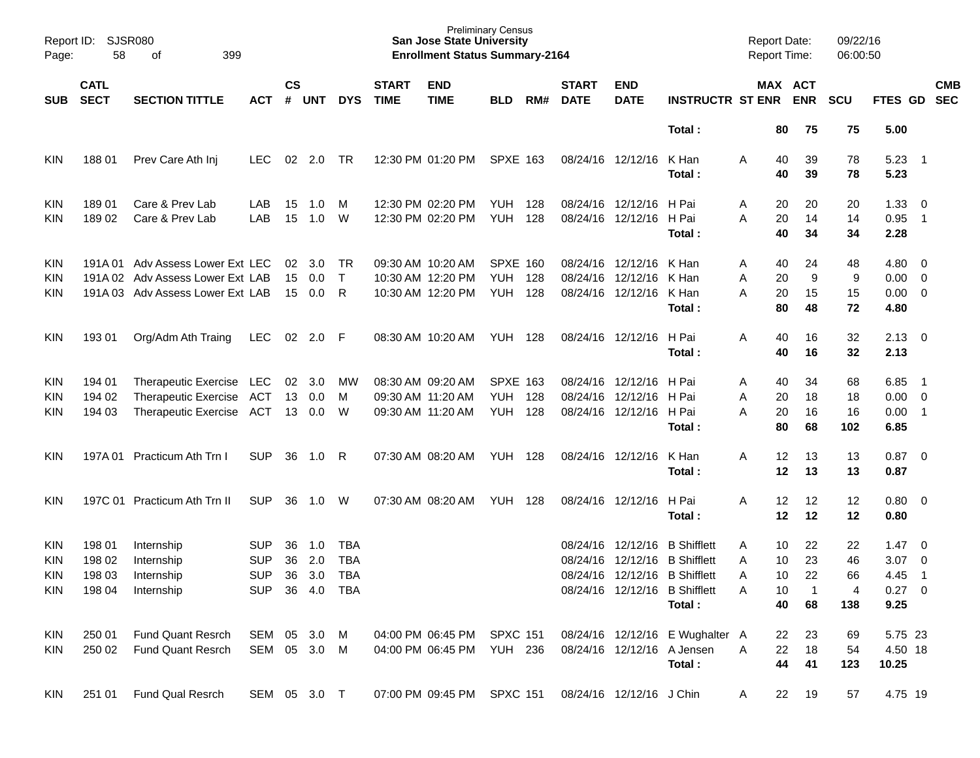| Page:      | Report ID: SJSR080<br>58   | 399<br>οf                        |                |                |            |            |                             | <b>San Jose State University</b><br><b>Enrollment Status Summary-2164</b> | <b>Preliminary Census</b> |     |                             |                           |                                 | <b>Report Date:</b><br><b>Report Time:</b> |                       | 09/22/16<br>06:00:50 |                        |                            |                          |
|------------|----------------------------|----------------------------------|----------------|----------------|------------|------------|-----------------------------|---------------------------------------------------------------------------|---------------------------|-----|-----------------------------|---------------------------|---------------------------------|--------------------------------------------|-----------------------|----------------------|------------------------|----------------------------|--------------------------|
| <b>SUB</b> | <b>CATL</b><br><b>SECT</b> | <b>SECTION TITTLE</b>            | ACT            | <b>CS</b><br># | <b>UNT</b> | <b>DYS</b> | <b>START</b><br><b>TIME</b> | <b>END</b><br><b>TIME</b>                                                 | <b>BLD</b>                | RM# | <b>START</b><br><b>DATE</b> | <b>END</b><br><b>DATE</b> | <b>INSTRUCTR ST ENR</b>         |                                            | MAX ACT<br><b>ENR</b> | <b>SCU</b>           | FTES GD                |                            | <b>CMB</b><br><b>SEC</b> |
|            |                            |                                  |                |                |            |            |                             |                                                                           |                           |     |                             |                           | Total:                          |                                            | 80<br>75              | 75                   | 5.00                   |                            |                          |
| KIN        | 18801                      | Prev Care Ath Inj                | LEC.           | 02             | 2.0        | TR         |                             | 12:30 PM 01:20 PM                                                         | <b>SPXE 163</b>           |     |                             | 08/24/16 12/12/16         | K Han<br>Total:                 | Α                                          | 40<br>39<br>40<br>39  | 78<br>78             | 5.23<br>5.23           | $\overline{\phantom{0}}$ 1 |                          |
| KIN        | 18901                      | Care & Prev Lab                  | LAB            | 15             | 1.0        | M          |                             | 12:30 PM 02:20 PM                                                         | YUH                       | 128 |                             | 08/24/16 12/12/16         | H Pai                           | A                                          | 20<br>20              | 20                   | 1.33                   | $\overline{\phantom{0}}$   |                          |
| KIN        | 18902                      | Care & Prev Lab                  | LAB            | 15             | 1.0        | W          |                             | 12:30 PM 02:20 PM                                                         | <b>YUH</b>                | 128 |                             | 08/24/16 12/12/16         | H Pai<br>Total:                 | A                                          | 20<br>14<br>40<br>34  | 14<br>34             | 0.95<br>2.28           | $\overline{\phantom{1}}$   |                          |
| <b>KIN</b> |                            | 191A 01 Adv Assess Lower Ext LEC |                | 02             | 3.0        | TR         |                             | 09:30 AM 10:20 AM                                                         | <b>SPXE 160</b>           |     |                             | 08/24/16 12/12/16         | K Han                           | A                                          | 40<br>24              | 48                   | $4.80\ 0$              |                            |                          |
| KIN        |                            | 191A 02 Adv Assess Lower Ext LAB |                | 15             | 0.0        | $\top$     |                             | 10:30 AM 12:20 PM                                                         | <b>YUH</b>                | 128 | 08/24/16                    | 12/12/16                  | K Han                           | Α                                          | 20<br>9               | 9                    | $0.00 \t 0$            |                            |                          |
| KIN        |                            | 191A 03 Adv Assess Lower Ext LAB |                | 15             | 0.0        | R          |                             | 10:30 AM 12:20 PM                                                         | YUH                       | 128 |                             | 08/24/16 12/12/16         | K Han<br>Total:                 | Α                                          | 20<br>15<br>80<br>48  | 15<br>72             | $0.00 \t 0$<br>4.80    |                            |                          |
| KIN        | 193 01                     | Org/Adm Ath Traing               | <b>LEC</b>     | 02             | $2.0$ F    |            |                             | 08:30 AM 10:20 AM                                                         | <b>YUH 128</b>            |     |                             | 08/24/16 12/12/16         | H Pai<br>Total:                 | Α                                          | 40<br>16<br>40<br>16  | 32<br>32             | $2.13 \quad 0$<br>2.13 |                            |                          |
| <b>KIN</b> | 194 01                     | Therapeutic Exercise LEC         |                | 02             | 3.0        | <b>MW</b>  |                             | 08:30 AM 09:20 AM                                                         | <b>SPXE 163</b>           |     |                             | 08/24/16 12/12/16         | H Pai                           | A                                          | 40<br>34              | 68                   | 6.85                   | $\overline{\phantom{0}}$ 1 |                          |
| KIN        | 194 02                     | Therapeutic Exercise ACT         |                | 13             | 0.0        | м          |                             | 09:30 AM 11:20 AM                                                         | <b>YUH</b>                | 128 | 08/24/16                    | 12/12/16                  | H Pai                           | Α                                          | 18<br>20              | 18                   | $0.00 \t 0$            |                            |                          |
| KIN        | 194 03                     | Therapeutic Exercise ACT         |                | 13             | 0.0        | W          |                             | 09:30 AM 11:20 AM                                                         | YUH                       | 128 |                             | 08/24/16 12/12/16         | H Pai<br>Total:                 | Α                                          | 20<br>16<br>80<br>68  | 16<br>102            | 0.00<br>6.85           | $\overline{\phantom{0}}$ 1 |                          |
| KIN        |                            | 197A 01 Practicum Ath Trn I      | <b>SUP</b>     | 36             | 1.0        | R          |                             | 07:30 AM 08:20 AM                                                         | YUH                       | 128 |                             | 08/24/16 12/12/16         | K Han<br>Total:                 | Α                                          | 12<br>13<br>12<br>13  | 13<br>13             | 0.87<br>0.87           | $\overline{\phantom{0}}$   |                          |
| KIN        |                            | 197C 01 Practicum Ath Trn II     | <b>SUP</b>     | 36             | 1.0        | W          |                             | 07:30 AM 08:20 AM                                                         | YUH                       | 128 |                             | 08/24/16 12/12/16         | H Pai                           | Α                                          | 12<br>12              | 12                   | $0.80 \ 0$             |                            |                          |
|            |                            |                                  |                |                |            |            |                             |                                                                           |                           |     |                             |                           | Total:                          |                                            | 12<br>12              | 12                   | 0.80                   |                            |                          |
| <b>KIN</b> | 198 01                     | Internship                       | SUP            | 36             | 1.0        | <b>TBA</b> |                             |                                                                           |                           |     | 08/24/16                    | 12/12/16                  | <b>B</b> Shifflett              | A                                          | 10<br>22              | 22                   | 1.47                   | $\overline{\mathbf{0}}$    |                          |
| KIN        | 198 02                     | Internship                       | <b>SUP</b>     | 36             | 2.0        | <b>TBA</b> |                             |                                                                           |                           |     | 08/24/16                    |                           | 12/12/16 B Shifflett            | Α                                          | 10<br>23              | 46                   | 3.07                   | $\overline{\phantom{0}}$   |                          |
| KIN        | 198 03                     | Internship                       | <b>SUP</b>     | 36             | 3.0        | <b>TBA</b> |                             |                                                                           |                           |     |                             |                           | 08/24/16 12/12/16 B Shifflett   | Α                                          | 10<br>22              | 66                   | 4.45                   | $\overline{1}$             |                          |
| KIN        | 198 04                     | Internship                       | SUP 36 4.0 TBA |                |            |            |                             |                                                                           |                           |     |                             |                           | 08/24/16 12/12/16 B Shifflett   | Α                                          | 10<br>$\mathbf 1$     | 4                    | $0.27$ 0               |                            |                          |
|            |                            |                                  |                |                |            |            |                             |                                                                           |                           |     |                             |                           | Total:                          |                                            | 40<br>68              | 138                  | 9.25                   |                            |                          |
| KIN        | 250 01                     | <b>Fund Quant Resrch</b>         | SEM 05 3.0 M   |                |            |            |                             | 04:00 PM 06:45 PM                                                         | <b>SPXC 151</b>           |     |                             |                           | 08/24/16 12/12/16 E Wughalter A |                                            | 22<br>23              | 69                   | 5.75 23                |                            |                          |
| KIN        | 250 02                     | Fund Quant Resrch                | SEM 05 3.0 M   |                |            |            |                             | 04:00 PM 06:45 PM                                                         | YUH 236                   |     |                             |                           | 08/24/16 12/12/16 A Jensen      | A                                          | 18<br>22              | 54                   | 4.50 18                |                            |                          |
|            |                            |                                  |                |                |            |            |                             |                                                                           |                           |     |                             |                           | Total:                          |                                            | 44<br>41              | 123                  | 10.25                  |                            |                          |
| KIN        | 251 01                     | Fund Qual Resrch                 | SEM 05 3.0 T   |                |            |            |                             | 07:00 PM 09:45 PM SPXC 151                                                |                           |     |                             | 08/24/16 12/12/16 J Chin  |                                 | A                                          | 19<br>22              | 57                   | 4.75 19                |                            |                          |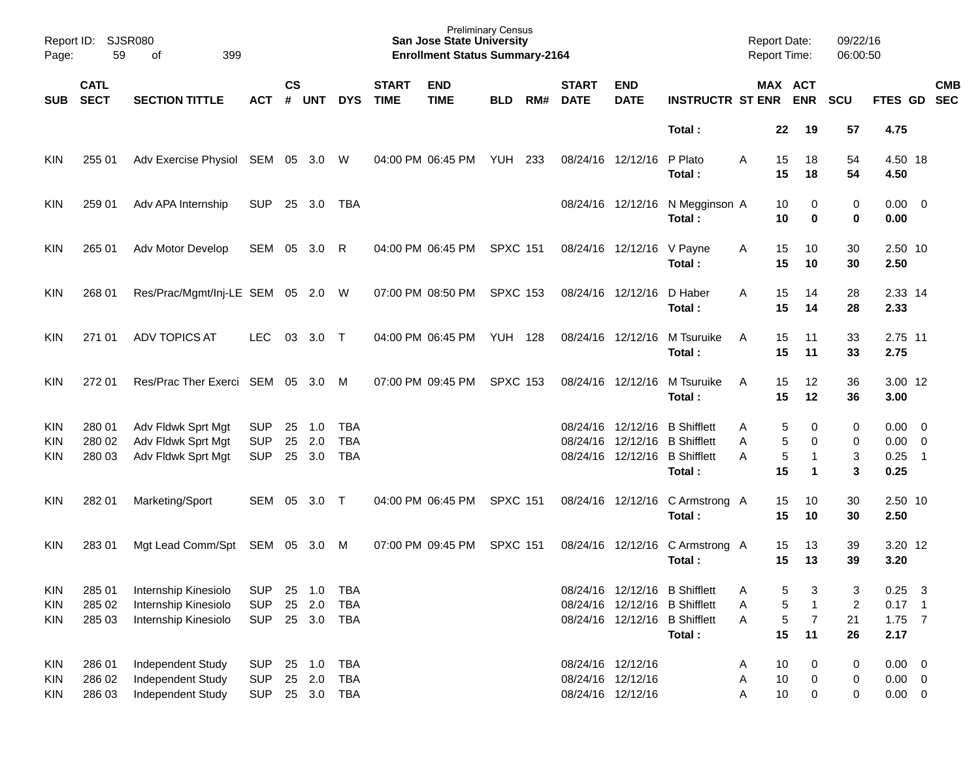| Report ID:<br>Page:                    | 59                         | <b>SJSR080</b><br>399<br>оf                                          |                                        |                    |                      |                                        |                             | <b>Preliminary Census</b><br><b>San Jose State University</b><br><b>Enrollment Status Summary-2164</b> |                 |     |                                  |                                        |                                                                                                  | Report Date:<br>Report Time: |                   |                                           | 09/22/16<br>06:00:50            |                                           |                                 |                          |
|----------------------------------------|----------------------------|----------------------------------------------------------------------|----------------------------------------|--------------------|----------------------|----------------------------------------|-----------------------------|--------------------------------------------------------------------------------------------------------|-----------------|-----|----------------------------------|----------------------------------------|--------------------------------------------------------------------------------------------------|------------------------------|-------------------|-------------------------------------------|---------------------------------|-------------------------------------------|---------------------------------|--------------------------|
| <b>SUB</b>                             | <b>CATL</b><br><b>SECT</b> | <b>SECTION TITTLE</b>                                                | <b>ACT</b>                             | $\mathsf{cs}$<br># | <b>UNT</b>           | <b>DYS</b>                             | <b>START</b><br><b>TIME</b> | <b>END</b><br><b>TIME</b>                                                                              | <b>BLD</b>      | RM# | <b>START</b><br><b>DATE</b>      | <b>END</b><br><b>DATE</b>              | <b>INSTRUCTR ST ENR</b>                                                                          |                              |                   | <b>MAX ACT</b><br><b>ENR</b>              | SCU                             | FTES GD                                   |                                 | <b>CMB</b><br><b>SEC</b> |
|                                        |                            |                                                                      |                                        |                    |                      |                                        |                             |                                                                                                        |                 |     |                                  |                                        | Total:                                                                                           |                              | 22                | 19                                        | 57                              | 4.75                                      |                                 |                          |
| <b>KIN</b>                             | 255 01                     | Adv Exercise Physiol                                                 | SEM                                    | 05                 | 3.0                  | W                                      | 04:00 PM 06:45 PM           |                                                                                                        | YUH             | 233 |                                  | 08/24/16 12/12/16                      | P Plato<br>Total:                                                                                | A                            | 15<br>15          | 18<br>18                                  | 54<br>54                        | 4.50 18<br>4.50                           |                                 |                          |
| <b>KIN</b>                             | 259 01                     | Adv APA Internship                                                   | <b>SUP</b>                             | 25                 | 3.0                  | TBA                                    |                             |                                                                                                        |                 |     | 08/24/16                         | 12/12/16                               | N Megginson A<br>Total:                                                                          |                              | 10<br>10          | 0<br>0                                    | 0<br>0                          | $0.00 \quad 0$<br>0.00                    |                                 |                          |
| <b>KIN</b>                             | 265 01                     | Adv Motor Develop                                                    | SEM                                    | 05                 | 3.0                  | R                                      |                             | 04:00 PM 06:45 PM                                                                                      | <b>SPXC 151</b> |     |                                  | 08/24/16 12/12/16                      | V Payne<br>Total:                                                                                | A                            | 15<br>15          | 10<br>10                                  | 30<br>30                        | 2.50 10<br>2.50                           |                                 |                          |
| <b>KIN</b>                             | 268 01                     | Res/Prac/Mgmt/Inj-LE SEM                                             |                                        | 05                 | 2.0                  | W                                      |                             | 07:00 PM 08:50 PM                                                                                      | <b>SPXC 153</b> |     |                                  | 08/24/16 12/12/16                      | D Haber<br>Total :                                                                               | A                            | 15<br>15          | 14<br>14                                  | 28<br>28                        | 2.33 14<br>2.33                           |                                 |                          |
| <b>KIN</b>                             | 271 01                     | <b>ADV TOPICS AT</b>                                                 | <b>LEC</b>                             | 03                 | 3.0                  | $\top$                                 |                             | 04:00 PM 06:45 PM                                                                                      | <b>YUH 128</b>  |     |                                  | 08/24/16 12/12/16                      | M Tsuruike<br>Total:                                                                             | Α                            | 15<br>15          | 11<br>11                                  | 33<br>33                        | 2.75 11<br>2.75                           |                                 |                          |
| <b>KIN</b>                             | 272 01                     | Res/Prac Ther Exerci                                                 | SEM                                    | 05                 | 3.0                  | M                                      |                             | 07:00 PM 09:45 PM                                                                                      | <b>SPXC 153</b> |     |                                  | 08/24/16 12/12/16                      | M Tsuruike<br>Total:                                                                             | A                            | 15<br>15          | 12<br>12                                  | 36<br>36                        | 3.00 12<br>3.00                           |                                 |                          |
| <b>KIN</b><br>KIN<br><b>KIN</b>        | 280 01<br>280 02<br>280 03 | Adv Fldwk Sprt Mgt<br>Adv Fldwk Sprt Mgt<br>Adv Fldwk Sprt Mgt       | <b>SUP</b><br><b>SUP</b><br><b>SUP</b> | 25<br>25<br>25     | 1.0<br>2.0<br>3.0    | <b>TBA</b><br><b>TBA</b><br><b>TBA</b> |                             |                                                                                                        |                 |     | 08/24/16<br>08/24/16<br>08/24/16 | 12/12/16<br>12/12/16<br>12/12/16       | <b>B</b> Shifflett<br><b>B</b> Shifflett<br><b>B</b> Shifflett<br>Total:                         | Α<br>Α<br>А                  | 5<br>5<br>5<br>15 | 0<br>0<br>-1<br>1                         | 0<br>0<br>3<br>3                | $0.00 \quad 0$<br>0.00<br>0.25<br>0.25    | - 0<br>$\overline{\phantom{0}}$ |                          |
| <b>KIN</b>                             | 282 01                     | Marketing/Sport                                                      | SEM                                    | 05                 | 3.0                  | $\top$                                 |                             | 04:00 PM 06:45 PM                                                                                      | <b>SPXC 151</b> |     |                                  | 08/24/16 12/12/16                      | C Armstrong A<br>Total :                                                                         |                              | 15<br>15          | 10<br>10                                  | 30<br>30                        | 2.50 10<br>2.50                           |                                 |                          |
| <b>KIN</b>                             | 28301                      | Mgt Lead Comm/Spt                                                    | SEM                                    | 05                 | 3.0                  | M                                      |                             | 07:00 PM 09:45 PM                                                                                      | <b>SPXC 151</b> |     |                                  | 08/24/16 12/12/16                      | C Armstrong A<br>Total :                                                                         |                              | 15<br>15          | 13<br>13                                  | 39<br>39                        | 3.20 12<br>3.20                           |                                 |                          |
| <b>KIN</b><br><b>KIN</b><br><b>KIN</b> | 285 01<br>285 02<br>285 03 | Internship Kinesiolo<br>Internship Kinesiolo<br>Internship Kinesiolo | <b>SUP</b><br><b>SUP</b><br><b>SUP</b> | 25<br>25           | 1.0<br>2.0<br>25 3.0 | <b>TBA</b><br><b>TBA</b><br>TBA        |                             |                                                                                                        |                 |     | 08/24/16                         |                                        | 08/24/16 12/12/16 B Shifflett<br>12/12/16 B Shifflett<br>08/24/16 12/12/16 B Shifflett<br>Total: | Α<br>Α<br>A                  | 5<br>5<br>5<br>15 | 3<br>$\mathbf{1}$<br>$\overline{7}$<br>11 | 3<br>$\overline{2}$<br>21<br>26 | $0.25$ 3<br>$0.17$ 1<br>$1.75$ 7<br>2.17  |                                 |                          |
| <b>KIN</b><br><b>KIN</b><br><b>KIN</b> | 286 01<br>286 02<br>286 03 | Independent Study<br><b>Independent Study</b><br>Independent Study   | <b>SUP</b><br><b>SUP</b><br><b>SUP</b> | 25<br>25           | 1.0<br>2.0<br>25 3.0 | <b>TBA</b><br><b>TBA</b><br><b>TBA</b> |                             |                                                                                                        |                 |     | 08/24/16 12/12/16                | 08/24/16 12/12/16<br>08/24/16 12/12/16 |                                                                                                  | Α<br>Α<br>Α                  | 10<br>10<br>10    | 0<br>0<br>0                               | 0<br>0<br>0                     | $0.00 \t 0$<br>$0.00 \t 0$<br>$0.00 \t 0$ |                                 |                          |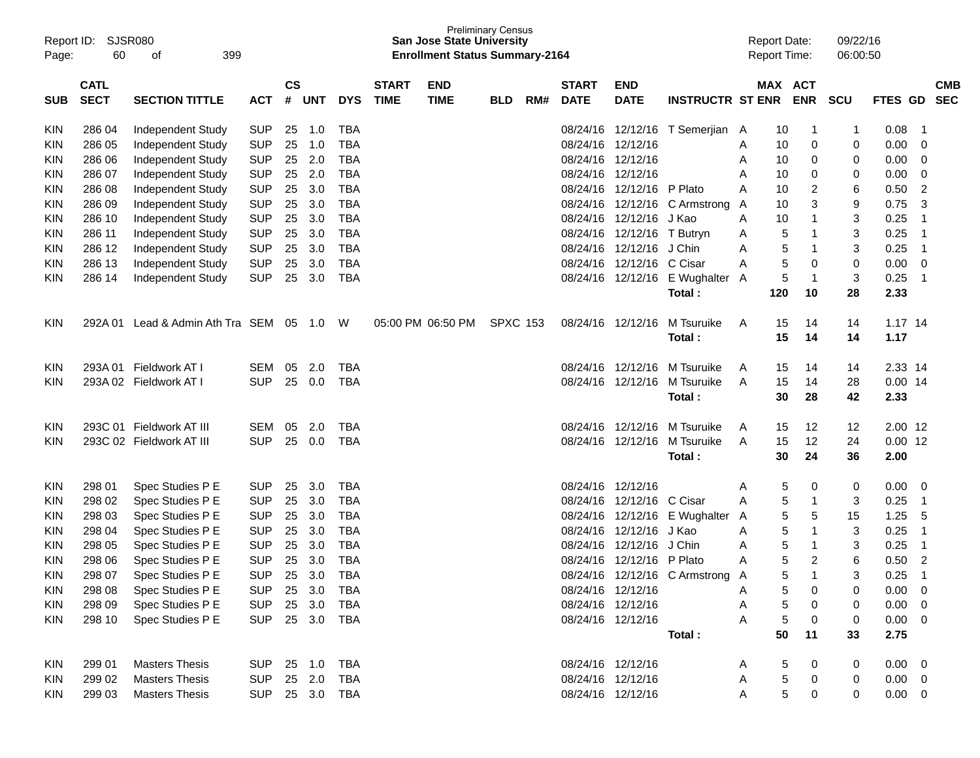| Report ID:<br>Page: | 60               | <b>SJSR080</b><br>399<br>οf          |                          |               |            |            |              | <b>San Jose State University</b><br><b>Enrollment Status Summary-2164</b> | <b>Preliminary Census</b> |     |              |                   |                               | <b>Report Date:</b><br>Report Time: |        |                | 09/22/16<br>06:00:50 |              |                |            |
|---------------------|------------------|--------------------------------------|--------------------------|---------------|------------|------------|--------------|---------------------------------------------------------------------------|---------------------------|-----|--------------|-------------------|-------------------------------|-------------------------------------|--------|----------------|----------------------|--------------|----------------|------------|
|                     | <b>CATL</b>      |                                      |                          | $\mathsf{cs}$ |            |            | <b>START</b> | <b>END</b>                                                                |                           |     | <b>START</b> | <b>END</b>        |                               |                                     |        | MAX ACT        |                      |              |                | <b>CMB</b> |
| SUB                 | <b>SECT</b>      | <b>SECTION TITTLE</b>                | <b>ACT</b>               | #             | <b>UNT</b> | <b>DYS</b> | <b>TIME</b>  | <b>TIME</b>                                                               | <b>BLD</b>                | RM# | <b>DATE</b>  | <b>DATE</b>       | <b>INSTRUCTR ST ENR</b>       |                                     |        | <b>ENR</b>     | <b>SCU</b>           | FTES GD      |                | <b>SEC</b> |
| <b>KIN</b>          | 286 04           | Independent Study                    | <b>SUP</b>               | 25            | 1.0        | <b>TBA</b> |              |                                                                           |                           |     | 08/24/16     | 12/12/16          | T Semerjian                   | A                                   | 10     | 1              | 1                    | 0.08         | $\overline{1}$ |            |
| KIN                 | 286 05           | Independent Study                    | <b>SUP</b>               | 25            | 1.0        | <b>TBA</b> |              |                                                                           |                           |     | 08/24/16     | 12/12/16          |                               | A                                   | 10     | 0              | 0                    | 0.00         | 0              |            |
| KIN                 | 286 06           | Independent Study                    | <b>SUP</b>               | 25            | 2.0        | <b>TBA</b> |              |                                                                           |                           |     | 08/24/16     | 12/12/16          |                               | A                                   | 10     | 0              | 0                    | 0.00         | 0              |            |
| KIN                 | 286 07           | Independent Study                    | <b>SUP</b>               | 25            | 2.0        | TBA        |              |                                                                           |                           |     | 08/24/16     | 12/12/16          |                               | A                                   | 10     | 0              | 0                    | 0.00         | 0              |            |
| KIN                 | 286 08           | Independent Study                    | <b>SUP</b>               | 25            | 3.0        | TBA        |              |                                                                           |                           |     | 08/24/16     | 12/12/16          | P Plato                       | A                                   | 10     | 2              | 6                    | 0.50         | $\overline{2}$ |            |
| KIN                 | 286 09           | Independent Study                    | <b>SUP</b>               | 25            | 3.0        | <b>TBA</b> |              |                                                                           |                           |     | 08/24/16     | 12/12/16          | C Armstrong                   | A                                   | 10     | 3              | 9                    | 0.75         | 3              |            |
| KIN                 | 286 10           | Independent Study                    | <b>SUP</b>               | 25            | 3.0        | <b>TBA</b> |              |                                                                           |                           |     | 08/24/16     | 12/12/16          | J Kao                         | Α                                   | 10     | -1             | 3                    | 0.25         | -1             |            |
| KIN                 | 286 11           | Independent Study                    | <b>SUP</b>               | 25            | 3.0        | TBA        |              |                                                                           |                           |     | 08/24/16     | 12/12/16          | T Butryn                      | A                                   | 5      | -1             | 3                    | 0.25         | $\overline{1}$ |            |
| KIN                 | 286 12           | Independent Study                    | <b>SUP</b>               | 25            | 3.0        | TBA        |              |                                                                           |                           |     | 08/24/16     | 12/12/16          | J Chin                        | Α                                   | 5      | $\mathbf 1$    | 3                    | 0.25         | $\overline{1}$ |            |
| KIN                 | 286 13           | Independent Study                    | <b>SUP</b>               | 25            | 3.0        | <b>TBA</b> |              |                                                                           |                           |     | 08/24/16     | 12/12/16          | C Cisar                       | Α                                   | 5      | 0              | 0                    | 0.00         | 0              |            |
| KIN                 | 286 14           | Independent Study                    | <b>SUP</b>               | 25            | 3.0        | <b>TBA</b> |              |                                                                           |                           |     |              | 08/24/16 12/12/16 | E Wughalter                   | A                                   | 5      | $\mathbf{1}$   | 3                    | 0.25         | $\overline{1}$ |            |
|                     |                  |                                      |                          |               |            |            |              |                                                                           |                           |     |              |                   | Total:                        |                                     | 120    | 10             | 28                   | 2.33         |                |            |
| <b>KIN</b>          | 292A01           | Lead & Admin Ath Tra SEM             |                          | 05            | 1.0        | W          |              | 05:00 PM 06:50 PM                                                         | <b>SPXC 153</b>           |     | 08/24/16     | 12/12/16          | M Tsuruike                    | Α                                   | 15     | 14             | 14                   | $1.17$ 14    |                |            |
|                     |                  |                                      |                          |               |            |            |              |                                                                           |                           |     |              |                   | Total:                        |                                     | 15     | 14             | 14                   | 1.17         |                |            |
| <b>KIN</b>          | 293A 01          | Fieldwork AT I                       | <b>SEM</b>               | 05            | 2.0        | <b>TBA</b> |              |                                                                           |                           |     |              | 08/24/16 12/12/16 | M Tsuruike                    | A                                   | 15     | 14             | 14                   | 2.33 14      |                |            |
| KIN                 |                  | 293A 02 Fieldwork AT I               | <b>SUP</b>               | 25            | 0.0        | TBA        |              |                                                                           |                           |     |              | 08/24/16 12/12/16 | M Tsuruike                    | Α                                   | 15     | 14             | 28                   | $0.00$ 14    |                |            |
|                     |                  |                                      |                          |               |            |            |              |                                                                           |                           |     |              |                   | Total:                        |                                     | 30     | 28             | 42                   | 2.33         |                |            |
| <b>KIN</b>          | 293C 01          | Fieldwork AT III                     | <b>SEM</b>               | 05            | 2.0        | <b>TBA</b> |              |                                                                           |                           |     |              | 08/24/16 12/12/16 | M Tsuruike                    | A                                   | 15     | 12             | 12                   | $2.00$ 12    |                |            |
| <b>KIN</b>          |                  | 293C 02 Fieldwork AT III             | <b>SUP</b>               | 25            | 0.0        | TBA        |              |                                                                           |                           |     |              | 08/24/16 12/12/16 | M Tsuruike                    | Α                                   | 15     | 12             | 24                   | $0.00$ 12    |                |            |
|                     |                  |                                      |                          |               |            |            |              |                                                                           |                           |     |              |                   | Total:                        |                                     | 30     | 24             | 36                   | 2.00         |                |            |
|                     |                  |                                      | <b>SUP</b>               |               | 3.0        | <b>TBA</b> |              |                                                                           |                           |     |              | 08/24/16 12/12/16 |                               |                                     |        |                |                      |              | 0              |            |
| <b>KIN</b><br>KIN   | 298 01<br>298 02 | Spec Studies P E<br>Spec Studies P E | <b>SUP</b>               | 25<br>25      | 3.0        | <b>TBA</b> |              |                                                                           |                           |     |              | 08/24/16 12/12/16 | C Cisar                       | A<br>Α                              | 5<br>5 | 0<br>-1        | 0<br>3               | 0.00<br>0.25 | $\overline{1}$ |            |
| KIN                 | 298 03           | Spec Studies P E                     | <b>SUP</b>               | 25            | 3.0        | <b>TBA</b> |              |                                                                           |                           |     |              | 08/24/16 12/12/16 | E Wughalter                   | A                                   | 5      | 5              | 15                   | 1.25         | 5              |            |
| KIN                 | 298 04           | Spec Studies P E                     | <b>SUP</b>               | 25            | 3.0        | <b>TBA</b> |              |                                                                           |                           |     | 08/24/16     | 12/12/16          | J Kao                         | A                                   | 5      | $\mathbf 1$    | 3                    | 0.25         | $\mathbf 1$    |            |
| KIN                 | 298 05           | Spec Studies P E                     | <b>SUP</b>               | 25            | 3.0        | <b>TBA</b> |              |                                                                           |                           |     | 08/24/16     | 12/12/16          | J Chin                        | Α                                   | 5      | -1             | 3                    | 0.25         | $\overline{1}$ |            |
| KIN                 | 298 06           | Spec Studies P E                     | <b>SUP</b>               | 25            | 3.0        | <b>TBA</b> |              |                                                                           |                           |     |              | 08/24/16 12/12/16 | P Plato                       | Α                                   | 5      | $\overline{2}$ | 6                    | 0.50         | $\overline{2}$ |            |
| KIN                 | 298 07           | Spec Studies P E                     | <b>SUP</b>               |               | 25 3.0     | <b>TBA</b> |              |                                                                           |                           |     |              |                   | 08/24/16 12/12/16 C Armstrong | А                                   | 5      |                | 3                    | 0.25         | -1             |            |
| <b>KIN</b>          | 298 08           | Spec Studies P E                     | <b>SUP</b>               |               | 25 3.0     | TBA        |              |                                                                           |                           |     |              | 08/24/16 12/12/16 |                               | A                                   | 5      | 0              | 0                    | 0.00         | $\overline{0}$ |            |
| <b>KIN</b>          | 298 09           | Spec Studies P E                     | SUP                      |               | 25 3.0     | TBA        |              |                                                                           |                           |     |              | 08/24/16 12/12/16 |                               | Α                                   | 5      | 0              | 0                    | 0.00         | $\overline{0}$ |            |
| <b>KIN</b>          | 298 10           | Spec Studies P E                     | <b>SUP</b>               |               | 25 3.0     | TBA        |              |                                                                           |                           |     |              | 08/24/16 12/12/16 |                               | Α                                   | 5      | 0              | 0                    | $0.00 \t 0$  |                |            |
|                     |                  |                                      |                          |               |            |            |              |                                                                           |                           |     |              |                   | Total:                        |                                     | 50     | 11             | 33                   | 2.75         |                |            |
| KIN                 | 299 01           | <b>Masters Thesis</b>                |                          |               | 25 1.0     | TBA        |              |                                                                           |                           |     |              | 08/24/16 12/12/16 |                               |                                     | 5      | 0              | 0                    | $0.00 \t 0$  |                |            |
| <b>KIN</b>          | 299 02           | <b>Masters Thesis</b>                | <b>SUP</b><br><b>SUP</b> |               | 25 2.0     | TBA        |              |                                                                           |                           |     |              | 08/24/16 12/12/16 |                               | A<br>A                              | 5      | 0              | 0                    | $0.00 \t 0$  |                |            |
| <b>KIN</b>          | 299 03           | <b>Masters Thesis</b>                | SUP 25 3.0 TBA           |               |            |            |              |                                                                           |                           |     |              | 08/24/16 12/12/16 |                               | Α                                   | 5      | 0              | 0                    | $0.00 \t 0$  |                |            |
|                     |                  |                                      |                          |               |            |            |              |                                                                           |                           |     |              |                   |                               |                                     |        |                |                      |              |                |            |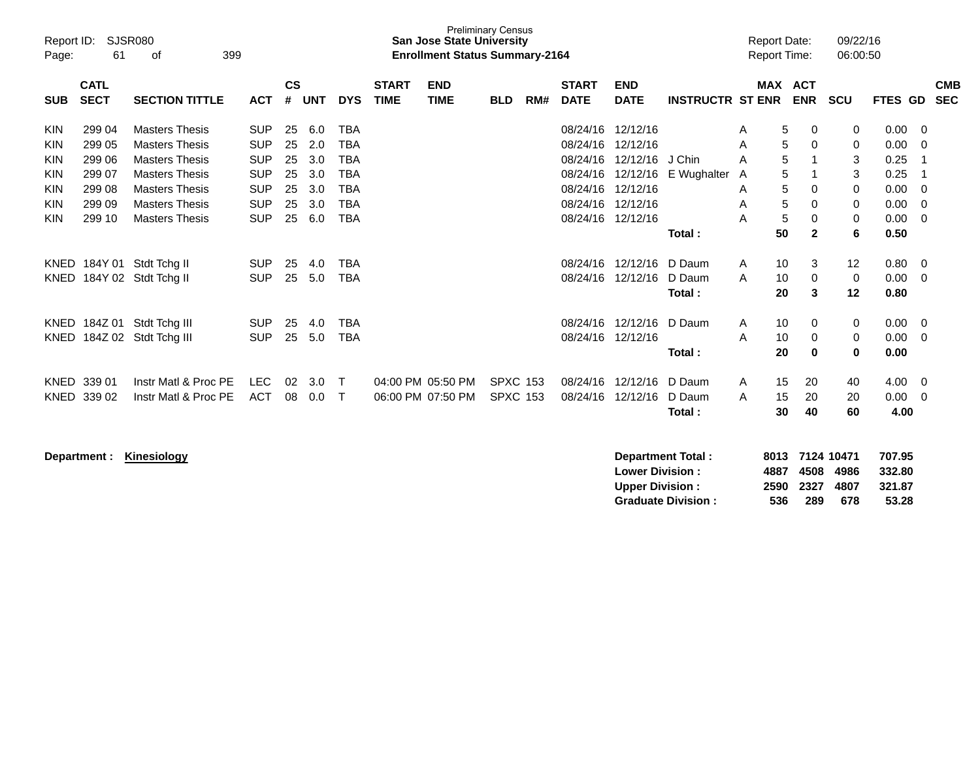| Report ID:<br>Page:                                                              | 61                                                       | <b>SJSR080</b><br>399<br>οf                                                                                                                        |                                                                                  |                                  |                                        |                                                                                  |                                        | <b>San Jose State University</b><br><b>Enrollment Status Summary-2164</b> | <b>Preliminary Census</b>          |     |                                                                      |                                                                              |                            |                            | <b>Report Date:</b><br>Report Time: |                          | 09/22/16<br>06:00:50              |                                              |                               |
|----------------------------------------------------------------------------------|----------------------------------------------------------|----------------------------------------------------------------------------------------------------------------------------------------------------|----------------------------------------------------------------------------------|----------------------------------|----------------------------------------|----------------------------------------------------------------------------------|----------------------------------------|---------------------------------------------------------------------------|------------------------------------|-----|----------------------------------------------------------------------|------------------------------------------------------------------------------|----------------------------|----------------------------|-------------------------------------|--------------------------|-----------------------------------|----------------------------------------------|-------------------------------|
| <b>SUB</b>                                                                       | <b>CATL</b><br><b>SECT</b>                               | <b>SECTION TITTLE</b>                                                                                                                              | <b>ACT</b>                                                                       | $\mathsf{cs}$<br>#               | <b>UNT</b>                             | <b>DYS</b>                                                                       | <b>START</b><br><b>TIME</b>            | <b>END</b><br><b>TIME</b>                                                 | <b>BLD</b>                         | RM# | <b>START</b><br><b>DATE</b>                                          | <b>END</b><br><b>DATE</b>                                                    | <b>INSTRUCTR ST ENR</b>    |                            | <b>MAX ACT</b>                      | <b>ENR</b>               | <b>SCU</b>                        | FTES GD                                      | <b>CMB</b><br><b>SEC</b>      |
| <b>KIN</b><br><b>KIN</b><br><b>KIN</b><br><b>KIN</b><br><b>KIN</b><br><b>KIN</b> | 299 04<br>299 05<br>299 06<br>299 07<br>299 08<br>299 09 | <b>Masters Thesis</b><br><b>Masters Thesis</b><br><b>Masters Thesis</b><br><b>Masters Thesis</b><br><b>Masters Thesis</b><br><b>Masters Thesis</b> | <b>SUP</b><br><b>SUP</b><br><b>SUP</b><br><b>SUP</b><br><b>SUP</b><br><b>SUP</b> | 25<br>25<br>25<br>25<br>25<br>25 | 6.0<br>2.0<br>3.0<br>3.0<br>3.0<br>3.0 | <b>TBA</b><br><b>TBA</b><br><b>TBA</b><br><b>TBA</b><br><b>TBA</b><br><b>TBA</b> |                                        |                                                                           |                                    |     | 08/24/16<br>08/24/16<br>08/24/16<br>08/24/16<br>08/24/16<br>08/24/16 | 12/12/16<br>12/12/16<br>12/12/16<br>12/12/16<br>12/12/16<br>12/12/16         | J Chin<br>E Wughalter      | Α<br>A<br>A<br>Α<br>A<br>A | 5<br>5<br>5<br>5<br>5<br>5          | 0<br>0<br>1<br>0<br>0    | 0<br>0<br>3<br>3<br>0<br>0        | 0.00<br>0.00<br>0.25<br>0.25<br>0.00<br>0.00 | $\overline{0}$<br>0<br>0<br>0 |
| <b>KIN</b>                                                                       | 299 10                                                   | <b>Masters Thesis</b>                                                                                                                              | <b>SUP</b>                                                                       | 25                               | 6.0                                    | <b>TBA</b>                                                                       |                                        |                                                                           |                                    |     | 08/24/16 12/12/16                                                    |                                                                              | Total:                     | A                          | 5<br>50                             | $\pmb{0}$<br>$\mathbf 2$ | 0<br>6                            | 0.00<br>0.50                                 | $\mathbf 0$                   |
| KNED                                                                             |                                                          | KNED 184Y 01 Stdt Tchg II<br>184Y 02 Stdt Tchg II                                                                                                  | <b>SUP</b><br><b>SUP</b>                                                         | 25<br>25                         | 4.0<br>5.0                             | <b>TBA</b><br><b>TBA</b>                                                         |                                        |                                                                           |                                    |     |                                                                      | 08/24/16 12/12/16<br>08/24/16 12/12/16                                       | D Daum<br>D Daum<br>Total: | A<br>A                     | 10<br>10<br>20                      | 3<br>0<br>3              | 12<br>$\mathbf 0$<br>12           | 0.80<br>0.00<br>0.80                         | 0<br>-0                       |
| KNED                                                                             | 184Z 01                                                  | Stdt Tchg III<br>KNED 184Z 02 Stdt Tchg III                                                                                                        | <b>SUP</b><br><b>SUP</b>                                                         | 25<br>25                         | 4.0<br>5.0                             | <b>TBA</b><br><b>TBA</b>                                                         |                                        |                                                                           |                                    |     | 08/24/16                                                             | 12/12/16<br>08/24/16 12/12/16                                                | D Daum<br>Total:           | Α<br>A                     | 10<br>10<br>20                      | 0<br>0<br>$\bf{0}$       | 0<br>0<br>$\bf{0}$                | 0.00<br>0.00<br>0.00                         | - 0<br>$\mathbf 0$            |
|                                                                                  | KNED 339 01<br>KNED 339 02                               | Instr Matl & Proc PE<br>Instr Matl & Proc PE                                                                                                       | <b>LEC</b><br><b>ACT</b>                                                         | 02<br>08                         | 3.0<br>0.0                             | $\top$<br>Т                                                                      | 04:00 PM 05:50 PM<br>06:00 PM 07:50 PM |                                                                           | <b>SPXC 153</b><br><b>SPXC 153</b> |     | 08/24/16                                                             | 08/24/16 12/12/16<br>12/12/16                                                | D Daum<br>D Daum<br>Total: | A<br>A                     | 15<br>15<br>30                      | 20<br>20<br>40           | 40<br>20<br>60                    | 4.00<br>0.00<br>4.00                         | 0<br>$\overline{0}$           |
|                                                                                  | Department :                                             | Kinesiology                                                                                                                                        |                                                                                  |                                  |                                        |                                                                                  |                                        |                                                                           |                                    |     |                                                                      | <b>Department Total:</b><br><b>Lower Division:</b><br><b>Upper Division:</b> | <b>Graduate Division:</b>  |                            | 8013<br>4887<br>2590<br>536         | 4508<br>2327<br>289      | 7124 10471<br>4986<br>4807<br>678 | 707.95<br>332.80<br>321.87<br>53.28          |                               |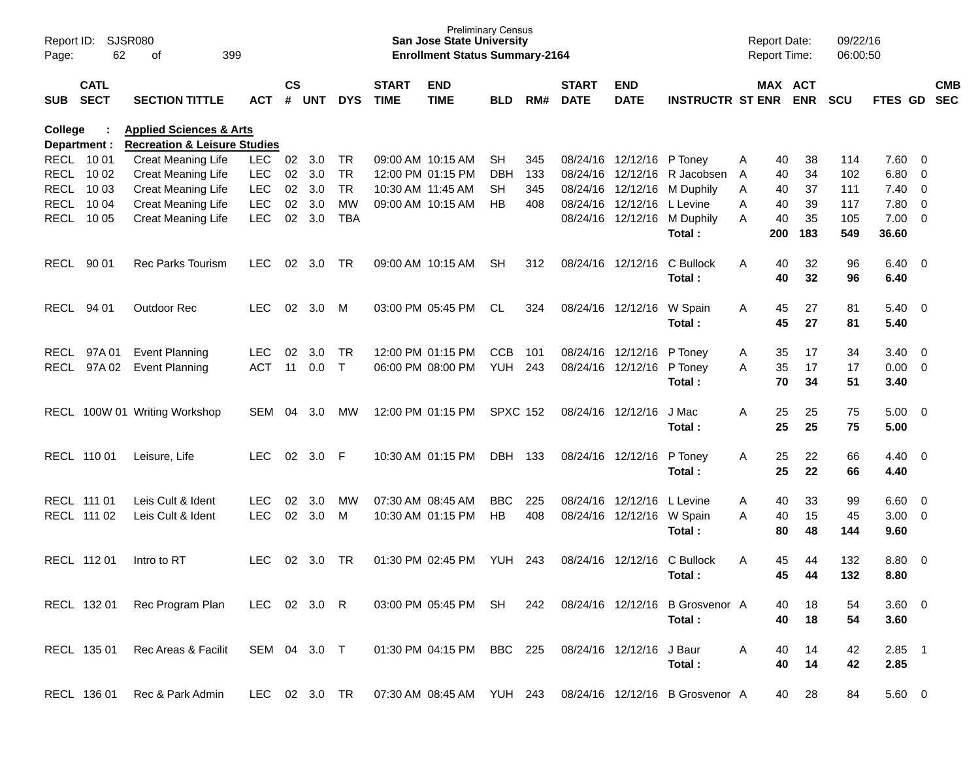| Report ID:<br>Page: | 62                         | <b>SJSR080</b><br>399<br>оf                                                   |               |                    |            |            |                             | <b>San Jose State University</b><br><b>Enrollment Status Summary-2164</b> | <b>Preliminary Census</b> |     |                             |                            |                                 |   | <b>Report Date:</b><br><b>Report Time:</b> |            | 09/22/16<br>06:00:50 |             |                         |            |
|---------------------|----------------------------|-------------------------------------------------------------------------------|---------------|--------------------|------------|------------|-----------------------------|---------------------------------------------------------------------------|---------------------------|-----|-----------------------------|----------------------------|---------------------------------|---|--------------------------------------------|------------|----------------------|-------------|-------------------------|------------|
| SUB                 | <b>CATL</b><br><b>SECT</b> | <b>SECTION TITTLE</b>                                                         | <b>ACT</b>    | $\mathsf{cs}$<br># | <b>UNT</b> | <b>DYS</b> | <b>START</b><br><b>TIME</b> | <b>END</b><br><b>TIME</b>                                                 | <b>BLD</b>                | RM# | <b>START</b><br><b>DATE</b> | <b>END</b><br><b>DATE</b>  | <b>INSTRUCTR ST ENR</b>         |   | MAX ACT                                    | <b>ENR</b> | <b>SCU</b>           | FTES GD SEC |                         | <b>CMB</b> |
| College             | Department :               | <b>Applied Sciences &amp; Arts</b><br><b>Recreation &amp; Leisure Studies</b> |               |                    |            |            |                             |                                                                           |                           |     |                             |                            |                                 |   |                                            |            |                      |             |                         |            |
|                     | RECL 10 01                 | Creat Meaning Life                                                            | <b>LEC</b>    | 02                 | 3.0        | TR.        |                             | 09:00 AM 10:15 AM                                                         | SH.                       | 345 |                             | 08/24/16 12/12/16 P Toney  |                                 | A | 40                                         | 38         | 114                  | 7.60        | - 0                     |            |
|                     | RECL 10 02                 | <b>Creat Meaning Life</b>                                                     | <b>LEC</b>    | 02                 | 3.0        | <b>TR</b>  |                             | 12:00 PM 01:15 PM                                                         | <b>DBH</b>                | 133 |                             |                            | 08/24/16 12/12/16 R Jacobsen    | A | 40                                         | 34         | 102                  | 6.80        | $\overline{0}$          |            |
| RECL                | 10 03                      | <b>Creat Meaning Life</b>                                                     | <b>LEC</b>    | 02                 | 3.0        | <b>TR</b>  |                             | 10:30 AM 11:45 AM                                                         | <b>SH</b>                 | 345 |                             |                            | 08/24/16 12/12/16 M Duphily     | A | 40                                         | 37         | 111                  | 7.40        | $\overline{0}$          |            |
|                     | RECL 10 04                 | Creat Meaning Life                                                            | <b>LEC</b>    | 02                 | 3.0        | <b>MW</b>  |                             | 09:00 AM 10:15 AM                                                         | HB                        | 408 |                             | 08/24/16 12/12/16 L Levine |                                 | A | 40                                         | 39         | 117                  | 7.80        | $\overline{0}$          |            |
| RECL                | 10 05                      | Creat Meaning Life                                                            | <b>LEC</b>    | 02                 | 3.0        | <b>TBA</b> |                             |                                                                           |                           |     |                             |                            | 08/24/16 12/12/16 M Duphily     | A | 40                                         | 35         | 105                  | 7.00        | $\overline{0}$          |            |
|                     |                            |                                                                               |               |                    |            |            |                             |                                                                           |                           |     |                             |                            | Total:                          |   | 200                                        | 183        | 549                  | 36.60       |                         |            |
| <b>RECL</b>         | 90 01                      | <b>Rec Parks Tourism</b>                                                      | LEC           | 02                 | 3.0        | TR.        |                             | 09:00 AM 10:15 AM                                                         | <b>SH</b>                 | 312 |                             | 08/24/16 12/12/16          | C Bullock                       | A | 40                                         | 32         | 96                   | 6.40        | $\overline{\mathbf{0}}$ |            |
|                     |                            |                                                                               |               |                    |            |            |                             |                                                                           |                           |     |                             |                            | Total:                          |   | 40                                         | 32         | 96                   | 6.40        |                         |            |
| <b>RECL</b>         | 94 01                      | <b>Outdoor Rec</b>                                                            | <b>LEC</b>    | 02                 | 3.0        | M          |                             | 03:00 PM 05:45 PM                                                         | CL                        | 324 |                             | 08/24/16 12/12/16          | W Spain                         | A | 45                                         | 27         | 81                   | 5.40        | $\overline{\mathbf{0}}$ |            |
|                     |                            |                                                                               |               |                    |            |            |                             |                                                                           |                           |     |                             |                            | Total:                          |   | 45                                         | 27         | 81                   | 5.40        |                         |            |
|                     | RECL 97A 01                | <b>Event Planning</b>                                                         | <b>LEC</b>    | 02                 | 3.0        | TR.        |                             | 12:00 PM 01:15 PM                                                         | <b>CCB</b>                | 101 |                             | 08/24/16 12/12/16          | P Toney                         | A | 35                                         | 17         | 34                   | 3.40        | - 0                     |            |
| RECL                | 97A 02                     | <b>Event Planning</b>                                                         | <b>ACT</b>    | 11                 | 0.0        | $\top$     |                             | 06:00 PM 08:00 PM                                                         | YUH                       | 243 |                             | 08/24/16 12/12/16          | P Toney                         | A | 35                                         | 17         | 17                   | 0.00        | $\overline{0}$          |            |
|                     |                            |                                                                               |               |                    |            |            |                             |                                                                           |                           |     |                             |                            | Total:                          |   | 70                                         | 34         | 51                   | 3.40        |                         |            |
| RECL                |                            | 100W 01 Writing Workshop                                                      | <b>SEM</b>    | 04                 | 3.0        | МW         |                             | 12:00 PM 01:15 PM                                                         | <b>SPXC 152</b>           |     |                             | 08/24/16 12/12/16          | J Mac                           | A | 25                                         | 25         | 75                   | 5.00        | $\overline{\mathbf{0}}$ |            |
|                     |                            |                                                                               |               |                    |            |            |                             |                                                                           |                           |     |                             |                            | Total:                          |   | 25                                         | 25         | 75                   | 5.00        |                         |            |
|                     | RECL 110 01                | Leisure, Life                                                                 | <b>LEC</b>    | 02                 | 3.0        | -F         |                             | 10:30 AM 01:15 PM                                                         | DBH                       | 133 |                             | 08/24/16 12/12/16          | P Toney                         | A | 25                                         | 22         | 66                   | 4.40        | $\overline{\mathbf{0}}$ |            |
|                     |                            |                                                                               |               |                    |            |            |                             |                                                                           |                           |     |                             |                            | Total:                          |   | 25                                         | 22         | 66                   | 4.40        |                         |            |
|                     | RECL 111 01                | Leis Cult & Ident                                                             | <b>LEC</b>    | 02                 | 3.0        | МW         |                             | 07:30 AM 08:45 AM                                                         | <b>BBC</b>                | 225 |                             | 08/24/16 12/12/16          | L Levine                        | A | 40                                         | 33         | 99                   | 6.60        | $\overline{0}$          |            |
|                     | RECL 111 02                | Leis Cult & Ident                                                             | <b>LEC</b>    | 02                 | 3.0        | М          |                             | 10:30 AM 01:15 PM                                                         | HB                        | 408 |                             | 08/24/16 12/12/16 W Spain  |                                 | A | 40                                         | 15         | 45                   | 3.00        | $\overline{0}$          |            |
|                     |                            |                                                                               |               |                    |            |            |                             |                                                                           |                           |     |                             |                            | Total:                          |   | 80                                         | 48         | 144                  | 9.60        |                         |            |
|                     | RECL 112 01                | Intro to RT                                                                   | LEC           | 02                 | 3.0        | TR.        |                             | 01:30 PM 02:45 PM                                                         | YUH                       | 243 |                             | 08/24/16 12/12/16          | C Bullock                       | A | 45                                         | 44         | 132                  | 8.80        | $\overline{0}$          |            |
|                     |                            |                                                                               |               |                    |            |            |                             |                                                                           |                           |     |                             |                            | Total:                          |   | 45                                         | 44         | 132                  | 8.80        |                         |            |
|                     | RECL 132 01                | Rec Program Plan                                                              | LEC 02 3.0 R  |                    |            |            |                             | 03:00 PM 05:45 PM                                                         | SH                        | 242 |                             |                            | 08/24/16 12/12/16 B Grosvenor A |   | 40                                         | 18         | 54                   | $3.60 \ 0$  |                         |            |
|                     |                            |                                                                               |               |                    |            |            |                             |                                                                           |                           |     |                             |                            | Total:                          |   | 40                                         | 18         | 54                   | 3.60        |                         |            |
|                     | RECL 135 01                | Rec Areas & Facilit                                                           | SEM 04 3.0 T  |                    |            |            |                             | 01:30 PM 04:15 PM BBC 225                                                 |                           |     |                             | 08/24/16 12/12/16          | J Baur                          | A | 40                                         | 14         | 42                   | $2.85$ 1    |                         |            |
|                     |                            |                                                                               |               |                    |            |            |                             |                                                                           |                           |     |                             |                            | Total:                          |   | 40                                         | 14         | 42                   | 2.85        |                         |            |
|                     | RECL 136 01                | Rec & Park Admin                                                              | LEC 02 3.0 TR |                    |            |            |                             | 07:30 AM 08:45 AM YUH 243                                                 |                           |     |                             |                            | 08/24/16 12/12/16 B Grosvenor A |   | 40                                         | 28         | 84                   | 5.60 0      |                         |            |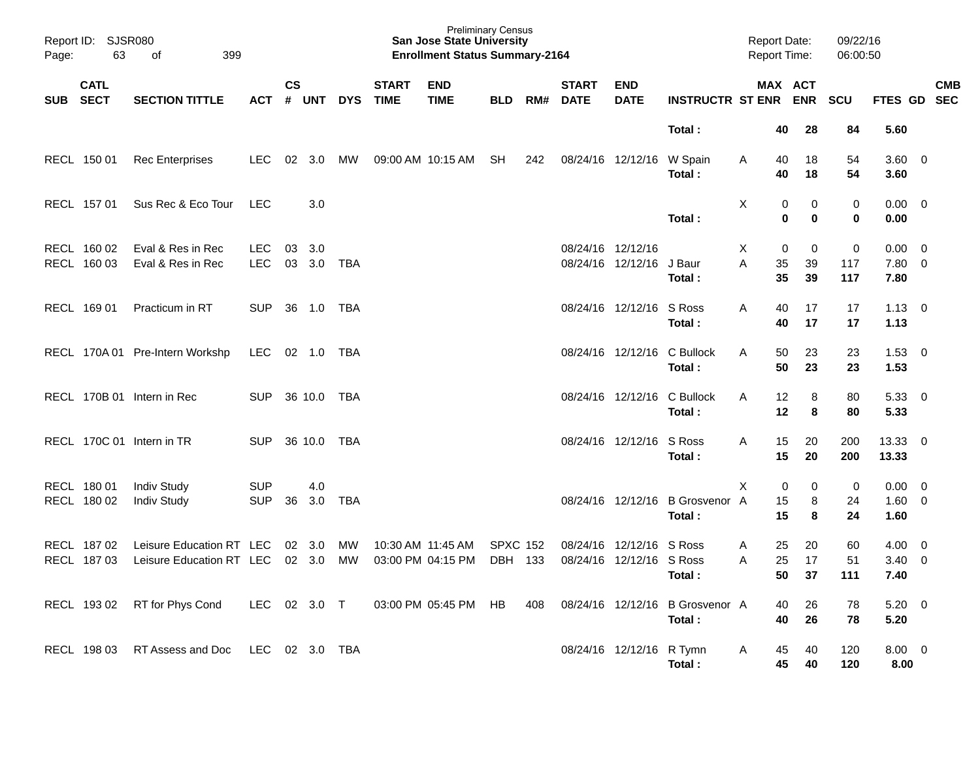| Page:      | Report ID: SJSR080<br>63   | 399<br>of                       |            |                |                |            |                             | <b>Preliminary Census</b><br><b>San Jose State University</b><br><b>Enrollment Status Summary-2164</b> |                 |     |                             |                           |                                 | <b>Report Date:</b><br>Report Time: |          |             | 09/22/16<br>06:00:50 |                |                          |            |
|------------|----------------------------|---------------------------------|------------|----------------|----------------|------------|-----------------------------|--------------------------------------------------------------------------------------------------------|-----------------|-----|-----------------------------|---------------------------|---------------------------------|-------------------------------------|----------|-------------|----------------------|----------------|--------------------------|------------|
| <b>SUB</b> | <b>CATL</b><br><b>SECT</b> | <b>SECTION TITTLE</b>           | <b>ACT</b> | <b>CS</b><br># | <b>UNT</b>     | <b>DYS</b> | <b>START</b><br><b>TIME</b> | <b>END</b><br><b>TIME</b>                                                                              | <b>BLD</b>      | RM# | <b>START</b><br><b>DATE</b> | <b>END</b><br><b>DATE</b> | <b>INSTRUCTR ST ENR ENR</b>     |                                     |          | MAX ACT     | <b>SCU</b>           | FTES GD SEC    |                          | <b>CMB</b> |
|            |                            |                                 |            |                |                |            |                             |                                                                                                        |                 |     |                             |                           | Total:                          |                                     | 40       | 28          | 84                   | 5.60           |                          |            |
|            | RECL 150 01                | <b>Rec Enterprises</b>          | <b>LEC</b> |                | 02 3.0         | МW         |                             | 09:00 AM 10:15 AM                                                                                      | SH              | 242 |                             | 08/24/16 12/12/16         | W Spain<br>Total:               | Α                                   | 40<br>40 | 18<br>18    | 54<br>54             | 3.60 0<br>3.60 |                          |            |
|            | RECL 157 01                | Sus Rec & Eco Tour              | <b>LEC</b> |                | 3.0            |            |                             |                                                                                                        |                 |     |                             |                           |                                 | X                                   | 0        | $\mathbf 0$ | 0                    | $0.00 \quad 0$ |                          |            |
|            |                            |                                 |            |                |                |            |                             |                                                                                                        |                 |     |                             |                           | Total:                          |                                     | 0        | $\bf{0}$    | $\mathbf 0$          | 0.00           |                          |            |
|            | RECL 160 02                | Eval & Res in Rec               | LEC.       | 03             | 3.0            |            |                             |                                                                                                        |                 |     | 08/24/16 12/12/16           |                           |                                 | X                                   | 0        | $\Omega$    | $\mathbf 0$          | 0.00           | $\overline{0}$           |            |
|            | RECL 160 03                | Eval & Res in Rec               | <b>LEC</b> |                | 03 3.0         | TBA        |                             |                                                                                                        |                 |     |                             | 08/24/16 12/12/16 J Baur  |                                 | A                                   | 35       | 39          | 117                  | 7.80           | $\overline{\mathbf{0}}$  |            |
|            |                            |                                 |            |                |                |            |                             |                                                                                                        |                 |     |                             |                           | Total :                         |                                     | 35       | 39          | 117                  | 7.80           |                          |            |
|            | RECL 169 01                | Practicum in RT                 | <b>SUP</b> |                | 36 1.0         | TBA        |                             |                                                                                                        |                 |     |                             | 08/24/16 12/12/16 S Ross  |                                 | A                                   | 40       | 17          | 17                   | $1.13 \quad 0$ |                          |            |
|            |                            |                                 |            |                |                |            |                             |                                                                                                        |                 |     |                             |                           | Total:                          |                                     | 40       | 17          | 17                   | 1.13           |                          |            |
|            |                            | RECL 170A 01 Pre-Intern Workshp | LEC.       |                |                |            |                             |                                                                                                        |                 |     |                             |                           | 08/24/16 12/12/16 C Bullock     | A                                   | 50       | 23          | 23                   | $1.53 \t 0$    |                          |            |
|            |                            |                                 |            |                |                |            |                             |                                                                                                        |                 |     |                             |                           | Total:                          |                                     | 50       | 23          | 23                   | 1.53           |                          |            |
|            |                            | RECL 170B 01 Intern in Rec      | <b>SUP</b> |                | 36 10.0 TBA    |            |                             |                                                                                                        |                 |     |                             |                           | 08/24/16 12/12/16 C Bullock     | A                                   | 12       | 8           | 80                   | $5.33 \quad 0$ |                          |            |
|            |                            |                                 |            |                |                |            |                             |                                                                                                        |                 |     |                             |                           | Total :                         |                                     | 12       | 8           | 80                   | 5.33           |                          |            |
|            |                            | RECL 170C 01 Intern in TR       | <b>SUP</b> |                | 36 10.0        | TBA        |                             |                                                                                                        |                 |     |                             | 08/24/16 12/12/16         | S Ross                          | A                                   | 15       | 20          | 200                  | 13.33 0        |                          |            |
|            |                            |                                 |            |                |                |            |                             |                                                                                                        |                 |     |                             |                           | Total:                          |                                     | 15       | 20          | 200                  | 13.33          |                          |            |
|            | RECL 180 01                | <b>Indiv Study</b>              | <b>SUP</b> |                | 4.0            |            |                             |                                                                                                        |                 |     |                             |                           |                                 | X                                   | 0        | $\mathbf 0$ | $\mathbf 0$          | 0.00           | $\overline{\phantom{0}}$ |            |
|            | RECL 180 02                | <b>Indiv Study</b>              | <b>SUP</b> | 36             | 3.0            | TBA        |                             |                                                                                                        |                 |     |                             |                           | 08/24/16 12/12/16 B Grosvenor A |                                     | 15       | 8           | 24                   | $1.60 \t 0$    |                          |            |
|            |                            |                                 |            |                |                |            |                             |                                                                                                        |                 |     |                             |                           | Total :                         |                                     | 15       | 8           | 24                   | 1.60           |                          |            |
|            | RECL 187 02                | Leisure Education RT LEC        |            |                | $02 \quad 3.0$ | MW         |                             | 10:30 AM 11:45 AM                                                                                      | <b>SPXC 152</b> |     |                             | 08/24/16 12/12/16         | S Ross                          | Α                                   | 25       | 20          | 60                   | 4.00           | $\overline{0}$           |            |
|            | RECL 187 03                | Leisure Education RT LEC        |            |                | 02 3.0         | MW         |                             | 03:00 PM 04:15 PM                                                                                      | DBH 133         |     |                             | 08/24/16 12/12/16 S Ross  |                                 | A                                   | 25       | 17          | 51                   | $3.40 \quad 0$ |                          |            |
|            |                            |                                 |            |                |                |            |                             |                                                                                                        |                 |     |                             |                           | Total:                          |                                     | 50       | 37          | 111                  | 7.40           |                          |            |
|            | RECL 193 02                | RT for Phys Cond                | <b>LEC</b> |                | 02 3.0 T       |            |                             | 03:00 PM 05:45 PM                                                                                      | HB              | 408 |                             |                           | 08/24/16 12/12/16 B Grosvenor A |                                     | 40       | 26          | 78                   | $5.20 \ 0$     |                          |            |
|            |                            |                                 |            |                |                |            |                             |                                                                                                        |                 |     |                             |                           | Total:                          |                                     | 40       | 26          | 78                   | 5.20           |                          |            |
|            | RECL 198 03                | RT Assess and Doc               | LEC.       |                | 02 3.0         | TBA        |                             |                                                                                                        |                 |     |                             | 08/24/16 12/12/16 R Tymn  |                                 | A                                   | 45       | 40          | 120                  | $8.00 \quad 0$ |                          |            |
|            |                            |                                 |            |                |                |            |                             |                                                                                                        |                 |     |                             |                           | Total :                         |                                     | 45       | 40          | 120                  | 8.00           |                          |            |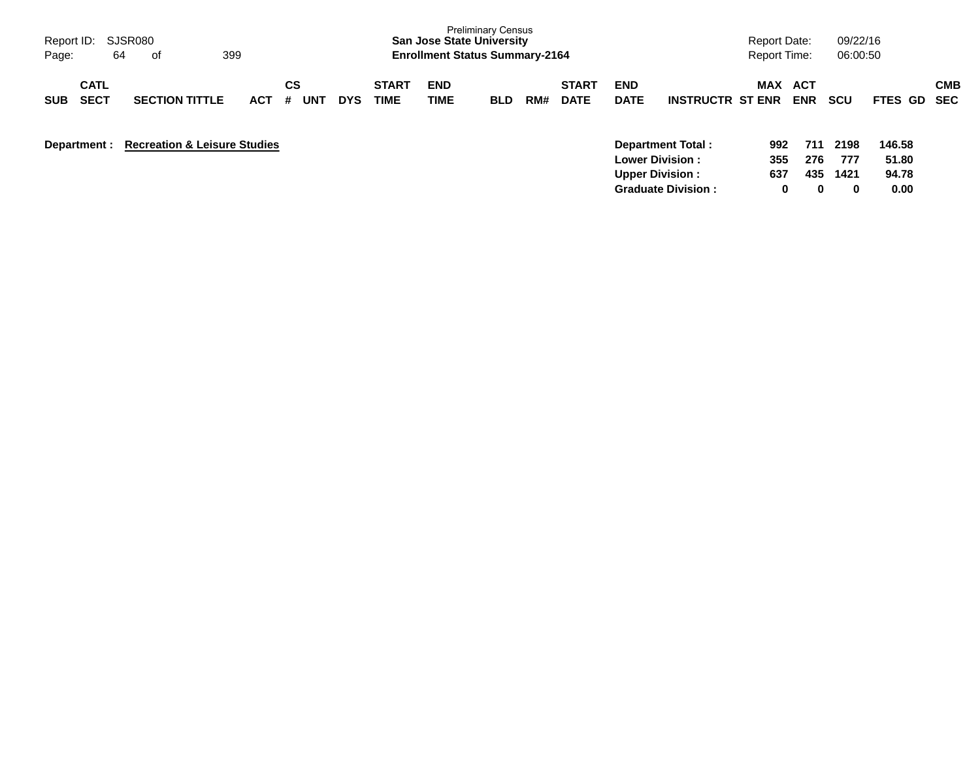| Report ID:<br>64<br>Page:                | SJSR080<br>of                           | 399        |                |            |                             | <b>San Jose State University</b><br><b>Enrollment Status Summary-2164</b> | <b>Preliminary Census</b> |     |                             |                           |                                                                              | Report Date:<br><b>Report Time:</b> |                   | 09/22/16<br>06:00:50 |                          |            |
|------------------------------------------|-----------------------------------------|------------|----------------|------------|-----------------------------|---------------------------------------------------------------------------|---------------------------|-----|-----------------------------|---------------------------|------------------------------------------------------------------------------|-------------------------------------|-------------------|----------------------|--------------------------|------------|
| <b>CATL</b><br><b>SECT</b><br><b>SUB</b> | <b>SECTION TITTLE</b>                   | <b>ACT</b> | CS<br>UN1<br># | <b>DYS</b> | <b>START</b><br><b>TIME</b> | <b>END</b><br>TIME                                                        | <b>BLD</b>                | RM# | <b>START</b><br><b>DATE</b> | <b>END</b><br><b>DATE</b> | <b>INSTRUCTR ST ENR</b>                                                      | MAX                                 | ACT<br><b>ENR</b> | <b>SCU</b>           | FTES GD SEC              | <b>CMB</b> |
| Department :                             | <b>Recreation &amp; Leisure Studies</b> |            |                |            |                             |                                                                           |                           |     |                             |                           | <b>Department Total:</b><br><b>Lower Division:</b><br><b>Upper Division:</b> | 992<br>355<br>637                   | 711<br>276<br>435 | 2198<br>777<br>1421  | 146.58<br>51.80<br>94.78 |            |

**Graduate Division : 0 0 0 0.00**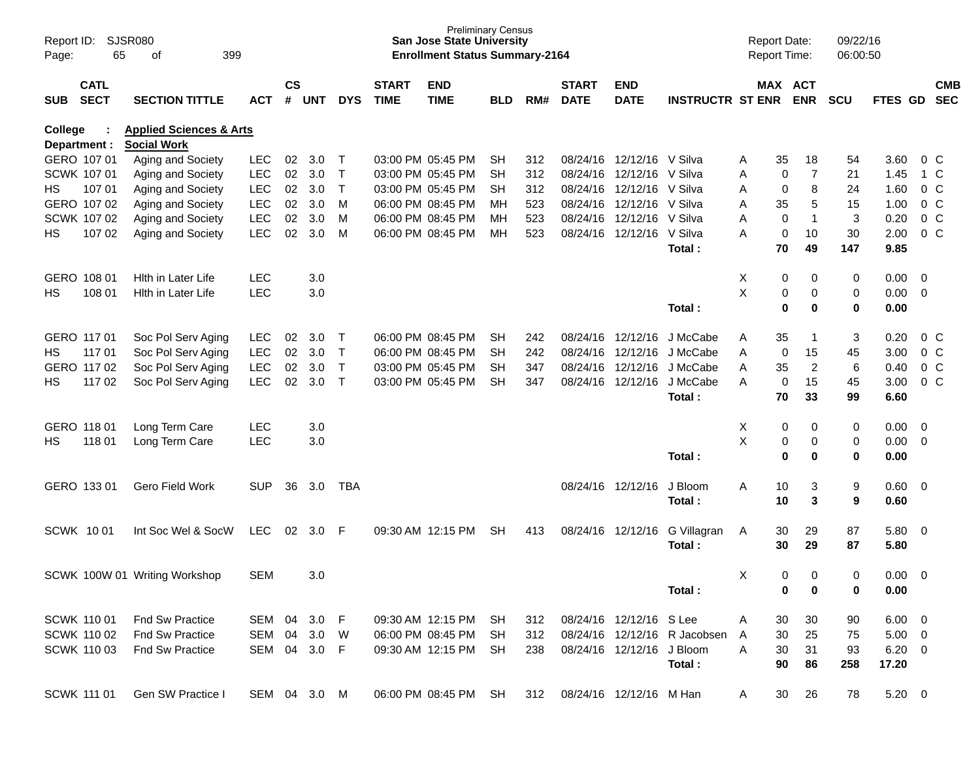| Page:      | SJSR080<br>Report ID:<br>65<br>399<br>οf |                                                          |              |                    |            |              |                             | <b>Preliminary Census</b><br><b>San Jose State University</b><br><b>Enrollment Status Summary-2164</b> |            |     |                             |                           |                              |        |             | <b>Report Date:</b><br>Report Time: | 09/22/16<br>06:00:50      |                |                          |                |
|------------|------------------------------------------|----------------------------------------------------------|--------------|--------------------|------------|--------------|-----------------------------|--------------------------------------------------------------------------------------------------------|------------|-----|-----------------------------|---------------------------|------------------------------|--------|-------------|-------------------------------------|---------------------------|----------------|--------------------------|----------------|
| <b>SUB</b> | <b>CATL</b><br><b>SECT</b>               | <b>SECTION TITTLE</b>                                    | <b>ACT</b>   | $\mathsf{cs}$<br># | <b>UNT</b> | <b>DYS</b>   | <b>START</b><br><b>TIME</b> | <b>END</b><br><b>TIME</b>                                                                              | <b>BLD</b> | RM# | <b>START</b><br><b>DATE</b> | <b>END</b><br><b>DATE</b> | <b>INSTRUCTR ST ENR</b>      |        |             | MAX ACT<br><b>ENR</b>               | <b>SCU</b>                | FTES GD SEC    |                          | <b>CMB</b>     |
| College    |                                          | <b>Applied Sciences &amp; Arts</b><br><b>Social Work</b> |              |                    |            |              |                             |                                                                                                        |            |     |                             |                           |                              |        |             |                                     |                           |                |                          |                |
|            | Department :<br>GERO 107 01              | Aging and Society                                        | <b>LEC</b>   | 02                 | 3.0        | $\top$       |                             | 03:00 PM 05:45 PM                                                                                      | <b>SH</b>  | 312 |                             | 08/24/16 12/12/16 V Silva |                              |        | 35          | 18                                  | 54                        | 3.60           |                          | $0\,$ C        |
|            | SCWK 107 01                              | Aging and Society                                        | <b>LEC</b>   | 02                 | 3.0        | $\mathsf{T}$ |                             | 03:00 PM 05:45 PM                                                                                      | <b>SH</b>  | 312 | 08/24/16                    | 12/12/16                  | V Silva                      | A<br>Α | 0           | $\overline{7}$                      | 21                        | 1.45           |                          | 1 C            |
| HS.        | 107 01                                   | Aging and Society                                        | <b>LEC</b>   | 02                 | 3.0        | $\top$       |                             | 03:00 PM 05:45 PM                                                                                      | <b>SH</b>  | 312 |                             | 08/24/16 12/12/16         | V Silva                      | Α      | 0           | 8                                   | 24                        | 1.60           |                          | 0 <sup>o</sup> |
|            | GERO 107 02                              | Aging and Society                                        | <b>LEC</b>   | 02                 | 3.0        | M            |                             | 06:00 PM 08:45 PM                                                                                      | MН         | 523 |                             | 08/24/16 12/12/16         | V Silva                      | Α      | 35          | 5                                   | 15                        | 1.00           |                          | 0 <sup>o</sup> |
|            | SCWK 107 02                              | Aging and Society                                        | LEC          | 02                 | 3.0        | М            |                             | 06:00 PM 08:45 PM                                                                                      | MН         | 523 |                             | 08/24/16 12/12/16         | V Silva                      | Α      | 0           | 1                                   | $\mathbf{3}$              | 0.20           |                          | 0 <sup>o</sup> |
| НS         | 107 02                                   | Aging and Society                                        | <b>LEC</b>   | 02                 | 3.0        | М            |                             | 06:00 PM 08:45 PM                                                                                      | МH         | 523 |                             | 08/24/16 12/12/16         | V Silva                      | A      | 0           | 10                                  | 30                        | 2.00           |                          | 0 <sup>o</sup> |
|            |                                          |                                                          |              |                    |            |              |                             |                                                                                                        |            |     |                             |                           | Total:                       |        | 70          | 49                                  | 147                       | 9.85           |                          |                |
|            | GERO 108 01                              | Hith in Later Life                                       | <b>LEC</b>   |                    | 3.0        |              |                             |                                                                                                        |            |     |                             |                           |                              | Χ      | 0           | 0                                   | 0                         | 0.00           | $\overline{\mathbf{0}}$  |                |
| НS         | 108 01                                   | Hith in Later Life                                       | <b>LEC</b>   |                    | 3.0        |              |                             |                                                                                                        |            |     |                             |                           |                              | X      | 0           | 0                                   | 0                         | 0.00           | $\overline{0}$           |                |
|            |                                          |                                                          |              |                    |            |              |                             |                                                                                                        |            |     |                             |                           | Total:                       |        | $\bf{0}$    | 0                                   | $\bf{0}$                  | 0.00           |                          |                |
|            | GERO 117 01                              | Soc Pol Serv Aging                                       | <b>LEC</b>   | 02                 | 3.0        | $\top$       |                             | 06:00 PM 08:45 PM                                                                                      | <b>SH</b>  | 242 |                             | 08/24/16 12/12/16         | J McCabe                     | Α      | 35          | 1                                   | $\ensuremath{\mathsf{3}}$ | 0.20           |                          | $0\,$ C        |
| HS.        | 117 01                                   | Soc Pol Serv Aging                                       | <b>LEC</b>   | 02                 | 3.0        | $\mathsf{T}$ |                             | 06:00 PM 08:45 PM                                                                                      | <b>SH</b>  | 242 |                             | 08/24/16 12/12/16         | J McCabe                     | Α      | 0           | 15                                  | 45                        | 3.00           |                          | 0 <sup>o</sup> |
|            | GERO 117 02                              | Soc Pol Serv Aging                                       | LEC          | 02                 | 3.0        | $\mathsf{T}$ |                             | 03:00 PM 05:45 PM                                                                                      | <b>SH</b>  | 347 |                             | 08/24/16 12/12/16         | J McCabe                     | Α      | 35          | $\overline{c}$                      | 6                         | 0.40           |                          | 0 <sup>o</sup> |
| НS         | 117 02                                   | Soc Pol Serv Aging                                       | <b>LEC</b>   | 02                 | 3.0        | $\mathsf{T}$ |                             | 03:00 PM 05:45 PM                                                                                      | <b>SH</b>  | 347 |                             | 08/24/16 12/12/16         | J McCabe<br>Total:           | A      | 0<br>70     | 15<br>33                            | 45<br>99                  | 3.00<br>6.60   |                          | 0 <sup>o</sup> |
|            |                                          |                                                          |              |                    |            |              |                             |                                                                                                        |            |     |                             |                           |                              |        |             |                                     |                           |                |                          |                |
|            | GERO 118 01                              | Long Term Care                                           | <b>LEC</b>   |                    | 3.0        |              |                             |                                                                                                        |            |     |                             |                           |                              | X      | 0           | 0                                   | 0                         | 0.00           | $\overline{\mathbf{0}}$  |                |
| НS         | 118 01                                   | Long Term Care                                           | LEC          |                    | 3.0        |              |                             |                                                                                                        |            |     |                             |                           |                              | X      | 0           | 0                                   | 0                         | 0.00           | $\overline{\mathbf{0}}$  |                |
|            |                                          |                                                          |              |                    |            |              |                             |                                                                                                        |            |     |                             |                           | Total:                       |        | $\mathbf 0$ | 0                                   | 0                         | 0.00           |                          |                |
|            | GERO 133 01                              | Gero Field Work                                          | <b>SUP</b>   | 36                 | 3.0        | <b>TBA</b>   |                             |                                                                                                        |            |     |                             | 08/24/16 12/12/16         | J Bloom                      | Α      | 10          | 3                                   | 9                         | 0.60           | $\overline{\phantom{0}}$ |                |
|            |                                          |                                                          |              |                    |            |              |                             |                                                                                                        |            |     |                             |                           | Total:                       |        | 10          | 3                                   | 9                         | 0.60           |                          |                |
|            | SCWK 1001                                | Int Soc Wel & SocW                                       | <b>LEC</b>   | 02                 | 3.0        | -F           |                             | 09:30 AM 12:15 PM                                                                                      | <b>SH</b>  | 413 |                             | 08/24/16 12/12/16         | G Villagran                  | A      | 30          | 29                                  | 87                        | 5.80           | $\overline{\mathbf{0}}$  |                |
|            |                                          |                                                          |              |                    |            |              |                             |                                                                                                        |            |     |                             |                           | Total:                       |        | 30          | 29                                  | 87                        | 5.80           |                          |                |
|            |                                          | SCWK 100W 01 Writing Workshop                            | <b>SEM</b>   |                    | 3.0        |              |                             |                                                                                                        |            |     |                             |                           |                              | Χ      | $\mathbf 0$ | $\Omega$                            | 0                         | 0.00           | - 0                      |                |
|            |                                          |                                                          |              |                    |            |              |                             |                                                                                                        |            |     |                             |                           | Total:                       |        | 0           | 0                                   | 0                         | 0.00           |                          |                |
|            | SCWK 110 01                              | Fnd Sw Practice                                          | SEM 04       |                    | 3.0        | - F          |                             | 09:30 AM 12:15 PM                                                                                      | <b>SH</b>  | 312 |                             | 08/24/16 12/12/16 S Lee   |                              | Α      | 30          | 30                                  | 90                        | $6.00 \quad 0$ |                          |                |
|            | <b>SCWK 110 02</b>                       | <b>Fnd Sw Practice</b>                                   | SEM 04       |                    | 3.0        | W            |                             | 06:00 PM 08:45 PM                                                                                      | <b>SH</b>  | 312 |                             |                           | 08/24/16 12/12/16 R Jacobsen | A      | 30          | 25                                  | 75                        | $5.00 \t 0$    |                          |                |
|            | <b>SCWK 11003</b>                        | Fnd Sw Practice                                          | SEM 04 3.0   |                    |            | - F          |                             | 09:30 AM 12:15 PM                                                                                      | <b>SH</b>  | 238 |                             | 08/24/16 12/12/16 J Bloom |                              | A      | 30          | 31                                  | 93                        | $6.20\ 0$      |                          |                |
|            |                                          |                                                          |              |                    |            |              |                             |                                                                                                        |            |     |                             |                           | Total:                       |        | 90          | 86                                  | 258                       | 17.20          |                          |                |
|            | SCWK 111 01                              | Gen SW Practice I                                        | SEM 04 3.0 M |                    |            |              |                             | 06:00 PM 08:45 PM SH                                                                                   |            | 312 |                             | 08/24/16 12/12/16 M Han   |                              | A      | 30          | 26                                  | 78                        | $5.20 \t 0$    |                          |                |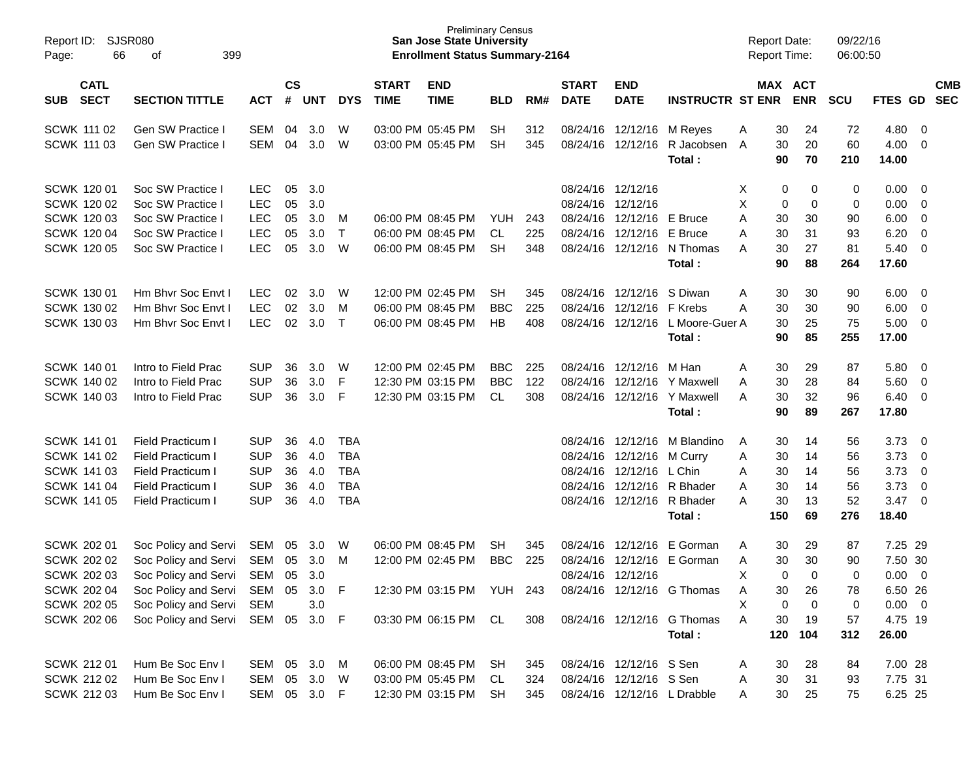| Report ID: SJSR080<br>66<br>Page:                                                                                  | 399<br>οf                                                                                                                                    |                                                                    |                            |                                          |                                                                    |                             | <b>Preliminary Census</b><br><b>San Jose State University</b><br><b>Enrollment Status Summary-2164</b> |                                 |                   |                             |                                                                                  |                                                                                             | <b>Report Date:</b><br><b>Report Time:</b>                          |                                             | 09/22/16<br>06:00:50                  |                                                                          |                                                                                                          |                          |
|--------------------------------------------------------------------------------------------------------------------|----------------------------------------------------------------------------------------------------------------------------------------------|--------------------------------------------------------------------|----------------------------|------------------------------------------|--------------------------------------------------------------------|-----------------------------|--------------------------------------------------------------------------------------------------------|---------------------------------|-------------------|-----------------------------|----------------------------------------------------------------------------------|---------------------------------------------------------------------------------------------|---------------------------------------------------------------------|---------------------------------------------|---------------------------------------|--------------------------------------------------------------------------|----------------------------------------------------------------------------------------------------------|--------------------------|
| <b>CATL</b><br><b>SECT</b><br><b>SUB</b>                                                                           | <b>SECTION TITTLE</b>                                                                                                                        | <b>ACT</b>                                                         | $\mathsf{cs}$<br>#         | <b>UNT</b>                               | <b>DYS</b>                                                         | <b>START</b><br><b>TIME</b> | <b>END</b><br><b>TIME</b>                                                                              | <b>BLD</b>                      | RM#               | <b>START</b><br><b>DATE</b> | <b>END</b><br><b>DATE</b>                                                        | <b>INSTRUCTR ST ENR</b>                                                                     |                                                                     | MAX ACT<br><b>ENR</b>                       | <b>SCU</b>                            | FTES GD                                                                  |                                                                                                          | <b>CMB</b><br><b>SEC</b> |
| <b>SCWK 111 02</b><br><b>SCWK 111 03</b>                                                                           | Gen SW Practice<br>Gen SW Practice I                                                                                                         | SEM<br>SEM                                                         | 04<br>04                   | 3.0<br>3.0                               | W<br>W                                                             |                             | 03:00 PM 05:45 PM<br>03:00 PM 05:45 PM                                                                 | <b>SH</b><br><b>SH</b>          | 312<br>345        |                             | 08/24/16 12/12/16 M Reyes<br>08/24/16 12/12/16                                   | R Jacobsen<br>Total:                                                                        | 30<br>Α<br>30<br>A<br>90                                            | 24<br>20<br>70                              | 72<br>60<br>210                       | 4.80<br>4.00<br>14.00                                                    | - 0<br>$\overline{0}$                                                                                    |                          |
| <b>SCWK 12001</b><br>SCWK 120 02<br>SCWK 120 03<br>SCWK 120 04<br><b>SCWK 120 05</b>                               | Soc SW Practice I<br>Soc SW Practice I<br>Soc SW Practice I<br>Soc SW Practice I<br>Soc SW Practice I                                        | <b>LEC</b><br><b>LEC</b><br><b>LEC</b><br><b>LEC</b><br><b>LEC</b> | 05<br>05<br>05<br>05<br>05 | 3.0<br>3.0<br>3.0<br>3.0<br>3.0          | M<br>$\top$<br>W                                                   |                             | 06:00 PM 08:45 PM<br>06:00 PM 08:45 PM<br>06:00 PM 08:45 PM                                            | YUH<br><b>CL</b><br><b>SH</b>   | 243<br>225<br>348 |                             | 08/24/16 12/12/16<br>08/24/16 12/12/16<br>08/24/16 12/12/16<br>08/24/16 12/12/16 | E Bruce<br>E Bruce<br>08/24/16 12/12/16 N Thomas<br>Total:                                  | X<br>0<br>X<br>0<br>30<br>Α<br>30<br>Α<br>A<br>30<br>90             | 0<br>0<br>30<br>31<br>27<br>88              | 0<br>0<br>90<br>93<br>81<br>264       | 0.00<br>0.00<br>6.00<br>6.20<br>5.40<br>17.60                            | $\overline{\mathbf{0}}$<br>$\overline{0}$<br>$\overline{0}$<br>$\overline{0}$<br>$\overline{0}$          |                          |
| <b>SCWK 130 01</b><br>SCWK 130 02<br>SCWK 130 03                                                                   | Hm Bhvr Soc Envt I<br>Hm Bhvr Soc Envt I<br>Hm Bhvr Soc Envt I                                                                               | <b>LEC</b><br><b>LEC</b><br><b>LEC</b>                             | 02<br>02<br>02             | 3.0<br>3.0<br>3.0                        | W<br>M<br>$\top$                                                   |                             | 12:00 PM 02:45 PM<br>06:00 PM 08:45 PM<br>06:00 PM 08:45 PM                                            | <b>SH</b><br><b>BBC</b><br>HB   | 345<br>225<br>408 |                             | 08/24/16 12/12/16<br>08/24/16 12/12/16 F Krebs                                   | S Diwan<br>08/24/16 12/12/16 L Moore-Guer A<br>Total:                                       | 30<br>A<br>30<br>Α<br>30<br>90                                      | 30<br>30<br>25<br>85                        | 90<br>90<br>75<br>255                 | 6.00<br>6.00<br>5.00<br>17.00                                            | $\overline{\mathbf{0}}$<br>$\overline{0}$<br>$\overline{\mathbf{0}}$                                     |                          |
| SCWK 140 01<br><b>SCWK 140 02</b><br>SCWK 140 03                                                                   | Intro to Field Prac<br>Intro to Field Prac<br>Intro to Field Prac                                                                            | <b>SUP</b><br><b>SUP</b><br><b>SUP</b>                             | 36<br>36<br>36             | 3.0<br>3.0<br>3.0                        | W<br>F<br>F                                                        |                             | 12:00 PM 02:45 PM<br>12:30 PM 03:15 PM<br>12:30 PM 03:15 PM                                            | <b>BBC</b><br><b>BBC</b><br>CL. | 225<br>122<br>308 |                             | 08/24/16 12/12/16<br>08/24/16 12/12/16<br>08/24/16 12/12/16                      | M Han<br>Y Maxwell<br>Y Maxwell<br>Total:                                                   | 30<br>Α<br>30<br>A<br>30<br>A<br>90                                 | 29<br>28<br>32<br>89                        | 87<br>84<br>96<br>267                 | 5.80<br>5.60<br>6.40<br>17.80                                            | $\overline{\mathbf{0}}$<br>$\overline{\mathbf{0}}$<br>$\overline{\mathbf{0}}$                            |                          |
| SCWK 141 01<br>SCWK 141 02<br>SCWK 141 03<br><b>SCWK 141 04</b><br><b>SCWK 141 05</b>                              | Field Practicum I<br>Field Practicum I<br>Field Practicum I<br>Field Practicum I<br>Field Practicum I                                        | <b>SUP</b><br><b>SUP</b><br><b>SUP</b><br><b>SUP</b><br><b>SUP</b> | 36<br>36<br>36<br>36<br>36 | 4.0<br>4.0<br>4.0<br>4.0<br>4.0          | <b>TBA</b><br><b>TBA</b><br><b>TBA</b><br><b>TBA</b><br><b>TBA</b> |                             |                                                                                                        |                                 |                   |                             | 08/24/16 12/12/16<br>08/24/16 12/12/16<br>08/24/16 12/12/16                      | M Blandino<br>M Curry<br>L Chin<br>08/24/16 12/12/16 R Bhader<br>08/24/16 12/12/16 R Bhader | 30<br>A<br>30<br>Α<br>30<br>Α<br>30<br>Α<br>30<br>Α                 | 14<br>14<br>14<br>14<br>13                  | 56<br>56<br>56<br>56<br>52            | 3.73<br>3.73<br>3.73<br>3.73<br>3.47                                     | $\overline{\mathbf{0}}$<br>$\overline{0}$<br>$\overline{0}$<br>$\overline{\mathbf{0}}$<br>$\overline{0}$ |                          |
| SCWK 202 01<br><b>SCWK 202 02</b><br><b>SCWK 202 03</b><br>SCWK 202 04<br><b>SCWK 202 05</b><br><b>SCWK 202 06</b> | Soc Policy and Servi<br>Soc Policy and Servi<br>Soc Policy and Servi<br>Soc Policy and Servi<br>Soc Policy and Servi<br>Soc Policy and Servi | SEM<br>SEM<br>SEM<br>SEM 05<br><b>SEM</b><br>SEM 05                | 05<br>05<br>05             | 3.0<br>3.0<br>3.0<br>3.0<br>3.0<br>3.0 F | W<br>M<br>- F                                                      |                             | 06:00 PM 08:45 PM<br>12:00 PM 02:45 PM<br>12:30 PM 03:15 PM YUH 243<br>03:30 PM 06:15 PM CL            | <b>SH</b><br><b>BBC</b>         | 345<br>225<br>308 |                             | 08/24/16 12/12/16<br>08/24/16 12/12/16<br>08/24/16 12/12/16                      | Total:<br>E Gorman<br>E Gorman<br>08/24/16 12/12/16 G Thomas<br>08/24/16 12/12/16 G Thomas  | 150<br>30<br>A<br>30<br>A<br>X<br>0<br>30<br>A<br>Χ<br>0<br>Α<br>30 | 69<br>29<br>30<br>$\Omega$<br>26<br>0<br>19 | 276<br>87<br>90<br>0<br>78<br>0<br>57 | 18.40<br>7.25 29<br>7.50 30<br>0.00<br>6.50 26<br>$0.00 \t 0$<br>4.75 19 | - 0                                                                                                      |                          |
| SCWK 212 01<br><b>SCWK 212 02</b><br>SCWK 212 03                                                                   | Hum Be Soc Env I<br>Hum Be Soc Env I<br>Hum Be Soc Env I                                                                                     | SEM 05<br>SEM 05<br>SEM 05 3.0 F                                   |                            | 3.0<br>3.0                               | M<br>W                                                             |                             | 06:00 PM 08:45 PM<br>03:00 PM 05:45 PM<br>12:30 PM 03:15 PM                                            | SH<br>CL.<br>SH                 | 345<br>324<br>345 |                             | 08/24/16 12/12/16 S Sen<br>08/24/16 12/12/16 S Sen                               | Total:<br>08/24/16 12/12/16 L Drabble                                                       | 120<br>30<br>A<br>30<br>A<br>30<br>A                                | 104<br>28<br>31<br>25                       | 312<br>84<br>93<br>75                 | 26.00<br>7.00 28<br>7.75 31<br>6.25 25                                   |                                                                                                          |                          |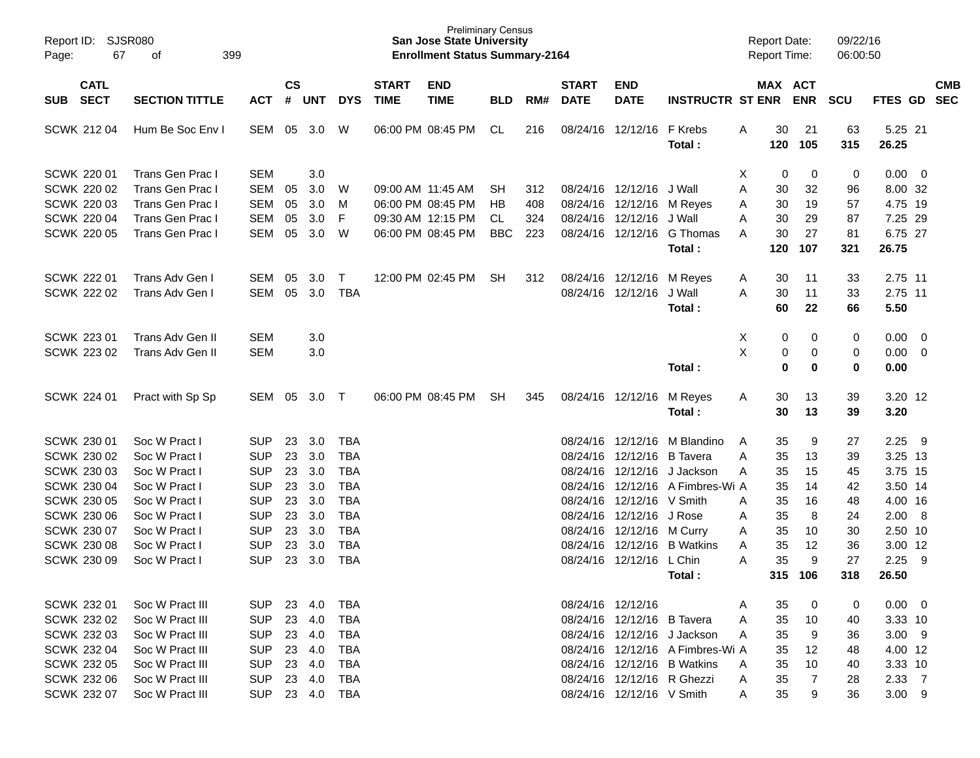| Report ID:<br>Page: | SJSR080<br>67              | 399<br>οf             |            |                       |            |            |                             | <b>Preliminary Census</b><br><b>San Jose State University</b><br><b>Enrollment Status Summary-2164</b> |            |     |                             |                            |                                  |   | <b>Report Date:</b><br>Report Time: |                       | 09/22/16<br>06:00:50 |                  |                         |            |
|---------------------|----------------------------|-----------------------|------------|-----------------------|------------|------------|-----------------------------|--------------------------------------------------------------------------------------------------------|------------|-----|-----------------------------|----------------------------|----------------------------------|---|-------------------------------------|-----------------------|----------------------|------------------|-------------------------|------------|
| SUB                 | <b>CATL</b><br><b>SECT</b> | <b>SECTION TITTLE</b> | <b>ACT</b> | $\mathsf{cs}$<br>$\#$ | <b>UNT</b> | <b>DYS</b> | <b>START</b><br><b>TIME</b> | <b>END</b><br><b>TIME</b>                                                                              | <b>BLD</b> | RM# | <b>START</b><br><b>DATE</b> | <b>END</b><br><b>DATE</b>  | <b>INSTRUCTR ST ENR</b>          |   |                                     | MAX ACT<br><b>ENR</b> | <b>SCU</b>           | FTES GD SEC      |                         | <b>CMB</b> |
| SCWK 212 04         |                            | Hum Be Soc Env I      | SEM        | 05                    | 3.0        | W          |                             | 06:00 PM 08:45 PM                                                                                      | CL         | 216 |                             | 08/24/16 12/12/16          | F Krebs<br>Total:                | A | 30<br>120                           | 21<br>105             | 63<br>315            | 5.25 21<br>26.25 |                         |            |
| <b>SCWK 220 01</b>  |                            | Trans Gen Prac I      | SEM        |                       | 3.0        |            |                             |                                                                                                        |            |     |                             |                            |                                  | Χ | 0                                   | 0                     | 0                    | $0.00 \t 0$      |                         |            |
| <b>SCWK 220 02</b>  |                            | Trans Gen Prac I      | <b>SEM</b> | 05                    | 3.0        | W          | 09:00 AM 11:45 AM           |                                                                                                        | <b>SH</b>  | 312 |                             | 08/24/16 12/12/16          | J Wall                           | A | 30                                  | 32                    | 96                   | 8.00 32          |                         |            |
| <b>SCWK 220 03</b>  |                            | Trans Gen Prac I      | <b>SEM</b> | 05                    | 3.0        | м          |                             | 06:00 PM 08:45 PM                                                                                      | HB         | 408 |                             | 08/24/16 12/12/16 M Reyes  |                                  | A | 30                                  | 19                    | 57                   | 4.75 19          |                         |            |
| <b>SCWK 220 04</b>  |                            | Trans Gen Prac I      | <b>SEM</b> | 05                    | 3.0        | F          |                             | 09:30 AM 12:15 PM                                                                                      | CL         | 324 |                             | 08/24/16 12/12/16          | J Wall                           | A | 30                                  | 29                    | 87                   | 7.25 29          |                         |            |
| <b>SCWK 220 05</b>  |                            | Trans Gen Prac I      | <b>SEM</b> | 05                    | 3.0        | W          |                             | 06:00 PM 08:45 PM                                                                                      | <b>BBC</b> | 223 |                             | 08/24/16 12/12/16          | G Thomas                         | A | 30                                  | 27                    | 81                   | 6.75 27          |                         |            |
|                     |                            |                       |            |                       |            |            |                             |                                                                                                        |            |     |                             |                            | Total:                           |   | 120                                 | 107                   | 321                  | 26.75            |                         |            |
| <b>SCWK 222 01</b>  |                            | Trans Adv Gen I       | SEM        | 05                    | 3.0        | Т          |                             | 12:00 PM 02:45 PM                                                                                      | <b>SH</b>  | 312 |                             | 08/24/16 12/12/16          | M Reyes                          | A | 30                                  | 11                    | 33                   | 2.75 11          |                         |            |
| <b>SCWK 222 02</b>  |                            | Trans Adv Gen I       | <b>SEM</b> | 05                    | 3.0        | <b>TBA</b> |                             |                                                                                                        |            |     |                             | 08/24/16 12/12/16          | J Wall                           | A | 30                                  | 11                    | 33                   | 2.75 11          |                         |            |
|                     |                            |                       |            |                       |            |            |                             |                                                                                                        |            |     |                             |                            | Total:                           |   | 60                                  | 22                    | 66                   | 5.50             |                         |            |
| SCWK 223 01         |                            | Trans Adv Gen II      | <b>SEM</b> |                       | 3.0        |            |                             |                                                                                                        |            |     |                             |                            |                                  | X | 0                                   | 0                     | $\pmb{0}$            | 0.00             | $\overline{\mathbf{0}}$ |            |
| SCWK 223 02         |                            | Trans Adv Gen II      | <b>SEM</b> |                       | 3.0        |            |                             |                                                                                                        |            |     |                             |                            |                                  | X | 0                                   | 0                     | 0                    | 0.00             | $\overline{0}$          |            |
|                     |                            |                       |            |                       |            |            |                             |                                                                                                        |            |     |                             |                            | Total:                           |   | 0                                   | 0                     | $\pmb{0}$            | 0.00             |                         |            |
| <b>SCWK 224 01</b>  |                            | Pract with Sp Sp      | SEM        | 05                    | 3.0        | $\top$     |                             | 06:00 PM 08:45 PM                                                                                      | <b>SH</b>  | 345 |                             | 08/24/16 12/12/16          | M Reyes                          | A | 30                                  | 13                    | 39                   | 3.20 12          |                         |            |
|                     |                            |                       |            |                       |            |            |                             |                                                                                                        |            |     |                             |                            | Total:                           |   | 30                                  | 13                    | 39                   | 3.20             |                         |            |
| SCWK 230 01         |                            | Soc W Pract I         | <b>SUP</b> | 23                    | 3.0        | <b>TBA</b> |                             |                                                                                                        |            |     |                             | 08/24/16 12/12/16          | M Blandino                       | A | 35                                  | 9                     | 27                   | 2.25             | - 9                     |            |
| SCWK 230 02         |                            | Soc W Pract I         | <b>SUP</b> | 23                    | 3.0        | <b>TBA</b> |                             |                                                                                                        |            |     |                             | 08/24/16 12/12/16          | <b>B</b> Tavera                  | A | 35                                  | 13                    | 39                   | 3.25 13          |                         |            |
| SCWK 230 03         |                            | Soc W Pract I         | <b>SUP</b> | 23                    | 3.0        | <b>TBA</b> |                             |                                                                                                        |            |     |                             | 08/24/16 12/12/16          | J Jackson                        | A | 35                                  | 15                    | 45                   | 3.75 15          |                         |            |
| <b>SCWK 230 04</b>  |                            | Soc W Pract I         | <b>SUP</b> | 23                    | 3.0        | <b>TBA</b> |                             |                                                                                                        |            |     |                             |                            | 08/24/16 12/12/16 A Fimbres-Wi A |   | 35                                  | 14                    | 42                   | 3.50 14          |                         |            |
| <b>SCWK 230 05</b>  |                            | Soc W Pract I         | <b>SUP</b> | 23                    | 3.0        | <b>TBA</b> |                             |                                                                                                        |            |     |                             | 08/24/16 12/12/16 V Smith  |                                  | A | 35                                  | 16                    | 48                   | 4.00 16          |                         |            |
| <b>SCWK 230 06</b>  |                            | Soc W Pract I         | <b>SUP</b> | 23                    | 3.0        | <b>TBA</b> |                             |                                                                                                        |            |     |                             | 08/24/16 12/12/16          | J Rose                           | Α | 35                                  | 8                     | 24                   | 2.00 8           |                         |            |
| SCWK 230 07         |                            | Soc W Pract I         | <b>SUP</b> | 23                    | 3.0        | <b>TBA</b> |                             |                                                                                                        |            |     |                             | 08/24/16 12/12/16 M Curry  |                                  | Α | 35                                  | 10                    | 30                   | 2.50 10          |                         |            |
| <b>SCWK 230 08</b>  |                            | Soc W Pract I         | <b>SUP</b> | 23                    | 3.0        | <b>TBA</b> |                             |                                                                                                        |            |     | 08/24/16                    |                            | 12/12/16 B Watkins               | A | 35                                  | 12                    | 36                   | 3.00 12          |                         |            |
| SCWK 230 09         |                            | Soc W Pract           | <b>SUP</b> | 23                    | 3.0        | <b>TBA</b> |                             |                                                                                                        |            |     | 08/24/16                    | 12/12/16 L Chin            |                                  | A | 35                                  | 9                     | 27                   | 2.25             | -9                      |            |
|                     |                            |                       |            |                       |            |            |                             |                                                                                                        |            |     |                             |                            | Total:                           |   | 315                                 | 106                   | 318                  | 26.50            |                         |            |
| <b>SCWK 232 01</b>  |                            | Soc W Pract III       | <b>SUP</b> | 23                    | 4.0        | TBA        |                             |                                                                                                        |            |     |                             | 08/24/16 12/12/16          |                                  | A | 35                                  | 0                     | 0                    | $0.00 \t 0$      |                         |            |
| SCWK 232 02         |                            | Soc W Pract III       | <b>SUP</b> | 23                    | 4.0        | <b>TBA</b> |                             |                                                                                                        |            |     |                             | 08/24/16 12/12/16 B Tavera |                                  | A | 35                                  | 10                    | 40                   | 3.33 10          |                         |            |
| SCWK 232 03         |                            | Soc W Pract III       | <b>SUP</b> | 23                    | 4.0        | <b>TBA</b> |                             |                                                                                                        |            |     |                             |                            | 08/24/16 12/12/16 J Jackson      | A | 35                                  | 9                     | 36                   | $3.00$ 9         |                         |            |
| <b>SCWK 232 04</b>  |                            | Soc W Pract III       | <b>SUP</b> | 23                    | 4.0        | <b>TBA</b> |                             |                                                                                                        |            |     |                             |                            | 08/24/16 12/12/16 A Fimbres-Wi A |   | 35                                  | 12                    | 48                   | 4.00 12          |                         |            |
| SCWK 232 05         |                            | Soc W Pract III       | <b>SUP</b> | 23                    | 4.0        | <b>TBA</b> |                             |                                                                                                        |            |     |                             |                            | 08/24/16 12/12/16 B Watkins      | A | 35                                  | 10                    | 40                   | 3.33 10          |                         |            |
| <b>SCWK 232 06</b>  |                            | Soc W Pract III       | <b>SUP</b> | 23                    | 4.0        | <b>TBA</b> |                             |                                                                                                        |            |     |                             | 08/24/16 12/12/16 R Ghezzi |                                  | A | 35                                  | $\overline{7}$        | 28                   | 2.33 7           |                         |            |
| SCWK 232 07         |                            | Soc W Pract III       | <b>SUP</b> |                       | 23 4.0     | TBA        |                             |                                                                                                        |            |     |                             | 08/24/16 12/12/16 V Smith  |                                  | A | 35                                  | 9                     | 36                   | $3.00$ 9         |                         |            |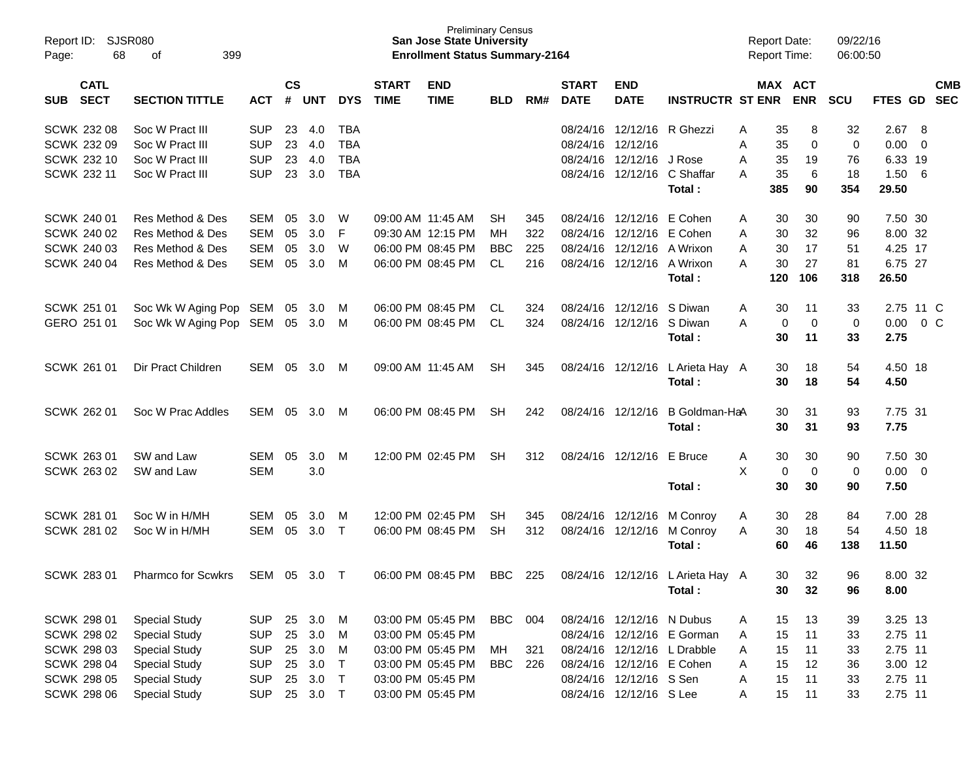| Report ID:<br>68<br>Page:                | <b>SJSR080</b><br>399<br>οf |            |                    |            |            |                             | <b>Preliminary Census</b><br><b>San Jose State University</b><br><b>Enrollment Status Summary-2164</b> |            |     |                             |                            |                             | <b>Report Date:</b><br><b>Report Time:</b> |           |                       | 09/22/16<br>06:00:50 |               |                          |                          |
|------------------------------------------|-----------------------------|------------|--------------------|------------|------------|-----------------------------|--------------------------------------------------------------------------------------------------------|------------|-----|-----------------------------|----------------------------|-----------------------------|--------------------------------------------|-----------|-----------------------|----------------------|---------------|--------------------------|--------------------------|
| <b>CATL</b><br><b>SECT</b><br><b>SUB</b> | <b>SECTION TITTLE</b>       | <b>ACT</b> | $\mathsf{cs}$<br># | <b>UNT</b> | <b>DYS</b> | <b>START</b><br><b>TIME</b> | <b>END</b><br><b>TIME</b>                                                                              | <b>BLD</b> | RM# | <b>START</b><br><b>DATE</b> | <b>END</b><br><b>DATE</b>  | <b>INSTRUCTR ST ENR</b>     |                                            |           | MAX ACT<br><b>ENR</b> | <b>SCU</b>           | FTES GD       |                          | <b>CMB</b><br><b>SEC</b> |
| <b>SCWK 232 08</b>                       | Soc W Pract III             | <b>SUP</b> | 23                 | 4.0        | <b>TBA</b> |                             |                                                                                                        |            |     |                             | 08/24/16 12/12/16 R Ghezzi |                             | Α                                          | 35        | 8                     | 32                   | $2.67$ 8      |                          |                          |
| SCWK 232 09                              | Soc W Pract III             | <b>SUP</b> | 23                 | 4.0        | <b>TBA</b> |                             |                                                                                                        |            |     |                             | 08/24/16 12/12/16          |                             | Α                                          | 35        | 0                     | 0                    | 0.00          | $\overline{0}$           |                          |
| SCWK 232 10                              | Soc W Pract III             | <b>SUP</b> | 23                 | 4.0        | <b>TBA</b> |                             |                                                                                                        |            |     | 08/24/16                    | 12/12/16 J Rose            |                             | Α                                          | 35        | 19                    | 76                   | 6.33 19       |                          |                          |
| <b>SCWK 232 11</b>                       | Soc W Pract III             | <b>SUP</b> | 23                 | 3.0        | <b>TBA</b> |                             |                                                                                                        |            |     |                             | 08/24/16 12/12/16          | C Shaffar<br>Total:         | Α                                          | 35<br>385 | 6<br>90               | 18<br>354            | 1.50<br>29.50 | 6                        |                          |
| <b>SCWK 240 01</b>                       | Res Method & Des            | <b>SEM</b> | 05                 | 3.0        | W          |                             | 09:00 AM 11:45 AM                                                                                      | <b>SH</b>  | 345 |                             | 08/24/16 12/12/16          | E Cohen                     | Α                                          | 30        | 30                    | 90                   | 7.50 30       |                          |                          |
| SCWK 240 02                              | Res Method & Des            | <b>SEM</b> | 05                 | 3.0        | F          |                             | 09:30 AM 12:15 PM                                                                                      | MН         | 322 |                             | 08/24/16 12/12/16 E Cohen  |                             | A                                          | 30        | 32                    | 96                   | 8.00 32       |                          |                          |
| <b>SCWK 240 03</b>                       | Res Method & Des            | <b>SEM</b> | 05                 | 3.0        | W          |                             | 06:00 PM 08:45 PM                                                                                      | <b>BBC</b> | 225 |                             | 08/24/16 12/12/16 A Wrixon |                             | A                                          | 30        | 17                    | 51                   | 4.25 17       |                          |                          |
| <b>SCWK 240 04</b>                       | Res Method & Des            | <b>SEM</b> | 05                 | 3.0        | M          |                             | 06:00 PM 08:45 PM                                                                                      | CL.        | 216 |                             | 08/24/16 12/12/16          | A Wrixon                    | Α                                          | 30        | 27                    | 81                   | 6.75 27       |                          |                          |
|                                          |                             |            |                    |            |            |                             |                                                                                                        |            |     |                             |                            | Total:                      |                                            | 120       | 106                   | 318                  | 26.50         |                          |                          |
| <b>SCWK 251 01</b>                       | Soc Wk W Aging Pop          | SEM        | 05                 | 3.0        | M          |                             | 06:00 PM 08:45 PM                                                                                      | CL.        | 324 |                             | 08/24/16 12/12/16          | S Diwan                     | A                                          | 30        | 11                    | 33                   | 2.75 11 C     |                          |                          |
| GERO 251 01                              | Soc Wk W Aging Pop          | SEM        |                    | 05 3.0     | M          |                             | 06:00 PM 08:45 PM                                                                                      | CL         | 324 |                             | 08/24/16 12/12/16 S Diwan  |                             | A                                          | 0         | 0                     | 0                    | 0.00          |                          | 0 <sup>o</sup>           |
|                                          |                             |            |                    |            |            |                             |                                                                                                        |            |     |                             |                            | Total:                      |                                            | 30        | 11                    | 33                   | 2.75          |                          |                          |
| <b>SCWK 261 01</b>                       | Dir Pract Children          | <b>SEM</b> | 05                 | 3.0        | M          |                             | 09:00 AM 11:45 AM                                                                                      | <b>SH</b>  | 345 |                             | 08/24/16 12/12/16          | L Arieta Hay A              |                                            | 30        | 18                    | 54                   | 4.50 18       |                          |                          |
|                                          |                             |            |                    |            |            |                             |                                                                                                        |            |     |                             |                            | Total:                      |                                            | 30        | 18                    | 54                   | 4.50          |                          |                          |
| <b>SCWK 262 01</b>                       | Soc W Prac Addles           | <b>SEM</b> | 05                 | 3.0        | M          |                             | 06:00 PM 08:45 PM                                                                                      | <b>SH</b>  | 242 |                             | 08/24/16 12/12/16          | B Goldman-HaA               |                                            | 30        | 31                    | 93                   | 7.75 31       |                          |                          |
|                                          |                             |            |                    |            |            |                             |                                                                                                        |            |     |                             |                            | Total:                      |                                            | 30        | 31                    | 93                   | 7.75          |                          |                          |
| SCWK 263 01                              | SW and Law                  | <b>SEM</b> | 05                 | 3.0        | M          |                             | 12:00 PM 02:45 PM                                                                                      | <b>SH</b>  | 312 |                             | 08/24/16 12/12/16          | E Bruce                     | A                                          | 30        | 30                    | 90                   | 7.50 30       |                          |                          |
| SCWK 263 02                              | SW and Law                  | <b>SEM</b> |                    | 3.0        |            |                             |                                                                                                        |            |     |                             |                            |                             | X                                          | 0         | 0                     | 0                    | 0.00          | $\overline{\phantom{0}}$ |                          |
|                                          |                             |            |                    |            |            |                             |                                                                                                        |            |     |                             |                            | Total:                      |                                            | 30        | 30                    | 90                   | 7.50          |                          |                          |
| <b>SCWK 281 01</b>                       | Soc W in H/MH               | <b>SEM</b> | 05                 | 3.0        | M          |                             | 12:00 PM 02:45 PM                                                                                      | <b>SH</b>  | 345 |                             | 08/24/16 12/12/16          | M Conroy                    | A                                          | 30        | 28                    | 84                   | 7.00 28       |                          |                          |
| SCWK 281 02                              | Soc W in H/MH               | <b>SEM</b> | 05                 | 3.0        | $\top$     |                             | 06:00 PM 08:45 PM                                                                                      | <b>SH</b>  | 312 |                             | 08/24/16 12/12/16          | M Conroy                    | A                                          | 30        | 18                    | 54                   | 4.50 18       |                          |                          |
|                                          |                             |            |                    |            |            |                             |                                                                                                        |            |     |                             |                            | Total:                      |                                            | 60        | 46                    | 138                  | 11.50         |                          |                          |
| <b>SCWK 283 01</b>                       | <b>Pharmco for Scwkrs</b>   | SEM        | 05                 | 3.0        | $\top$     |                             | 06:00 PM 08:45 PM                                                                                      | <b>BBC</b> | 225 |                             | 08/24/16 12/12/16          | L Arieta Hay A              |                                            | 30        | 32                    | 96                   | 8.00 32       |                          |                          |
|                                          |                             |            |                    |            |            |                             |                                                                                                        |            |     |                             |                            | Total:                      |                                            | 30        | 32                    | 96                   | 8.00          |                          |                          |
|                                          |                             |            |                    |            |            |                             |                                                                                                        |            |     |                             |                            |                             |                                            |           |                       |                      |               |                          |                          |
| SCWK 298 01                              | <b>Special Study</b>        | <b>SUP</b> | 25                 | 3.0        | M          |                             | 03:00 PM 05:45 PM                                                                                      | <b>BBC</b> | 004 |                             | 08/24/16 12/12/16 N Dubus  |                             | A                                          | 15        | 13                    | 39                   | 3.25 13       |                          |                          |
| <b>SCWK 298 02</b>                       | <b>Special Study</b>        | <b>SUP</b> | 25                 | 3.0        | M          |                             | 03:00 PM 05:45 PM                                                                                      |            |     |                             |                            | 08/24/16 12/12/16 E Gorman  | Α                                          | 15        | 11                    | 33                   | 2.75 11       |                          |                          |
| <b>SCWK 298 03</b>                       | <b>Special Study</b>        | <b>SUP</b> | 25                 | 3.0        | M          |                             | 03:00 PM 05:45 PM                                                                                      | МH         | 321 |                             |                            | 08/24/16 12/12/16 L Drabble | A                                          | 15        | 11                    | 33                   | 2.75 11       |                          |                          |
| <b>SCWK 298 04</b>                       | <b>Special Study</b>        | <b>SUP</b> | 25                 | 3.0        | $\top$     |                             | 03:00 PM 05:45 PM                                                                                      | <b>BBC</b> | 226 |                             | 08/24/16 12/12/16 E Cohen  |                             | Α                                          | 15        | 12                    | 36                   | 3.00 12       |                          |                          |
| <b>SCWK 298 05</b>                       | <b>Special Study</b>        | <b>SUP</b> | 25                 | 3.0        | $\top$     |                             | 03:00 PM 05:45 PM                                                                                      |            |     |                             | 08/24/16 12/12/16 S Sen    |                             | Α                                          | 15        | 11                    | 33                   | 2.75 11       |                          |                          |
| <b>SCWK 298 06</b>                       | <b>Special Study</b>        | <b>SUP</b> |                    | 25 3.0 T   |            |                             | 03:00 PM 05:45 PM                                                                                      |            |     |                             | 08/24/16 12/12/16 S Lee    |                             | A                                          | 15        | 11                    | 33                   | 2.75 11       |                          |                          |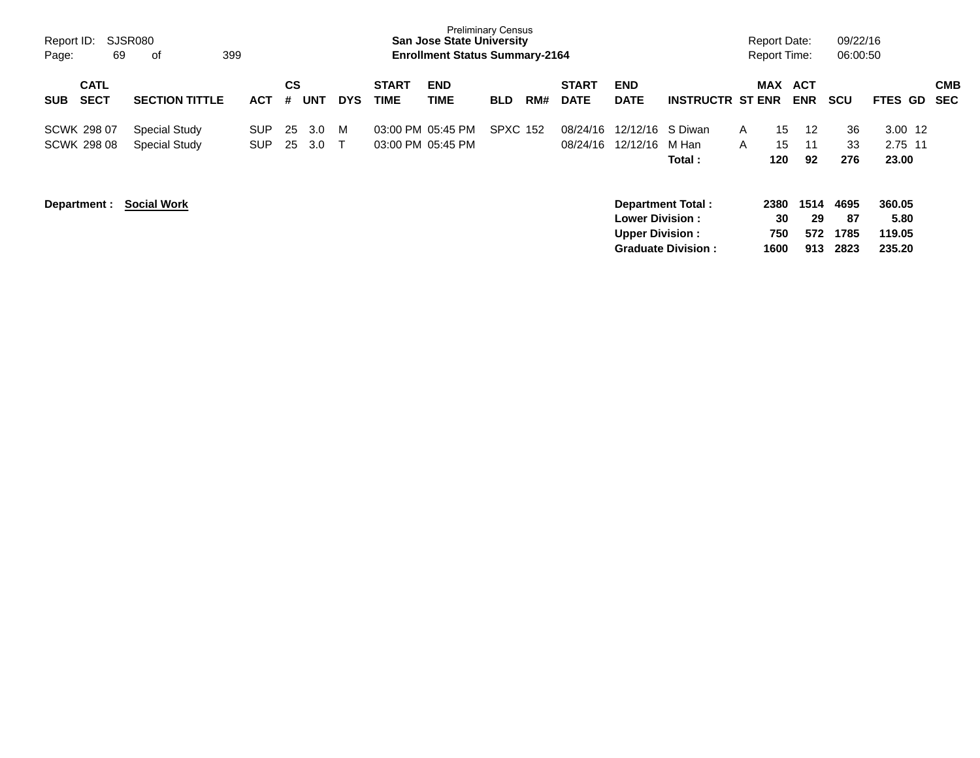| Report ID:<br>Page:                      | SJSR080<br>69 | 399<br>оf                                    |                   |                |            |             |                             | <b>Preliminary Census</b><br><b>San Jose State University</b><br><b>Enrollment Status Summary-2164</b> |                 |     |                             |                                                                       |                           |                   | <b>Report Date:</b><br>Report Time: |                          | 09/22/16<br>06:00:50       |                                    |                          |
|------------------------------------------|---------------|----------------------------------------------|-------------------|----------------|------------|-------------|-----------------------------|--------------------------------------------------------------------------------------------------------|-----------------|-----|-----------------------------|-----------------------------------------------------------------------|---------------------------|-------------------|-------------------------------------|--------------------------|----------------------------|------------------------------------|--------------------------|
| <b>CATL</b><br><b>SECT</b><br><b>SUB</b> |               | <b>SECTION TITTLE</b>                        | <b>ACT</b>        | <b>CS</b><br># | <b>UNT</b> | <b>DYS</b>  | <b>START</b><br><b>TIME</b> | <b>END</b><br><b>TIME</b>                                                                              | <b>BLD</b>      | RM# | <b>START</b><br><b>DATE</b> | <b>END</b><br><b>DATE</b>                                             | <b>INSTRUCTR ST ENR</b>   |                   | <b>MAX</b>                          | <b>ACT</b><br><b>ENR</b> | <b>SCU</b>                 | FTES GD                            | <b>CMB</b><br><b>SEC</b> |
| <b>SCWK 298 07</b><br><b>SCWK 298 08</b> |               | <b>Special Study</b><br><b>Special Study</b> | SUP<br><b>SUP</b> | 25<br>25       | 3.0<br>3.0 | M<br>$\top$ |                             | 03:00 PM 05:45 PM<br>03:00 PM 05:45 PM                                                                 | <b>SPXC 152</b> |     | 08/24/16<br>08/24/16        | 12/12/16 S Diwan<br>12/12/16                                          | M Han<br>Total:           | A<br>$\mathsf{A}$ | 15<br>15<br>120                     | 12<br>11<br>92           | 36<br>33<br>276            | $3.00$ 12<br>2.75 11<br>23.00      |                          |
| Department :                             |               | <b>Social Work</b>                           |                   |                |            |             |                             |                                                                                                        |                 |     |                             | Department Total:<br><b>Lower Division:</b><br><b>Upper Division:</b> | <b>Graduate Division:</b> |                   | 2380<br>30<br>750<br>1600           | 1514<br>29<br>572<br>913 | 4695<br>87<br>1785<br>2823 | 360.05<br>5.80<br>119.05<br>235.20 |                          |